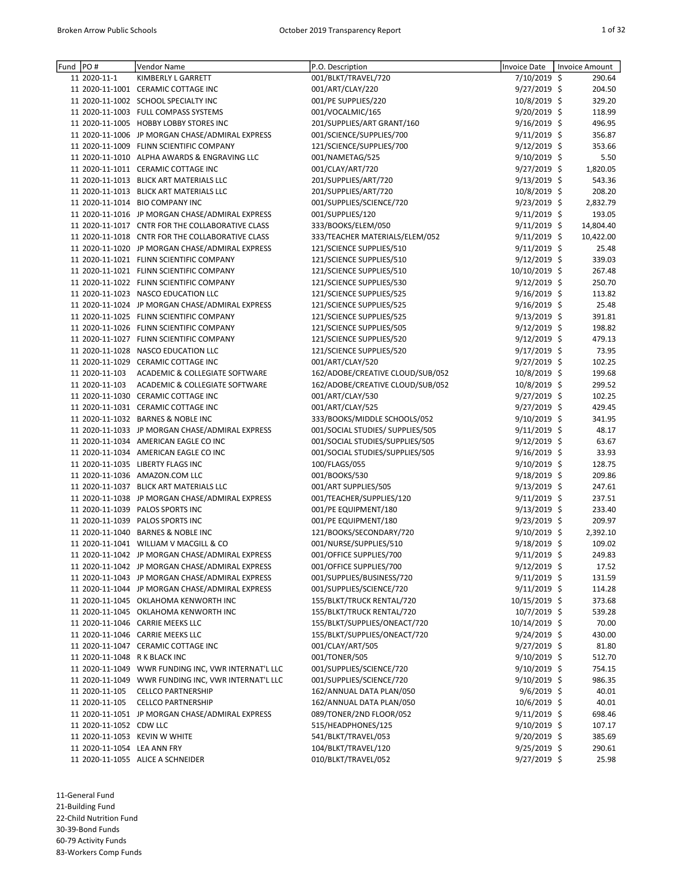| Fund | PO#                           | Vendor Name                                         | P.O. Description                 | Invoice Date      | Invoice Amount |
|------|-------------------------------|-----------------------------------------------------|----------------------------------|-------------------|----------------|
|      | 11 2020-11-1                  | KIMBERLY L GARRETT                                  | 001/BLKT/TRAVEL/720              | 7/10/2019 \$      | 290.64         |
|      |                               | 11 2020-11-1001 CERAMIC COTTAGE INC                 | 001/ART/CLAY/220                 | 9/27/2019 \$      | 204.50         |
|      |                               | 11 2020-11-1002 SCHOOL SPECIALTY INC                | 001/PE SUPPLIES/220              | 10/8/2019 \$      | 329.20         |
|      |                               | 11 2020-11-1003 FULL COMPASS SYSTEMS                | 001/VOCALMIC/165                 | 9/20/2019 \$      | 118.99         |
|      |                               | 11 2020-11-1005 HOBBY LOBBY STORES INC              | 201/SUPPLIES/ART GRANT/160       | 9/16/2019 \$      | 496.95         |
|      |                               | 11 2020-11-1006 JP MORGAN CHASE/ADMIRAL EXPRESS     | 001/SCIENCE/SUPPLIES/700         | $9/11/2019$ \$    | 356.87         |
|      |                               | 11 2020-11-1009 FLINN SCIENTIFIC COMPANY            | 121/SCIENCE/SUPPLIES/700         | $9/12/2019$ \$    | 353.66         |
|      |                               | 11 2020-11-1010 ALPHA AWARDS & ENGRAVING LLC        | 001/NAMETAG/525                  | 9/10/2019 \$      | 5.50           |
|      |                               | 11 2020-11-1011 CERAMIC COTTAGE INC                 | 001/CLAY/ART/720                 | 9/27/2019 \$      | 1,820.05       |
|      |                               | 11 2020-11-1013 BLICK ART MATERIALS LLC             | 201/SUPPLIES/ART/720             | 9/13/2019 \$      | 543.36         |
|      |                               | 11 2020-11-1013 BLICK ART MATERIALS LLC             | 201/SUPPLIES/ART/720             | 10/8/2019 \$      | 208.20         |
|      |                               | 11 2020-11-1014 BIO COMPANY INC                     | 001/SUPPLIES/SCIENCE/720         | 9/23/2019 \$      | 2,832.79       |
|      |                               | 11 2020-11-1016 JP MORGAN CHASE/ADMIRAL EXPRESS     | 001/SUPPLIES/120                 | 9/11/2019 \$      | 193.05         |
|      |                               | 11 2020-11-1017 CNTR FOR THE COLLABORATIVE CLASS    | 333/BOOKS/ELEM/050               | 9/11/2019 \$      | 14,804.40      |
|      |                               | 11 2020-11-1018 CNTR FOR THE COLLABORATIVE CLASS    | 333/TEACHER MATERIALS/ELEM/052   | $9/11/2019 \;$ \$ | 10,422.00      |
|      |                               | 11 2020-11-1020 JP MORGAN CHASE/ADMIRAL EXPRESS     | 121/SCIENCE SUPPLIES/510         | $9/11/2019$ \$    | 25.48          |
|      |                               | 11 2020-11-1021 FLINN SCIENTIFIC COMPANY            | 121/SCIENCE SUPPLIES/510         | $9/12/2019$ \$    | 339.03         |
|      |                               |                                                     |                                  |                   |                |
|      |                               | 11 2020-11-1021 FLINN SCIENTIFIC COMPANY            | 121/SCIENCE SUPPLIES/510         | 10/10/2019 \$     | 267.48         |
|      |                               | 11 2020-11-1022 FLINN SCIENTIFIC COMPANY            | 121/SCIENCE SUPPLIES/530         | 9/12/2019 \$      | 250.70         |
|      |                               | 11 2020-11-1023 NASCO EDUCATION LLC                 | 121/SCIENCE SUPPLIES/525         | 9/16/2019 \$      | 113.82         |
|      |                               | 11 2020-11-1024 JP MORGAN CHASE/ADMIRAL EXPRESS     | 121/SCIENCE SUPPLIES/525         | 9/16/2019 \$      | 25.48          |
|      |                               | 11 2020-11-1025 FLINN SCIENTIFIC COMPANY            | 121/SCIENCE SUPPLIES/525         | 9/13/2019 \$      | 391.81         |
|      |                               | 11 2020-11-1026 FLINN SCIENTIFIC COMPANY            | 121/SCIENCE SUPPLIES/505         | 9/12/2019 \$      | 198.82         |
|      |                               | 11 2020-11-1027 FLINN SCIENTIFIC COMPANY            | 121/SCIENCE SUPPLIES/520         | 9/12/2019 \$      | 479.13         |
|      |                               | 11 2020-11-1028 NASCO EDUCATION LLC                 | 121/SCIENCE SUPPLIES/520         | 9/17/2019 \$      | 73.95          |
|      |                               | 11 2020-11-1029 CERAMIC COTTAGE INC                 | 001/ART/CLAY/520                 | 9/27/2019 \$      | 102.25         |
|      | 11 2020-11-103                | ACADEMIC & COLLEGIATE SOFTWARE                      | 162/ADOBE/CREATIVE CLOUD/SUB/052 | 10/8/2019 \$      | 199.68         |
|      | 11 2020-11-103                | ACADEMIC & COLLEGIATE SOFTWARE                      | 162/ADOBE/CREATIVE CLOUD/SUB/052 | 10/8/2019 \$      | 299.52         |
|      |                               | 11 2020-11-1030 CERAMIC COTTAGE INC                 | 001/ART/CLAY/530                 | 9/27/2019 \$      | 102.25         |
|      |                               | 11 2020-11-1031 CERAMIC COTTAGE INC                 | 001/ART/CLAY/525                 | 9/27/2019 \$      | 429.45         |
|      |                               | 11 2020-11-1032 BARNES & NOBLE INC                  | 333/BOOKS/MIDDLE SCHOOLS/052     | 9/10/2019 \$      | 341.95         |
|      |                               | 11 2020-11-1033 JP MORGAN CHASE/ADMIRAL EXPRESS     | 001/SOCIAL STUDIES/ SUPPLIES/505 | 9/11/2019 \$      | 48.17          |
|      |                               | 11 2020-11-1034 AMERICAN EAGLE CO INC               | 001/SOCIAL STUDIES/SUPPLIES/505  | $9/12/2019$ \$    | 63.67          |
|      |                               | 11 2020-11-1034 AMERICAN EAGLE CO INC               | 001/SOCIAL STUDIES/SUPPLIES/505  | 9/16/2019 \$      | 33.93          |
|      |                               | 11 2020-11-1035 LIBERTY FLAGS INC                   |                                  | 9/10/2019 \$      | 128.75         |
|      |                               |                                                     | 100/FLAGS/055                    |                   |                |
|      |                               | 11 2020-11-1036 AMAZON.COM LLC                      | 001/BOOKS/530                    | $9/18/2019$ \$    | 209.86         |
|      |                               | 11 2020-11-1037 BLICK ART MATERIALS LLC             | 001/ART SUPPLIES/505             | 9/13/2019 \$      | 247.61         |
|      |                               | 11 2020-11-1038 JP MORGAN CHASE/ADMIRAL EXPRESS     | 001/TEACHER/SUPPLIES/120         | $9/11/2019$ \$    | 237.51         |
|      |                               | 11 2020-11-1039 PALOS SPORTS INC                    | 001/PE EQUIPMENT/180             | $9/13/2019$ \$    | 233.40         |
|      |                               | 11 2020-11-1039 PALOS SPORTS INC                    | 001/PE EQUIPMENT/180             | 9/23/2019 \$      | 209.97         |
|      |                               | 11 2020-11-1040 BARNES & NOBLE INC                  | 121/BOOKS/SECONDARY/720          | $9/10/2019$ \$    | 2,392.10       |
|      |                               | 11 2020-11-1041 WILLIAM V MACGILL & CO              | 001/NURSE/SUPPLIES/510           | 9/18/2019 \$      | 109.02         |
|      |                               | 11 2020-11-1042 JP MORGAN CHASE/ADMIRAL EXPRESS     | 001/OFFICE SUPPLIES/700          | 9/11/2019 \$      | 249.83         |
|      |                               | 11 2020-11-1042 JP MORGAN CHASE/ADMIRAL EXPRESS     | 001/OFFICE SUPPLIES/700          | 9/12/2019 \$      | 17.52          |
|      |                               | 11 2020-11-1043 JP MORGAN CHASE/ADMIRAL EXPRESS     | 001/SUPPLIES/BUSINESS/720        | $9/11/2019$ \$    | 131.59         |
|      |                               | 11 2020-11-1044 JP MORGAN CHASE/ADMIRAL EXPRESS     | 001/SUPPLIES/SCIENCE/720         | $9/11/2019$ \$    | 114.28         |
|      |                               | 11 2020-11-1045 OKLAHOMA KENWORTH INC               | 155/BLKT/TRUCK RENTAL/720        | 10/15/2019 \$     | 373.68         |
|      |                               | 11 2020-11-1045 OKLAHOMA KENWORTH INC               | 155/BLKT/TRUCK RENTAL/720        | 10/7/2019 \$      | 539.28         |
|      |                               | 11 2020-11-1046 CARRIE MEEKS LLC                    | 155/BLKT/SUPPLIES/ONEACT/720     | 10/14/2019 \$     | 70.00          |
|      |                               | 11 2020-11-1046 CARRIE MEEKS LLC                    | 155/BLKT/SUPPLIES/ONEACT/720     | $9/24/2019$ \$    | 430.00         |
|      |                               | 11 2020-11-1047 CERAMIC COTTAGE INC                 | 001/CLAY/ART/505                 | 9/27/2019 \$      | 81.80          |
|      | 11 2020-11-1048 R K BLACK INC |                                                     | 001/TONER/505                    | $9/10/2019$ \$    | 512.70         |
|      |                               | 11 2020-11-1049 WWR FUNDING INC, VWR INTERNAT'L LLC | 001/SUPPLIES/SCIENCE/720         | $9/10/2019$ \$    | 754.15         |
|      |                               | 11 2020-11-1049 WWR FUNDING INC, VWR INTERNAT'L LLC | 001/SUPPLIES/SCIENCE/720         | $9/10/2019$ \$    | 986.35         |
|      | 11 2020-11-105                | <b>CELLCO PARTNERSHIP</b>                           | 162/ANNUAL DATA PLAN/050         | $9/6/2019$ \$     | 40.01          |
|      |                               |                                                     |                                  |                   |                |
|      | 11 2020-11-105                | <b>CELLCO PARTNERSHIP</b>                           | 162/ANNUAL DATA PLAN/050         | $10/6/2019$ \$    | 40.01          |
|      |                               | 11 2020-11-1051 JP MORGAN CHASE/ADMIRAL EXPRESS     | 089/TONER/2ND FLOOR/052          | $9/11/2019 \;$ \$ | 698.46         |
|      | 11 2020-11-1052 CDW LLC       |                                                     | 515/HEADPHONES/125               | $9/10/2019$ \$    | 107.17         |
|      |                               | 11 2020-11-1053 KEVIN W WHITE                       | 541/BLKT/TRAVEL/053              | $9/20/2019$ \$    | 385.69         |
|      | 11 2020-11-1054 LEA ANN FRY   |                                                     | 104/BLKT/TRAVEL/120              | $9/25/2019$ \$    | 290.61         |
|      |                               | 11 2020-11-1055 ALICE A SCHNEIDER                   | 010/BLKT/TRAVEL/052              | 9/27/2019 \$      | 25.98          |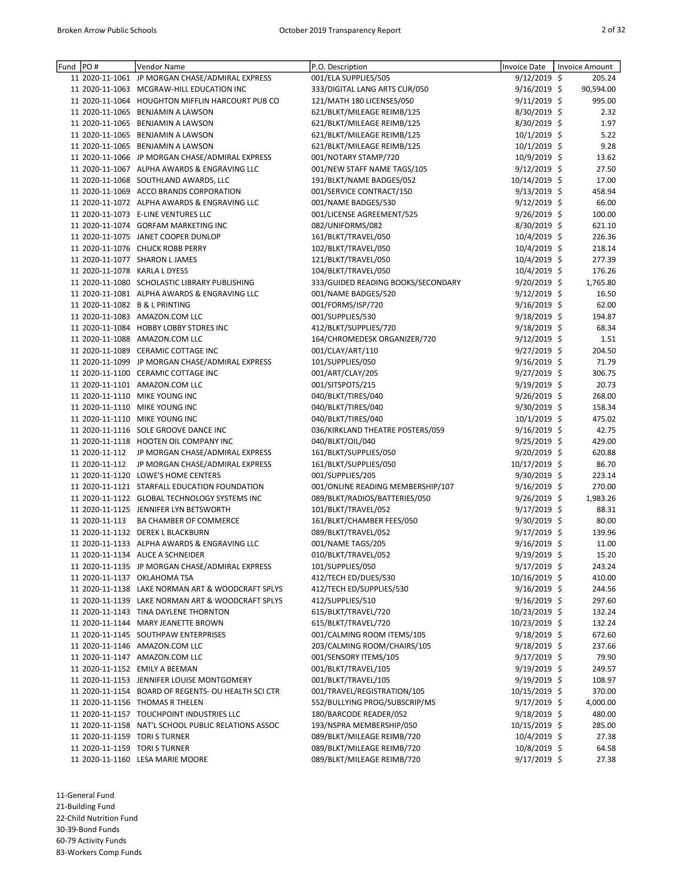| Fund PO# |                | Vendor Name                                                       | P.O. Description                                          | <b>Invoice Date</b>              | <b>Invoice Amount</b> |
|----------|----------------|-------------------------------------------------------------------|-----------------------------------------------------------|----------------------------------|-----------------------|
|          |                | 11 2020-11-1061 JP MORGAN CHASE/ADMIRAL EXPRESS                   | 001/ELA SUPPLIES/505                                      | 9/12/2019 \$                     | 205.24                |
|          |                | 11 2020-11-1063 MCGRAW-HILL EDUCATION INC                         | 333/DIGITAL LANG ARTS CUR/050                             | 9/16/2019 \$                     | 90,594.00             |
|          |                | 11 2020-11-1064 HOUGHTON MIFFLIN HARCOURT PUB CO                  | 121/MATH 180 LICENSES/050                                 | 9/11/2019 \$                     | 995.00                |
|          |                | 11 2020-11-1065 BENJAMIN A LAWSON                                 | 621/BLKT/MILEAGE REIMB/125                                | 8/30/2019 \$                     | 2.32                  |
|          |                | 11 2020-11-1065 BENJAMIN A LAWSON                                 | 621/BLKT/MILEAGE REIMB/125                                | 8/30/2019 \$                     | 1.97                  |
|          |                | 11 2020-11-1065 BENJAMIN A LAWSON                                 | 621/BLKT/MILEAGE REIMB/125                                | $10/1/2019$ \$                   | 5.22                  |
|          |                | 11 2020-11-1065 BENJAMIN A LAWSON                                 | 621/BLKT/MILEAGE REIMB/125                                | $10/1/2019$ \$                   | 9.28                  |
|          |                | 11 2020-11-1066 JP MORGAN CHASE/ADMIRAL EXPRESS                   | 001/NOTARY STAMP/720                                      | 10/9/2019 \$                     | 13.62                 |
|          |                | 11 2020-11-1067 ALPHA AWARDS & ENGRAVING LLC                      | 001/NEW STAFF NAME TAGS/105                               | 9/12/2019 \$                     | 27.50                 |
|          |                | 11 2020-11-1068 SOUTHLAND AWARDS, LLC                             | 191/BLKT/NAME BADGES/052                                  | 10/14/2019 \$                    | 17.00                 |
|          |                | 11 2020-11-1069 ACCO BRANDS CORPORATION                           | 001/SERVICE CONTRACT/150                                  | $9/13/2019$ \$                   | 458.94                |
|          |                | 11 2020-11-1072 ALPHA AWARDS & ENGRAVING LLC                      | 001/NAME BADGES/530                                       | $9/12/2019$ \$                   | 66.00                 |
|          |                | 11 2020-11-1073 E-LINE VENTURES LLC                               | 001/LICENSE AGREEMENT/525                                 | 9/26/2019 \$                     | 100.00                |
|          |                | 11 2020-11-1074 GORFAM MARKETING INC                              | 082/UNIFORMS/082                                          | $8/30/2019$ \$                   | 621.10                |
|          |                | 11 2020-11-1075 JANET COOPER DUNLOP                               | 161/BLKT/TRAVEL/050                                       | 10/4/2019 \$                     | 226.36                |
|          |                | 11 2020-11-1076 CHUCK ROBB PERRY<br>11 2020-11-1077 SHARON LJAMES | 102/BLKT/TRAVEL/050                                       | 10/4/2019 \$                     | 218.14<br>277.39      |
|          |                | 11 2020-11-1078 KARLA L DYESS                                     | 121/BLKT/TRAVEL/050<br>104/BLKT/TRAVEL/050                | 10/4/2019 \$<br>10/4/2019 \$     | 176.26                |
|          |                | 11 2020-11-1080 SCHOLASTIC LIBRARY PUBLISHING                     | 333/GUIDED READING BOOKS/SECONDARY                        | 9/20/2019 \$                     | 1,765.80              |
|          |                | 11 2020-11-1081 ALPHA AWARDS & ENGRAVING LLC                      | 001/NAME BADGES/520                                       | $9/12/2019$ \$                   | 16.50                 |
|          |                | 11 2020-11-1082 B & L PRINTING                                    | 001/FORMS/ISP/720                                         | $9/16/2019$ \$                   | 62.00                 |
|          |                | 11 2020-11-1083 AMAZON.COM LLC                                    | 001/SUPPLIES/530                                          | $9/18/2019$ \$                   | 194.87                |
|          |                | 11 2020-11-1084 HOBBY LOBBY STORES INC                            | 412/BLKT/SUPPLIES/720                                     | 9/18/2019 \$                     | 68.34                 |
|          |                | 11 2020-11-1088 AMAZON.COM LLC                                    | 164/CHROMEDESK ORGANIZER/720                              | $9/12/2019$ \$                   | 1.51                  |
|          |                | 11 2020-11-1089 CERAMIC COTTAGE INC                               | 001/CLAY/ART/110                                          | $9/27/2019$ \$                   | 204.50                |
|          |                | 11 2020-11-1099 JP MORGAN CHASE/ADMIRAL EXPRESS                   | 101/SUPPLIES/050                                          | $9/16/2019$ \$                   | 71.79                 |
|          |                | 11 2020-11-1100 CERAMIC COTTAGE INC                               | 001/ART/CLAY/205                                          | 9/27/2019 \$                     | 306.75                |
|          |                | 11 2020-11-1101 AMAZON.COM LLC                                    | 001/SITSPOTS/215                                          | 9/19/2019 \$                     | 20.73                 |
|          |                | 11 2020-11-1110 MIKE YOUNG INC                                    | 040/BLKT/TIRES/040                                        | 9/26/2019 \$                     | 268.00                |
|          |                | 11 2020-11-1110 MIKE YOUNG INC                                    | 040/BLKT/TIRES/040                                        | $9/30/2019$ \$                   | 158.34                |
|          |                | 11 2020-11-1110 MIKE YOUNG INC                                    | 040/BLKT/TIRES/040                                        | $10/1/2019$ \$                   | 475.02                |
|          |                | 11 2020-11-1116 SOLE GROOVE DANCE INC                             | 036/KIRKLAND THEATRE POSTERS/059                          | $9/16/2019$ \$                   | 42.75                 |
|          |                | 11 2020-11-1118 HOOTEN OIL COMPANY INC                            | 040/BLKT/OIL/040                                          | $9/25/2019$ \$                   | 429.00                |
|          | 11 2020-11-112 | JP MORGAN CHASE/ADMIRAL EXPRESS                                   | 161/BLKT/SUPPLIES/050                                     | $9/20/2019$ \$                   | 620.88                |
|          | 11 2020-11-112 | JP MORGAN CHASE/ADMIRAL EXPRESS                                   | 161/BLKT/SUPPLIES/050                                     | 10/17/2019 \$                    | 86.70                 |
|          |                | 11 2020-11-1120 LOWE'S HOME CENTERS                               | 001/SUPPLIES/205                                          | $9/30/2019$ \$                   | 223.14                |
|          |                | 11 2020-11-1121 STARFALL EDUCATION FOUNDATION                     | 001/ONLINE READING MEMBERSHIP/107                         | 9/16/2019 \$                     | 270.00                |
|          |                | 11 2020-11-1122 GLOBAL TECHNOLOGY SYSTEMS INC                     | 089/BLKT/RADIOS/BATTERIES/050                             | 9/26/2019 \$                     | 1,983.26              |
|          |                | 11 2020-11-1125 JENNIFER LYN BETSWORTH                            | 101/BLKT/TRAVEL/052                                       | $9/17/2019$ \$                   | 88.31                 |
|          | 11 2020-11-113 | BA CHAMBER OF COMMERCE                                            | 161/BLKT/CHAMBER FEES/050                                 | $9/30/2019$ \$                   | 80.00                 |
|          |                | 11 2020-11-1132 DEREK L BLACKBURN                                 | 089/BLKT/TRAVEL/052                                       | $9/17/2019$ \$                   | 139.96                |
|          |                | 11 2020-11-1133 ALPHA AWARDS & ENGRAVING LLC                      | 001/NAME TAGS/205                                         | 9/16/2019 \$                     | 11.00                 |
|          |                | 11 2020-11-1134 ALICE A SCHNEIDER                                 | 010/BLKT/TRAVEL/052                                       | 9/19/2019 \$                     | 15.20                 |
|          |                | 11 2020-11-1135 JP MORGAN CHASE/ADMIRAL EXPRESS                   | 101/SUPPLIES/050                                          | 9/17/2019 \$                     | 243.24                |
|          |                | 11 2020-11-1137 OKLAHOMA TSA                                      | 412/TECH ED/DUES/530                                      | 10/16/2019 \$                    | 410.00                |
|          |                | 11 2020-11-1138 LAKE NORMAN ART & WOODCRAFT SPLYS                 | 412/TECH ED/SUPPLIES/530                                  | $9/16/2019$ \$                   | 244.56                |
|          |                | 11 2020-11-1139 LAKE NORMAN ART & WOODCRAFT SPLYS                 | 412/SUPPLIES/510                                          | $9/16/2019$ \$                   | 297.60                |
|          |                | 11 2020-11-1143 TINA DAYLENE THORNTON                             | 615/BLKT/TRAVEL/720                                       | 10/23/2019 \$                    | 132.24                |
|          |                | 11 2020-11-1144 MARY JEANETTE BROWN                               | 615/BLKT/TRAVEL/720                                       | 10/23/2019 \$                    | 132.24                |
|          |                | 11 2020-11-1145 SOUTHPAW ENTERPRISES                              | 001/CALMING ROOM ITEMS/105<br>203/CALMING ROOM/CHAIRS/105 | $9/18/2019$ \$                   | 672.60                |
|          |                | 11 2020-11-1146 AMAZON.COM LLC<br>11 2020-11-1147 AMAZON.COM LLC  | 001/SENSORY ITEMS/105                                     | $9/18/2019$ \$                   | 237.66<br>79.90       |
|          |                | 11 2020-11-1152 EMILY A BEEMAN                                    | 001/BLKT/TRAVEL/105                                       | $9/17/2019$ \$<br>$9/19/2019$ \$ | 249.57                |
|          |                | 11 2020-11-1153 JENNIFER LOUISE MONTGOMERY                        | 001/BLKT/TRAVEL/105                                       | $9/19/2019$ \$                   | 108.97                |
|          |                | 11 2020-11-1154 BOARD OF REGENTS- OU HEALTH SCI CTR               | 001/TRAVEL/REGISTRATION/105                               | 10/15/2019 \$                    | 370.00                |
|          |                | 11 2020-11-1156 THOMAS R THELEN                                   | 552/BULLYING PROG/SUBSCRIP/MS                             | $9/17/2019$ \$                   | 4,000.00              |
|          |                | 11 2020-11-1157 TOUCHPOINT INDUSTRIES LLC                         | 180/BARCODE READER/052                                    | $9/18/2019$ \$                   | 480.00                |
|          |                | 11 2020-11-1158 NAT'L SCHOOL PUBLIC RELATIONS ASSOC               | 193/NSPRA MEMBERSHIP/050                                  | 10/15/2019 \$                    | 285.00                |
|          |                | 11 2020-11-1159 TORI S TURNER                                     | 089/BLKT/MILEAGE REIMB/720                                | $10/4/2019$ \$                   | 27.38                 |
|          |                | 11 2020-11-1159 TORI S TURNER                                     | 089/BLKT/MILEAGE REIMB/720                                | 10/8/2019 \$                     | 64.58                 |
|          |                | 11 2020-11-1160 LESA MARIE MOORE                                  | 089/BLKT/MILEAGE REIMB/720                                | 9/17/2019 \$                     | 27.38                 |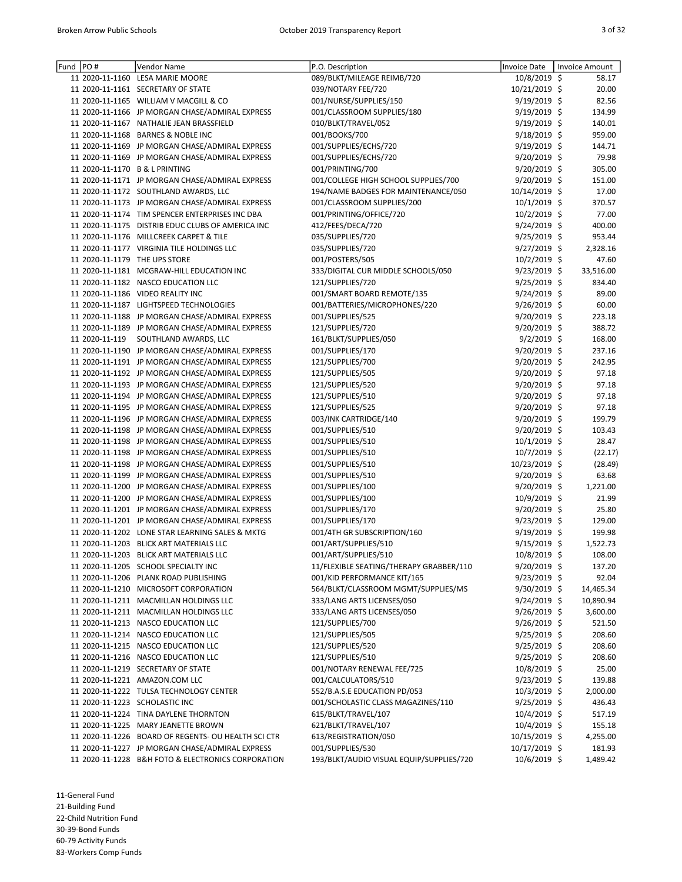| Fund | PO#            | Vendor Name                                         | P.O. Description                                          | <b>Invoice Date</b> | <b>Invoice Amount</b> |
|------|----------------|-----------------------------------------------------|-----------------------------------------------------------|---------------------|-----------------------|
|      |                | 11 2020-11-1160 LESA MARIE MOORE                    | 089/BLKT/MILEAGE REIMB/720                                | 10/8/2019 \$        | 58.17                 |
|      |                | 11 2020-11-1161 SECRETARY OF STATE                  | 039/NOTARY FEE/720                                        | 10/21/2019 \$       | 20.00                 |
|      |                | 11 2020-11-1165 WILLIAM V MACGILL & CO              | 001/NURSE/SUPPLIES/150                                    | 9/19/2019 \$        | 82.56                 |
|      |                | 11 2020-11-1166 JP MORGAN CHASE/ADMIRAL EXPRESS     | 001/CLASSROOM SUPPLIES/180                                | $9/19/2019$ \$      | 134.99                |
|      |                | 11 2020-11-1167 NATHALIE JEAN BRASSFIELD            | 010/BLKT/TRAVEL/052                                       | 9/19/2019 \$        | 140.01                |
|      |                | 11 2020-11-1168 BARNES & NOBLE INC                  | 001/BOOKS/700                                             | $9/18/2019$ \$      | 959.00                |
|      |                | 11 2020-11-1169 JP MORGAN CHASE/ADMIRAL EXPRESS     | 001/SUPPLIES/ECHS/720                                     | 9/19/2019 \$        | 144.71                |
|      |                | 11 2020-11-1169 JP MORGAN CHASE/ADMIRAL EXPRESS     | 001/SUPPLIES/ECHS/720                                     | 9/20/2019 \$        | 79.98                 |
|      |                | 11 2020-11-1170 B & L PRINTING                      | 001/PRINTING/700                                          | 9/20/2019 \$        | 305.00                |
|      |                | 11 2020-11-1171 JP MORGAN CHASE/ADMIRAL EXPRESS     | 001/COLLEGE HIGH SCHOOL SUPPLIES/700                      | 9/20/2019 \$        | 151.00                |
|      |                | 11 2020-11-1172 SOUTHLAND AWARDS, LLC               | 194/NAME BADGES FOR MAINTENANCE/050                       | 10/14/2019 \$       | 17.00                 |
|      |                |                                                     |                                                           | 10/1/2019 \$        |                       |
|      |                | 11 2020-11-1173 JP MORGAN CHASE/ADMIRAL EXPRESS     | 001/CLASSROOM SUPPLIES/200                                |                     | 370.57                |
|      |                | 11 2020-11-1174 TIM SPENCER ENTERPRISES INC DBA     | 001/PRINTING/OFFICE/720                                   | $10/2/2019$ \$      | 77.00                 |
|      |                | 11 2020-11-1175 DISTRIB EDUC CLUBS OF AMERICA INC   | 412/FEES/DECA/720                                         | 9/24/2019 \$        | 400.00                |
|      |                | 11 2020-11-1176 MILLCREEK CARPET & TILE             | 035/SUPPLIES/720                                          | 9/25/2019 \$        | 953.44                |
|      |                | 11 2020-11-1177 VIRGINIA TILE HOLDINGS LLC          | 035/SUPPLIES/720                                          | $9/27/2019$ \$      | 2,328.16              |
|      |                | 11 2020-11-1179 THE UPS STORE                       | 001/POSTERS/505                                           | $10/2/2019$ \$      | 47.60                 |
|      |                | 11 2020-11-1181 MCGRAW-HILL EDUCATION INC           | 333/DIGITAL CUR MIDDLE SCHOOLS/050                        | 9/23/2019 \$        | 33,516.00             |
|      |                | 11 2020-11-1182 NASCO EDUCATION LLC                 | 121/SUPPLIES/720                                          | 9/25/2019 \$        | 834.40                |
|      |                | 11 2020-11-1186 VIDEO REALITY INC                   | 001/SMART BOARD REMOTE/135                                | 9/24/2019 \$        | 89.00                 |
|      |                | 11 2020-11-1187 LIGHTSPEED TECHNOLOGIES             | 001/BATTERIES/MICROPHONES/220                             | 9/26/2019 \$        | 60.00                 |
|      |                | 11 2020-11-1188 JP MORGAN CHASE/ADMIRAL EXPRESS     | 001/SUPPLIES/525                                          | $9/20/2019$ \$      | 223.18                |
|      |                | 11 2020-11-1189 JP MORGAN CHASE/ADMIRAL EXPRESS     | 121/SUPPLIES/720                                          | $9/20/2019$ \$      | 388.72                |
|      | 11 2020-11-119 | SOUTHLAND AWARDS, LLC                               | 161/BLKT/SUPPLIES/050                                     | $9/2/2019$ \$       | 168.00                |
|      |                | 11 2020-11-1190 JP MORGAN CHASE/ADMIRAL EXPRESS     | 001/SUPPLIES/170                                          | 9/20/2019 \$        | 237.16                |
|      |                | 11 2020-11-1191 JP MORGAN CHASE/ADMIRAL EXPRESS     | 121/SUPPLIES/700                                          | $9/20/2019$ \$      | 242.95                |
|      |                | 11 2020-11-1192 JP MORGAN CHASE/ADMIRAL EXPRESS     | 121/SUPPLIES/505                                          | 9/20/2019 \$        | 97.18                 |
|      |                | 11 2020-11-1193 JP MORGAN CHASE/ADMIRAL EXPRESS     | 121/SUPPLIES/520                                          | 9/20/2019 \$        | 97.18                 |
|      |                | 11 2020-11-1194 JP MORGAN CHASE/ADMIRAL EXPRESS     | 121/SUPPLIES/510                                          | 9/20/2019 \$        | 97.18                 |
|      |                | 11 2020-11-1195 JP MORGAN CHASE/ADMIRAL EXPRESS     | 121/SUPPLIES/525                                          | 9/20/2019 \$        | 97.18                 |
|      |                | 11 2020-11-1196 JP MORGAN CHASE/ADMIRAL EXPRESS     | 003/INK CARTRIDGE/140                                     | 9/20/2019 \$        | 199.79                |
|      |                | 11 2020-11-1198 JP MORGAN CHASE/ADMIRAL EXPRESS     | 001/SUPPLIES/510                                          | $9/20/2019$ \$      | 103.43                |
|      |                |                                                     |                                                           |                     | 28.47                 |
|      |                | 11 2020-11-1198 JP MORGAN CHASE/ADMIRAL EXPRESS     | 001/SUPPLIES/510                                          | 10/1/2019 \$        |                       |
|      |                | 11 2020-11-1198 JP MORGAN CHASE/ADMIRAL EXPRESS     | 001/SUPPLIES/510                                          | 10/7/2019 \$        | (22.17)               |
|      |                | 11 2020-11-1198 JP MORGAN CHASE/ADMIRAL EXPRESS     | 001/SUPPLIES/510                                          | 10/23/2019 \$       | (28.49)               |
|      |                | 11 2020-11-1199 JP MORGAN CHASE/ADMIRAL EXPRESS     | 001/SUPPLIES/510                                          | $9/20/2019$ \$      | 63.68                 |
|      |                | 11 2020-11-1200 JP MORGAN CHASE/ADMIRAL EXPRESS     | 001/SUPPLIES/100                                          | 9/20/2019 \$        | 1,221.00              |
|      |                | 11 2020-11-1200 JP MORGAN CHASE/ADMIRAL EXPRESS     | 001/SUPPLIES/100                                          | 10/9/2019 \$        | 21.99                 |
|      |                | 11 2020-11-1201 JP MORGAN CHASE/ADMIRAL EXPRESS     | 001/SUPPLIES/170                                          | $9/20/2019$ \$      | 25.80                 |
|      |                | 11 2020-11-1201 JP MORGAN CHASE/ADMIRAL EXPRESS     | 001/SUPPLIES/170                                          | 9/23/2019 \$        | 129.00                |
|      |                | 11 2020-11-1202 LONE STAR LEARNING SALES & MKTG     | 001/4TH GR SUBSCRIPTION/160                               | 9/19/2019 \$        | 199.98                |
|      |                | 11 2020-11-1203 BLICK ART MATERIALS LLC             | 001/ART/SUPPLIES/510                                      | $9/15/2019$ \$      | 1,522.73              |
|      |                | 11 2020-11-1203 BLICK ART MATERIALS LLC             | 001/ART/SUPPLIES/510                                      | 10/8/2019 \$        | 108.00                |
|      |                | 11 2020-11-1205 SCHOOL SPECIALTY INC                | 11/FLEXIBLE SEATING/THERAPY GRABBER/110                   | 9/20/2019 \$        | 137.20                |
|      |                | 11 2020-11-1206 PLANK ROAD PUBLISHING               | 001/KID PERFORMANCE KIT/165                               | $9/23/2019$ \$      | 92.04                 |
|      |                | 11 2020-11-1210 MICROSOFT CORPORATION               | 564/BLKT/CLASSROOM MGMT/SUPPLIES/MS                       | $9/30/2019$ \$      | 14,465.34             |
|      |                | 11 2020-11-1211 MACMILLAN HOLDINGS LLC              | 333/LANG ARTS LICENSES/050                                | $9/24/2019$ \$      | 10,890.94             |
|      |                | 11 2020-11-1211 MACMILLAN HOLDINGS LLC              | 333/LANG ARTS LICENSES/050                                | $9/26/2019$ \$      | 3,600.00              |
|      |                | 11 2020-11-1213 NASCO EDUCATION LLC                 | 121/SUPPLIES/700                                          | $9/26/2019$ \$      | 521.50                |
|      |                | 11 2020-11-1214 NASCO EDUCATION LLC                 | 121/SUPPLIES/505                                          | $9/25/2019$ \$      | 208.60                |
|      |                | 11 2020-11-1215 NASCO EDUCATION LLC                 | 121/SUPPLIES/520                                          | 9/25/2019 \$        | 208.60                |
|      |                | 11 2020-11-1216 NASCO EDUCATION LLC                 | 121/SUPPLIES/510                                          | $9/25/2019$ \$      | 208.60                |
|      |                | 11 2020-11-1219 SECRETARY OF STATE                  | 001/NOTARY RENEWAL FEE/725                                | $10/8/2019$ \$      | 25.00                 |
|      |                | 11 2020-11-1221 AMAZON.COM LLC                      | 001/CALCULATORS/510                                       | $9/23/2019$ \$      | 139.88                |
|      |                | 11 2020-11-1222 TULSA TECHNOLOGY CENTER             | 552/B.A.S.E EDUCATION PD/053                              | $10/3/2019$ \$      | 2,000.00              |
|      |                |                                                     |                                                           |                     |                       |
|      |                | 11 2020-11-1223 SCHOLASTIC INC                      | 001/SCHOLASTIC CLASS MAGAZINES/110<br>615/BLKT/TRAVEL/107 | $9/25/2019$ \$      | 436.43                |
|      |                | 11 2020-11-1224 TINA DAYLENE THORNTON               |                                                           | $10/4/2019$ \$      | 517.19                |
|      |                | 11 2020-11-1225 MARY JEANETTE BROWN                 | 621/BLKT/TRAVEL/107                                       | $10/4/2019$ \$      | 155.18                |
|      |                | 11 2020-11-1226 BOARD OF REGENTS- OU HEALTH SCI CTR | 613/REGISTRATION/050                                      | 10/15/2019 \$       | 4,255.00              |
|      |                | 11 2020-11-1227 JP MORGAN CHASE/ADMIRAL EXPRESS     | 001/SUPPLIES/530                                          | 10/17/2019 \$       | 181.93                |
|      |                | 11 2020-11-1228 B&H FOTO & ELECTRONICS CORPORATION  | 193/BLKT/AUDIO VISUAL EQUIP/SUPPLIES/720                  | 10/6/2019 \$        | 1,489.42              |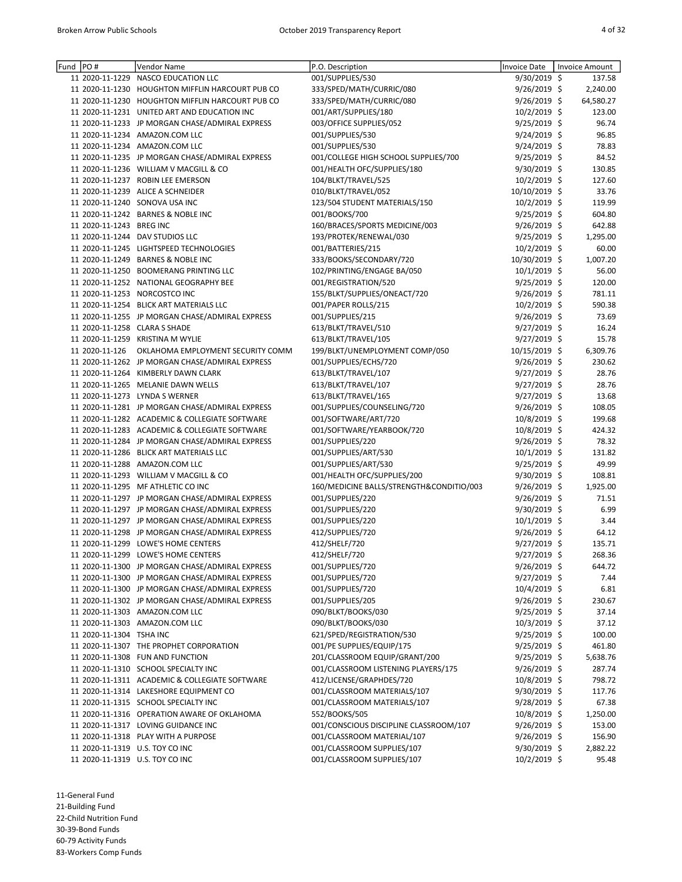| Fund PO# |                          | Vendor Name                                      | P.O. Description                         | <b>Invoice Date</b> | <b>Invoice Amount</b> |
|----------|--------------------------|--------------------------------------------------|------------------------------------------|---------------------|-----------------------|
|          |                          | 11 2020-11-1229 NASCO EDUCATION LLC              | 001/SUPPLIES/530                         | 9/30/2019 \$        | 137.58                |
|          |                          | 11 2020-11-1230 HOUGHTON MIFFLIN HARCOURT PUB CO | 333/SPED/MATH/CURRIC/080                 | 9/26/2019 \$        | 2,240.00              |
|          |                          | 11 2020-11-1230 HOUGHTON MIFFLIN HARCOURT PUB CO | 333/SPED/MATH/CURRIC/080                 | 9/26/2019 \$        | 64,580.27             |
|          |                          | 11 2020-11-1231 UNITED ART AND EDUCATION INC     | 001/ART/SUPPLIES/180                     | 10/2/2019 \$        | 123.00                |
|          |                          | 11 2020-11-1233 JP MORGAN CHASE/ADMIRAL EXPRESS  | 003/OFFICE SUPPLIES/052                  | 9/25/2019 \$        | 96.74                 |
|          |                          | 11 2020-11-1234 AMAZON.COM LLC                   | 001/SUPPLIES/530                         | 9/24/2019 \$        | 96.85                 |
|          |                          | 11 2020-11-1234 AMAZON.COM LLC                   | 001/SUPPLIES/530                         | 9/24/2019 \$        | 78.83                 |
|          |                          | 11 2020-11-1235 JP MORGAN CHASE/ADMIRAL EXPRESS  | 001/COLLEGE HIGH SCHOOL SUPPLIES/700     | 9/25/2019 \$        | 84.52                 |
|          |                          | 11 2020-11-1236 WILLIAM V MACGILL & CO           | 001/HEALTH OFC/SUPPLIES/180              | 9/30/2019 \$        | 130.85                |
|          |                          | 11 2020-11-1237 ROBIN LEE EMERSON                | 104/BLKT/TRAVEL/525                      | $10/2/2019$ \$      | 127.60                |
|          |                          | 11 2020-11-1239 ALICE A SCHNEIDER                | 010/BLKT/TRAVEL/052                      | 10/10/2019 \$       | 33.76                 |
|          |                          | 11 2020-11-1240 SONOVA USA INC                   | 123/504 STUDENT MATERIALS/150            | 10/2/2019 \$        | 119.99                |
|          |                          | 11 2020-11-1242 BARNES & NOBLE INC               | 001/BOOKS/700                            | $9/25/2019$ \$      | 604.80                |
|          | 11 2020-11-1243 BREG INC |                                                  | 160/BRACES/SPORTS MEDICINE/003           | $9/26/2019$ \$      | 642.88                |
|          |                          | 11 2020-11-1244 DAV STUDIOS LLC                  | 193/PROTEK/RENEWAL/030                   | $9/25/2019$ \$      | 1,295.00              |
|          |                          | 11 2020-11-1245 LIGHTSPEED TECHNOLOGIES          | 001/BATTERIES/215                        | 10/2/2019 \$        | 60.00                 |
|          |                          | 11 2020-11-1249 BARNES & NOBLE INC               |                                          |                     |                       |
|          |                          |                                                  | 333/BOOKS/SECONDARY/720                  | 10/30/2019 \$       | 1,007.20              |
|          |                          | 11 2020-11-1250 BOOMERANG PRINTING LLC           | 102/PRINTING/ENGAGE BA/050               | 10/1/2019 \$        | 56.00                 |
|          |                          | 11 2020-11-1252 NATIONAL GEOGRAPHY BEE           | 001/REGISTRATION/520                     | $9/25/2019$ \$      | 120.00                |
|          |                          | 11 2020-11-1253 NORCOSTCO INC                    | 155/BLKT/SUPPLIES/ONEACT/720             | $9/26/2019$ \$      | 781.11                |
|          |                          | 11 2020-11-1254 BLICK ART MATERIALS LLC          | 001/PAPER ROLLS/215                      | 10/2/2019 \$        | 590.38                |
|          |                          | 11 2020-11-1255 JP MORGAN CHASE/ADMIRAL EXPRESS  | 001/SUPPLIES/215                         | 9/26/2019 \$        | 73.69                 |
|          |                          | 11 2020-11-1258 CLARA S SHADE                    | 613/BLKT/TRAVEL/510                      | 9/27/2019 \$        | 16.24                 |
|          |                          | 11 2020-11-1259 KRISTINA M WYLIE                 | 613/BLKT/TRAVEL/105                      | 9/27/2019 \$        | 15.78                 |
|          | 11 2020-11-126           | OKLAHOMA EMPLOYMENT SECURITY COMM                | 199/BLKT/UNEMPLOYMENT COMP/050           | 10/15/2019 \$       | 6,309.76              |
|          |                          | 11 2020-11-1262 JP MORGAN CHASE/ADMIRAL EXPRESS  | 001/SUPPLIES/ECHS/720                    | 9/26/2019 \$        | 230.62                |
|          |                          | 11 2020-11-1264 KIMBERLY DAWN CLARK              | 613/BLKT/TRAVEL/107                      | $9/27/2019$ \$      | 28.76                 |
|          |                          | 11 2020-11-1265 MELANIE DAWN WELLS               | 613/BLKT/TRAVEL/107                      | $9/27/2019$ \$      | 28.76                 |
|          |                          | 11 2020-11-1273 LYNDA S WERNER                   | 613/BLKT/TRAVEL/165                      | $9/27/2019$ \$      | 13.68                 |
|          |                          | 11 2020-11-1281 JP MORGAN CHASE/ADMIRAL EXPRESS  | 001/SUPPLIES/COUNSELING/720              | 9/26/2019 \$        | 108.05                |
|          |                          | 11 2020-11-1282 ACADEMIC & COLLEGIATE SOFTWARE   | 001/SOFTWARE/ART/720                     | 10/8/2019 \$        | 199.68                |
|          |                          | 11 2020-11-1283 ACADEMIC & COLLEGIATE SOFTWARE   | 001/SOFTWARE/YEARBOOK/720                | 10/8/2019 \$        | 424.32                |
|          |                          | 11 2020-11-1284 JP MORGAN CHASE/ADMIRAL EXPRESS  | 001/SUPPLIES/220                         | 9/26/2019 \$        | 78.32                 |
|          |                          | 11 2020-11-1286 BLICK ART MATERIALS LLC          | 001/SUPPLIES/ART/530                     | 10/1/2019 \$        | 131.82                |
|          |                          | 11 2020-11-1288 AMAZON.COM LLC                   | 001/SUPPLIES/ART/530                     | $9/25/2019$ \$      | 49.99                 |
|          |                          | 11 2020-11-1293 WILLIAM V MACGILL & CO           | 001/HEALTH OFC/SUPPLIES/200              | 9/30/2019 \$        | 108.81                |
|          |                          | 11 2020-11-1295 MF ATHLETIC CO INC               | 160/MEDICINE BALLS/STRENGTH&CONDITIO/003 | 9/26/2019 \$        | 1,925.00              |
|          |                          | 11 2020-11-1297 JP MORGAN CHASE/ADMIRAL EXPRESS  | 001/SUPPLIES/220                         | 9/26/2019 \$        | 71.51                 |
|          |                          | 11 2020-11-1297 JP MORGAN CHASE/ADMIRAL EXPRESS  | 001/SUPPLIES/220                         | 9/30/2019 \$        | 6.99                  |
|          |                          | 11 2020-11-1297 JP MORGAN CHASE/ADMIRAL EXPRESS  | 001/SUPPLIES/220                         | $10/1/2019$ \$      | 3.44                  |
|          |                          | 11 2020-11-1298 JP MORGAN CHASE/ADMIRAL EXPRESS  | 412/SUPPLIES/720                         | 9/26/2019 \$        | 64.12                 |
|          |                          | 11 2020-11-1299 LOWE'S HOME CENTERS              | 412/SHELF/720                            | $9/27/2019$ \$      | 135.71                |
|          |                          | 11 2020-11-1299 LOWE'S HOME CENTERS              | 412/SHELF/720                            | 9/27/2019 \$        | 268.36                |
|          |                          | 11 2020-11-1300 JP MORGAN CHASE/ADMIRAL EXPRESS  | 001/SUPPLIES/720                         |                     | 644.72                |
|          |                          | 11 2020-11-1300 JP MORGAN CHASE/ADMIRAL EXPRESS  |                                          | 9/26/2019 \$        | 7.44                  |
|          |                          | 11 2020-11-1300 JP MORGAN CHASE/ADMIRAL EXPRESS  | 001/SUPPLIES/720                         | 9/27/2019 \$        |                       |
|          |                          |                                                  | 001/SUPPLIES/720                         | $10/4/2019$ \$      | 6.81                  |
|          |                          | 11 2020-11-1302 JP MORGAN CHASE/ADMIRAL EXPRESS  | 001/SUPPLIES/205                         | 9/26/2019 \$        | 230.67                |
|          |                          | 11 2020-11-1303 AMAZON.COM LLC                   | 090/BLKT/BOOKS/030                       | 9/25/2019 \$        | 37.14                 |
|          |                          | 11 2020-11-1303 AMAZON.COM LLC                   | 090/BLKT/BOOKS/030                       | $10/3/2019$ \$      | 37.12                 |
|          | 11 2020-11-1304 TSHA INC |                                                  | 621/SPED/REGISTRATION/530                | $9/25/2019$ \$      | 100.00                |
|          |                          | 11 2020-11-1307 THE PROPHET CORPORATION          | 001/PE SUPPLIES/EQUIP/175                | 9/25/2019 \$        | 461.80                |
|          |                          | 11 2020-11-1308 FUN AND FUNCTION                 | 201/CLASSROOM EQUIP/GRANT/200            | 9/25/2019 \$        | 5,638.76              |
|          |                          | 11 2020-11-1310 SCHOOL SPECIALTY INC             | 001/CLASSROOM LISTENING PLAYERS/175      | $9/26/2019$ \$      | 287.74                |
|          |                          | 11 2020-11-1311 ACADEMIC & COLLEGIATE SOFTWARE   | 412/LICENSE/GRAPHDES/720                 | 10/8/2019 \$        | 798.72                |
|          |                          | 11 2020-11-1314 LAKESHORE EQUIPMENT CO           | 001/CLASSROOM MATERIALS/107              | 9/30/2019 \$        | 117.76                |
|          |                          | 11 2020-11-1315 SCHOOL SPECIALTY INC             | 001/CLASSROOM MATERIALS/107              | $9/28/2019$ \$      | 67.38                 |
|          |                          | 11 2020-11-1316 OPERATION AWARE OF OKLAHOMA      | 552/BOOKS/505                            | $10/8/2019$ \$      | 1,250.00              |
|          |                          | 11 2020-11-1317 LOVING GUIDANCE INC              | 001/CONSCIOUS DISCIPLINE CLASSROOM/107   | 9/26/2019 \$        | 153.00                |
|          |                          | 11 2020-11-1318 PLAY WITH A PURPOSE              | 001/CLASSROOM MATERIAL/107               | $9/26/2019$ \$      | 156.90                |
|          |                          | 11 2020-11-1319 U.S. TOY CO INC                  | 001/CLASSROOM SUPPLIES/107               | $9/30/2019$ \$      | 2,882.22              |
|          |                          | 11 2020-11-1319 U.S. TOY CO INC                  | 001/CLASSROOM SUPPLIES/107               | 10/2/2019 \$        | 95.48                 |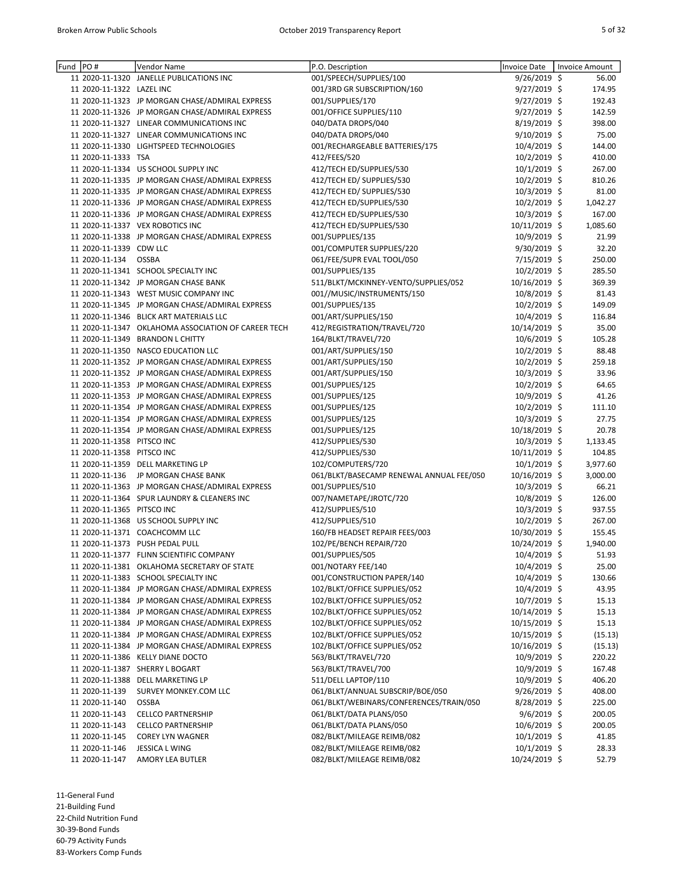| Fund | PO#                                                      | Vendor Name                                         | P.O. Description                         | Invoice Date                    | <b>Invoice Amount</b> |
|------|----------------------------------------------------------|-----------------------------------------------------|------------------------------------------|---------------------------------|-----------------------|
|      |                                                          | 11 2020-11-1320 JANELLE PUBLICATIONS INC            | 001/SPEECH/SUPPLIES/100                  | $9/26/2019$ \$                  | 56.00                 |
|      | 11 2020-11-1322 LAZEL INC                                |                                                     | 001/3RD GR SUBSCRIPTION/160              | $9/27/2019$ \$                  | 174.95                |
|      |                                                          | 11 2020-11-1323 JP MORGAN CHASE/ADMIRAL EXPRESS     | 001/SUPPLIES/170                         | 9/27/2019 \$                    | 192.43                |
|      |                                                          | 11 2020-11-1326 JP MORGAN CHASE/ADMIRAL EXPRESS     | 001/OFFICE SUPPLIES/110                  | 9/27/2019 \$                    | 142.59                |
|      |                                                          | 11 2020-11-1327 LINEAR COMMUNICATIONS INC           | 040/DATA DROPS/040                       | $8/19/2019$ \$                  | 398.00                |
|      |                                                          | 11 2020-11-1327 LINEAR COMMUNICATIONS INC           | 040/DATA DROPS/040                       | $9/10/2019$ \$                  | 75.00                 |
|      |                                                          | 11 2020-11-1330 LIGHTSPEED TECHNOLOGIES             | 001/RECHARGEABLE BATTERIES/175           | 10/4/2019 \$                    | 144.00                |
|      | 11 2020-11-1333 TSA                                      |                                                     | 412/FEES/520                             | 10/2/2019 \$                    | 410.00                |
|      |                                                          | 11 2020-11-1334 US SCHOOL SUPPLY INC                | 412/TECH ED/SUPPLIES/530                 | 10/1/2019 \$                    | 267.00                |
|      |                                                          | 11 2020-11-1335 JP MORGAN CHASE/ADMIRAL EXPRESS     | 412/TECH ED/ SUPPLIES/530                | 10/2/2019 \$                    | 810.26                |
|      |                                                          | 11 2020-11-1335 JP MORGAN CHASE/ADMIRAL EXPRESS     | 412/TECH ED/ SUPPLIES/530                | 10/3/2019 \$                    | 81.00                 |
|      |                                                          | 11 2020-11-1336 JP MORGAN CHASE/ADMIRAL EXPRESS     | 412/TECH ED/SUPPLIES/530                 | 10/2/2019 \$                    | 1,042.27              |
|      |                                                          | 11 2020-11-1336 JP MORGAN CHASE/ADMIRAL EXPRESS     | 412/TECH ED/SUPPLIES/530                 | $10/3/2019$ \$                  | 167.00                |
|      |                                                          | 11 2020-11-1337 VEX ROBOTICS INC                    | 412/TECH ED/SUPPLIES/530                 | 10/11/2019 \$                   | 1,085.60              |
|      |                                                          | 11 2020-11-1338 JP MORGAN CHASE/ADMIRAL EXPRESS     | 001/SUPPLIES/135                         | $10/9/2019$ \$                  | 21.99                 |
|      | 11 2020-11-1339 CDW LLC                                  |                                                     | 001/COMPUTER SUPPLIES/220                | 9/30/2019 \$                    | 32.20                 |
|      | 11 2020-11-134                                           | OSSBA                                               | 061/FEE/SUPR EVAL TOOL/050               | 7/15/2019 \$                    | 250.00                |
|      |                                                          | 11 2020-11-1341 SCHOOL SPECIALTY INC                | 001/SUPPLIES/135                         | 10/2/2019 \$                    | 285.50                |
|      |                                                          | 11 2020-11-1342 JP MORGAN CHASE BANK                | 511/BLKT/MCKINNEY-VENTO/SUPPLIES/052     | 10/16/2019 \$                   | 369.39                |
|      |                                                          | 11 2020-11-1343 WEST MUSIC COMPANY INC              | 001//MUSIC/INSTRUMENTS/150               | 10/8/2019 \$                    | 81.43                 |
|      |                                                          | 11 2020-11-1345 JP MORGAN CHASE/ADMIRAL EXPRESS     | 001/SUPPLIES/135                         | 10/2/2019 \$                    | 149.09                |
|      |                                                          | 11 2020-11-1346 BLICK ART MATERIALS LLC             | 001/ART/SUPPLIES/150                     | 10/4/2019 \$                    | 116.84                |
|      |                                                          | 11 2020-11-1347 OKLAHOMA ASSOCIATION OF CAREER TECH | 412/REGISTRATION/TRAVEL/720              | 10/14/2019 \$                   | 35.00                 |
|      |                                                          | 11 2020-11-1349 BRANDON L CHITTY                    | 164/BLKT/TRAVEL/720                      | 10/6/2019 \$                    | 105.28                |
|      |                                                          | 11 2020-11-1350 NASCO EDUCATION LLC                 | 001/ART/SUPPLIES/150                     | $10/2/2019$ \$                  | 88.48                 |
|      |                                                          | 11 2020-11-1352 JP MORGAN CHASE/ADMIRAL EXPRESS     | 001/ART/SUPPLIES/150                     | $10/2/2019$ \$                  | 259.18                |
|      |                                                          | 11 2020-11-1352 JP MORGAN CHASE/ADMIRAL EXPRESS     | 001/ART/SUPPLIES/150                     | 10/3/2019 \$                    | 33.96                 |
|      |                                                          | 11 2020-11-1353 JP MORGAN CHASE/ADMIRAL EXPRESS     | 001/SUPPLIES/125                         | 10/2/2019 \$                    | 64.65                 |
|      |                                                          | 11 2020-11-1353 JP MORGAN CHASE/ADMIRAL EXPRESS     | 001/SUPPLIES/125                         | 10/9/2019 \$                    | 41.26                 |
|      |                                                          | 11 2020-11-1354 JP MORGAN CHASE/ADMIRAL EXPRESS     | 001/SUPPLIES/125                         | $10/2/2019$ \$                  | 111.10                |
|      |                                                          | 11 2020-11-1354 JP MORGAN CHASE/ADMIRAL EXPRESS     | 001/SUPPLIES/125                         | 10/3/2019 \$                    | 27.75                 |
|      |                                                          | 11 2020-11-1354 JP MORGAN CHASE/ADMIRAL EXPRESS     | 001/SUPPLIES/125<br>412/SUPPLIES/530     | 10/18/2019 \$                   | 20.78                 |
|      | 11 2020-11-1358 PITSCO INC<br>11 2020-11-1358 PITSCO INC |                                                     | 412/SUPPLIES/530                         | $10/3/2019$ \$<br>10/11/2019 \$ | 1,133.45<br>104.85    |
|      |                                                          | 11 2020-11-1359 DELL MARKETING LP                   | 102/COMPUTERS/720                        | $10/1/2019$ \$                  | 3,977.60              |
|      |                                                          | 11 2020-11-136 JP MORGAN CHASE BANK                 | 061/BLKT/BASECAMP RENEWAL ANNUAL FEE/050 | 10/16/2019 \$                   | 3,000.00              |
|      |                                                          | 11 2020-11-1363 JP MORGAN CHASE/ADMIRAL EXPRESS     | 001/SUPPLIES/510                         | 10/3/2019 \$                    | 66.21                 |
|      |                                                          | 11 2020-11-1364 SPUR LAUNDRY & CLEANERS INC         | 007/NAMETAPE/JROTC/720                   | 10/8/2019 \$                    | 126.00                |
|      | 11 2020-11-1365 PITSCO INC                               |                                                     | 412/SUPPLIES/510                         | $10/3/2019$ \$                  | 937.55                |
|      |                                                          | 11 2020-11-1368 US SCHOOL SUPPLY INC                | 412/SUPPLIES/510                         | $10/2/2019$ \$                  | 267.00                |
|      |                                                          | 11 2020-11-1371 COACHCOMM LLC                       | 160/FB HEADSET REPAIR FEES/003           | 10/30/2019 \$                   | 155.45                |
|      |                                                          | 11 2020-11-1373 PUSH PEDAL PULL                     | 102/PE/BENCH REPAIR/720                  | 10/24/2019 \$                   | 1,940.00              |
|      |                                                          | 11 2020-11-1377 FLINN SCIENTIFIC COMPANY            | 001/SUPPLIES/505                         | 10/4/2019 \$                    | 51.93                 |
|      |                                                          | 11 2020-11-1381 OKLAHOMA SECRETARY OF STATE         | 001/NOTARY FEE/140                       | $10/4/2019$ \$                  | 25.00                 |
|      |                                                          | 11 2020-11-1383 SCHOOL SPECIALTY INC                | 001/CONSTRUCTION PAPER/140               | $10/4/2019$ \$                  | 130.66                |
|      |                                                          | 11 2020-11-1384 JP MORGAN CHASE/ADMIRAL EXPRESS     | 102/BLKT/OFFICE SUPPLIES/052             | 10/4/2019 \$                    | 43.95                 |
|      |                                                          | 11 2020-11-1384 JP MORGAN CHASE/ADMIRAL EXPRESS     | 102/BLKT/OFFICE SUPPLIES/052             | $10/7/2019$ \$                  | 15.13                 |
|      |                                                          | 11 2020-11-1384 JP MORGAN CHASE/ADMIRAL EXPRESS     | 102/BLKT/OFFICE SUPPLIES/052             | 10/14/2019 \$                   | 15.13                 |
|      |                                                          | 11 2020-11-1384 JP MORGAN CHASE/ADMIRAL EXPRESS     | 102/BLKT/OFFICE SUPPLIES/052             | 10/15/2019 \$                   | 15.13                 |
|      |                                                          | 11 2020-11-1384 JP MORGAN CHASE/ADMIRAL EXPRESS     | 102/BLKT/OFFICE SUPPLIES/052             | 10/15/2019 \$                   | (15.13)               |
|      |                                                          | 11 2020-11-1384 JP MORGAN CHASE/ADMIRAL EXPRESS     | 102/BLKT/OFFICE SUPPLIES/052             | 10/16/2019 \$                   | (15.13)               |
|      |                                                          | 11 2020-11-1386 KELLY DIANE DOCTO                   | 563/BLKT/TRAVEL/720                      | 10/9/2019 \$                    | 220.22                |
|      |                                                          | 11 2020-11-1387 SHERRY L BOGART                     | 563/BLKT/TRAVEL/700                      | 10/9/2019 \$                    | 167.48                |
|      |                                                          | 11 2020-11-1388 DELL MARKETING LP                   | 511/DELL LAPTOP/110                      | $10/9/2019$ \$                  | 406.20                |
|      | 11 2020-11-139                                           | SURVEY MONKEY.COM LLC                               | 061/BLKT/ANNUAL SUBSCRIP/BOE/050         | 9/26/2019 \$                    | 408.00                |
|      | 11 2020-11-140                                           | <b>OSSBA</b>                                        | 061/BLKT/WEBINARS/CONFERENCES/TRAIN/050  | 8/28/2019 \$                    | 225.00                |
|      | 11 2020-11-143                                           | <b>CELLCO PARTNERSHIP</b>                           | 061/BLKT/DATA PLANS/050                  | $9/6/2019$ \$                   | 200.05                |
|      | 11 2020-11-143                                           | <b>CELLCO PARTNERSHIP</b>                           | 061/BLKT/DATA PLANS/050                  | $10/6/2019$ \$                  | 200.05                |
|      | 11 2020-11-145                                           | <b>COREY LYN WAGNER</b>                             | 082/BLKT/MILEAGE REIMB/082               | $10/1/2019$ \$                  | 41.85                 |
|      | 11 2020-11-146                                           | JESSICA L WING                                      | 082/BLKT/MILEAGE REIMB/082               | $10/1/2019$ \$                  | 28.33                 |
|      | 11 2020-11-147                                           | AMORY LEA BUTLER                                    | 082/BLKT/MILEAGE REIMB/082               | 10/24/2019 \$                   | 52.79                 |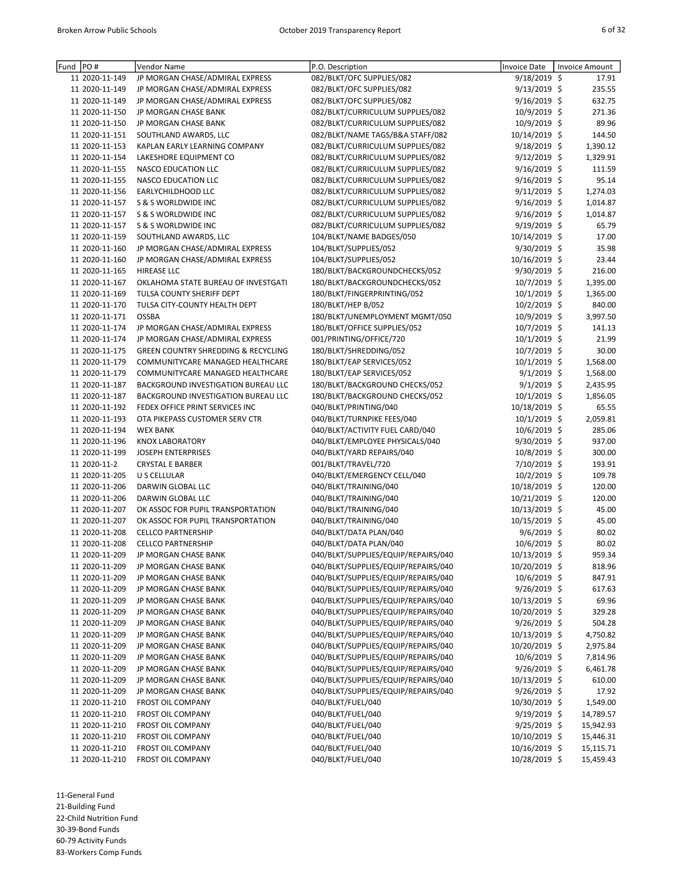| Fund | PO#            | Vendor Name                                    | P.O. Description                    | Invoice Date    | Invoice Amount |
|------|----------------|------------------------------------------------|-------------------------------------|-----------------|----------------|
|      | 11 2020-11-149 | JP MORGAN CHASE/ADMIRAL EXPRESS                | 082/BLKT/OFC SUPPLIES/082           | 9/18/2019 \$    | 17.91          |
|      | 11 2020-11-149 | JP MORGAN CHASE/ADMIRAL EXPRESS                | 082/BLKT/OFC SUPPLIES/082           | 9/13/2019 \$    | 235.55         |
|      | 11 2020-11-149 | JP MORGAN CHASE/ADMIRAL EXPRESS                | 082/BLKT/OFC SUPPLIES/082           | 9/16/2019 \$    | 632.75         |
|      | 11 2020-11-150 | JP MORGAN CHASE BANK                           | 082/BLKT/CURRICULUM SUPPLIES/082    | 10/9/2019 \$    | 271.36         |
|      | 11 2020-11-150 | JP MORGAN CHASE BANK                           | 082/BLKT/CURRICULUM SUPPLIES/082    | 10/9/2019 \$    | 89.96          |
|      | 11 2020-11-151 | SOUTHLAND AWARDS, LLC                          | 082/BLKT/NAME TAGS/B&A STAFF/082    | 10/14/2019 \$   | 144.50         |
|      | 11 2020-11-153 | KAPLAN EARLY LEARNING COMPANY                  | 082/BLKT/CURRICULUM SUPPLIES/082    | $9/18/2019$ \$  | 1,390.12       |
|      | 11 2020-11-154 | LAKESHORE EQUIPMENT CO                         | 082/BLKT/CURRICULUM SUPPLIES/082    | 9/12/2019 \$    | 1,329.91       |
|      | 11 2020-11-155 | <b>NASCO EDUCATION LLC</b>                     | 082/BLKT/CURRICULUM SUPPLIES/082    | 9/16/2019 \$    | 111.59         |
|      | 11 2020-11-155 | <b>NASCO EDUCATION LLC</b>                     | 082/BLKT/CURRICULUM SUPPLIES/082    | $9/16/2019$ \$  | 95.14          |
|      | 11 2020-11-156 | EARLYCHILDHOOD LLC                             | 082/BLKT/CURRICULUM SUPPLIES/082    | 9/11/2019 \$    | 1,274.03       |
|      | 11 2020-11-157 | S & S WORLDWIDE INC                            | 082/BLKT/CURRICULUM SUPPLIES/082    | $9/16/2019$ \$  | 1,014.87       |
|      | 11 2020-11-157 | <b>S &amp; S WORLDWIDE INC</b>                 | 082/BLKT/CURRICULUM SUPPLIES/082    | $9/16/2019$ \$  | 1,014.87       |
|      | 11 2020-11-157 | S & S WORLDWIDE INC                            | 082/BLKT/CURRICULUM SUPPLIES/082    | 9/19/2019 \$    | 65.79          |
|      | 11 2020-11-159 | SOUTHLAND AWARDS, LLC                          | 104/BLKT/NAME BADGES/050            | 10/14/2019 \$   | 17.00          |
|      | 11 2020-11-160 | JP MORGAN CHASE/ADMIRAL EXPRESS                | 104/BLKT/SUPPLIES/052               | 9/30/2019 \$    | 35.98          |
|      | 11 2020-11-160 | JP MORGAN CHASE/ADMIRAL EXPRESS                | 104/BLKT/SUPPLIES/052               | 10/16/2019 \$   | 23.44          |
|      | 11 2020-11-165 | <b>HIREASE LLC</b>                             | 180/BLKT/BACKGROUNDCHECKS/052       | 9/30/2019 \$    | 216.00         |
|      | 11 2020-11-167 | OKLAHOMA STATE BUREAU OF INVESTGATI            | 180/BLKT/BACKGROUNDCHECKS/052       | 10/7/2019 \$    | 1,395.00       |
|      | 11 2020-11-169 | TULSA COUNTY SHERIFF DEPT                      | 180/BLKT/FINGERPRINTING/052         | $10/1/2019$ \$  | 1,365.00       |
|      | 11 2020-11-170 | TULSA CITY-COUNTY HEALTH DEPT                  | 180/BLKT/HEP B/052                  | 10/2/2019 \$    | 840.00         |
|      | 11 2020-11-171 | <b>OSSBA</b>                                   | 180/BLKT/UNEMPLOYMENT MGMT/050      | 10/9/2019 \$    | 3,997.50       |
|      | 11 2020-11-174 | JP MORGAN CHASE/ADMIRAL EXPRESS                | 180/BLKT/OFFICE SUPPLIES/052        | 10/7/2019 \$    | 141.13         |
|      | 11 2020-11-174 | JP MORGAN CHASE/ADMIRAL EXPRESS                | 001/PRINTING/OFFICE/720             | 10/1/2019 \$    | 21.99          |
|      | 11 2020-11-175 | <b>GREEN COUNTRY SHREDDING &amp; RECYCLING</b> | 180/BLKT/SHREDDING/052              | $10/7/2019$ \$  | 30.00          |
|      | 11 2020-11-179 | COMMUNITYCARE MANAGED HEALTHCARE               | 180/BLKT/EAP SERVICES/052           | 10/1/2019 \$    | 1,568.00       |
|      | 11 2020-11-179 | COMMUNITYCARE MANAGED HEALTHCARE               | 180/BLKT/EAP SERVICES/052           | $9/1/2019$ \$   | 1,568.00       |
|      | 11 2020-11-187 | BACKGROUND INVESTIGATION BUREAU LLC            | 180/BLKT/BACKGROUND CHECKS/052      | $9/1/2019$ \$   | 2,435.95       |
|      | 11 2020-11-187 | BACKGROUND INVESTIGATION BUREAU LLC            | 180/BLKT/BACKGROUND CHECKS/052      | 10/1/2019 \$    | 1,856.05       |
|      | 11 2020-11-192 | FEDEX OFFICE PRINT SERVICES INC                | 040/BLKT/PRINTING/040               | 10/18/2019 \$   | 65.55          |
|      | 11 2020-11-193 | OTA PIKEPASS CUSTOMER SERV CTR                 | 040/BLKT/TURNPIKE FEES/040          | $10/1/2019$ \$  | 2,059.81       |
|      | 11 2020-11-194 | <b>WEX BANK</b>                                | 040/BLKT/ACTIVITY FUEL CARD/040     | 10/6/2019 \$    | 285.06         |
|      | 11 2020-11-196 | <b>KNOX LABORATORY</b>                         | 040/BLKT/EMPLOYEE PHYSICALS/040     | 9/30/2019 \$    | 937.00         |
|      | 11 2020-11-199 | <b>JOSEPH ENTERPRISES</b>                      | 040/BLKT/YARD REPAIRS/040           | 10/8/2019 \$    | 300.00         |
|      | 11 2020-11-2   | <b>CRYSTAL E BARBER</b>                        | 001/BLKT/TRAVEL/720                 | 7/10/2019 \$    | 193.91         |
|      | 11 2020-11-205 | U S CELLULAR                                   | 040/BLKT/EMERGENCY CELL/040         | 10/2/2019 \$    | 109.78         |
|      | 11 2020-11-206 | DARWIN GLOBAL LLC                              | 040/BLKT/TRAINING/040               | 10/18/2019 \$   | 120.00         |
|      | 11 2020-11-206 | DARWIN GLOBAL LLC                              | 040/BLKT/TRAINING/040               | 10/21/2019 \$   | 120.00         |
|      | 11 2020-11-207 | OK ASSOC FOR PUPIL TRANSPORTATION              | 040/BLKT/TRAINING/040               | $10/13/2019$ \$ | 45.00          |
|      | 11 2020-11-207 | OK ASSOC FOR PUPIL TRANSPORTATION              | 040/BLKT/TRAINING/040               | 10/15/2019 \$   | 45.00          |
|      | 11 2020-11-208 | <b>CELLCO PARTNERSHIP</b>                      | 040/BLKT/DATA PLAN/040              | $9/6/2019$ \$   | 80.02          |
|      | 11 2020-11-208 | <b>CELLCO PARTNERSHIP</b>                      | 040/BLKT/DATA PLAN/040              | 10/6/2019 \$    | 80.02          |
|      | 11 2020-11-209 | JP MORGAN CHASE BANK                           | 040/BLKT/SUPPLIES/EQUIP/REPAIRS/040 | 10/13/2019 \$   | 959.34         |
|      | 11 2020-11-209 | JP MORGAN CHASE BANK                           | 040/BLKT/SUPPLIES/EQUIP/REPAIRS/040 | 10/20/2019 \$   | 818.96         |
|      | 11 2020-11-209 | JP MORGAN CHASE BANK                           | 040/BLKT/SUPPLIES/EQUIP/REPAIRS/040 | $10/6/2019$ \$  | 847.91         |
|      | 11 2020-11-209 | JP MORGAN CHASE BANK                           | 040/BLKT/SUPPLIES/EQUIP/REPAIRS/040 | 9/26/2019 \$    | 617.63         |
|      | 11 2020-11-209 | JP MORGAN CHASE BANK                           | 040/BLKT/SUPPLIES/EQUIP/REPAIRS/040 | 10/13/2019 \$   | 69.96          |
|      | 11 2020-11-209 | JP MORGAN CHASE BANK                           | 040/BLKT/SUPPLIES/EQUIP/REPAIRS/040 | 10/20/2019 \$   | 329.28         |
|      | 11 2020-11-209 | JP MORGAN CHASE BANK                           | 040/BLKT/SUPPLIES/EQUIP/REPAIRS/040 | $9/26/2019$ \$  | 504.28         |
|      | 11 2020-11-209 | JP MORGAN CHASE BANK                           | 040/BLKT/SUPPLIES/EQUIP/REPAIRS/040 | 10/13/2019 \$   | 4,750.82       |
|      | 11 2020-11-209 | JP MORGAN CHASE BANK                           | 040/BLKT/SUPPLIES/EQUIP/REPAIRS/040 | 10/20/2019 \$   | 2,975.84       |
|      | 11 2020-11-209 | JP MORGAN CHASE BANK                           | 040/BLKT/SUPPLIES/EQUIP/REPAIRS/040 | $10/6/2019$ \$  | 7,814.96       |
|      | 11 2020-11-209 | JP MORGAN CHASE BANK                           | 040/BLKT/SUPPLIES/EQUIP/REPAIRS/040 | 9/26/2019 \$    | 6,461.78       |
|      | 11 2020-11-209 | JP MORGAN CHASE BANK                           | 040/BLKT/SUPPLIES/EQUIP/REPAIRS/040 | 10/13/2019 \$   | 610.00         |
|      | 11 2020-11-209 | JP MORGAN CHASE BANK                           | 040/BLKT/SUPPLIES/EQUIP/REPAIRS/040 | 9/26/2019 \$    | 17.92          |
|      | 11 2020-11-210 | <b>FROST OIL COMPANY</b>                       | 040/BLKT/FUEL/040                   | 10/30/2019 \$   | 1,549.00       |
|      | 11 2020-11-210 | <b>FROST OIL COMPANY</b>                       | 040/BLKT/FUEL/040                   | $9/19/2019$ \$  | 14,789.57      |
|      | 11 2020-11-210 | <b>FROST OIL COMPANY</b>                       | 040/BLKT/FUEL/040                   | 9/25/2019 \$    | 15,942.93      |
|      | 11 2020-11-210 | <b>FROST OIL COMPANY</b>                       | 040/BLKT/FUEL/040                   | 10/10/2019 \$   | 15,446.31      |
|      | 11 2020-11-210 | FROST OIL COMPANY                              | 040/BLKT/FUEL/040                   | 10/16/2019 \$   | 15,115.71      |
|      | 11 2020-11-210 | FROST OIL COMPANY                              | 040/BLKT/FUEL/040                   | 10/28/2019 \$   | 15,459.43      |

11-General Fund 21-Building Fund 22-Child Nutrition Fund 30-39-Bond Funds 60-79 Activity Funds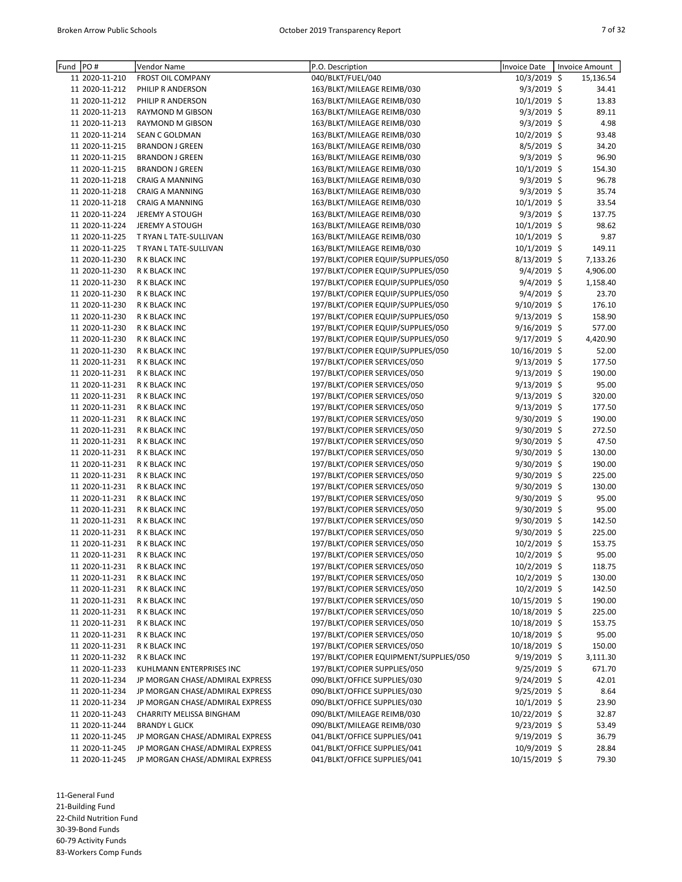| Fund | PO#            | Vendor Name                     | P.O. Description                       | Invoice Date   | <b>Invoice Amount</b> |
|------|----------------|---------------------------------|----------------------------------------|----------------|-----------------------|
|      | 11 2020-11-210 | <b>FROST OIL COMPANY</b>        | 040/BLKT/FUEL/040                      | $10/3/2019$ \$ | 15,136.54             |
|      | 11 2020-11-212 | PHILIP R ANDERSON               | 163/BLKT/MILEAGE REIMB/030             | $9/3/2019$ \$  | 34.41                 |
|      | 11 2020-11-212 | PHILIP R ANDERSON               | 163/BLKT/MILEAGE REIMB/030             | 10/1/2019 \$   | 13.83                 |
|      | 11 2020-11-213 | RAYMOND M GIBSON                | 163/BLKT/MILEAGE REIMB/030             | 9/3/2019 \$    | 89.11                 |
|      | 11 2020-11-213 | RAYMOND M GIBSON                | 163/BLKT/MILEAGE REIMB/030             | 9/3/2019 \$    | 4.98                  |
|      | 11 2020-11-214 | <b>SEAN C GOLDMAN</b>           | 163/BLKT/MILEAGE REIMB/030             | 10/2/2019 \$   | 93.48                 |
|      | 11 2020-11-215 | <b>BRANDON J GREEN</b>          | 163/BLKT/MILEAGE REIMB/030             | 8/5/2019 \$    | 34.20                 |
|      | 11 2020-11-215 | <b>BRANDON J GREEN</b>          | 163/BLKT/MILEAGE REIMB/030             | $9/3/2019$ \$  | 96.90                 |
|      | 11 2020-11-215 | <b>BRANDON J GREEN</b>          | 163/BLKT/MILEAGE REIMB/030             | 10/1/2019 \$   | 154.30                |
|      | 11 2020-11-218 | <b>CRAIG A MANNING</b>          | 163/BLKT/MILEAGE REIMB/030             | $9/3/2019$ \$  | 96.78                 |
|      | 11 2020-11-218 | <b>CRAIG A MANNING</b>          | 163/BLKT/MILEAGE REIMB/030             | $9/3/2019$ \$  | 35.74                 |
|      | 11 2020-11-218 | <b>CRAIG A MANNING</b>          | 163/BLKT/MILEAGE REIMB/030             | 10/1/2019 \$   | 33.54                 |
|      | 11 2020-11-224 | <b>JEREMY A STOUGH</b>          | 163/BLKT/MILEAGE REIMB/030             | $9/3/2019$ \$  | 137.75                |
|      | 11 2020-11-224 | <b>JEREMY A STOUGH</b>          | 163/BLKT/MILEAGE REIMB/030             | 10/1/2019 \$   | 98.62                 |
|      | 11 2020-11-225 | T RYAN L TATE-SULLIVAN          | 163/BLKT/MILEAGE REIMB/030             | 10/1/2019 \$   | 9.87                  |
|      | 11 2020-11-225 | T RYAN L TATE-SULLIVAN          | 163/BLKT/MILEAGE REIMB/030             | 10/1/2019 \$   | 149.11                |
|      | 11 2020-11-230 | R K BLACK INC                   | 197/BLKT/COPIER EQUIP/SUPPLIES/050     | 8/13/2019 \$   | 7,133.26              |
|      | 11 2020-11-230 | R K BLACK INC                   | 197/BLKT/COPIER EQUIP/SUPPLIES/050     | 9/4/2019 \$    | 4,906.00              |
|      | 11 2020-11-230 | R K BLACK INC                   | 197/BLKT/COPIER EQUIP/SUPPLIES/050     | 9/4/2019 \$    | 1,158.40              |
|      | 11 2020-11-230 | R K BLACK INC                   | 197/BLKT/COPIER EQUIP/SUPPLIES/050     | 9/4/2019 \$    | 23.70                 |
|      | 11 2020-11-230 | R K BLACK INC                   | 197/BLKT/COPIER EQUIP/SUPPLIES/050     | 9/10/2019 \$   | 176.10                |
|      | 11 2020-11-230 | R K BLACK INC                   | 197/BLKT/COPIER EQUIP/SUPPLIES/050     | 9/13/2019 \$   | 158.90                |
|      | 11 2020-11-230 | R K BLACK INC                   | 197/BLKT/COPIER EQUIP/SUPPLIES/050     | $9/16/2019$ \$ | 577.00                |
|      | 11 2020-11-230 | R K BLACK INC                   | 197/BLKT/COPIER EQUIP/SUPPLIES/050     | 9/17/2019 \$   | 4,420.90              |
|      | 11 2020-11-230 | R K BLACK INC                   | 197/BLKT/COPIER EQUIP/SUPPLIES/050     | 10/16/2019 \$  | 52.00                 |
|      | 11 2020-11-231 | R K BLACK INC                   | 197/BLKT/COPIER SERVICES/050           | $9/13/2019$ \$ | 177.50                |
|      | 11 2020-11-231 | R K BLACK INC                   | 197/BLKT/COPIER SERVICES/050           | 9/13/2019 \$   | 190.00                |
|      | 11 2020-11-231 | R K BLACK INC                   | 197/BLKT/COPIER SERVICES/050           | $9/13/2019$ \$ | 95.00                 |
|      | 11 2020-11-231 | R K BLACK INC                   | 197/BLKT/COPIER SERVICES/050           | 9/13/2019 \$   | 320.00                |
|      | 11 2020-11-231 | R K BLACK INC                   | 197/BLKT/COPIER SERVICES/050           | 9/13/2019 \$   | 177.50                |
|      | 11 2020-11-231 | R K BLACK INC                   | 197/BLKT/COPIER SERVICES/050           | 9/30/2019 \$   | 190.00                |
|      | 11 2020-11-231 | R K BLACK INC                   | 197/BLKT/COPIER SERVICES/050           | 9/30/2019 \$   | 272.50                |
|      | 11 2020-11-231 | R K BLACK INC                   | 197/BLKT/COPIER SERVICES/050           | 9/30/2019 \$   | 47.50                 |
|      | 11 2020-11-231 | R K BLACK INC                   | 197/BLKT/COPIER SERVICES/050           | $9/30/2019$ \$ | 130.00                |
|      | 11 2020-11-231 | R K BLACK INC                   | 197/BLKT/COPIER SERVICES/050           | 9/30/2019 \$   | 190.00                |
|      | 11 2020-11-231 | R K BLACK INC                   | 197/BLKT/COPIER SERVICES/050           | 9/30/2019 \$   | 225.00                |
|      | 11 2020-11-231 | R K BLACK INC                   | 197/BLKT/COPIER SERVICES/050           | 9/30/2019 \$   | 130.00                |
|      | 11 2020-11-231 | R K BLACK INC                   | 197/BLKT/COPIER SERVICES/050           | 9/30/2019 \$   | 95.00                 |
|      | 11 2020-11-231 | R K BLACK INC                   | 197/BLKT/COPIER SERVICES/050           | $9/30/2019$ \$ | 95.00                 |
|      | 11 2020-11-231 | R K BLACK INC                   | 197/BLKT/COPIER SERVICES/050           | 9/30/2019 \$   | 142.50                |
|      | 11 2020-11-231 | R K BLACK INC                   | 197/BLKT/COPIER SERVICES/050           | 9/30/2019 \$   | 225.00                |
|      | 11 2020-11-231 | R K BLACK INC                   | 197/BLKT/COPIER SERVICES/050           | 10/2/2019 \$   | 153.75                |
|      | 11 2020-11-231 | R K BLACK INC                   | 197/BLKT/COPIER SERVICES/050           | 10/2/2019 \$   | 95.00                 |
|      | 11 2020-11-231 | R K BLACK INC                   | 197/BLKT/COPIER SERVICES/050           | $10/2/2019$ \$ | 118.75                |
|      | 11 2020-11-231 | R K BLACK INC                   | 197/BLKT/COPIER SERVICES/050           | 10/2/2019 \$   | 130.00                |
|      | 11 2020-11-231 | R K BLACK INC                   | 197/BLKT/COPIER SERVICES/050           | 10/2/2019 \$   | 142.50                |
|      | 11 2020-11-231 | R K BLACK INC                   | 197/BLKT/COPIER SERVICES/050           | 10/15/2019 \$  | 190.00                |
|      | 11 2020-11-231 | R K BLACK INC                   | 197/BLKT/COPIER SERVICES/050           | 10/18/2019 \$  | 225.00                |
|      | 11 2020-11-231 | R K BLACK INC                   | 197/BLKT/COPIER SERVICES/050           | 10/18/2019 \$  | 153.75                |
|      | 11 2020-11-231 | R K BLACK INC                   | 197/BLKT/COPIER SERVICES/050           | 10/18/2019 \$  | 95.00                 |
|      | 11 2020-11-231 | R K BLACK INC                   | 197/BLKT/COPIER SERVICES/050           | 10/18/2019 \$  | 150.00                |
|      | 11 2020-11-232 | R K BLACK INC                   | 197/BLKT/COPIER EQUIPMENT/SUPPLIES/050 | $9/19/2019$ \$ | 3,111.30              |
|      | 11 2020-11-233 | KUHLMANN ENTERPRISES INC        | 197/BLKT/COPIER SUPPLIES/050           | $9/25/2019$ \$ | 671.70                |
|      | 11 2020-11-234 | JP MORGAN CHASE/ADMIRAL EXPRESS | 090/BLKT/OFFICE SUPPLIES/030           | 9/24/2019 \$   | 42.01                 |
|      | 11 2020-11-234 | JP MORGAN CHASE/ADMIRAL EXPRESS | 090/BLKT/OFFICE SUPPLIES/030           | $9/25/2019$ \$ | 8.64                  |
|      | 11 2020-11-234 | JP MORGAN CHASE/ADMIRAL EXPRESS | 090/BLKT/OFFICE SUPPLIES/030           | $10/1/2019$ \$ | 23.90                 |
|      | 11 2020-11-243 | CHARRITY MELISSA BINGHAM        | 090/BLKT/MILEAGE REIMB/030             | 10/22/2019 \$  | 32.87                 |
|      | 11 2020-11-244 | <b>BRANDY L GLICK</b>           | 090/BLKT/MILEAGE REIMB/030             | $9/23/2019$ \$ | 53.49                 |
|      | 11 2020-11-245 | JP MORGAN CHASE/ADMIRAL EXPRESS | 041/BLKT/OFFICE SUPPLIES/041           | $9/19/2019$ \$ | 36.79                 |
|      | 11 2020-11-245 | JP MORGAN CHASE/ADMIRAL EXPRESS | 041/BLKT/OFFICE SUPPLIES/041           | 10/9/2019 \$   | 28.84                 |
|      | 11 2020-11-245 | JP MORGAN CHASE/ADMIRAL EXPRESS | 041/BLKT/OFFICE SUPPLIES/041           | 10/15/2019 \$  | 79.30                 |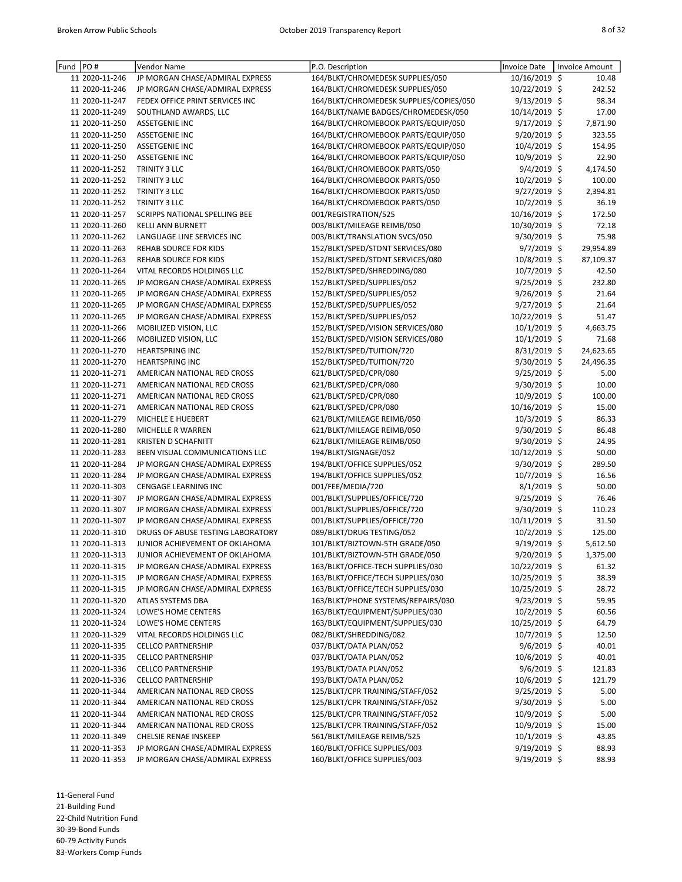| Fund | PO#            | Vendor Name                          | P.O. Description                        | Invoice Date    | Invoice Amount |
|------|----------------|--------------------------------------|-----------------------------------------|-----------------|----------------|
|      | 11 2020-11-246 | JP MORGAN CHASE/ADMIRAL EXPRESS      | 164/BLKT/CHROMEDESK SUPPLIES/050        | 10/16/2019 \$   | 10.48          |
|      | 11 2020-11-246 | JP MORGAN CHASE/ADMIRAL EXPRESS      | 164/BLKT/CHROMEDESK SUPPLIES/050        | 10/22/2019 \$   | 242.52         |
|      | 11 2020-11-247 | FEDEX OFFICE PRINT SERVICES INC      | 164/BLKT/CHROMEDESK SUPPLIES/COPIES/050 | 9/13/2019 \$    | 98.34          |
|      | 11 2020-11-249 | SOUTHLAND AWARDS, LLC                | 164/BLKT/NAME BADGES/CHROMEDESK/050     | 10/14/2019 \$   | 17.00          |
|      | 11 2020-11-250 | <b>ASSETGENIE INC</b>                | 164/BLKT/CHROMEBOOK PARTS/EQUIP/050     | $9/17/2019$ \$  | 7,871.90       |
|      | 11 2020-11-250 | <b>ASSETGENIE INC</b>                | 164/BLKT/CHROMEBOOK PARTS/EQUIP/050     | 9/20/2019 \$    | 323.55         |
|      | 11 2020-11-250 | <b>ASSETGENIE INC</b>                | 164/BLKT/CHROMEBOOK PARTS/EQUIP/050     | 10/4/2019 \$    | 154.95         |
|      | 11 2020-11-250 | <b>ASSETGENIE INC</b>                | 164/BLKT/CHROMEBOOK PARTS/EQUIP/050     | 10/9/2019 \$    | 22.90          |
|      | 11 2020-11-252 | TRINITY 3 LLC                        | 164/BLKT/CHROMEBOOK PARTS/050           | $9/4/2019$ \$   | 4,174.50       |
|      | 11 2020-11-252 | TRINITY 3 LLC                        | 164/BLKT/CHROMEBOOK PARTS/050           | 10/2/2019 \$    | 100.00         |
|      | 11 2020-11-252 | TRINITY 3 LLC                        | 164/BLKT/CHROMEBOOK PARTS/050           | 9/27/2019 \$    | 2,394.81       |
|      | 11 2020-11-252 | TRINITY 3 LLC                        | 164/BLKT/CHROMEBOOK PARTS/050           | 10/2/2019 \$    | 36.19          |
|      | 11 2020-11-257 | <b>SCRIPPS NATIONAL SPELLING BEE</b> | 001/REGISTRATION/525                    | 10/16/2019 \$   | 172.50         |
|      | 11 2020-11-260 | KELLI ANN BURNETT                    | 003/BLKT/MILEAGE REIMB/050              | 10/30/2019 \$   | 72.18          |
|      | 11 2020-11-262 | LANGUAGE LINE SERVICES INC           | 003/BLKT/TRANSLATION SVCS/050           | $9/30/2019$ \$  | 75.98          |
|      | 11 2020-11-263 | <b>REHAB SOURCE FOR KIDS</b>         | 152/BLKT/SPED/STDNT SERVICES/080        | $9/7/2019$ \$   | 29,954.89      |
|      | 11 2020-11-263 | <b>REHAB SOURCE FOR KIDS</b>         | 152/BLKT/SPED/STDNT SERVICES/080        | 10/8/2019 \$    | 87,109.37      |
|      | 11 2020-11-264 | VITAL RECORDS HOLDINGS LLC           | 152/BLKT/SPED/SHREDDING/080             | $10/7/2019$ \$  | 42.50          |
|      | 11 2020-11-265 | JP MORGAN CHASE/ADMIRAL EXPRESS      | 152/BLKT/SPED/SUPPLIES/052              | 9/25/2019 \$    | 232.80         |
|      | 11 2020-11-265 | JP MORGAN CHASE/ADMIRAL EXPRESS      | 152/BLKT/SPED/SUPPLIES/052              | 9/26/2019 \$    | 21.64          |
|      | 11 2020-11-265 | JP MORGAN CHASE/ADMIRAL EXPRESS      | 152/BLKT/SPED/SUPPLIES/052              | 9/27/2019 \$    | 21.64          |
|      | 11 2020-11-265 | JP MORGAN CHASE/ADMIRAL EXPRESS      | 152/BLKT/SPED/SUPPLIES/052              | 10/22/2019 \$   | 51.47          |
|      | 11 2020-11-266 | MOBILIZED VISION, LLC                | 152/BLKT/SPED/VISION SERVICES/080       | $10/1/2019$ \$  | 4,663.75       |
|      | 11 2020-11-266 | MOBILIZED VISION, LLC                | 152/BLKT/SPED/VISION SERVICES/080       | 10/1/2019 \$    | 71.68          |
|      | 11 2020-11-270 | <b>HEARTSPRING INC</b>               | 152/BLKT/SPED/TUITION/720               | $8/31/2019$ \$  | 24,623.65      |
|      | 11 2020-11-270 | <b>HEARTSPRING INC</b>               | 152/BLKT/SPED/TUITION/720               | 9/30/2019 \$    | 24,496.35      |
|      | 11 2020-11-271 | AMERICAN NATIONAL RED CROSS          | 621/BLKT/SPED/CPR/080                   | 9/25/2019 \$    | 5.00           |
|      | 11 2020-11-271 | AMERICAN NATIONAL RED CROSS          | 621/BLKT/SPED/CPR/080                   | 9/30/2019 \$    | 10.00          |
|      | 11 2020-11-271 | AMERICAN NATIONAL RED CROSS          | 621/BLKT/SPED/CPR/080                   | 10/9/2019 \$    | 100.00         |
|      | 11 2020-11-271 | AMERICAN NATIONAL RED CROSS          | 621/BLKT/SPED/CPR/080                   | 10/16/2019 \$   | 15.00          |
|      | 11 2020-11-279 | MICHELE E HUEBERT                    | 621/BLKT/MILEAGE REIMB/050              | 10/3/2019 \$    | 86.33          |
|      | 11 2020-11-280 | MICHELLE R WARREN                    | 621/BLKT/MILEAGE REIMB/050              | 9/30/2019 \$    | 86.48          |
|      | 11 2020-11-281 | KRISTEN D SCHAFNITT                  | 621/BLKT/MILEAGE REIMB/050              | 9/30/2019 \$    | 24.95          |
|      | 11 2020-11-283 | BEEN VISUAL COMMUNICATIONS LLC       | 194/BLKT/SIGNAGE/052                    | 10/12/2019 \$   | 50.00          |
|      | 11 2020-11-284 | JP MORGAN CHASE/ADMIRAL EXPRESS      | 194/BLKT/OFFICE SUPPLIES/052            | $9/30/2019$ \$  | 289.50         |
|      | 11 2020-11-284 | JP MORGAN CHASE/ADMIRAL EXPRESS      | 194/BLKT/OFFICE SUPPLIES/052            | 10/7/2019 \$    | 16.56          |
|      | 11 2020-11-303 | CENGAGE LEARNING INC                 | 001/FEE/MEDIA/720                       | 8/1/2019 \$     | 50.00          |
|      | 11 2020-11-307 | JP MORGAN CHASE/ADMIRAL EXPRESS      | 001/BLKT/SUPPLIES/OFFICE/720            | $9/25/2019$ \$  | 76.46          |
|      | 11 2020-11-307 | JP MORGAN CHASE/ADMIRAL EXPRESS      | 001/BLKT/SUPPLIES/OFFICE/720            | $9/30/2019$ \$  | 110.23         |
|      | 11 2020-11-307 | JP MORGAN CHASE/ADMIRAL EXPRESS      | 001/BLKT/SUPPLIES/OFFICE/720            | $10/11/2019$ \$ | 31.50          |
|      | 11 2020-11-310 | DRUGS OF ABUSE TESTING LABORATORY    | 089/BLKT/DRUG TESTING/052               | 10/2/2019 \$    | 125.00         |
|      | 11 2020-11-313 | JUNIOR ACHIEVEMENT OF OKLAHOMA       | 101/BLKT/BIZTOWN-5TH GRADE/050          | 9/19/2019 \$    | 5,612.50       |
|      | 11 2020-11-313 | JUNIOR ACHIEVEMENT OF OKLAHOMA       | 101/BLKT/BIZTOWN-5TH GRADE/050          | 9/20/2019 \$    | 1,375.00       |
|      | 11 2020-11-315 | JP MORGAN CHASE/ADMIRAL EXPRESS      | 163/BLKT/OFFICE-TECH SUPPLIES/030       | 10/22/2019 \$   | 61.32          |
|      | 11 2020-11-315 | JP MORGAN CHASE/ADMIRAL EXPRESS      | 163/BLKT/OFFICE/TECH SUPPLIES/030       | 10/25/2019 \$   | 38.39          |
|      | 11 2020-11-315 | JP MORGAN CHASE/ADMIRAL EXPRESS      | 163/BLKT/OFFICE/TECH SUPPLIES/030       | 10/25/2019 \$   | 28.72          |
|      | 11 2020-11-320 | ATLAS SYSTEMS DBA                    | 163/BLKT/PHONE SYSTEMS/REPAIRS/030      | $9/23/2019$ \$  | 59.95          |
|      | 11 2020-11-324 | LOWE'S HOME CENTERS                  | 163/BLKT/EQUIPMENT/SUPPLIES/030         | $10/2/2019$ \$  | 60.56          |
|      | 11 2020-11-324 | LOWE'S HOME CENTERS                  | 163/BLKT/EQUIPMENT/SUPPLIES/030         | 10/25/2019 \$   | 64.79          |
|      | 11 2020-11-329 | VITAL RECORDS HOLDINGS LLC           | 082/BLKT/SHREDDING/082                  | $10/7/2019$ \$  | 12.50          |
|      | 11 2020-11-335 | <b>CELLCO PARTNERSHIP</b>            | 037/BLKT/DATA PLAN/052                  | $9/6/2019$ \$   | 40.01          |
|      | 11 2020-11-335 | <b>CELLCO PARTNERSHIP</b>            | 037/BLKT/DATA PLAN/052                  | 10/6/2019 \$    | 40.01          |
|      | 11 2020-11-336 | <b>CELLCO PARTNERSHIP</b>            | 193/BLKT/DATA PLAN/052                  | $9/6/2019$ \$   | 121.83         |
|      | 11 2020-11-336 | <b>CELLCO PARTNERSHIP</b>            | 193/BLKT/DATA PLAN/052                  | 10/6/2019 \$    | 121.79         |
|      | 11 2020-11-344 | AMERICAN NATIONAL RED CROSS          | 125/BLKT/CPR TRAINING/STAFF/052         | $9/25/2019$ \$  | 5.00           |
|      | 11 2020-11-344 | AMERICAN NATIONAL RED CROSS          | 125/BLKT/CPR TRAINING/STAFF/052         | 9/30/2019 \$    | 5.00           |
|      | 11 2020-11-344 | AMERICAN NATIONAL RED CROSS          | 125/BLKT/CPR TRAINING/STAFF/052         | 10/9/2019 \$    | 5.00           |
|      | 11 2020-11-344 | AMERICAN NATIONAL RED CROSS          | 125/BLKT/CPR TRAINING/STAFF/052         | 10/9/2019 \$    | 15.00          |
|      | 11 2020-11-349 | CHELSIE RENAE INSKEEP                | 561/BLKT/MILEAGE REIMB/525              | $10/1/2019$ \$  | 43.85          |
|      | 11 2020-11-353 | JP MORGAN CHASE/ADMIRAL EXPRESS      | 160/BLKT/OFFICE SUPPLIES/003            | $9/19/2019$ \$  | 88.93          |
|      | 11 2020-11-353 | JP MORGAN CHASE/ADMIRAL EXPRESS      | 160/BLKT/OFFICE SUPPLIES/003            | 9/19/2019 \$    | 88.93          |
|      |                |                                      |                                         |                 |                |

11-General Fund 21-Building Fund 22-Child Nutrition Fund 30-39-Bond Funds 60-79 Activity Funds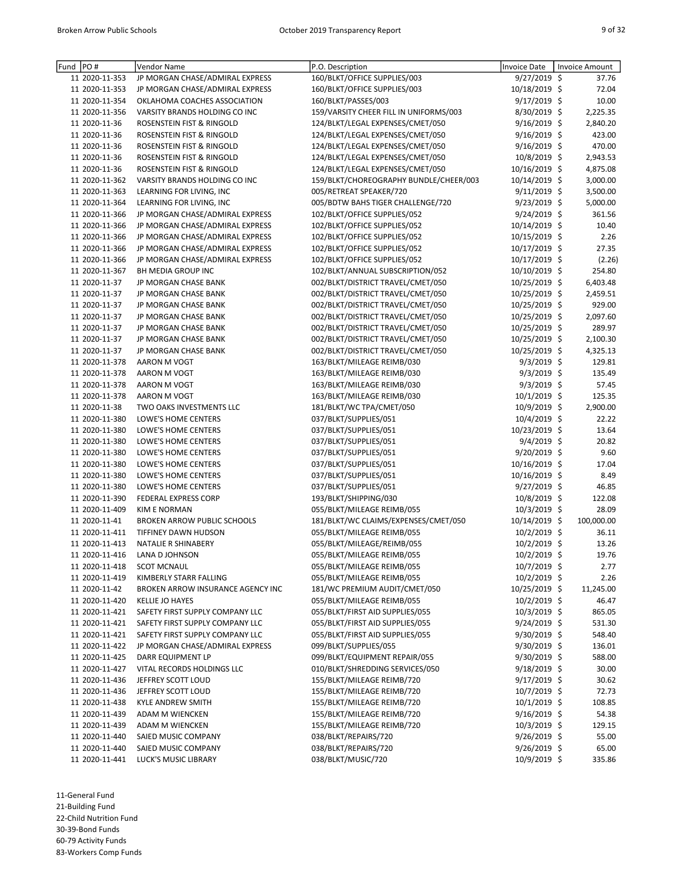| Fund  PO#                        | Vendor Name                                | P.O. Description                               | <b>Invoice Date</b>             | Invoice Amount |
|----------------------------------|--------------------------------------------|------------------------------------------------|---------------------------------|----------------|
| 11 2020-11-353                   | JP MORGAN CHASE/ADMIRAL EXPRESS            | 160/BLKT/OFFICE SUPPLIES/003                   | $9/27/2019$ \$                  | 37.76          |
| 11 2020-11-353                   | JP MORGAN CHASE/ADMIRAL EXPRESS            | 160/BLKT/OFFICE SUPPLIES/003                   | 10/18/2019 \$                   | 72.04          |
| 11 2020-11-354                   | OKLAHOMA COACHES ASSOCIATION               | 160/BLKT/PASSES/003                            | 9/17/2019 \$                    | 10.00          |
| 11 2020-11-356                   | VARSITY BRANDS HOLDING CO INC              | 159/VARSITY CHEER FILL IN UNIFORMS/003         | 8/30/2019 \$                    | 2,225.35       |
| 11 2020-11-36                    | ROSENSTEIN FIST & RINGOLD                  | 124/BLKT/LEGAL EXPENSES/CMET/050               | 9/16/2019 \$                    | 2,840.20       |
| 11 2020-11-36                    | ROSENSTEIN FIST & RINGOLD                  | 124/BLKT/LEGAL EXPENSES/CMET/050               | $9/16/2019$ \$                  | 423.00         |
| 11 2020-11-36                    | ROSENSTEIN FIST & RINGOLD                  | 124/BLKT/LEGAL EXPENSES/CMET/050               | $9/16/2019$ \$                  | 470.00         |
| 11 2020-11-36                    | ROSENSTEIN FIST & RINGOLD                  | 124/BLKT/LEGAL EXPENSES/CMET/050               | 10/8/2019 \$                    | 2,943.53       |
| 11 2020-11-36                    | ROSENSTEIN FIST & RINGOLD                  | 124/BLKT/LEGAL EXPENSES/CMET/050               | 10/16/2019 \$                   | 4,875.08       |
| 11 2020-11-362                   | VARSITY BRANDS HOLDING CO INC              | 159/BLKT/CHOREOGRAPHY BUNDLE/CHEER/003         | 10/14/2019 \$                   | 3,000.00       |
| 11 2020-11-363                   | LEARNING FOR LIVING, INC                   | 005/RETREAT SPEAKER/720                        | $9/11/2019$ \$                  | 3,500.00       |
| 11 2020-11-364                   | LEARNING FOR LIVING, INC                   | 005/BDTW BAHS TIGER CHALLENGE/720              | 9/23/2019 \$                    | 5,000.00       |
| 11 2020-11-366                   | JP MORGAN CHASE/ADMIRAL EXPRESS            | 102/BLKT/OFFICE SUPPLIES/052                   | $9/24/2019$ \$                  | 361.56         |
| 11 2020-11-366                   | JP MORGAN CHASE/ADMIRAL EXPRESS            | 102/BLKT/OFFICE SUPPLIES/052                   | 10/14/2019 \$                   | 10.40          |
| 11 2020-11-366                   | JP MORGAN CHASE/ADMIRAL EXPRESS            | 102/BLKT/OFFICE SUPPLIES/052                   | 10/15/2019 \$                   | 2.26           |
| 11 2020-11-366                   | JP MORGAN CHASE/ADMIRAL EXPRESS            | 102/BLKT/OFFICE SUPPLIES/052                   | 10/17/2019 \$                   | 27.35          |
| 11 2020-11-366                   | JP MORGAN CHASE/ADMIRAL EXPRESS            | 102/BLKT/OFFICE SUPPLIES/052                   | 10/17/2019 \$                   | (2.26)         |
| 11 2020-11-367                   | BH MEDIA GROUP INC                         | 102/BLKT/ANNUAL SUBSCRIPTION/052               | 10/10/2019 \$                   | 254.80         |
| 11 2020-11-37                    | JP MORGAN CHASE BANK                       | 002/BLKT/DISTRICT TRAVEL/CMET/050              | 10/25/2019 \$                   | 6,403.48       |
| 11 2020-11-37                    | JP MORGAN CHASE BANK                       | 002/BLKT/DISTRICT TRAVEL/CMET/050              | 10/25/2019 \$                   | 2,459.51       |
| 11 2020-11-37                    | JP MORGAN CHASE BANK                       | 002/BLKT/DISTRICT TRAVEL/CMET/050              | 10/25/2019 \$                   | 929.00         |
| 11 2020-11-37                    | JP MORGAN CHASE BANK                       | 002/BLKT/DISTRICT TRAVEL/CMET/050              | 10/25/2019 \$                   | 2,097.60       |
| 11 2020-11-37                    | JP MORGAN CHASE BANK                       | 002/BLKT/DISTRICT TRAVEL/CMET/050              | 10/25/2019 \$                   | 289.97         |
| 11 2020-11-37                    | JP MORGAN CHASE BANK                       | 002/BLKT/DISTRICT TRAVEL/CMET/050              | 10/25/2019 \$                   | 2,100.30       |
| 11 2020-11-37                    | JP MORGAN CHASE BANK                       | 002/BLKT/DISTRICT TRAVEL/CMET/050              | 10/25/2019 \$                   | 4,325.13       |
| 11 2020-11-378                   | AARON M VOGT                               | 163/BLKT/MILEAGE REIMB/030                     | $9/3/2019$ \$                   | 129.81         |
| 11 2020-11-378                   | AARON M VOGT                               | 163/BLKT/MILEAGE REIMB/030                     | 9/3/2019 \$                     | 135.49         |
| 11 2020-11-378                   | AARON M VOGT                               | 163/BLKT/MILEAGE REIMB/030                     | 9/3/2019 \$                     | 57.45          |
| 11 2020-11-378                   | AARON M VOGT                               | 163/BLKT/MILEAGE REIMB/030                     | $10/1/2019$ \$                  | 125.35         |
| 11 2020-11-38                    | TWO OAKS INVESTMENTS LLC                   | 181/BLKT/WC TPA/CMET/050                       | 10/9/2019 \$                    | 2,900.00       |
| 11 2020-11-380                   | LOWE'S HOME CENTERS                        | 037/BLKT/SUPPLIES/051                          | 10/4/2019 \$                    | 22.22          |
| 11 2020-11-380                   | LOWE'S HOME CENTERS                        | 037/BLKT/SUPPLIES/051                          | 10/23/2019 \$                   | 13.64          |
| 11 2020-11-380                   | LOWE'S HOME CENTERS                        | 037/BLKT/SUPPLIES/051                          | 9/4/2019 \$                     | 20.82          |
| 11 2020-11-380<br>11 2020-11-380 | LOWE'S HOME CENTERS<br>LOWE'S HOME CENTERS | 037/BLKT/SUPPLIES/051                          | $9/20/2019$ \$<br>10/16/2019 \$ | 9.60<br>17.04  |
| 11 2020-11-380                   | LOWE'S HOME CENTERS                        | 037/BLKT/SUPPLIES/051<br>037/BLKT/SUPPLIES/051 | 10/16/2019 \$                   | 8.49           |
| 11 2020-11-380                   | LOWE'S HOME CENTERS                        | 037/BLKT/SUPPLIES/051                          | 9/27/2019 \$                    | 46.85          |
| 11 2020-11-390                   | <b>FEDERAL EXPRESS CORP</b>                | 193/BLKT/SHIPPING/030                          | 10/8/2019 \$                    | 122.08         |
| 11 2020-11-409                   | <b>KIM E NORMAN</b>                        | 055/BLKT/MILEAGE REIMB/055                     | 10/3/2019 \$                    | 28.09          |
| 11 2020-11-41                    | <b>BROKEN ARROW PUBLIC SCHOOLS</b>         | 181/BLKT/WC CLAIMS/EXPENSES/CMET/050           | 10/14/2019 \$                   | 100,000.00     |
| 11 2020-11-411                   | TIFFINEY DAWN HUDSON                       | 055/BLKT/MILEAGE REIMB/055                     | $10/2/2019$ \$                  | 36.11          |
| 11 2020-11-413                   | NATALIE R SHINABERY                        | 055/BLKT/MILEAGE/REIMB/055                     | 10/2/2019 \$                    | 13.26          |
| 11 2020-11-416                   | LANA D JOHNSON                             | 055/BLKT/MILEAGE REIMB/055                     | 10/2/2019 \$                    | 19.76          |
| 11 2020-11-418                   | <b>SCOT MCNAUL</b>                         | 055/BLKT/MILEAGE REIMB/055                     | $10/7/2019$ \$                  | 2.77           |
| 11 2020-11-419                   | KIMBERLY STARR FALLING                     | 055/BLKT/MILEAGE REIMB/055                     | $10/2/2019$ \$                  | 2.26           |
| 11 2020-11-42                    | BROKEN ARROW INSURANCE AGENCY INC          | 181/WC PREMIUM AUDIT/CMET/050                  | 10/25/2019 \$                   | 11,245.00      |
| 11 2020-11-420                   | <b>KELLIE JO HAYES</b>                     | 055/BLKT/MILEAGE REIMB/055                     | 10/2/2019 \$                    | 46.47          |
| 11 2020-11-421                   | SAFETY FIRST SUPPLY COMPANY LLC            | 055/BLKT/FIRST AID SUPPLIES/055                | $10/3/2019$ \$                  | 865.05         |
| 11 2020-11-421                   | SAFETY FIRST SUPPLY COMPANY LLC            | 055/BLKT/FIRST AID SUPPLIES/055                | $9/24/2019$ \$                  | 531.30         |
| 11 2020-11-421                   | SAFETY FIRST SUPPLY COMPANY LLC            | 055/BLKT/FIRST AID SUPPLIES/055                | $9/30/2019$ \$                  | 548.40         |
| 11 2020-11-422                   | JP MORGAN CHASE/ADMIRAL EXPRESS            | 099/BLKT/SUPPLIES/055                          | $9/30/2019$ \$                  | 136.01         |
| 11 2020-11-425                   | DARR EQUIPMENT LP                          | 099/BLKT/EQUIPMENT REPAIR/055                  | 9/30/2019 \$                    | 588.00         |
| 11 2020-11-427                   | VITAL RECORDS HOLDINGS LLC                 | 010/BLKT/SHREDDING SERVICES/050                | $9/18/2019$ \$                  | 30.00          |
| 11 2020-11-436                   | JEFFREY SCOTT LOUD                         | 155/BLKT/MILEAGE REIMB/720                     | $9/17/2019$ \$                  | 30.62          |
| 11 2020-11-436                   | JEFFREY SCOTT LOUD                         | 155/BLKT/MILEAGE REIMB/720                     | 10/7/2019 \$                    | 72.73          |
| 11 2020-11-438                   | KYLE ANDREW SMITH                          | 155/BLKT/MILEAGE REIMB/720                     | $10/1/2019$ \$                  | 108.85         |
| 11 2020-11-439                   | ADAM M WIENCKEN                            | 155/BLKT/MILEAGE REIMB/720                     | $9/16/2019$ \$                  | 54.38          |
| 11 2020-11-439                   | ADAM M WIENCKEN                            | 155/BLKT/MILEAGE REIMB/720                     | $10/3/2019$ \$                  | 129.15         |
| 11 2020-11-440                   | SAIED MUSIC COMPANY                        | 038/BLKT/REPAIRS/720                           | $9/26/2019$ \$                  | 55.00          |
| 11 2020-11-440                   | SAIED MUSIC COMPANY                        | 038/BLKT/REPAIRS/720                           | $9/26/2019$ \$                  | 65.00          |
| 11 2020-11-441                   | LUCK'S MUSIC LIBRARY                       | 038/BLKT/MUSIC/720                             | 10/9/2019 \$                    | 335.86         |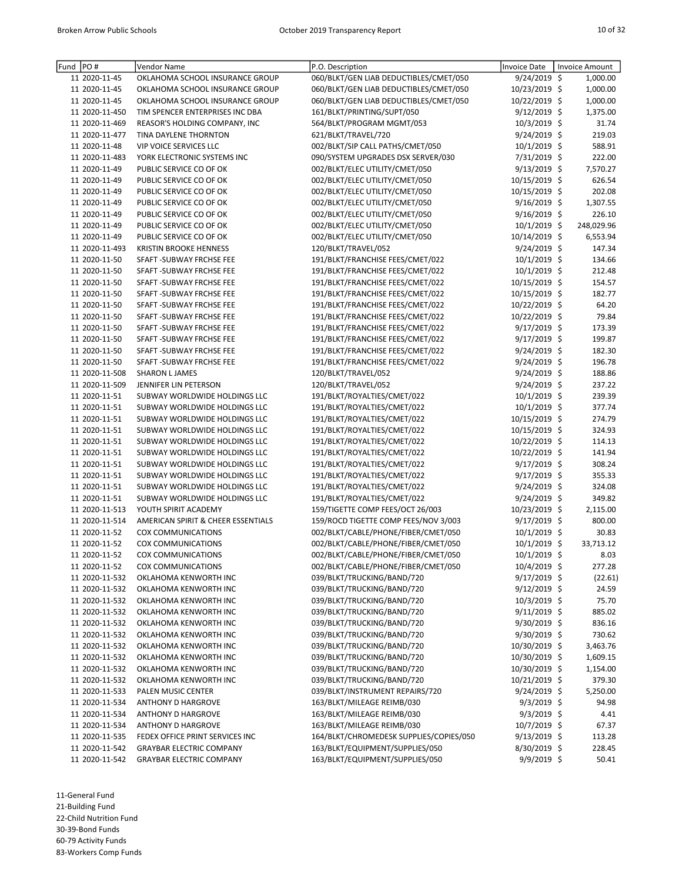| Fund PO# |                                | Vendor Name                                            | P.O. Description                                                     | <b>Invoice Date</b>           | <b>Invoice Amount</b> |
|----------|--------------------------------|--------------------------------------------------------|----------------------------------------------------------------------|-------------------------------|-----------------------|
|          | 11 2020-11-45                  | OKLAHOMA SCHOOL INSURANCE GROUP                        | 060/BLKT/GEN LIAB DEDUCTIBLES/CMET/050                               | 9/24/2019 \$                  | 1,000.00              |
|          | 11 2020-11-45                  | OKLAHOMA SCHOOL INSURANCE GROUP                        | 060/BLKT/GEN LIAB DEDUCTIBLES/CMET/050                               | 10/23/2019 \$                 | 1,000.00              |
|          | 11 2020-11-45                  | OKLAHOMA SCHOOL INSURANCE GROUP                        | 060/BLKT/GEN LIAB DEDUCTIBLES/CMET/050                               | 10/22/2019 \$                 | 1,000.00              |
|          | 11 2020-11-450                 | TIM SPENCER ENTERPRISES INC DBA                        | 161/BLKT/PRINTING/SUPT/050                                           | 9/12/2019 \$                  | 1,375.00              |
|          | 11 2020-11-469                 | REASOR'S HOLDING COMPANY, INC                          | 564/BLKT/PROGRAM MGMT/053                                            | 10/3/2019 \$                  | 31.74                 |
|          | 11 2020-11-477                 | TINA DAYLENE THORNTON                                  | 621/BLKT/TRAVEL/720                                                  | 9/24/2019 \$                  | 219.03                |
|          | 11 2020-11-48                  | <b>VIP VOICE SERVICES LLC</b>                          | 002/BLKT/SIP CALL PATHS/CMET/050                                     | 10/1/2019 \$                  | 588.91                |
|          | 11 2020-11-483                 | YORK ELECTRONIC SYSTEMS INC                            | 090/SYSTEM UPGRADES DSX SERVER/030                                   | 7/31/2019 \$                  | 222.00                |
|          | 11 2020-11-49                  | PUBLIC SERVICE CO OF OK                                | 002/BLKT/ELEC UTILITY/CMET/050                                       | $9/13/2019$ \$                | 7,570.27              |
|          | 11 2020-11-49                  | PUBLIC SERVICE CO OF OK                                | 002/BLKT/ELEC UTILITY/CMET/050                                       | 10/15/2019 \$                 | 626.54                |
|          | 11 2020-11-49                  | PUBLIC SERVICE CO OF OK                                | 002/BLKT/ELEC UTILITY/CMET/050                                       | 10/15/2019 \$                 | 202.08                |
|          | 11 2020-11-49                  | PUBLIC SERVICE CO OF OK                                | 002/BLKT/ELEC UTILITY/CMET/050                                       | $9/16/2019$ \$                | 1,307.55              |
|          | 11 2020-11-49                  | PUBLIC SERVICE CO OF OK                                | 002/BLKT/ELEC UTILITY/CMET/050                                       | $9/16/2019$ \$                | 226.10                |
|          | 11 2020-11-49                  | PUBLIC SERVICE CO OF OK                                | 002/BLKT/ELEC UTILITY/CMET/050                                       | 10/1/2019 \$                  | 248,029.96            |
|          | 11 2020-11-49                  | PUBLIC SERVICE CO OF OK                                | 002/BLKT/ELEC UTILITY/CMET/050                                       | 10/14/2019 \$                 | 6,553.94              |
|          | 11 2020-11-493                 | <b>KRISTIN BROOKE HENNESS</b>                          | 120/BLKT/TRAVEL/052                                                  | 9/24/2019 \$                  | 147.34                |
|          | 11 2020-11-50                  | SFAFT - SUBWAY FRCHSE FEE                              | 191/BLKT/FRANCHISE FEES/CMET/022                                     | $10/1/2019$ \$                | 134.66                |
|          | 11 2020-11-50                  | SFAFT - SUBWAY FRCHSE FEE                              | 191/BLKT/FRANCHISE FEES/CMET/022<br>191/BLKT/FRANCHISE FEES/CMET/022 | $10/1/2019$ \$                | 212.48                |
|          | 11 2020-11-50                  | SFAFT - SUBWAY FRCHSE FEE                              |                                                                      | 10/15/2019 \$                 | 154.57<br>182.77      |
|          | 11 2020-11-50                  | SFAFT - SUBWAY FRCHSE FEE                              | 191/BLKT/FRANCHISE FEES/CMET/022                                     | 10/15/2019 \$                 |                       |
|          | 11 2020-11-50<br>11 2020-11-50 | SFAFT - SUBWAY FRCHSE FEE                              | 191/BLKT/FRANCHISE FEES/CMET/022                                     | 10/22/2019 \$                 | 64.20<br>79.84        |
|          | 11 2020-11-50                  | SFAFT - SUBWAY FRCHSE FEE                              | 191/BLKT/FRANCHISE FEES/CMET/022<br>191/BLKT/FRANCHISE FEES/CMET/022 | 10/22/2019 \$<br>9/17/2019 \$ |                       |
|          | 11 2020-11-50                  | SFAFT - SUBWAY FRCHSE FEE<br>SFAFT - SUBWAY FRCHSE FEE |                                                                      | 9/17/2019 \$                  | 173.39<br>199.87      |
|          | 11 2020-11-50                  | SFAFT -SUBWAY FRCHSE FEE                               | 191/BLKT/FRANCHISE FEES/CMET/022<br>191/BLKT/FRANCHISE FEES/CMET/022 | 9/24/2019 \$                  | 182.30                |
|          | 11 2020-11-50                  | SFAFT - SUBWAY FRCHSE FEE                              | 191/BLKT/FRANCHISE FEES/CMET/022                                     | 9/24/2019 \$                  | 196.78                |
|          | 11 2020-11-508                 | <b>SHARON L JAMES</b>                                  | 120/BLKT/TRAVEL/052                                                  | 9/24/2019 \$                  | 188.86                |
|          | 11 2020-11-509                 | JENNIFER LIN PETERSON                                  | 120/BLKT/TRAVEL/052                                                  | 9/24/2019 \$                  | 237.22                |
|          | 11 2020-11-51                  | SUBWAY WORLDWIDE HOLDINGS LLC                          | 191/BLKT/ROYALTIES/CMET/022                                          | 10/1/2019 \$                  | 239.39                |
|          | 11 2020-11-51                  | SUBWAY WORLDWIDE HOLDINGS LLC                          | 191/BLKT/ROYALTIES/CMET/022                                          | 10/1/2019 \$                  | 377.74                |
|          | 11 2020-11-51                  | SUBWAY WORLDWIDE HOLDINGS LLC                          | 191/BLKT/ROYALTIES/CMET/022                                          | 10/15/2019 \$                 | 274.79                |
|          | 11 2020-11-51                  | SUBWAY WORLDWIDE HOLDINGS LLC                          | 191/BLKT/ROYALTIES/CMET/022                                          | 10/15/2019 \$                 | 324.93                |
|          | 11 2020-11-51                  | SUBWAY WORLDWIDE HOLDINGS LLC                          | 191/BLKT/ROYALTIES/CMET/022                                          | 10/22/2019 \$                 | 114.13                |
|          | 11 2020-11-51                  | SUBWAY WORLDWIDE HOLDINGS LLC                          | 191/BLKT/ROYALTIES/CMET/022                                          | 10/22/2019 \$                 | 141.94                |
|          | 11 2020-11-51                  | SUBWAY WORLDWIDE HOLDINGS LLC                          | 191/BLKT/ROYALTIES/CMET/022                                          | 9/17/2019 \$                  | 308.24                |
|          | 11 2020-11-51                  | SUBWAY WORLDWIDE HOLDINGS LLC                          | 191/BLKT/ROYALTIES/CMET/022                                          | 9/17/2019 \$                  | 355.33                |
|          | 11 2020-11-51                  | SUBWAY WORLDWIDE HOLDINGS LLC                          | 191/BLKT/ROYALTIES/CMET/022                                          | 9/24/2019 \$                  | 324.08                |
|          | 11 2020-11-51                  | SUBWAY WORLDWIDE HOLDINGS LLC                          | 191/BLKT/ROYALTIES/CMET/022                                          | 9/24/2019 \$                  | 349.82                |
|          | 11 2020-11-513                 | YOUTH SPIRIT ACADEMY                                   | 159/TIGETTE COMP FEES/OCT 26/003                                     | 10/23/2019 \$                 | 2,115.00              |
|          | 11 2020-11-514                 | AMERICAN SPIRIT & CHEER ESSENTIALS                     | 159/ROCD TIGETTE COMP FEES/NOV 3/003                                 | 9/17/2019 \$                  | 800.00                |
|          | 11 2020-11-52                  | COX COMMUNICATIONS                                     | 002/BLKT/CABLE/PHONE/FIBER/CMET/050                                  | $10/1/2019$ \$                | 30.83                 |
|          | 11 2020-11-52                  | <b>COX COMMUNICATIONS</b>                              | 002/BLKT/CABLE/PHONE/FIBER/CMET/050                                  | $10/1/2019$ \$                | 33,713.12             |
|          | 11 2020-11-52                  | <b>COX COMMUNICATIONS</b>                              | 002/BLKT/CABLE/PHONE/FIBER/CMET/050                                  | 10/1/2019 \$                  | 8.03                  |
|          | 11 2020-11-52                  | <b>COX COMMUNICATIONS</b>                              | 002/BLKT/CABLE/PHONE/FIBER/CMET/050                                  | $10/4/2019$ \$                | 277.28                |
|          | 11 2020-11-532                 | OKLAHOMA KENWORTH INC                                  | 039/BLKT/TRUCKING/BAND/720                                           | 9/17/2019 \$                  | (22.61)               |
|          | 11 2020-11-532                 | OKLAHOMA KENWORTH INC                                  | 039/BLKT/TRUCKING/BAND/720                                           | 9/12/2019 \$                  | 24.59                 |
|          | 11 2020-11-532                 | OKLAHOMA KENWORTH INC                                  | 039/BLKT/TRUCKING/BAND/720                                           | $10/3/2019$ \$                | 75.70                 |
|          | 11 2020-11-532                 | OKLAHOMA KENWORTH INC                                  | 039/BLKT/TRUCKING/BAND/720                                           | $9/11/2019$ \$                | 885.02                |
|          | 11 2020-11-532                 | OKLAHOMA KENWORTH INC                                  | 039/BLKT/TRUCKING/BAND/720                                           | 9/30/2019 \$                  | 836.16                |
|          | 11 2020-11-532                 | OKLAHOMA KENWORTH INC                                  | 039/BLKT/TRUCKING/BAND/720                                           | 9/30/2019 \$                  | 730.62                |
|          | 11 2020-11-532                 | OKLAHOMA KENWORTH INC                                  | 039/BLKT/TRUCKING/BAND/720                                           | 10/30/2019 \$                 | 3,463.76              |
|          | 11 2020-11-532                 | OKLAHOMA KENWORTH INC                                  | 039/BLKT/TRUCKING/BAND/720                                           | 10/30/2019 \$                 | 1,609.15              |
|          | 11 2020-11-532                 | OKLAHOMA KENWORTH INC                                  | 039/BLKT/TRUCKING/BAND/720                                           | 10/30/2019 \$                 | 1,154.00              |
|          | 11 2020-11-532                 | OKLAHOMA KENWORTH INC                                  | 039/BLKT/TRUCKING/BAND/720                                           | 10/21/2019 \$                 | 379.30                |
|          | 11 2020-11-533                 | PALEN MUSIC CENTER                                     | 039/BLKT/INSTRUMENT REPAIRS/720                                      | 9/24/2019 \$                  | 5,250.00              |
|          | 11 2020-11-534                 | <b>ANTHONY D HARGROVE</b>                              | 163/BLKT/MILEAGE REIMB/030                                           | $9/3/2019$ \$                 | 94.98                 |
|          | 11 2020-11-534                 | <b>ANTHONY D HARGROVE</b>                              | 163/BLKT/MILEAGE REIMB/030                                           | $9/3/2019$ \$                 | 4.41                  |
|          | 11 2020-11-534                 | <b>ANTHONY D HARGROVE</b>                              | 163/BLKT/MILEAGE REIMB/030                                           | $10/7/2019$ \$                | 67.37                 |
|          | 11 2020-11-535                 | FEDEX OFFICE PRINT SERVICES INC                        | 164/BLKT/CHROMEDESK SUPPLIES/COPIES/050                              | $9/13/2019$ \$                | 113.28                |
|          | 11 2020-11-542                 | <b>GRAYBAR ELECTRIC COMPANY</b>                        | 163/BLKT/EQUIPMENT/SUPPLIES/050                                      | 8/30/2019 \$                  | 228.45                |
|          | 11 2020-11-542                 | <b>GRAYBAR ELECTRIC COMPANY</b>                        | 163/BLKT/EQUIPMENT/SUPPLIES/050                                      | 9/9/2019 \$                   | 50.41                 |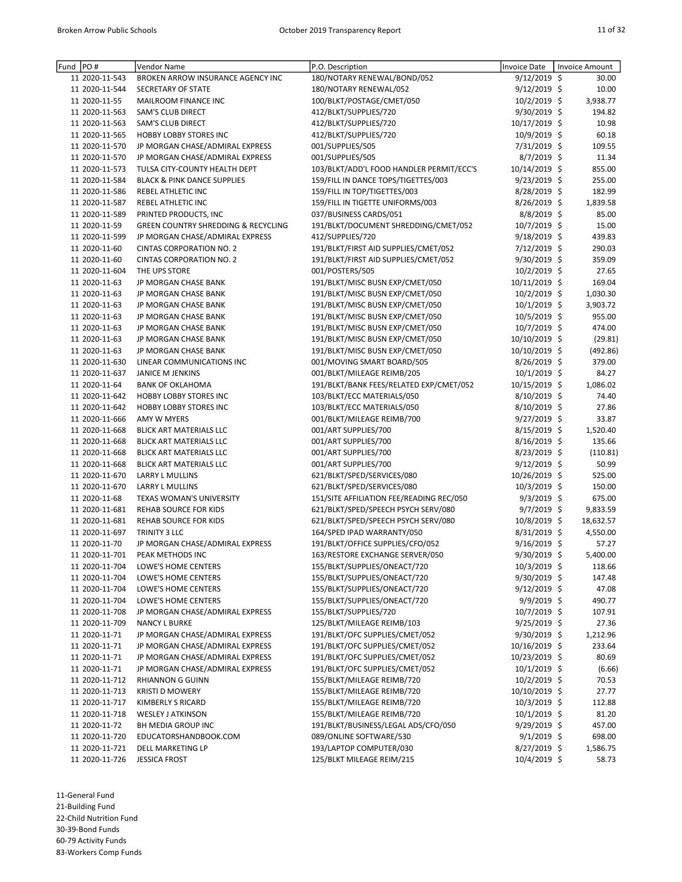| Fund | PO#                              | Vendor Name                                         | P.O. Description                                             | <b>Invoice Date</b>            | <b>Invoice Amount</b> |                   |
|------|----------------------------------|-----------------------------------------------------|--------------------------------------------------------------|--------------------------------|-----------------------|-------------------|
|      | 11 2020-11-543                   | BROKEN ARROW INSURANCE AGENCY INC                   | 180/NOTARY RENEWAL/BOND/052                                  | $9/12/2019$ \$                 |                       | 30.00             |
|      | 11 2020-11-544                   | SECRETARY OF STATE                                  | 180/NOTARY RENEWAL/052                                       | 9/12/2019 \$                   |                       | 10.00             |
|      | 11 2020-11-55                    | MAILROOM FINANCE INC                                | 100/BLKT/POSTAGE/CMET/050                                    | 10/2/2019 \$                   |                       | 3,938.77          |
|      | 11 2020-11-563                   | <b>SAM'S CLUB DIRECT</b>                            | 412/BLKT/SUPPLIES/720                                        | 9/30/2019 \$                   |                       | 194.82            |
|      | 11 2020-11-563                   | SAM'S CLUB DIRECT                                   | 412/BLKT/SUPPLIES/720                                        | 10/17/2019 \$                  |                       | 10.98             |
|      | 11 2020-11-565                   | <b>HOBBY LOBBY STORES INC</b>                       | 412/BLKT/SUPPLIES/720                                        | 10/9/2019 \$                   |                       | 60.18             |
|      | 11 2020-11-570                   | JP MORGAN CHASE/ADMIRAL EXPRESS                     | 001/SUPPLIES/505                                             | 7/31/2019 \$                   |                       | 109.55            |
|      | 11 2020-11-570                   | JP MORGAN CHASE/ADMIRAL EXPRESS                     | 001/SUPPLIES/505                                             | 8/7/2019 \$                    |                       | 11.34             |
|      | 11 2020-11-573                   | TULSA CITY-COUNTY HEALTH DEPT                       | 103/BLKT/ADD'L FOOD HANDLER PERMIT/ECC'S                     | 10/14/2019 \$                  |                       | 855.00            |
|      | 11 2020-11-584                   | <b>BLACK &amp; PINK DANCE SUPPLIES</b>              | 159/FILL IN DANCE TOPS/TIGETTES/003                          | 9/23/2019 \$                   |                       | 255.00            |
|      | 11 2020-11-586                   | REBEL ATHLETIC INC                                  | 159/FILL IN TOP/TIGETTES/003                                 | 8/28/2019 \$                   |                       | 182.99            |
|      | 11 2020-11-587                   | REBEL ATHLETIC INC                                  | 159/FILL IN TIGETTE UNIFORMS/003                             | 8/26/2019 \$                   |                       | 1,839.58          |
|      | 11 2020-11-589                   | PRINTED PRODUCTS, INC                               | 037/BUSINESS CARDS/051                                       | 8/8/2019 \$                    |                       | 85.00             |
|      | 11 2020-11-59                    | <b>GREEN COUNTRY SHREDDING &amp; RECYCLING</b>      | 191/BLKT/DOCUMENT SHREDDING/CMET/052                         | 10/7/2019 \$                   |                       | 15.00             |
|      | 11 2020-11-599                   | JP MORGAN CHASE/ADMIRAL EXPRESS                     | 412/SUPPLIES/720                                             | 9/18/2019 \$                   |                       | 439.83            |
|      | 11 2020-11-60                    | <b>CINTAS CORPORATION NO. 2</b>                     | 191/BLKT/FIRST AID SUPPLIES/CMET/052                         | 7/12/2019 \$                   |                       | 290.03            |
|      | 11 2020-11-60                    | <b>CINTAS CORPORATION NO. 2</b>                     | 191/BLKT/FIRST AID SUPPLIES/CMET/052                         | 9/30/2019 \$                   |                       | 359.09            |
|      | 11 2020-11-604                   | THE UPS STORE                                       | 001/POSTERS/505                                              | 10/2/2019 \$                   |                       | 27.65             |
|      | 11 2020-11-63                    | JP MORGAN CHASE BANK                                | 191/BLKT/MISC BUSN EXP/CMET/050                              | 10/11/2019 \$                  |                       | 169.04            |
|      | 11 2020-11-63                    | JP MORGAN CHASE BANK                                | 191/BLKT/MISC BUSN EXP/CMET/050                              | 10/2/2019 \$                   |                       | 1,030.30          |
|      | 11 2020-11-63                    | JP MORGAN CHASE BANK                                | 191/BLKT/MISC BUSN EXP/CMET/050                              | $10/1/2019$ \$                 |                       | 3,903.72          |
|      | 11 2020-11-63                    | JP MORGAN CHASE BANK                                | 191/BLKT/MISC BUSN EXP/CMET/050                              | 10/5/2019 \$                   |                       | 955.00            |
|      | 11 2020-11-63                    | JP MORGAN CHASE BANK                                | 191/BLKT/MISC BUSN EXP/CMET/050                              | 10/7/2019 \$                   |                       | 474.00            |
|      | 11 2020-11-63                    | JP MORGAN CHASE BANK                                | 191/BLKT/MISC BUSN EXP/CMET/050                              | 10/10/2019 \$                  |                       | (29.81)           |
|      | 11 2020-11-63                    | JP MORGAN CHASE BANK                                | 191/BLKT/MISC BUSN EXP/CMET/050                              | 10/10/2019 \$                  |                       | (492.86)          |
|      | 11 2020-11-630                   | LINEAR COMMUNICATIONS INC                           | 001/MOVING SMART BOARD/505                                   | 8/26/2019 \$                   |                       | 379.00            |
|      | 11 2020-11-637                   | JANICE M JENKINS                                    | 001/BLKT/MILEAGE REIMB/205                                   | 10/1/2019 \$                   |                       | 84.27             |
|      | 11 2020-11-64                    | <b>BANK OF OKLAHOMA</b>                             | 191/BLKT/BANK FEES/RELATED EXP/CMET/052                      | 10/15/2019 \$                  |                       | 1,086.02          |
|      | 11 2020-11-642                   | <b>HOBBY LOBBY STORES INC</b>                       | 103/BLKT/ECC MATERIALS/050                                   | 8/10/2019 \$                   |                       | 74.40             |
|      | 11 2020-11-642                   | HOBBY LOBBY STORES INC                              | 103/BLKT/ECC MATERIALS/050                                   | 8/10/2019 \$                   |                       | 27.86             |
|      | 11 2020-11-666                   | AMY W MYERS                                         | 001/BLKT/MILEAGE REIMB/700                                   | $9/27/2019$ \$                 |                       | 33.87             |
|      | 11 2020-11-668                   | BLICK ART MATERIALS LLC                             | 001/ART SUPPLIES/700                                         | 8/15/2019 \$                   |                       | 1,520.40          |
|      | 11 2020-11-668                   | BLICK ART MATERIALS LLC                             | 001/ART SUPPLIES/700                                         | $8/16/2019$ \$                 |                       | 135.66            |
|      | 11 2020-11-668                   | <b>BLICK ART MATERIALS LLC</b>                      | 001/ART SUPPLIES/700                                         | 8/23/2019 \$                   |                       | (110.81)          |
|      | 11 2020-11-668                   | BLICK ART MATERIALS LLC                             | 001/ART SUPPLIES/700                                         | 9/12/2019 \$                   |                       | 50.99             |
|      | 11 2020-11-670                   | <b>LARRY L MULLINS</b>                              | 621/BLKT/SPED/SERVICES/080                                   | 10/26/2019 \$                  |                       | 525.00            |
|      | 11 2020-11-670                   | LARRY L MULLINS                                     | 621/BLKT/SPED/SERVICES/080                                   | 10/3/2019 \$                   |                       | 150.00            |
|      | 11 2020-11-68                    | TEXAS WOMAN'S UNIVERSITY                            | 151/SITE AFFILIATION FEE/READING REC/050                     | $9/3/2019$ \$                  |                       | 675.00            |
|      | 11 2020-11-681                   | REHAB SOURCE FOR KIDS                               | 621/BLKT/SPED/SPEECH PSYCH SERV/080                          | $9/7/2019$ \$                  |                       | 9,833.59          |
|      | 11 2020-11-681                   | REHAB SOURCE FOR KIDS                               | 621/BLKT/SPED/SPEECH PSYCH SERV/080                          | $10/8/2019$ \$                 |                       | 18,632.57         |
|      |                                  | TRINITY 3 LLC                                       | 164/SPED IPAD WARRANTY/050                                   | 8/31/2019 \$                   |                       |                   |
|      | 11 2020-11-697<br>11 2020-11-70  |                                                     | 191/BLKT/OFFICE SUPPLIES/CFO/052                             | 9/16/2019 \$                   |                       | 4,550.00          |
|      | 11 2020-11-701                   | JP MORGAN CHASE/ADMIRAL EXPRESS<br>PEAK METHODS INC | 163/RESTORE EXCHANGE SERVER/050                              |                                |                       | 57.27<br>5,400.00 |
|      |                                  |                                                     | 155/BLKT/SUPPLIES/ONEACT/720                                 | 9/30/2019 \$                   |                       | 118.66            |
|      | 11 2020-11-704                   | LOWE'S HOME CENTERS<br>LOWE'S HOME CENTERS          | 155/BLKT/SUPPLIES/ONEACT/720                                 | $10/3/2019$ \$<br>9/30/2019 \$ |                       | 147.48            |
|      | 11 2020-11-704                   |                                                     |                                                              | 9/12/2019 \$                   |                       |                   |
|      | 11 2020-11-704<br>11 2020-11-704 | LOWE'S HOME CENTERS                                 | 155/BLKT/SUPPLIES/ONEACT/720<br>155/BLKT/SUPPLIES/ONEACT/720 |                                |                       | 47.08             |
|      |                                  | LOWE'S HOME CENTERS                                 |                                                              | 9/9/2019 \$                    |                       | 490.77            |
|      | 11 2020-11-708                   | JP MORGAN CHASE/ADMIRAL EXPRESS                     | 155/BLKT/SUPPLIES/720                                        | $10/7/2019$ \$                 |                       | 107.91            |
|      | 11 2020-11-709                   | <b>NANCY L BURKE</b>                                | 125/BLKT/MILEAGE REIMB/103                                   | $9/25/2019$ \$                 |                       | 27.36             |
|      | 11 2020-11-71                    | JP MORGAN CHASE/ADMIRAL EXPRESS                     | 191/BLKT/OFC SUPPLIES/CMET/052                               | $9/30/2019$ \$                 |                       | 1,212.96          |
|      | 11 2020-11-71                    | JP MORGAN CHASE/ADMIRAL EXPRESS                     | 191/BLKT/OFC SUPPLIES/CMET/052                               | 10/16/2019 \$                  |                       | 233.64            |
|      | 11 2020-11-71                    | JP MORGAN CHASE/ADMIRAL EXPRESS                     | 191/BLKT/OFC SUPPLIES/CMET/052                               | 10/23/2019 \$                  |                       | 80.69             |
|      | 11 2020-11-71                    | JP MORGAN CHASE/ADMIRAL EXPRESS                     | 191/BLKT/OFC SUPPLIES/CMET/052                               | $10/1/2019$ \$                 |                       | (6.66)            |
|      | 11 2020-11-712                   | <b>RHIANNON G GUINN</b>                             | 155/BLKT/MILEAGE REIMB/720                                   | $10/2/2019$ \$                 |                       | 70.53             |
|      | 11 2020-11-713                   | <b>KRISTI D MOWERY</b>                              | 155/BLKT/MILEAGE REIMB/720                                   | 10/10/2019 \$                  |                       | 27.77             |
|      | 11 2020-11-717                   | KIMBERLY S RICARD                                   | 155/BLKT/MILEAGE REIMB/720                                   | $10/3/2019$ \$                 |                       | 112.88            |
|      | 11 2020-11-718                   | <b>WESLEY J ATKINSON</b>                            | 155/BLKT/MILEAGE REIMB/720                                   | $10/1/2019$ \$                 |                       | 81.20             |
|      | 11 2020-11-72                    | BH MEDIA GROUP INC                                  | 191/BLKT/BUSINESS/LEGAL ADS/CFO/050                          | $9/29/2019$ \$                 |                       | 457.00            |
|      | 11 2020-11-720                   | EDUCATORSHANDBOOK.COM                               | 089/ONLINE SOFTWARE/530                                      | $9/1/2019$ \$                  |                       | 698.00            |
|      | 11 2020-11-721                   | DELL MARKETING LP                                   | 193/LAPTOP COMPUTER/030                                      | $8/27/2019$ \$                 |                       | 1,586.75          |
|      | 11 2020-11-726                   | <b>JESSICA FROST</b>                                | 125/BLKT MILEAGE REIM/215                                    | 10/4/2019 \$                   |                       | 58.73             |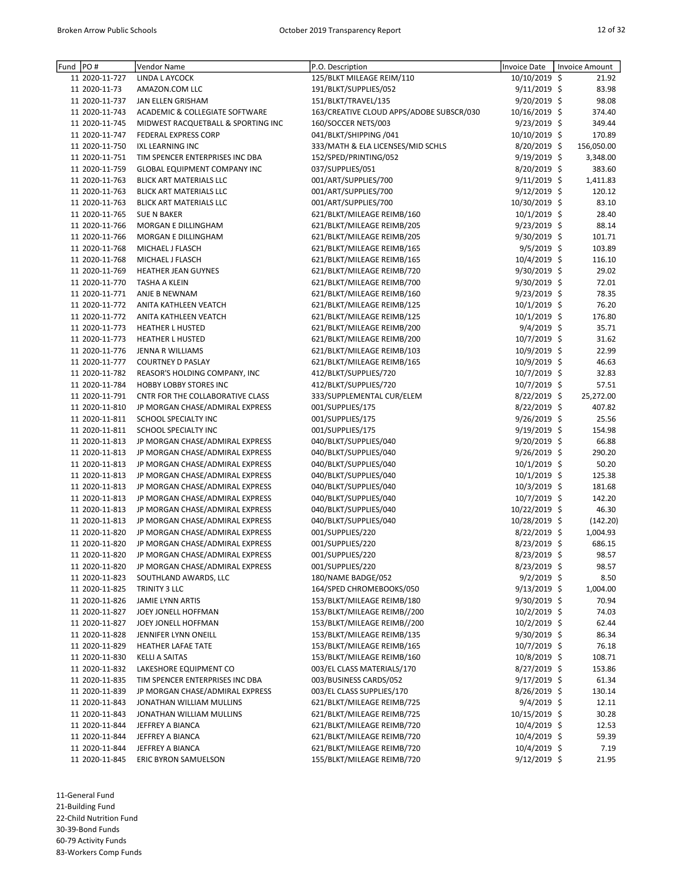| PO#<br>Fund    | Vendor Name                         | P.O. Description                         | Invoice Date   | <b>Invoice Amount</b> |
|----------------|-------------------------------------|------------------------------------------|----------------|-----------------------|
| 11 2020-11-727 | LINDA L AYCOCK                      | 125/BLKT MILEAGE REIM/110                | 10/10/2019 \$  | 21.92                 |
| 11 2020-11-73  | AMAZON.COM LLC                      | 191/BLKT/SUPPLIES/052                    | 9/11/2019 \$   | 83.98                 |
| 11 2020-11-737 | JAN ELLEN GRISHAM                   | 151/BLKT/TRAVEL/135                      | 9/20/2019 \$   | 98.08                 |
| 11 2020-11-743 | ACADEMIC & COLLEGIATE SOFTWARE      | 163/CREATIVE CLOUD APPS/ADOBE SUBSCR/030 | 10/16/2019 \$  | 374.40                |
| 11 2020-11-745 | MIDWEST RACQUETBALL & SPORTING INC  | 160/SOCCER NETS/003                      | 9/23/2019 \$   | 349.44                |
| 11 2020-11-747 | FEDERAL EXPRESS CORP                | 041/BLKT/SHIPPING /041                   | 10/10/2019 \$  | 170.89                |
| 11 2020-11-750 | IXL LEARNING INC                    | 333/MATH & ELA LICENSES/MID SCHLS        | $8/20/2019$ \$ | 156,050.00            |
| 11 2020-11-751 | TIM SPENCER ENTERPRISES INC DBA     | 152/SPED/PRINTING/052                    | 9/19/2019 \$   | 3,348.00              |
| 11 2020-11-759 | <b>GLOBAL EQUIPMENT COMPANY INC</b> | 037/SUPPLIES/051                         | 8/20/2019 \$   | 383.60                |
| 11 2020-11-763 | BLICK ART MATERIALS LLC             | 001/ART/SUPPLIES/700                     | $9/11/2019$ \$ | 1,411.83              |
| 11 2020-11-763 | <b>BLICK ART MATERIALS LLC</b>      | 001/ART/SUPPLIES/700                     | 9/12/2019 \$   | 120.12                |
| 11 2020-11-763 | BLICK ART MATERIALS LLC             | 001/ART/SUPPLIES/700                     | 10/30/2019 \$  | 83.10                 |
| 11 2020-11-765 | <b>SUE N BAKER</b>                  | 621/BLKT/MILEAGE REIMB/160               | 10/1/2019 \$   | 28.40                 |
|                |                                     |                                          |                |                       |
| 11 2020-11-766 | MORGAN E DILLINGHAM                 | 621/BLKT/MILEAGE REIMB/205               | $9/23/2019$ \$ | 88.14                 |
| 11 2020-11-766 | MORGAN E DILLINGHAM                 | 621/BLKT/MILEAGE REIMB/205               | $9/30/2019$ \$ | 101.71                |
| 11 2020-11-768 | MICHAEL J FLASCH                    | 621/BLKT/MILEAGE REIMB/165               | 9/5/2019 \$    | 103.89                |
| 11 2020-11-768 | MICHAEL J FLASCH                    | 621/BLKT/MILEAGE REIMB/165               | 10/4/2019 \$   | 116.10                |
| 11 2020-11-769 | <b>HEATHER JEAN GUYNES</b>          | 621/BLKT/MILEAGE REIMB/720               | 9/30/2019 \$   | 29.02                 |
| 11 2020-11-770 | <b>TASHA A KLEIN</b>                | 621/BLKT/MILEAGE REIMB/700               | 9/30/2019 \$   | 72.01                 |
| 11 2020-11-771 | ANJE B NEWNAM                       | 621/BLKT/MILEAGE REIMB/160               | 9/23/2019 \$   | 78.35                 |
| 11 2020-11-772 | ANITA KATHLEEN VEATCH               | 621/BLKT/MILEAGE REIMB/125               | 10/1/2019 \$   | 76.20                 |
| 11 2020-11-772 | ANITA KATHLEEN VEATCH               | 621/BLKT/MILEAGE REIMB/125               | 10/1/2019 \$   | 176.80                |
| 11 2020-11-773 | <b>HEATHER L HUSTED</b>             | 621/BLKT/MILEAGE REIMB/200               | 9/4/2019 \$    | 35.71                 |
| 11 2020-11-773 | <b>HEATHER L HUSTED</b>             | 621/BLKT/MILEAGE REIMB/200               | 10/7/2019 \$   | 31.62                 |
| 11 2020-11-776 | JENNA R WILLIAMS                    | 621/BLKT/MILEAGE REIMB/103               | $10/9/2019$ \$ | 22.99                 |
| 11 2020-11-777 | <b>COURTNEY D PASLAY</b>            | 621/BLKT/MILEAGE REIMB/165               | 10/9/2019 \$   | 46.63                 |
| 11 2020-11-782 | REASOR'S HOLDING COMPANY, INC       | 412/BLKT/SUPPLIES/720                    | 10/7/2019 \$   | 32.83                 |
| 11 2020-11-784 | HOBBY LOBBY STORES INC              | 412/BLKT/SUPPLIES/720                    | 10/7/2019 \$   | 57.51                 |
| 11 2020-11-791 | CNTR FOR THE COLLABORATIVE CLASS    | 333/SUPPLEMENTAL CUR/ELEM                | 8/22/2019 \$   | 25,272.00             |
| 11 2020-11-810 | JP MORGAN CHASE/ADMIRAL EXPRESS     | 001/SUPPLIES/175                         | 8/22/2019 \$   | 407.82                |
| 11 2020-11-811 | SCHOOL SPECIALTY INC                | 001/SUPPLIES/175                         | 9/26/2019 \$   | 25.56                 |
| 11 2020-11-811 | SCHOOL SPECIALTY INC                | 001/SUPPLIES/175                         | 9/19/2019 \$   | 154.98                |
|                |                                     |                                          |                |                       |
| 11 2020-11-813 | JP MORGAN CHASE/ADMIRAL EXPRESS     | 040/BLKT/SUPPLIES/040                    | 9/20/2019 \$   | 66.88                 |
| 11 2020-11-813 | JP MORGAN CHASE/ADMIRAL EXPRESS     | 040/BLKT/SUPPLIES/040                    | 9/26/2019 \$   | 290.20                |
| 11 2020-11-813 | JP MORGAN CHASE/ADMIRAL EXPRESS     | 040/BLKT/SUPPLIES/040                    | $10/1/2019$ \$ | 50.20                 |
| 11 2020-11-813 | JP MORGAN CHASE/ADMIRAL EXPRESS     | 040/BLKT/SUPPLIES/040                    | 10/1/2019 \$   | 125.38                |
| 11 2020-11-813 | JP MORGAN CHASE/ADMIRAL EXPRESS     | 040/BLKT/SUPPLIES/040                    | $10/3/2019$ \$ | 181.68                |
| 11 2020-11-813 | JP MORGAN CHASE/ADMIRAL EXPRESS     | 040/BLKT/SUPPLIES/040                    | 10/7/2019 \$   | 142.20                |
| 11 2020-11-813 | JP MORGAN CHASE/ADMIRAL EXPRESS     | 040/BLKT/SUPPLIES/040                    | 10/22/2019 \$  | 46.30                 |
| 11 2020-11-813 | JP MORGAN CHASE/ADMIRAL EXPRESS     | 040/BLKT/SUPPLIES/040                    | 10/28/2019 \$  | (142.20)              |
| 11 2020-11-820 | JP MORGAN CHASE/ADMIRAL EXPRESS     | 001/SUPPLIES/220                         | 8/22/2019 \$   | 1,004.93              |
| 11 2020-11-820 | JP MORGAN CHASE/ADMIRAL EXPRESS     | 001/SUPPLIES/220                         | 8/23/2019 \$   | 686.15                |
| 11 2020-11-820 | JP MORGAN CHASE/ADMIRAL EXPRESS     | 001/SUPPLIES/220                         | 8/23/2019 \$   | 98.57                 |
| 11 2020-11-820 | JP MORGAN CHASE/ADMIRAL EXPRESS     | 001/SUPPLIES/220                         | 8/23/2019 \$   | 98.57                 |
| 11 2020-11-823 | SOUTHLAND AWARDS, LLC               | 180/NAME BADGE/052                       | $9/2/2019$ \$  | 8.50                  |
| 11 2020-11-825 | TRINITY 3 LLC                       | 164/SPED CHROMEBOOKS/050                 | $9/13/2019$ \$ | 1,004.00              |
| 11 2020-11-826 | JAMIE LYNN ARTIS                    | 153/BLKT/MILEAGE REIMB/180               | $9/30/2019$ \$ | 70.94                 |
| 11 2020-11-827 | JOEY JONELL HOFFMAN                 | 153/BLKT/MILEAGE REIMB//200              | $10/2/2019$ \$ | 74.03                 |
| 11 2020-11-827 | JOEY JONELL HOFFMAN                 | 153/BLKT/MILEAGE REIMB//200              | $10/2/2019$ \$ | 62.44                 |
| 11 2020-11-828 | JENNIFER LYNN ONEILL                | 153/BLKT/MILEAGE REIMB/135               | $9/30/2019$ \$ | 86.34                 |
| 11 2020-11-829 | HEATHER LAFAE TATE                  | 153/BLKT/MILEAGE REIMB/165               | $10/7/2019$ \$ | 76.18                 |
| 11 2020-11-830 | <b>KELLI A SAITAS</b>               | 153/BLKT/MILEAGE REIMB/160               | 10/8/2019 \$   | 108.71                |
| 11 2020-11-832 | LAKESHORE EQUIPMENT CO              | 003/EL CLASS MATERIALS/170               | $8/27/2019$ \$ | 153.86                |
|                |                                     |                                          |                |                       |
| 11 2020-11-835 | TIM SPENCER ENTERPRISES INC DBA     | 003/BUSINESS CARDS/052                   | $9/17/2019$ \$ | 61.34                 |
| 11 2020-11-839 | JP MORGAN CHASE/ADMIRAL EXPRESS     | 003/EL CLASS SUPPLIES/170                | $8/26/2019$ \$ | 130.14                |
| 11 2020-11-843 | JONATHAN WILLIAM MULLINS            | 621/BLKT/MILEAGE REIMB/725               | 9/4/2019 \$    | 12.11                 |
| 11 2020-11-843 | JONATHAN WILLIAM MULLINS            | 621/BLKT/MILEAGE REIMB/725               | 10/15/2019 \$  | 30.28                 |
| 11 2020-11-844 | JEFFREY A BIANCA                    | 621/BLKT/MILEAGE REIMB/720               | $10/4/2019$ \$ | 12.53                 |
| 11 2020-11-844 | JEFFREY A BIANCA                    | 621/BLKT/MILEAGE REIMB/720               | $10/4/2019$ \$ | 59.39                 |
| 11 2020-11-844 | JEFFREY A BIANCA                    | 621/BLKT/MILEAGE REIMB/720               | $10/4/2019$ \$ | 7.19                  |
| 11 2020-11-845 | ERIC BYRON SAMUELSON                | 155/BLKT/MILEAGE REIMB/720               | 9/12/2019 \$   | 21.95                 |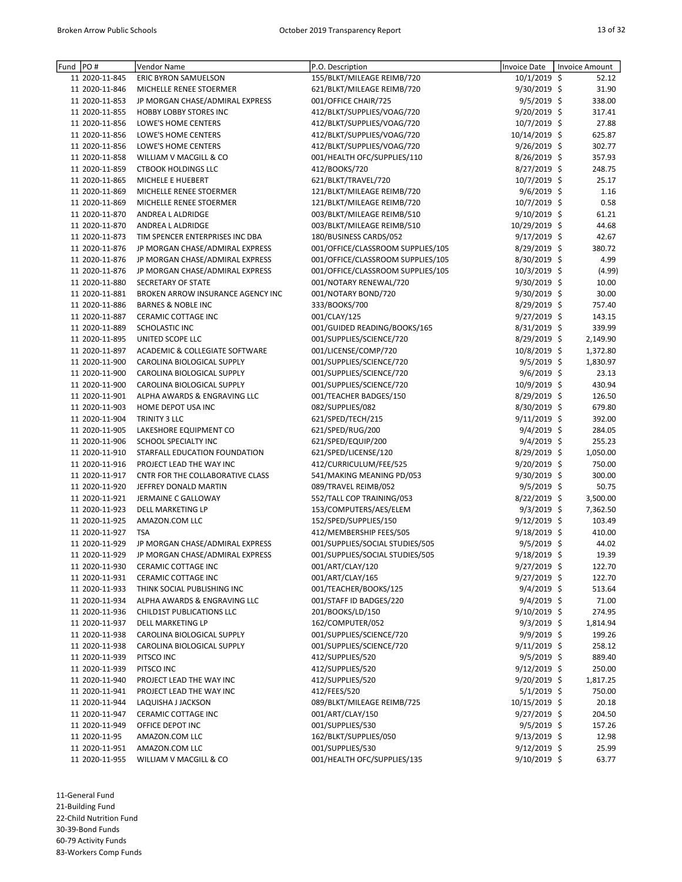| Fund | PO#            | Vendor Name                       | P.O. Description                  | <b>Invoice Date</b> | <b>Invoice Amount</b> |
|------|----------------|-----------------------------------|-----------------------------------|---------------------|-----------------------|
|      | 11 2020-11-845 | ERIC BYRON SAMUELSON              | 155/BLKT/MILEAGE REIMB/720        | $10/1/2019$ \$      | 52.12                 |
|      | 11 2020-11-846 | MICHELLE RENEE STOERMER           | 621/BLKT/MILEAGE REIMB/720        | 9/30/2019 \$        | 31.90                 |
|      | 11 2020-11-853 | JP MORGAN CHASE/ADMIRAL EXPRESS   | 001/OFFICE CHAIR/725              | 9/5/2019 \$         | 338.00                |
|      | 11 2020-11-855 | <b>HOBBY LOBBY STORES INC</b>     | 412/BLKT/SUPPLIES/VOAG/720        | 9/20/2019 \$        | 317.41                |
|      | 11 2020-11-856 | LOWE'S HOME CENTERS               | 412/BLKT/SUPPLIES/VOAG/720        | 10/7/2019 \$        | 27.88                 |
|      | 11 2020-11-856 | LOWE'S HOME CENTERS               | 412/BLKT/SUPPLIES/VOAG/720        | 10/14/2019 \$       | 625.87                |
|      | 11 2020-11-856 | LOWE'S HOME CENTERS               | 412/BLKT/SUPPLIES/VOAG/720        | 9/26/2019 \$        | 302.77                |
|      | 11 2020-11-858 | WILLIAM V MACGILL & CO            | 001/HEALTH OFC/SUPPLIES/110       | 8/26/2019 \$        | 357.93                |
|      | 11 2020-11-859 | <b>CTBOOK HOLDINGS LLC</b>        | 412/BOOKS/720                     | 8/27/2019 \$        | 248.75                |
|      | 11 2020-11-865 | MICHELE E HUEBERT                 | 621/BLKT/TRAVEL/720               | $10/7/2019$ \$      | 25.17                 |
|      | 11 2020-11-869 | MICHELLE RENEE STOERMER           | 121/BLKT/MILEAGE REIMB/720        | $9/6/2019$ \$       | 1.16                  |
|      | 11 2020-11-869 | MICHELLE RENEE STOERMER           | 121/BLKT/MILEAGE REIMB/720        | 10/7/2019 \$        | 0.58                  |
|      | 11 2020-11-870 | ANDREA L ALDRIDGE                 | 003/BLKT/MILEAGE REIMB/510        | 9/10/2019 \$        | 61.21                 |
|      | 11 2020-11-870 | ANDREA L ALDRIDGE                 | 003/BLKT/MILEAGE REIMB/510        | 10/29/2019 \$       | 44.68                 |
|      | 11 2020-11-873 | TIM SPENCER ENTERPRISES INC DBA   | 180/BUSINESS CARDS/052            | $9/17/2019$ \$      | 42.67                 |
|      | 11 2020-11-876 | JP MORGAN CHASE/ADMIRAL EXPRESS   | 001/OFFICE/CLASSROOM SUPPLIES/105 | 8/29/2019 \$        | 380.72                |
|      | 11 2020-11-876 | JP MORGAN CHASE/ADMIRAL EXPRESS   | 001/OFFICE/CLASSROOM SUPPLIES/105 | 8/30/2019 \$        | 4.99                  |
|      | 11 2020-11-876 | JP MORGAN CHASE/ADMIRAL EXPRESS   | 001/OFFICE/CLASSROOM SUPPLIES/105 | 10/3/2019 \$        | (4.99)                |
|      | 11 2020-11-880 | SECRETARY OF STATE                | 001/NOTARY RENEWAL/720            | $9/30/2019$ \$      | 10.00                 |
|      | 11 2020-11-881 | BROKEN ARROW INSURANCE AGENCY INC | 001/NOTARY BOND/720               | 9/30/2019 \$        | 30.00                 |
|      | 11 2020-11-886 | <b>BARNES &amp; NOBLE INC</b>     | 333/BOOKS/700                     | 8/29/2019 \$        | 757.40                |
|      | 11 2020-11-887 | CERAMIC COTTAGE INC               | 001/CLAY/125                      | 9/27/2019 \$        | 143.15                |
|      | 11 2020-11-889 | SCHOLASTIC INC                    | 001/GUIDED READING/BOOKS/165      | 8/31/2019 \$        | 339.99                |
|      | 11 2020-11-895 | UNITED SCOPE LLC                  | 001/SUPPLIES/SCIENCE/720          | $8/29/2019$ \$      | 2,149.90              |
|      | 11 2020-11-897 | ACADEMIC & COLLEGIATE SOFTWARE    | 001/LICENSE/COMP/720              | $10/8/2019$ \$      | 1,372.80              |
|      | 11 2020-11-900 | CAROLINA BIOLOGICAL SUPPLY        | 001/SUPPLIES/SCIENCE/720          | $9/5/2019$ \$       | 1,830.97              |
|      | 11 2020-11-900 | CAROLINA BIOLOGICAL SUPPLY        | 001/SUPPLIES/SCIENCE/720          | $9/6/2019$ \$       | 23.13                 |
|      | 11 2020-11-900 |                                   |                                   | 10/9/2019 \$        | 430.94                |
|      |                | CAROLINA BIOLOGICAL SUPPLY        | 001/SUPPLIES/SCIENCE/720          |                     |                       |
|      | 11 2020-11-901 | ALPHA AWARDS & ENGRAVING LLC      | 001/TEACHER BADGES/150            | 8/29/2019 \$        | 126.50                |
|      | 11 2020-11-903 | HOME DEPOT USA INC                | 082/SUPPLIES/082                  | 8/30/2019 \$        | 679.80                |
|      | 11 2020-11-904 | TRINITY 3 LLC                     | 621/SPED/TECH/215                 | $9/11/2019$ \$      | 392.00                |
|      | 11 2020-11-905 | LAKESHORE EQUIPMENT CO            | 621/SPED/RUG/200                  | 9/4/2019 \$         | 284.05                |
|      | 11 2020-11-906 | SCHOOL SPECIALTY INC              | 621/SPED/EQUIP/200                | 9/4/2019 \$         | 255.23                |
|      | 11 2020-11-910 | STARFALL EDUCATION FOUNDATION     | 621/SPED/LICENSE/120              | 8/29/2019 \$        | 1,050.00              |
|      | 11 2020-11-916 | PROJECT LEAD THE WAY INC          | 412/CURRICULUM/FEE/525            | $9/20/2019$ \$      | 750.00                |
|      | 11 2020-11-917 | CNTR FOR THE COLLABORATIVE CLASS  | 541/MAKING MEANING PD/053         | 9/30/2019 \$        | 300.00                |
|      | 11 2020-11-920 | JEFFREY DONALD MARTIN             | 089/TRAVEL REIMB/052              | 9/5/2019 \$         | 50.75                 |
|      | 11 2020-11-921 | JERMAINE C GALLOWAY               | 552/TALL COP TRAINING/053         | 8/22/2019 \$        | 3,500.00              |
|      | 11 2020-11-923 | DELL MARKETING LP                 | 153/COMPUTERS/AES/ELEM            | $9/3/2019$ \$       | 7,362.50              |
|      | 11 2020-11-925 | AMAZON.COM LLC                    | 152/SPED/SUPPLIES/150             | $9/12/2019$ \$      | 103.49                |
|      | 11 2020-11-927 | <b>TSA</b>                        | 412/MEMBERSHIP FEES/505           | $9/18/2019$ \$      | 410.00                |
|      | 11 2020-11-929 | JP MORGAN CHASE/ADMIRAL EXPRESS   | 001/SUPPLIES/SOCIAL STUDIES/505   | $9/5/2019$ \$       | 44.02                 |
|      | 11 2020-11-929 | JP MORGAN CHASE/ADMIRAL EXPRESS   | 001/SUPPLIES/SOCIAL STUDIES/505   | 9/18/2019 \$        | 19.39                 |
|      | 11 2020-11-930 | CERAMIC COTTAGE INC               | 001/ART/CLAY/120                  | $9/27/2019$ \$      | 122.70                |
|      | 11 2020-11-931 | CERAMIC COTTAGE INC               | 001/ART/CLAY/165                  | 9/27/2019 \$        | 122.70                |
|      | 11 2020-11-933 | THINK SOCIAL PUBLISHING INC       | 001/TEACHER/BOOKS/125             | $9/4/2019$ \$       | 513.64                |
|      | 11 2020-11-934 | ALPHA AWARDS & ENGRAVING LLC      | 001/STAFF ID BADGES/220           | $9/4/2019$ \$       | 71.00                 |
|      | 11 2020-11-936 | CHILD1ST PUBLICATIONS LLC         | 201/BOOKS/LD/150                  | $9/10/2019$ \$      | 274.95                |
|      | 11 2020-11-937 | DELL MARKETING LP                 | 162/COMPUTER/052                  | $9/3/2019$ \$       | 1,814.94              |
|      | 11 2020-11-938 | CAROLINA BIOLOGICAL SUPPLY        | 001/SUPPLIES/SCIENCE/720          | $9/9/2019$ \$       | 199.26                |
|      | 11 2020-11-938 | CAROLINA BIOLOGICAL SUPPLY        | 001/SUPPLIES/SCIENCE/720          | $9/11/2019$ \$      | 258.12                |
|      | 11 2020-11-939 | PITSCO INC                        | 412/SUPPLIES/520                  | $9/5/2019$ \$       | 889.40                |
|      | 11 2020-11-939 | PITSCO INC                        | 412/SUPPLIES/520                  | $9/12/2019$ \$      | 250.00                |
|      | 11 2020-11-940 | PROJECT LEAD THE WAY INC          | 412/SUPPLIES/520                  | 9/20/2019 \$        | 1,817.25              |
|      | 11 2020-11-941 | PROJECT LEAD THE WAY INC          | 412/FEES/520                      | $5/1/2019$ \$       | 750.00                |
|      | 11 2020-11-944 | LAQUISHA J JACKSON                | 089/BLKT/MILEAGE REIMB/725        | 10/15/2019 \$       | 20.18                 |
|      | 11 2020-11-947 | CERAMIC COTTAGE INC               | 001/ART/CLAY/150                  | 9/27/2019 \$        | 204.50                |
|      | 11 2020-11-949 | OFFICE DEPOT INC                  | 001/SUPPLIES/530                  | $9/5/2019$ \$       | 157.26                |
|      | 11 2020-11-95  | AMAZON.COM LLC                    | 162/BLKT/SUPPLIES/050             | $9/13/2019$ \$      | 12.98                 |
|      | 11 2020-11-951 | AMAZON.COM LLC                    | 001/SUPPLIES/530                  | $9/12/2019$ \$      | 25.99                 |
|      | 11 2020-11-955 | WILLIAM V MACGILL & CO            | 001/HEALTH OFC/SUPPLIES/135       | 9/10/2019 \$        | 63.77                 |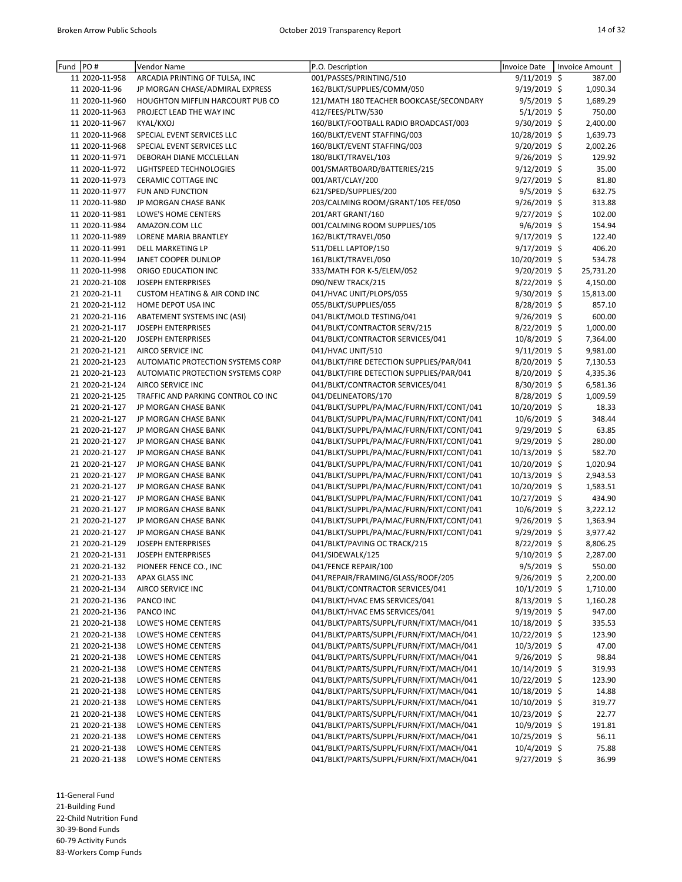| Fund | PO#            | Vendor Name                              | P.O. Description                         | <b>Invoice Date</b> | <b>Invoice Amount</b> |           |
|------|----------------|------------------------------------------|------------------------------------------|---------------------|-----------------------|-----------|
|      | 11 2020-11-958 | ARCADIA PRINTING OF TULSA, INC           | 001/PASSES/PRINTING/510                  | $9/11/2019$ \$      |                       | 387.00    |
|      | 11 2020-11-96  | JP MORGAN CHASE/ADMIRAL EXPRESS          | 162/BLKT/SUPPLIES/COMM/050               | $9/19/2019$ \$      |                       | 1,090.34  |
|      | 11 2020-11-960 | HOUGHTON MIFFLIN HARCOURT PUB CO         | 121/MATH 180 TEACHER BOOKCASE/SECONDARY  | $9/5/2019$ \$       |                       | 1,689.29  |
|      | 11 2020-11-963 | PROJECT LEAD THE WAY INC                 | 412/FEES/PLTW/530                        | 5/1/2019 \$         |                       | 750.00    |
|      | 11 2020-11-967 | KYAL/KXOJ                                | 160/BLKT/FOOTBALL RADIO BROADCAST/003    | 9/30/2019 \$        |                       | 2,400.00  |
|      | 11 2020-11-968 | SPECIAL EVENT SERVICES LLC               | 160/BLKT/EVENT STAFFING/003              | 10/28/2019 \$       |                       | 1,639.73  |
|      | 11 2020-11-968 | SPECIAL EVENT SERVICES LLC               | 160/BLKT/EVENT STAFFING/003              | 9/20/2019 \$        |                       | 2,002.26  |
|      | 11 2020-11-971 | DEBORAH DIANE MCCLELLAN                  | 180/BLKT/TRAVEL/103                      | 9/26/2019 \$        |                       | 129.92    |
|      | 11 2020-11-972 | LIGHTSPEED TECHNOLOGIES                  | 001/SMARTBOARD/BATTERIES/215             | 9/12/2019 \$        |                       | 35.00     |
|      | 11 2020-11-973 | <b>CERAMIC COTTAGE INC</b>               | 001/ART/CLAY/200                         | 9/27/2019 \$        |                       | 81.80     |
|      | 11 2020-11-977 | FUN AND FUNCTION                         | 621/SPED/SUPPLIES/200                    | $9/5/2019$ \$       |                       | 632.75    |
|      | 11 2020-11-980 | JP MORGAN CHASE BANK                     | 203/CALMING ROOM/GRANT/105 FEE/050       | 9/26/2019 \$        |                       | 313.88    |
|      | 11 2020-11-981 | LOWE'S HOME CENTERS                      | 201/ART GRANT/160                        | 9/27/2019 \$        |                       | 102.00    |
|      | 11 2020-11-984 | AMAZON.COM LLC                           | 001/CALMING ROOM SUPPLIES/105            | $9/6/2019$ \$       |                       | 154.94    |
|      | 11 2020-11-989 | LORENE MARIA BRANTLEY                    | 162/BLKT/TRAVEL/050                      | 9/17/2019 \$        |                       | 122.40    |
|      | 11 2020-11-991 | <b>DELL MARKETING LP</b>                 | 511/DELL LAPTOP/150                      | 9/17/2019 \$        |                       | 406.20    |
|      | 11 2020-11-994 | JANET COOPER DUNLOP                      | 161/BLKT/TRAVEL/050                      | 10/20/2019 \$       |                       | 534.78    |
|      | 11 2020-11-998 | ORIGO EDUCATION INC                      | 333/MATH FOR K-5/ELEM/052                | 9/20/2019 \$        |                       | 25,731.20 |
|      | 21 2020-21-108 | JOSEPH ENTERPRISES                       | 090/NEW TRACK/215                        | 8/22/2019 \$        |                       | 4,150.00  |
|      | 21 2020-21-11  | <b>CUSTOM HEATING &amp; AIR COND INC</b> | 041/HVAC UNIT/PLOPS/055                  | 9/30/2019 \$        |                       | 15,813.00 |
|      | 21 2020-21-112 | HOME DEPOT USA INC                       | 055/BLKT/SUPPLIES/055                    | 8/28/2019 \$        |                       | 857.10    |
|      | 21 2020-21-116 | ABATEMENT SYSTEMS INC (ASI)              | 041/BLKT/MOLD TESTING/041                | $9/26/2019$ \$      |                       | 600.00    |
|      | 21 2020-21-117 | JOSEPH ENTERPRISES                       | 041/BLKT/CONTRACTOR SERV/215             | 8/22/2019 \$        |                       | 1,000.00  |
|      | 21 2020-21-120 | JOSEPH ENTERPRISES                       | 041/BLKT/CONTRACTOR SERVICES/041         | 10/8/2019 \$        |                       | 7,364.00  |
|      | 21 2020-21-121 | <b>AIRCO SERVICE INC</b>                 | 041/HVAC UNIT/510                        | $9/11/2019$ \$      |                       | 9,981.00  |
|      | 21 2020-21-123 | AUTOMATIC PROTECTION SYSTEMS CORP        | 041/BLKT/FIRE DETECTION SUPPLIES/PAR/041 | 8/20/2019 \$        |                       | 7,130.53  |
|      | 21 2020-21-123 | AUTOMATIC PROTECTION SYSTEMS CORP        | 041/BLKT/FIRE DETECTION SUPPLIES/PAR/041 | 8/20/2019 \$        |                       | 4,335.36  |
|      | 21 2020-21-124 | AIRCO SERVICE INC                        | 041/BLKT/CONTRACTOR SERVICES/041         | 8/30/2019 \$        |                       | 6,581.36  |
|      | 21 2020-21-125 | TRAFFIC AND PARKING CONTROL CO INC       | 041/DELINEATORS/170                      | 8/28/2019 \$        |                       | 1,009.59  |
|      | 21 2020-21-127 | JP MORGAN CHASE BANK                     | 041/BLKT/SUPPL/PA/MAC/FURN/FIXT/CONT/041 | 10/20/2019 \$       |                       | 18.33     |
|      | 21 2020-21-127 | JP MORGAN CHASE BANK                     | 041/BLKT/SUPPL/PA/MAC/FURN/FIXT/CONT/041 | 10/6/2019 \$        |                       | 348.44    |
|      | 21 2020-21-127 | JP MORGAN CHASE BANK                     | 041/BLKT/SUPPL/PA/MAC/FURN/FIXT/CONT/041 | 9/29/2019 \$        |                       | 63.85     |
|      | 21 2020-21-127 | JP MORGAN CHASE BANK                     | 041/BLKT/SUPPL/PA/MAC/FURN/FIXT/CONT/041 | 9/29/2019 \$        |                       | 280.00    |
|      | 21 2020-21-127 | JP MORGAN CHASE BANK                     | 041/BLKT/SUPPL/PA/MAC/FURN/FIXT/CONT/041 | 10/13/2019 \$       |                       | 582.70    |
|      | 21 2020-21-127 | JP MORGAN CHASE BANK                     | 041/BLKT/SUPPL/PA/MAC/FURN/FIXT/CONT/041 | 10/20/2019 \$       |                       | 1,020.94  |
|      | 21 2020-21-127 | JP MORGAN CHASE BANK                     | 041/BLKT/SUPPL/PA/MAC/FURN/FIXT/CONT/041 | 10/13/2019 \$       |                       | 2,943.53  |
|      | 21 2020-21-127 | JP MORGAN CHASE BANK                     | 041/BLKT/SUPPL/PA/MAC/FURN/FIXT/CONT/041 | 10/20/2019 \$       |                       | 1,583.51  |
|      | 21 2020-21-127 | JP MORGAN CHASE BANK                     | 041/BLKT/SUPPL/PA/MAC/FURN/FIXT/CONT/041 | 10/27/2019 \$       |                       | 434.90    |
|      | 21 2020-21-127 | JP MORGAN CHASE BANK                     | 041/BLKT/SUPPL/PA/MAC/FURN/FIXT/CONT/041 | 10/6/2019 \$        |                       | 3,222.12  |
|      | 21 2020-21-127 | JP MORGAN CHASE BANK                     | 041/BLKT/SUPPL/PA/MAC/FURN/FIXT/CONT/041 | 9/26/2019 \$        |                       | 1,363.94  |
|      | 21 2020-21-127 | JP MORGAN CHASE BANK                     | 041/BLKT/SUPPL/PA/MAC/FURN/FIXT/CONT/041 | 9/29/2019 \$        |                       | 3,977.42  |
|      | 21 2020-21-129 | <b>JOSEPH ENTERPRISES</b>                | 041/BLKT/PAVING OC TRACK/215             | 8/22/2019 \$        |                       | 8,806.25  |
|      | 21 2020-21-131 | <b>JOSEPH ENTERPRISES</b>                | 041/SIDEWALK/125                         | 9/10/2019 \$        |                       | 2,287.00  |
|      | 21 2020-21-132 | PIONEER FENCE CO., INC                   | 041/FENCE REPAIR/100                     | 9/5/2019 \$         |                       | 550.00    |
|      | 21 2020-21-133 | APAX GLASS INC                           | 041/REPAIR/FRAMING/GLASS/ROOF/205        | 9/26/2019 \$        |                       | 2,200.00  |
|      | 21 2020-21-134 | AIRCO SERVICE INC                        | 041/BLKT/CONTRACTOR SERVICES/041         | 10/1/2019 \$        |                       | 1,710.00  |
|      | 21 2020-21-136 | PANCO INC                                | 041/BLKT/HVAC EMS SERVICES/041           | 8/13/2019 \$        |                       | 1,160.28  |
|      | 21 2020-21-136 | PANCO INC                                | 041/BLKT/HVAC EMS SERVICES/041           | 9/19/2019 \$        |                       | 947.00    |
|      | 21 2020-21-138 | LOWE'S HOME CENTERS                      | 041/BLKT/PARTS/SUPPL/FURN/FIXT/MACH/041  | 10/18/2019 \$       |                       | 335.53    |
|      | 21 2020-21-138 | LOWE'S HOME CENTERS                      | 041/BLKT/PARTS/SUPPL/FURN/FIXT/MACH/041  | 10/22/2019 \$       |                       | 123.90    |
|      | 21 2020-21-138 | LOWE'S HOME CENTERS                      | 041/BLKT/PARTS/SUPPL/FURN/FIXT/MACH/041  | 10/3/2019 \$        |                       | 47.00     |
|      | 21 2020-21-138 | LOWE'S HOME CENTERS                      | 041/BLKT/PARTS/SUPPL/FURN/FIXT/MACH/041  | $9/26/2019$ \$      |                       | 98.84     |
|      | 21 2020-21-138 | LOWE'S HOME CENTERS                      | 041/BLKT/PARTS/SUPPL/FURN/FIXT/MACH/041  | 10/14/2019 \$       |                       | 319.93    |
|      | 21 2020-21-138 | LOWE'S HOME CENTERS                      | 041/BLKT/PARTS/SUPPL/FURN/FIXT/MACH/041  | 10/22/2019 \$       |                       | 123.90    |
|      | 21 2020-21-138 | LOWE'S HOME CENTERS                      | 041/BLKT/PARTS/SUPPL/FURN/FIXT/MACH/041  | 10/18/2019 \$       |                       | 14.88     |
|      | 21 2020-21-138 | LOWE'S HOME CENTERS                      | 041/BLKT/PARTS/SUPPL/FURN/FIXT/MACH/041  | 10/10/2019 \$       |                       | 319.77    |
|      | 21 2020-21-138 | LOWE'S HOME CENTERS                      | 041/BLKT/PARTS/SUPPL/FURN/FIXT/MACH/041  | 10/23/2019 \$       |                       | 22.77     |
|      | 21 2020-21-138 | LOWE'S HOME CENTERS                      | 041/BLKT/PARTS/SUPPL/FURN/FIXT/MACH/041  | 10/9/2019 \$        |                       | 191.81    |
|      | 21 2020-21-138 | LOWE'S HOME CENTERS                      | 041/BLKT/PARTS/SUPPL/FURN/FIXT/MACH/041  | 10/25/2019 \$       |                       | 56.11     |
|      | 21 2020-21-138 | LOWE'S HOME CENTERS                      | 041/BLKT/PARTS/SUPPL/FURN/FIXT/MACH/041  | 10/4/2019 \$        |                       | 75.88     |
|      | 21 2020-21-138 | LOWE'S HOME CENTERS                      | 041/BLKT/PARTS/SUPPL/FURN/FIXT/MACH/041  | 9/27/2019 \$        |                       | 36.99     |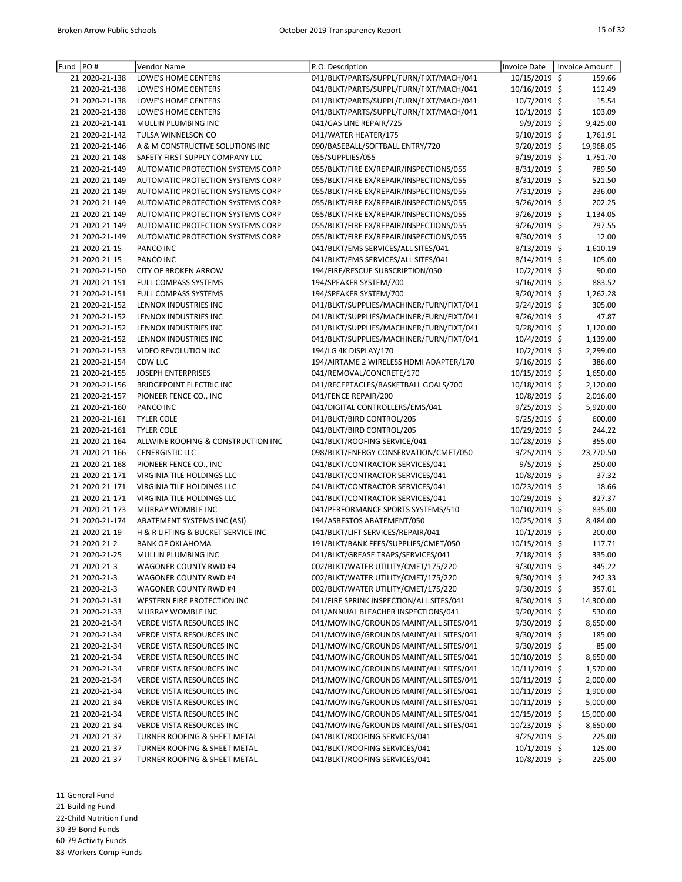| Fund | PO#            | Vendor Name                        | P.O. Description                         | Invoice Date    | Invoice Amount |
|------|----------------|------------------------------------|------------------------------------------|-----------------|----------------|
|      | 21 2020-21-138 | LOWE'S HOME CENTERS                | 041/BLKT/PARTS/SUPPL/FURN/FIXT/MACH/041  | 10/15/2019 \$   | 159.66         |
|      | 21 2020-21-138 | LOWE'S HOME CENTERS                | 041/BLKT/PARTS/SUPPL/FURN/FIXT/MACH/041  | 10/16/2019 \$   | 112.49         |
|      | 21 2020-21-138 | LOWE'S HOME CENTERS                | 041/BLKT/PARTS/SUPPL/FURN/FIXT/MACH/041  | 10/7/2019 \$    | 15.54          |
|      | 21 2020-21-138 | LOWE'S HOME CENTERS                | 041/BLKT/PARTS/SUPPL/FURN/FIXT/MACH/041  | 10/1/2019 \$    | 103.09         |
|      | 21 2020-21-141 | MULLIN PLUMBING INC                | 041/GAS LINE REPAIR/725                  | 9/9/2019 \$     | 9,425.00       |
|      | 21 2020-21-142 | TULSA WINNELSON CO                 | 041/WATER HEATER/175                     | 9/10/2019 \$    | 1,761.91       |
|      | 21 2020-21-146 | A & M CONSTRUCTIVE SOLUTIONS INC   | 090/BASEBALL/SOFTBALL ENTRY/720          | 9/20/2019 \$    | 19,968.05      |
|      | 21 2020-21-148 | SAFETY FIRST SUPPLY COMPANY LLC    | 055/SUPPLIES/055                         | 9/19/2019 \$    | 1,751.70       |
|      | 21 2020-21-149 | AUTOMATIC PROTECTION SYSTEMS CORP  | 055/BLKT/FIRE EX/REPAIR/INSPECTIONS/055  | 8/31/2019 \$    | 789.50         |
|      | 21 2020-21-149 | AUTOMATIC PROTECTION SYSTEMS CORP  | 055/BLKT/FIRE EX/REPAIR/INSPECTIONS/055  | 8/31/2019 \$    | 521.50         |
|      | 21 2020-21-149 | AUTOMATIC PROTECTION SYSTEMS CORP  | 055/BLKT/FIRE EX/REPAIR/INSPECTIONS/055  | 7/31/2019 \$    | 236.00         |
|      | 21 2020-21-149 | AUTOMATIC PROTECTION SYSTEMS CORP  | 055/BLKT/FIRE EX/REPAIR/INSPECTIONS/055  | 9/26/2019 \$    | 202.25         |
|      | 21 2020-21-149 | AUTOMATIC PROTECTION SYSTEMS CORP  | 055/BLKT/FIRE EX/REPAIR/INSPECTIONS/055  | 9/26/2019 \$    | 1,134.05       |
|      | 21 2020-21-149 | AUTOMATIC PROTECTION SYSTEMS CORP  | 055/BLKT/FIRE EX/REPAIR/INSPECTIONS/055  | 9/26/2019 \$    | 797.55         |
|      | 21 2020-21-149 | AUTOMATIC PROTECTION SYSTEMS CORP  | 055/BLKT/FIRE EX/REPAIR/INSPECTIONS/055  | $9/30/2019$ \$  | 12.00          |
|      | 21 2020-21-15  | PANCO INC                          | 041/BLKT/EMS SERVICES/ALL SITES/041      | $8/13/2019$ \$  | 1,610.19       |
|      | 21 2020-21-15  | PANCO INC                          | 041/BLKT/EMS SERVICES/ALL SITES/041      | 8/14/2019 \$    | 105.00         |
|      | 21 2020-21-150 | <b>CITY OF BROKEN ARROW</b>        | 194/FIRE/RESCUE SUBSCRIPTION/050         | 10/2/2019 \$    | 90.00          |
|      | 21 2020-21-151 | FULL COMPASS SYSTEMS               | 194/SPEAKER SYSTEM/700                   | 9/16/2019 \$    | 883.52         |
|      | 21 2020-21-151 | FULL COMPASS SYSTEMS               | 194/SPEAKER SYSTEM/700                   | $9/20/2019$ \$  | 1,262.28       |
|      | 21 2020-21-152 | LENNOX INDUSTRIES INC              | 041/BLKT/SUPPLIES/MACHINER/FURN/FIXT/041 | $9/24/2019$ \$  | 305.00         |
|      | 21 2020-21-152 | LENNOX INDUSTRIES INC              | 041/BLKT/SUPPLIES/MACHINER/FURN/FIXT/041 | 9/26/2019 \$    | 47.87          |
|      | 21 2020-21-152 | LENNOX INDUSTRIES INC              | 041/BLKT/SUPPLIES/MACHINER/FURN/FIXT/041 | 9/28/2019 \$    | 1,120.00       |
|      | 21 2020-21-152 | LENNOX INDUSTRIES INC              | 041/BLKT/SUPPLIES/MACHINER/FURN/FIXT/041 | 10/4/2019 \$    | 1,139.00       |
|      | 21 2020-21-153 | VIDEO REVOLUTION INC               | 194/LG 4K DISPLAY/170                    | 10/2/2019 \$    | 2,299.00       |
|      | 21 2020-21-154 | CDW LLC                            | 194/AIRTAME 2 WIRELESS HDMI ADAPTER/170  | $9/16/2019$ \$  | 386.00         |
|      | 21 2020-21-155 | JOSEPH ENTERPRISES                 | 041/REMOVAL/CONCRETE/170                 | 10/15/2019 \$   | 1,650.00       |
|      | 21 2020-21-156 | <b>BRIDGEPOINT ELECTRIC INC</b>    | 041/RECEPTACLES/BASKETBALL GOALS/700     | 10/18/2019 \$   | 2,120.00       |
|      | 21 2020-21-157 | PIONEER FENCE CO., INC             | 041/FENCE REPAIR/200                     | $10/8/2019$ \$  | 2,016.00       |
|      | 21 2020-21-160 | PANCO INC                          | 041/DIGITAL CONTROLLERS/EMS/041          | $9/25/2019$ \$  | 5,920.00       |
|      | 21 2020-21-161 | <b>TYLER COLE</b>                  | 041/BLKT/BIRD CONTROL/205                | 9/25/2019 \$    | 600.00         |
|      | 21 2020-21-161 | <b>TYLER COLE</b>                  | 041/BLKT/BIRD CONTROL/205                | 10/29/2019 \$   | 244.22         |
|      | 21 2020-21-164 | ALLWINE ROOFING & CONSTRUCTION INC | 041/BLKT/ROOFING SERVICE/041             | 10/28/2019 \$   | 355.00         |
|      | 21 2020-21-166 | <b>CENERGISTIC LLC</b>             | 098/BLKT/ENERGY CONSERVATION/CMET/050    | $9/25/2019$ \$  | 23,770.50      |
|      | 21 2020-21-168 | PIONEER FENCE CO., INC             | 041/BLKT/CONTRACTOR SERVICES/041         | 9/5/2019 \$     | 250.00         |
|      | 21 2020-21-171 | VIRGINIA TILE HOLDINGS LLC         | 041/BLKT/CONTRACTOR SERVICES/041         | 10/8/2019 \$    | 37.32          |
|      | 21 2020-21-171 | VIRGINIA TILE HOLDINGS LLC         | 041/BLKT/CONTRACTOR SERVICES/041         | 10/23/2019 \$   | 18.66          |
|      | 21 2020-21-171 | VIRGINIA TILE HOLDINGS LLC         | 041/BLKT/CONTRACTOR SERVICES/041         | 10/29/2019 \$   | 327.37         |
|      | 21 2020-21-173 | MURRAY WOMBLE INC                  | 041/PERFORMANCE SPORTS SYSTEMS/510       | 10/10/2019 \$   | 835.00         |
|      | 21 2020-21-174 | ABATEMENT SYSTEMS INC (ASI)        | 194/ASBESTOS ABATEMENT/050               | 10/25/2019 \$   | 8,484.00       |
|      | 21 2020-21-19  | H & R LIFTING & BUCKET SERVICE INC | 041/BLKT/LIFT SERVICES/REPAIR/041        | $10/1/2019$ \$  | 200.00         |
|      | 21 2020-21-2   | <b>BANK OF OKLAHOMA</b>            | 191/BLKT/BANK FEES/SUPPLIES/CMET/050     | 10/15/2019 \$   | 117.71         |
|      | 21 2020-21-25  | MULLIN PLUMBING INC                | 041/BLKT/GREASE TRAPS/SERVICES/041       | 7/18/2019 \$    | 335.00         |
|      | 21 2020-21-3   | WAGONER COUNTY RWD #4              | 002/BLKT/WATER UTILITY/CMET/175/220      | 9/30/2019 \$    | 345.22         |
|      | 21 2020-21-3   | WAGONER COUNTY RWD #4              | 002/BLKT/WATER UTILITY/CMET/175/220      | 9/30/2019 \$    | 242.33         |
|      | 21 2020-21-3   | WAGONER COUNTY RWD #4              | 002/BLKT/WATER UTILITY/CMET/175/220      | 9/30/2019 \$    | 357.01         |
|      | 21 2020-21-31  | WESTERN FIRE PROTECTION INC        | 041/FIRE SPRINK INSPECTION/ALL SITES/041 | 9/30/2019 \$    | 14,300.00      |
|      | 21 2020-21-33  | MURRAY WOMBLE INC                  | 041/ANNUAL BLEACHER INSPECTIONS/041      | 9/20/2019 \$    | 530.00         |
|      | 21 2020-21-34  | VERDE VISTA RESOURCES INC          | 041/MOWING/GROUNDS MAINT/ALL SITES/041   | 9/30/2019 \$    | 8,650.00       |
|      | 21 2020-21-34  | <b>VERDE VISTA RESOURCES INC</b>   | 041/MOWING/GROUNDS MAINT/ALL SITES/041   | $9/30/2019$ \$  | 185.00         |
|      | 21 2020-21-34  | <b>VERDE VISTA RESOURCES INC</b>   | 041/MOWING/GROUNDS MAINT/ALL SITES/041   | 9/30/2019 \$    | 85.00          |
|      | 21 2020-21-34  | VERDE VISTA RESOURCES INC          | 041/MOWING/GROUNDS MAINT/ALL SITES/041   | 10/10/2019 \$   | 8,650.00       |
|      | 21 2020-21-34  | VERDE VISTA RESOURCES INC          | 041/MOWING/GROUNDS MAINT/ALL SITES/041   | 10/11/2019 \$   | 1,570.00       |
|      | 21 2020-21-34  | VERDE VISTA RESOURCES INC          | 041/MOWING/GROUNDS MAINT/ALL SITES/041   | 10/11/2019 \$   | 2,000.00       |
|      | 21 2020-21-34  | VERDE VISTA RESOURCES INC          | 041/MOWING/GROUNDS MAINT/ALL SITES/041   | $10/11/2019$ \$ | 1,900.00       |
|      | 21 2020-21-34  | VERDE VISTA RESOURCES INC          | 041/MOWING/GROUNDS MAINT/ALL SITES/041   | $10/11/2019$ \$ | 5,000.00       |
|      | 21 2020-21-34  | VERDE VISTA RESOURCES INC          | 041/MOWING/GROUNDS MAINT/ALL SITES/041   | 10/15/2019 \$   | 15,000.00      |
|      | 21 2020-21-34  | VERDE VISTA RESOURCES INC          | 041/MOWING/GROUNDS MAINT/ALL SITES/041   | 10/23/2019 \$   | 8,650.00       |
|      | 21 2020-21-37  | TURNER ROOFING & SHEET METAL       | 041/BLKT/ROOFING SERVICES/041            | 9/25/2019 \$    | 225.00         |
|      | 21 2020-21-37  | TURNER ROOFING & SHEET METAL       | 041/BLKT/ROOFING SERVICES/041            | $10/1/2019$ \$  | 125.00         |
|      | 21 2020-21-37  | TURNER ROOFING & SHEET METAL       | 041/BLKT/ROOFING SERVICES/041            | 10/8/2019 \$    | 225.00         |

11-General Fund 21-Building Fund 22-Child Nutrition Fund

30-39-Bond Funds

60-79 Activity Funds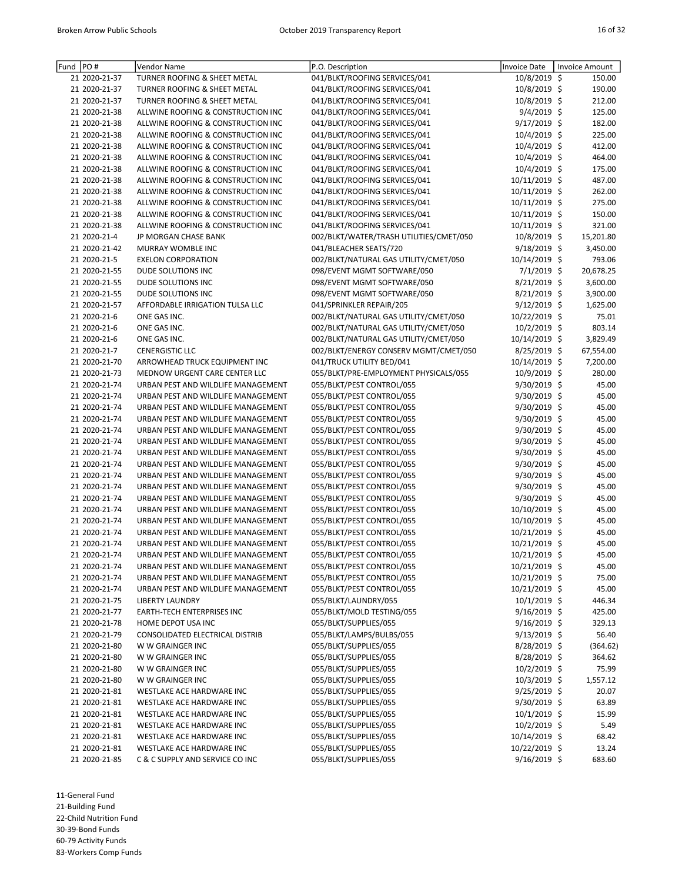| Fund  PO# |               | Vendor Name                        | P.O. Description                        | Invoice Date   | <b>Invoice Amount</b> |
|-----------|---------------|------------------------------------|-----------------------------------------|----------------|-----------------------|
|           | 21 2020-21-37 | TURNER ROOFING & SHEET METAL       | 041/BLKT/ROOFING SERVICES/041           | 10/8/2019 \$   | 150.00                |
|           | 21 2020-21-37 | TURNER ROOFING & SHEET METAL       | 041/BLKT/ROOFING SERVICES/041           | 10/8/2019 \$   | 190.00                |
|           | 21 2020-21-37 | TURNER ROOFING & SHEET METAL       | 041/BLKT/ROOFING SERVICES/041           | 10/8/2019 \$   | 212.00                |
|           | 21 2020-21-38 | ALLWINE ROOFING & CONSTRUCTION INC | 041/BLKT/ROOFING SERVICES/041           | 9/4/2019 \$    | 125.00                |
|           | 21 2020-21-38 | ALLWINE ROOFING & CONSTRUCTION INC | 041/BLKT/ROOFING SERVICES/041           | 9/17/2019 \$   | 182.00                |
|           | 21 2020-21-38 | ALLWINE ROOFING & CONSTRUCTION INC | 041/BLKT/ROOFING SERVICES/041           | 10/4/2019 \$   | 225.00                |
|           | 21 2020-21-38 | ALLWINE ROOFING & CONSTRUCTION INC | 041/BLKT/ROOFING SERVICES/041           | 10/4/2019 \$   | 412.00                |
|           | 21 2020-21-38 | ALLWINE ROOFING & CONSTRUCTION INC | 041/BLKT/ROOFING SERVICES/041           | 10/4/2019 \$   | 464.00                |
|           | 21 2020-21-38 | ALLWINE ROOFING & CONSTRUCTION INC | 041/BLKT/ROOFING SERVICES/041           | 10/4/2019 \$   | 175.00                |
|           | 21 2020-21-38 | ALLWINE ROOFING & CONSTRUCTION INC | 041/BLKT/ROOFING SERVICES/041           | 10/11/2019 \$  | 487.00                |
|           | 21 2020-21-38 | ALLWINE ROOFING & CONSTRUCTION INC | 041/BLKT/ROOFING SERVICES/041           | 10/11/2019 \$  | 262.00                |
|           | 21 2020-21-38 | ALLWINE ROOFING & CONSTRUCTION INC | 041/BLKT/ROOFING SERVICES/041           | 10/11/2019 \$  | 275.00                |
|           | 21 2020-21-38 | ALLWINE ROOFING & CONSTRUCTION INC | 041/BLKT/ROOFING SERVICES/041           | 10/11/2019 \$  | 150.00                |
|           | 21 2020-21-38 | ALLWINE ROOFING & CONSTRUCTION INC | 041/BLKT/ROOFING SERVICES/041           | 10/11/2019 \$  | 321.00                |
|           | 21 2020-21-4  | JP MORGAN CHASE BANK               | 002/BLKT/WATER/TRASH UTILITIES/CMET/050 | 10/8/2019 \$   | 15,201.80             |
|           | 21 2020-21-42 | MURRAY WOMBLE INC                  | 041/BLEACHER SEATS/720                  | $9/18/2019$ \$ | 3,450.00              |
|           | 21 2020-21-5  | <b>EXELON CORPORATION</b>          | 002/BLKT/NATURAL GAS UTILITY/CMET/050   | 10/14/2019 \$  | 793.06                |
|           | 21 2020-21-55 | DUDE SOLUTIONS INC                 | 098/EVENT MGMT SOFTWARE/050             | 7/1/2019 \$    | 20,678.25             |
|           | 21 2020-21-55 | DUDE SOLUTIONS INC                 | 098/EVENT MGMT SOFTWARE/050             | 8/21/2019 \$   | 3,600.00              |
|           | 21 2020-21-55 | DUDE SOLUTIONS INC                 | 098/EVENT MGMT SOFTWARE/050             | $8/21/2019$ \$ | 3,900.00              |
|           | 21 2020-21-57 | AFFORDABLE IRRIGATION TULSA LLC    | 041/SPRINKLER REPAIR/205                | $9/12/2019$ \$ | 1,625.00              |
|           | 21 2020-21-6  | ONE GAS INC.                       | 002/BLKT/NATURAL GAS UTILITY/CMET/050   | 10/22/2019 \$  | 75.01                 |
|           | 21 2020-21-6  | ONE GAS INC.                       | 002/BLKT/NATURAL GAS UTILITY/CMET/050   | $10/2/2019$ \$ | 803.14                |
|           | 21 2020-21-6  | ONE GAS INC.                       | 002/BLKT/NATURAL GAS UTILITY/CMET/050   | 10/14/2019 \$  | 3,829.49              |
|           | 21 2020-21-7  | <b>CENERGISTIC LLC</b>             | 002/BLKT/ENERGY CONSERV MGMT/CMET/050   | $8/25/2019$ \$ | 67,554.00             |
|           | 21 2020-21-70 | ARROWHEAD TRUCK EQUIPMENT INC      | 041/TRUCK UTILITY BED/041               | 10/14/2019 \$  | 7,200.00              |
|           | 21 2020-21-73 | MEDNOW URGENT CARE CENTER LLC      | 055/BLKT/PRE-EMPLOYMENT PHYSICALS/055   | 10/9/2019 \$   | 280.00                |
|           | 21 2020-21-74 | URBAN PEST AND WILDLIFE MANAGEMENT | 055/BLKT/PEST CONTROL/055               | 9/30/2019 \$   | 45.00                 |
|           | 21 2020-21-74 | URBAN PEST AND WILDLIFE MANAGEMENT | 055/BLKT/PEST CONTROL/055               | 9/30/2019 \$   | 45.00                 |
|           | 21 2020-21-74 | URBAN PEST AND WILDLIFE MANAGEMENT | 055/BLKT/PEST CONTROL/055               | 9/30/2019 \$   | 45.00                 |
|           | 21 2020-21-74 | URBAN PEST AND WILDLIFE MANAGEMENT | 055/BLKT/PEST CONTROL/055               | 9/30/2019 \$   | 45.00                 |
|           | 21 2020-21-74 | URBAN PEST AND WILDLIFE MANAGEMENT | 055/BLKT/PEST CONTROL/055               | 9/30/2019 \$   | 45.00                 |
|           | 21 2020-21-74 | URBAN PEST AND WILDLIFE MANAGEMENT | 055/BLKT/PEST CONTROL/055               | 9/30/2019 \$   | 45.00                 |
|           | 21 2020-21-74 | URBAN PEST AND WILDLIFE MANAGEMENT | 055/BLKT/PEST CONTROL/055               | 9/30/2019 \$   | 45.00                 |
|           | 21 2020-21-74 | URBAN PEST AND WILDLIFE MANAGEMENT | 055/BLKT/PEST CONTROL/055               | 9/30/2019 \$   | 45.00                 |
|           | 21 2020-21-74 | URBAN PEST AND WILDLIFE MANAGEMENT | 055/BLKT/PEST CONTROL/055               | 9/30/2019 \$   | 45.00                 |
|           | 21 2020-21-74 | URBAN PEST AND WILDLIFE MANAGEMENT | 055/BLKT/PEST CONTROL/055               | 9/30/2019 \$   | 45.00                 |
|           | 21 2020-21-74 | URBAN PEST AND WILDLIFE MANAGEMENT | 055/BLKT/PEST CONTROL/055               | 9/30/2019 \$   | 45.00                 |
|           | 21 2020-21-74 | URBAN PEST AND WILDLIFE MANAGEMENT | 055/BLKT/PEST CONTROL/055               | 10/10/2019 \$  | 45.00                 |
|           | 21 2020-21-74 | URBAN PEST AND WILDLIFE MANAGEMENT | 055/BLKT/PEST CONTROL/055               | 10/10/2019 \$  | 45.00                 |
|           | 21 2020-21-74 | URBAN PEST AND WILDLIFE MANAGEMENT | 055/BLKT/PEST CONTROL/055               | 10/21/2019 \$  | 45.00                 |
|           | 21 2020-21-74 | URBAN PEST AND WILDLIFE MANAGEMENT | 055/BLKT/PEST CONTROL/055               | 10/21/2019 \$  | 45.00                 |
|           | 21 2020-21-74 | URBAN PEST AND WILDLIFE MANAGEMENT | 055/BLKT/PEST CONTROL/055               | 10/21/2019 \$  | 45.00                 |
|           | 21 2020-21-74 | URBAN PEST AND WILDLIFE MANAGEMENT | 055/BLKT/PEST CONTROL/055               | 10/21/2019 \$  | 45.00                 |
|           | 21 2020-21-74 | URBAN PEST AND WILDLIFE MANAGEMENT | 055/BLKT/PEST CONTROL/055               | 10/21/2019 \$  | 75.00                 |
|           | 21 2020-21-74 | URBAN PEST AND WILDLIFE MANAGEMENT | 055/BLKT/PEST CONTROL/055               | 10/21/2019 \$  | 45.00                 |
|           | 21 2020-21-75 | <b>LIBERTY LAUNDRY</b>             | 055/BLKT/LAUNDRY/055                    | 10/1/2019 \$   | 446.34                |
|           | 21 2020-21-77 | <b>EARTH-TECH ENTERPRISES INC</b>  | 055/BLKT/MOLD TESTING/055               | $9/16/2019$ \$ | 425.00                |
|           | 21 2020-21-78 | HOME DEPOT USA INC                 | 055/BLKT/SUPPLIES/055                   | $9/16/2019$ \$ | 329.13                |
|           | 21 2020-21-79 | CONSOLIDATED ELECTRICAL DISTRIB    | 055/BLKT/LAMPS/BULBS/055                | $9/13/2019$ \$ | 56.40                 |
|           | 21 2020-21-80 | W W GRAINGER INC                   | 055/BLKT/SUPPLIES/055                   | $8/28/2019$ \$ | (364.62)              |
|           | 21 2020-21-80 | W W GRAINGER INC                   | 055/BLKT/SUPPLIES/055                   | $8/28/2019$ \$ | 364.62                |
|           | 21 2020-21-80 | W W GRAINGER INC                   | 055/BLKT/SUPPLIES/055                   | $10/2/2019$ \$ | 75.99                 |
|           | 21 2020-21-80 | W W GRAINGER INC                   | 055/BLKT/SUPPLIES/055                   | $10/3/2019$ \$ | 1,557.12              |
|           | 21 2020-21-81 | WESTLAKE ACE HARDWARE INC          | 055/BLKT/SUPPLIES/055                   | $9/25/2019$ \$ | 20.07                 |
|           | 21 2020-21-81 | WESTLAKE ACE HARDWARE INC          | 055/BLKT/SUPPLIES/055                   | $9/30/2019$ \$ | 63.89                 |
|           | 21 2020-21-81 | WESTLAKE ACE HARDWARE INC          | 055/BLKT/SUPPLIES/055                   | $10/1/2019$ \$ | 15.99                 |
|           | 21 2020-21-81 | WESTLAKE ACE HARDWARE INC          | 055/BLKT/SUPPLIES/055                   | $10/2/2019$ \$ | 5.49                  |
|           | 21 2020-21-81 | WESTLAKE ACE HARDWARE INC          | 055/BLKT/SUPPLIES/055                   | 10/14/2019 \$  | 68.42                 |
|           | 21 2020-21-81 | WESTLAKE ACE HARDWARE INC          | 055/BLKT/SUPPLIES/055                   | 10/22/2019 \$  | 13.24                 |
|           | 21 2020-21-85 | C & C SUPPLY AND SERVICE CO INC    | 055/BLKT/SUPPLIES/055                   | 9/16/2019 \$   | 683.60                |

11-General Fund 21-Building Fund

22-Child Nutrition Fund

30-39-Bond Funds

60-79 Activity Funds 83-Workers Comp Funds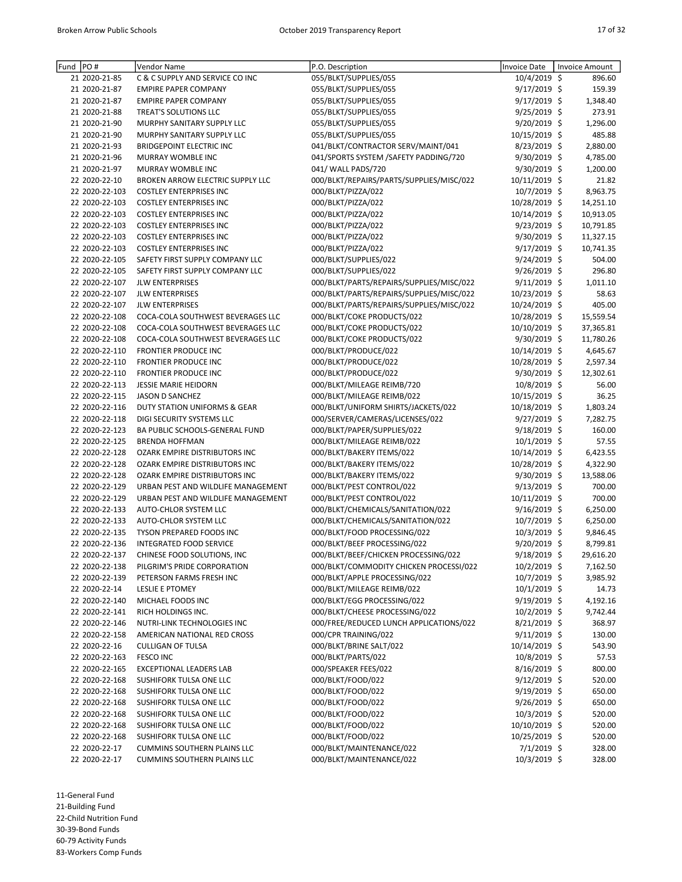| Fund | PO#                             | Vendor Name                        | P.O. Description                         | <b>Invoice Date</b>           | <b>Invoice Amount</b> |
|------|---------------------------------|------------------------------------|------------------------------------------|-------------------------------|-----------------------|
|      | 21 2020-21-85                   | C & C SUPPLY AND SERVICE CO INC    | 055/BLKT/SUPPLIES/055                    | 10/4/2019 \$                  | 896.60                |
|      | 21 2020-21-87                   | <b>EMPIRE PAPER COMPANY</b>        | 055/BLKT/SUPPLIES/055                    | 9/17/2019 \$                  | 159.39                |
|      | 21 2020-21-87                   | <b>EMPIRE PAPER COMPANY</b>        | 055/BLKT/SUPPLIES/055                    | 9/17/2019 \$                  | 1,348.40              |
|      | 21 2020-21-88                   | TREAT'S SOLUTIONS LLC              | 055/BLKT/SUPPLIES/055                    | 9/25/2019 \$                  | 273.91                |
|      | 21 2020-21-90                   | MURPHY SANITARY SUPPLY LLC         | 055/BLKT/SUPPLIES/055                    | 9/20/2019 \$                  | 1,296.00              |
|      | 21 2020-21-90                   | MURPHY SANITARY SUPPLY LLC         | 055/BLKT/SUPPLIES/055                    | 10/15/2019 \$                 | 485.88                |
|      | 21 2020-21-93                   | <b>BRIDGEPOINT ELECTRIC INC</b>    | 041/BLKT/CONTRACTOR SERV/MAINT/041       | 8/23/2019 \$                  | 2,880.00              |
|      | 21 2020-21-96                   | MURRAY WOMBLE INC                  | 041/SPORTS SYSTEM /SAFETY PADDING/720    | 9/30/2019 \$                  | 4,785.00              |
|      | 21 2020-21-97                   | MURRAY WOMBLE INC                  | 041/ WALL PADS/720                       | 9/30/2019 \$                  | 1,200.00              |
|      | 22 2020-22-10                   | BROKEN ARROW ELECTRIC SUPPLY LLC   | 000/BLKT/REPAIRS/PARTS/SUPPLIES/MISC/022 | 10/11/2019 \$                 | 21.82                 |
|      | 22 2020-22-103                  | <b>COSTLEY ENTERPRISES INC</b>     | 000/BLKT/PIZZA/022                       | 10/7/2019 \$                  | 8,963.75              |
|      | 22 2020-22-103                  | <b>COSTLEY ENTERPRISES INC</b>     | 000/BLKT/PIZZA/022                       | 10/28/2019 \$                 | 14,251.10             |
|      | 22 2020-22-103                  | <b>COSTLEY ENTERPRISES INC</b>     | 000/BLKT/PIZZA/022                       | 10/14/2019 \$                 | 10,913.05             |
|      | 22 2020-22-103                  | <b>COSTLEY ENTERPRISES INC</b>     | 000/BLKT/PIZZA/022                       | 9/23/2019 \$                  | 10,791.85             |
|      | 22 2020-22-103                  | <b>COSTLEY ENTERPRISES INC</b>     | 000/BLKT/PIZZA/022                       | $9/30/2019$ \$                | 11,327.15             |
|      | 22 2020-22-103                  | <b>COSTLEY ENTERPRISES INC</b>     | 000/BLKT/PIZZA/022                       | $9/17/2019$ \$                | 10,741.35             |
|      | 22 2020-22-105                  | SAFETY FIRST SUPPLY COMPANY LLC    | 000/BLKT/SUPPLIES/022                    | $9/24/2019$ \$                | 504.00                |
|      | 22 2020-22-105                  | SAFETY FIRST SUPPLY COMPANY LLC    | 000/BLKT/SUPPLIES/022                    | 9/26/2019 \$                  | 296.80                |
|      | 22 2020-22-107                  | <b>JLW ENTERPRISES</b>             | 000/BLKT/PARTS/REPAIRS/SUPPLIES/MISC/022 | $9/11/2019$ \$                | 1,011.10              |
|      | 22 2020-22-107                  | <b>JLW ENTERPRISES</b>             | 000/BLKT/PARTS/REPAIRS/SUPPLIES/MISC/022 | 10/23/2019 \$                 | 58.63                 |
|      | 22 2020-22-107                  | <b>JLW ENTERPRISES</b>             | 000/BLKT/PARTS/REPAIRS/SUPPLIES/MISC/022 | 10/24/2019 \$                 | 405.00                |
|      | 22 2020-22-108                  | COCA-COLA SOUTHWEST BEVERAGES LLC  | 000/BLKT/COKE PRODUCTS/022               | 10/28/2019 \$                 | 15,559.54             |
|      | 22 2020-22-108                  | COCA-COLA SOUTHWEST BEVERAGES LLC  | 000/BLKT/COKE PRODUCTS/022               | 10/10/2019 \$                 | 37,365.81             |
|      | 22 2020-22-108                  | COCA-COLA SOUTHWEST BEVERAGES LLC  | 000/BLKT/COKE PRODUCTS/022               | 9/30/2019 \$                  | 11,780.26             |
|      | 22 2020-22-110                  | FRONTIER PRODUCE INC               | 000/BLKT/PRODUCE/022                     | 10/14/2019 \$                 | 4,645.67              |
|      | 22 2020-22-110                  | FRONTIER PRODUCE INC               | 000/BLKT/PRODUCE/022                     | 10/28/2019 \$                 | 2,597.34              |
|      | 22 2020-22-110                  | FRONTIER PRODUCE INC               | 000/BLKT/PRODUCE/022                     | 9/30/2019 \$                  | 12,302.61             |
|      | 22 2020-22-113                  | <b>JESSIE MARIE HEIDORN</b>        | 000/BLKT/MILEAGE REIMB/720               | 10/8/2019 \$                  | 56.00                 |
|      | 22 2020-22-115                  | <b>JASON D SANCHEZ</b>             | 000/BLKT/MILEAGE REIMB/022               | 10/15/2019 \$                 | 36.25                 |
|      | 22 2020-22-116                  | DUTY STATION UNIFORMS & GEAR       | 000/BLKT/UNIFORM SHIRTS/JACKETS/022      | 10/18/2019 \$                 | 1,803.24              |
|      | 22 2020-22-118                  | DIGI SECURITY SYSTEMS LLC          | 000/SERVER/CAMERAS/LICENSES/022          | $9/27/2019$ \$                | 7,282.75              |
|      | 22 2020-22-123                  | BA PUBLIC SCHOOLS-GENERAL FUND     | 000/BLKT/PAPER/SUPPLIES/022              | $9/18/2019$ \$                | 160.00                |
|      | 22 2020-22-125                  | <b>BRENDA HOFFMAN</b>              | 000/BLKT/MILEAGE REIMB/022               | 10/1/2019 \$                  | 57.55                 |
|      | 22 2020-22-128                  | OZARK EMPIRE DISTRIBUTORS INC      | 000/BLKT/BAKERY ITEMS/022                | 10/14/2019 \$                 | 6,423.55              |
|      | 22 2020-22-128                  | OZARK EMPIRE DISTRIBUTORS INC      | 000/BLKT/BAKERY ITEMS/022                | 10/28/2019 \$                 | 4,322.90              |
|      | 22 2020-22-128                  | OZARK EMPIRE DISTRIBUTORS INC      | 000/BLKT/BAKERY ITEMS/022                | 9/30/2019 \$                  | 13,588.06             |
|      | 22 2020-22-129                  | URBAN PEST AND WILDLIFE MANAGEMENT | 000/BLKT/PEST CONTROL/022                | $9/13/2019$ \$                | 700.00                |
|      | 22 2020-22-129                  | URBAN PEST AND WILDLIFE MANAGEMENT | 000/BLKT/PEST CONTROL/022                | 10/11/2019 \$                 | 700.00                |
|      | 22 2020-22-133                  | AUTO-CHLOR SYSTEM LLC              | 000/BLKT/CHEMICALS/SANITATION/022        | $9/16/2019$ \$                | 6,250.00              |
|      | 22 2020-22-133                  | AUTO-CHLOR SYSTEM LLC              | 000/BLKT/CHEMICALS/SANITATION/022        | 10/7/2019 \$                  | 6,250.00              |
|      | 22 2020-22-135                  | TYSON PREPARED FOODS INC           | 000/BLKT/FOOD PROCESSING/022             | $10/3/2019$ \$                | 9,846.45              |
|      | 22 2020-22-136                  | <b>INTEGRATED FOOD SERVICE</b>     | 000/BLKT/BEEF PROCESSING/022             | $9/20/2019$ \$                | 8,799.81              |
|      | 22 2020-22-137                  | CHINESE FOOD SOLUTIONS, INC        | 000/BLKT/BEEF/CHICKEN PROCESSING/022     | 9/18/2019 \$                  | 29,616.20             |
|      | 22 2020-22-138                  | PILGRIM'S PRIDE CORPORATION        | 000/BLKT/COMMODITY CHICKEN PROCESSI/022  | $10/2/2019$ \$                | 7,162.50              |
|      | 22 2020-22-139                  | PETERSON FARMS FRESH INC           | 000/BLKT/APPLE PROCESSING/022            | 10/7/2019 \$                  | 3,985.92              |
|      | 22 2020-22-14                   | LESLIE E PTOMEY                    | 000/BLKT/MILEAGE REIMB/022               | $10/1/2019$ \$                | 14.73                 |
|      | 22 2020-22-140                  | MICHAEL FOODS INC                  | 000/BLKT/EGG PROCESSING/022              | $9/19/2019$ \$                | 4,192.16              |
|      | 22 2020-22-141                  | RICH HOLDINGS INC.                 | 000/BLKT/CHEESE PROCESSING/022           | $10/2/2019$ \$                | 9,742.44              |
|      | 22 2020-22-146                  | NUTRI-LINK TECHNOLOGIES INC        | 000/FREE/REDUCED LUNCH APPLICATIONS/022  | $8/21/2019$ \$                | 368.97                |
|      | 22 2020-22-158                  | AMERICAN NATIONAL RED CROSS        | 000/CPR TRAINING/022                     | $9/11/2019$ \$                | 130.00                |
|      |                                 |                                    | 000/BLKT/BRINE SALT/022                  |                               |                       |
|      | 22 2020-22-16<br>22 2020-22-163 | <b>CULLIGAN OF TULSA</b>           | 000/BLKT/PARTS/022                       | 10/14/2019 \$<br>10/8/2019 \$ | 543.90                |
|      |                                 | FESCO INC                          |                                          |                               | 57.53                 |
|      | 22 2020-22-165                  | EXCEPTIONAL LEADERS LAB            | 000/SPEAKER FEES/022                     | $8/16/2019$ \$                | 800.00                |
|      | 22 2020-22-168                  | SUSHIFORK TULSA ONE LLC            | 000/BLKT/FOOD/022                        | $9/12/2019$ \$                | 520.00                |
|      | 22 2020-22-168                  | SUSHIFORK TULSA ONE LLC            | 000/BLKT/FOOD/022                        | $9/19/2019$ \$                | 650.00                |
|      | 22 2020-22-168                  | SUSHIFORK TULSA ONE LLC            | 000/BLKT/FOOD/022                        | $9/26/2019$ \$                | 650.00                |
|      | 22 2020-22-168                  | SUSHIFORK TULSA ONE LLC            | 000/BLKT/FOOD/022                        | 10/3/2019 \$                  | 520.00                |
|      | 22 2020-22-168                  | SUSHIFORK TULSA ONE LLC            | 000/BLKT/FOOD/022                        | 10/10/2019 \$                 | 520.00                |
|      | 22 2020-22-168                  | SUSHIFORK TULSA ONE LLC            | 000/BLKT/FOOD/022                        | 10/25/2019 \$                 | 520.00                |
|      | 22 2020-22-17                   | <b>CUMMINS SOUTHERN PLAINS LLC</b> | 000/BLKT/MAINTENANCE/022                 | 7/1/2019 \$                   | 328.00                |
|      | 22 2020-22-17                   | <b>CUMMINS SOUTHERN PLAINS LLC</b> | 000/BLKT/MAINTENANCE/022                 | 10/3/2019 \$                  | 328.00                |

11-General Fund

21-Building Fund

22-Child Nutrition Fund

30-39-Bond Funds

60-79 Activity Funds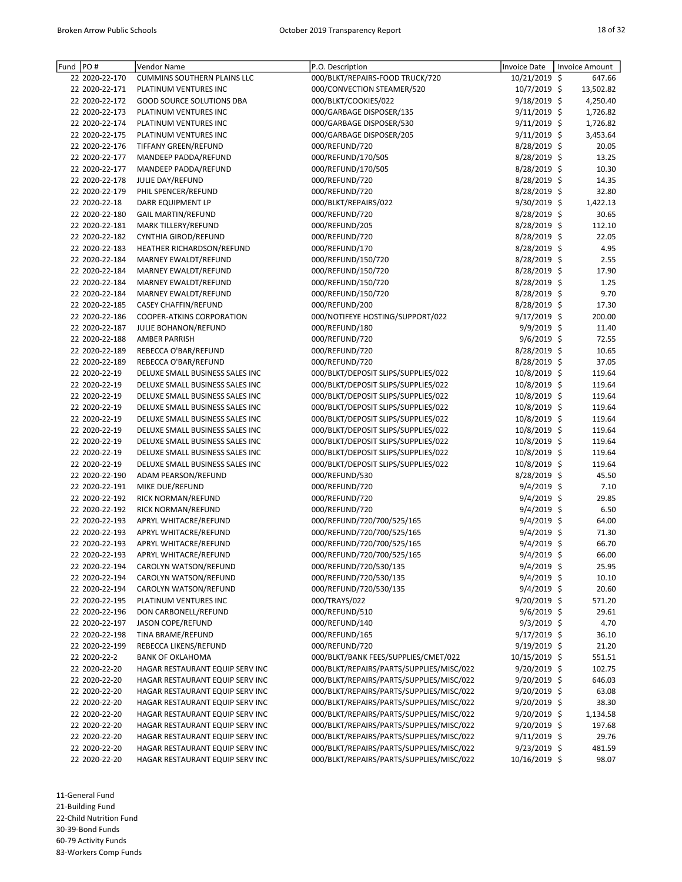| Fund | PO#            | Vendor Name                                      | P.O. Description                         | Invoice Date   | Invoice Amount  |
|------|----------------|--------------------------------------------------|------------------------------------------|----------------|-----------------|
|      | 22 2020-22-170 | <b>CUMMINS SOUTHERN PLAINS LLC</b>               | 000/BLKT/REPAIRS-FOOD TRUCK/720          | 10/21/2019 \$  | 647.66          |
|      | 22 2020-22-171 | PLATINUM VENTURES INC                            | 000/CONVECTION STEAMER/520               | 10/7/2019 \$   | 13,502.82       |
|      | 22 2020-22-172 | <b>GOOD SOURCE SOLUTIONS DBA</b>                 | 000/BLKT/COOKIES/022                     | 9/18/2019 \$   | 4,250.40        |
|      | 22 2020-22-173 | PLATINUM VENTURES INC                            | 000/GARBAGE DISPOSER/135                 | $9/11/2019$ \$ | 1,726.82        |
|      | 22 2020-22-174 | PLATINUM VENTURES INC                            | 000/GARBAGE DISPOSER/530                 | 9/11/2019 \$   | 1,726.82        |
|      | 22 2020-22-175 | PLATINUM VENTURES INC                            | 000/GARBAGE DISPOSER/205                 | $9/11/2019$ \$ | 3,453.64        |
|      | 22 2020-22-176 | TIFFANY GREEN/REFUND                             | 000/REFUND/720                           | 8/28/2019 \$   | 20.05           |
|      | 22 2020-22-177 | MANDEEP PADDA/REFUND                             | 000/REFUND/170/505                       | 8/28/2019 \$   | 13.25           |
|      | 22 2020-22-177 | MANDEEP PADDA/REFUND                             | 000/REFUND/170/505                       | 8/28/2019 \$   | 10.30           |
|      | 22 2020-22-178 | JULIE DAY/REFUND                                 | 000/REFUND/720                           | 8/28/2019 \$   | 14.35           |
|      | 22 2020-22-179 | PHIL SPENCER/REFUND                              | 000/REFUND/720                           | 8/28/2019 \$   | 32.80           |
|      | 22 2020-22-18  | DARR EQUIPMENT LP                                | 000/BLKT/REPAIRS/022                     | 9/30/2019 \$   | 1,422.13        |
|      | 22 2020-22-180 |                                                  | 000/REFUND/720                           | 8/28/2019 \$   |                 |
|      | 22 2020-22-181 | <b>GAIL MARTIN/REFUND</b><br>MARK TILLERY/REFUND | 000/REFUND/205                           | 8/28/2019 \$   | 30.65<br>112.10 |
|      | 22 2020-22-182 |                                                  | 000/REFUND/720                           | 8/28/2019 \$   | 22.05           |
|      | 22 2020-22-183 | CYNTHIA GIROD/REFUND                             |                                          |                |                 |
|      |                | HEATHER RICHARDSON/REFUND                        | 000/REFUND/170                           | 8/28/2019 \$   | 4.95            |
|      | 22 2020-22-184 | MARNEY EWALDT/REFUND                             | 000/REFUND/150/720                       | 8/28/2019 \$   | 2.55            |
|      | 22 2020-22-184 | MARNEY EWALDT/REFUND                             | 000/REFUND/150/720                       | 8/28/2019 \$   | 17.90           |
|      | 22 2020-22-184 | MARNEY EWALDT/REFUND                             | 000/REFUND/150/720                       | 8/28/2019 \$   | 1.25            |
|      | 22 2020-22-184 | <b>MARNEY EWALDT/REFUND</b>                      | 000/REFUND/150/720                       | 8/28/2019 \$   | 9.70            |
|      | 22 2020-22-185 | <b>CASEY CHAFFIN/REFUND</b>                      | 000/REFUND/200                           | 8/28/2019 \$   | 17.30           |
|      | 22 2020-22-186 | COOPER-ATKINS CORPORATION                        | 000/NOTIFEYE HOSTING/SUPPORT/022         | 9/17/2019 \$   | 200.00          |
|      | 22 2020-22-187 | JULIE BOHANON/REFUND                             | 000/REFUND/180                           | $9/9/2019$ \$  | 11.40           |
|      | 22 2020-22-188 | <b>AMBER PARRISH</b>                             | 000/REFUND/720                           | $9/6/2019$ \$  | 72.55           |
|      | 22 2020-22-189 | REBECCA O'BAR/REFUND                             | 000/REFUND/720                           | 8/28/2019 \$   | 10.65           |
|      | 22 2020-22-189 | REBECCA O'BAR/REFUND                             | 000/REFUND/720                           | 8/28/2019 \$   | 37.05           |
|      | 22 2020-22-19  | DELUXE SMALL BUSINESS SALES INC                  | 000/BLKT/DEPOSIT SLIPS/SUPPLIES/022      | 10/8/2019 \$   | 119.64          |
|      | 22 2020-22-19  | DELUXE SMALL BUSINESS SALES INC                  | 000/BLKT/DEPOSIT SLIPS/SUPPLIES/022      | 10/8/2019 \$   | 119.64          |
|      | 22 2020-22-19  | DELUXE SMALL BUSINESS SALES INC                  | 000/BLKT/DEPOSIT SLIPS/SUPPLIES/022      | 10/8/2019 \$   | 119.64          |
|      | 22 2020-22-19  | DELUXE SMALL BUSINESS SALES INC                  | 000/BLKT/DEPOSIT SLIPS/SUPPLIES/022      | 10/8/2019 \$   | 119.64          |
|      | 22 2020-22-19  | DELUXE SMALL BUSINESS SALES INC                  | 000/BLKT/DEPOSIT SLIPS/SUPPLIES/022      | 10/8/2019 \$   | 119.64          |
|      | 22 2020-22-19  | DELUXE SMALL BUSINESS SALES INC                  | 000/BLKT/DEPOSIT SLIPS/SUPPLIES/022      | 10/8/2019 \$   | 119.64          |
|      | 22 2020-22-19  | DELUXE SMALL BUSINESS SALES INC                  | 000/BLKT/DEPOSIT SLIPS/SUPPLIES/022      | 10/8/2019 \$   | 119.64          |
|      | 22 2020-22-19  | DELUXE SMALL BUSINESS SALES INC                  | 000/BLKT/DEPOSIT SLIPS/SUPPLIES/022      | 10/8/2019 \$   | 119.64          |
|      | 22 2020-22-19  | DELUXE SMALL BUSINESS SALES INC                  | 000/BLKT/DEPOSIT SLIPS/SUPPLIES/022      | 10/8/2019 \$   | 119.64          |
|      | 22 2020-22-190 | ADAM PEARSON/REFUND                              | 000/REFUND/530                           | 8/28/2019 \$   | 45.50           |
|      | 22 2020-22-191 | MIKE DUE/REFUND                                  | 000/REFUND/720                           | $9/4/2019$ \$  | 7.10            |
|      | 22 2020-22-192 | RICK NORMAN/REFUND                               | 000/REFUND/720                           | $9/4/2019$ \$  | 29.85           |
|      | 22 2020-22-192 | RICK NORMAN/REFUND                               | 000/REFUND/720                           | 9/4/2019 \$    | 6.50            |
|      | 22 2020-22-193 | APRYL WHITACRE/REFUND                            | 000/REFUND/720/700/525/165               | 9/4/2019 \$    | 64.00           |
|      | 22 2020-22-193 | APRYL WHITACRE/REFUND                            | 000/REFUND/720/700/525/165               | $9/4/2019$ \$  | 71.30           |
|      | 22 2020-22-193 | APRYL WHITACRE/REFUND                            | 000/REFUND/720/700/525/165               | $9/4/2019$ \$  | 66.70           |
|      | 22 2020-22-193 | APRYL WHITACRE/REFUND                            | 000/REFUND/720/700/525/165               | 9/4/2019 \$    | 66.00           |
|      | 22 2020-22-194 | CAROLYN WATSON/REFUND                            | 000/REFUND/720/530/135                   | $9/4/2019$ \$  | 25.95           |
|      | 22 2020-22-194 | CAROLYN WATSON/REFUND                            | 000/REFUND/720/530/135                   | 9/4/2019 \$    | 10.10           |
|      | 22 2020-22-194 | CAROLYN WATSON/REFUND                            | 000/REFUND/720/530/135                   | 9/4/2019 \$    | 20.60           |
|      | 22 2020-22-195 | PLATINUM VENTURES INC                            | 000/TRAYS/022                            | 9/20/2019 \$   | 571.20          |
|      | 22 2020-22-196 | DON CARBONELL/REFUND                             | 000/REFUND/510                           | $9/6/2019$ \$  | 29.61           |
|      | 22 2020-22-197 | <b>JASON COPE/REFUND</b>                         | 000/REFUND/140                           | $9/3/2019$ \$  | 4.70            |
|      | 22 2020-22-198 | TINA BRAME/REFUND                                | 000/REFUND/165                           | 9/17/2019 \$   | 36.10           |
|      | 22 2020-22-199 | REBECCA LIKENS/REFUND                            | 000/REFUND/720                           | 9/19/2019 \$   | 21.20           |
|      | 22 2020-22-2   | <b>BANK OF OKLAHOMA</b>                          | 000/BLKT/BANK FEES/SUPPLIES/CMET/022     | 10/15/2019 \$  | 551.51          |
|      | 22 2020-22-20  | HAGAR RESTAURANT EQUIP SERV INC                  | 000/BLKT/REPAIRS/PARTS/SUPPLIES/MISC/022 | 9/20/2019 \$   | 102.75          |
|      | 22 2020-22-20  | HAGAR RESTAURANT EQUIP SERV INC                  | 000/BLKT/REPAIRS/PARTS/SUPPLIES/MISC/022 | 9/20/2019 \$   | 646.03          |
|      | 22 2020-22-20  | HAGAR RESTAURANT EQUIP SERV INC                  | 000/BLKT/REPAIRS/PARTS/SUPPLIES/MISC/022 | $9/20/2019$ \$ | 63.08           |
|      | 22 2020-22-20  | HAGAR RESTAURANT EQUIP SERV INC                  | 000/BLKT/REPAIRS/PARTS/SUPPLIES/MISC/022 | 9/20/2019 \$   | 38.30           |
|      | 22 2020-22-20  | HAGAR RESTAURANT EQUIP SERV INC                  | 000/BLKT/REPAIRS/PARTS/SUPPLIES/MISC/022 | 9/20/2019 \$   | 1,134.58        |
|      | 22 2020-22-20  | HAGAR RESTAURANT EQUIP SERV INC                  | 000/BLKT/REPAIRS/PARTS/SUPPLIES/MISC/022 | 9/20/2019 \$   | 197.68          |
|      | 22 2020-22-20  | HAGAR RESTAURANT EQUIP SERV INC                  | 000/BLKT/REPAIRS/PARTS/SUPPLIES/MISC/022 | 9/11/2019 \$   | 29.76           |
|      | 22 2020-22-20  | HAGAR RESTAURANT EQUIP SERV INC                  | 000/BLKT/REPAIRS/PARTS/SUPPLIES/MISC/022 | 9/23/2019 \$   | 481.59          |
|      | 22 2020-22-20  | HAGAR RESTAURANT EQUIP SERV INC                  | 000/BLKT/REPAIRS/PARTS/SUPPLIES/MISC/022 | 10/16/2019 \$  | 98.07           |

11-General Fund

21-Building Fund

22-Child Nutrition Fund

30-39-Bond Funds

60-79 Activity Funds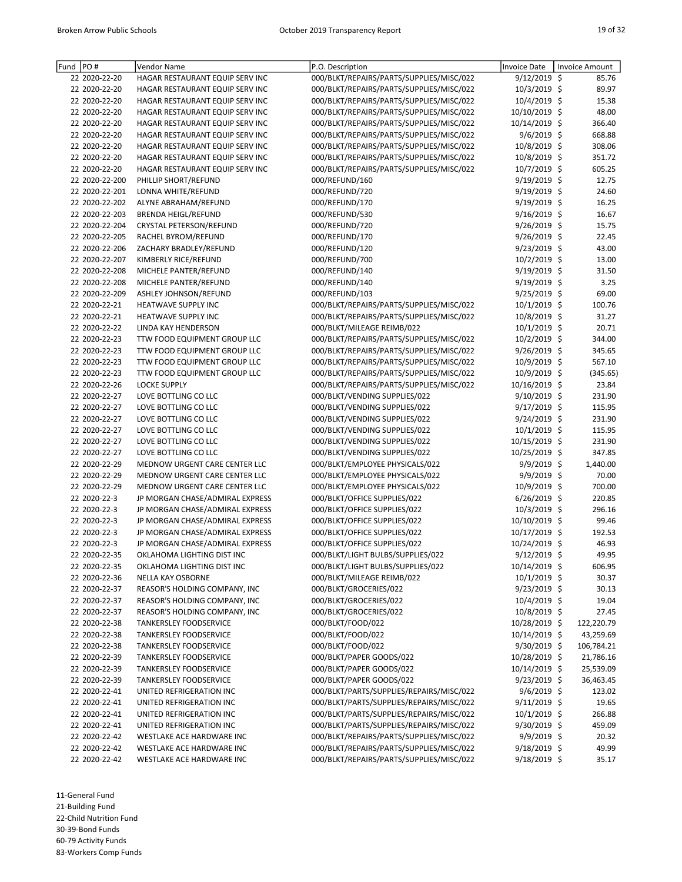| Fund PO# |                | Vendor Name                     | P.O. Description                         | <b>Invoice Date</b> | Invoice Amount |
|----------|----------------|---------------------------------|------------------------------------------|---------------------|----------------|
|          | 22 2020-22-20  | HAGAR RESTAURANT EQUIP SERV INC | 000/BLKT/REPAIRS/PARTS/SUPPLIES/MISC/022 | 9/12/2019 \$        | 85.76          |
|          | 22 2020-22-20  | HAGAR RESTAURANT EQUIP SERV INC | 000/BLKT/REPAIRS/PARTS/SUPPLIES/MISC/022 | 10/3/2019 \$        | 89.97          |
|          | 22 2020-22-20  | HAGAR RESTAURANT EQUIP SERV INC | 000/BLKT/REPAIRS/PARTS/SUPPLIES/MISC/022 | 10/4/2019 \$        | 15.38          |
|          | 22 2020-22-20  | HAGAR RESTAURANT EQUIP SERV INC | 000/BLKT/REPAIRS/PARTS/SUPPLIES/MISC/022 | 10/10/2019 \$       | 48.00          |
|          | 22 2020-22-20  | HAGAR RESTAURANT EQUIP SERV INC | 000/BLKT/REPAIRS/PARTS/SUPPLIES/MISC/022 | 10/14/2019 \$       | 366.40         |
|          | 22 2020-22-20  | HAGAR RESTAURANT EQUIP SERV INC | 000/BLKT/REPAIRS/PARTS/SUPPLIES/MISC/022 | $9/6/2019$ \$       | 668.88         |
|          | 22 2020-22-20  | HAGAR RESTAURANT EQUIP SERV INC | 000/BLKT/REPAIRS/PARTS/SUPPLIES/MISC/022 | 10/8/2019 \$        | 308.06         |
|          | 22 2020-22-20  | HAGAR RESTAURANT EQUIP SERV INC | 000/BLKT/REPAIRS/PARTS/SUPPLIES/MISC/022 | 10/8/2019 \$        | 351.72         |
|          | 22 2020-22-20  | HAGAR RESTAURANT EQUIP SERV INC | 000/BLKT/REPAIRS/PARTS/SUPPLIES/MISC/022 | 10/7/2019 \$        | 605.25         |
|          | 22 2020-22-200 | PHILLIP SHORT/REFUND            | 000/REFUND/160                           | 9/19/2019 \$        | 12.75          |
|          | 22 2020-22-201 | LONNA WHITE/REFUND              | 000/REFUND/720                           | 9/19/2019 \$        | 24.60          |
|          | 22 2020-22-202 | ALYNE ABRAHAM/REFUND            | 000/REFUND/170                           | 9/19/2019 \$        | 16.25          |
|          | 22 2020-22-203 | <b>BRENDA HEIGL/REFUND</b>      | 000/REFUND/530                           | 9/16/2019 \$        | 16.67          |
|          | 22 2020-22-204 | CRYSTAL PETERSON/REFUND         | 000/REFUND/720                           | 9/26/2019 \$        | 15.75          |
|          | 22 2020-22-205 | RACHEL BYROM/REFUND             | 000/REFUND/170                           | 9/26/2019 \$        | 22.45          |
|          | 22 2020-22-206 |                                 |                                          |                     |                |
|          |                | ZACHARY BRADLEY/REFUND          | 000/REFUND/120                           | $9/23/2019$ \$      | 43.00          |
|          | 22 2020-22-207 | KIMBERLY RICE/REFUND            | 000/REFUND/700                           | 10/2/2019 \$        | 13.00          |
|          | 22 2020-22-208 | MICHELE PANTER/REFUND           | 000/REFUND/140                           | 9/19/2019 \$        | 31.50          |
|          | 22 2020-22-208 | MICHELE PANTER/REFUND           | 000/REFUND/140                           | 9/19/2019 \$        | 3.25           |
|          | 22 2020-22-209 | ASHLEY JOHNSON/REFUND           | 000/REFUND/103                           | 9/25/2019 \$        | 69.00          |
|          | 22 2020-22-21  | HEATWAVE SUPPLY INC             | 000/BLKT/REPAIRS/PARTS/SUPPLIES/MISC/022 | 10/1/2019 \$        | 100.76         |
|          | 22 2020-22-21  | <b>HEATWAVE SUPPLY INC</b>      | 000/BLKT/REPAIRS/PARTS/SUPPLIES/MISC/022 | 10/8/2019 \$        | 31.27          |
|          | 22 2020-22-22  | LINDA KAY HENDERSON             | 000/BLKT/MILEAGE REIMB/022               | $10/1/2019$ \$      | 20.71          |
|          | 22 2020-22-23  | TTW FOOD EQUIPMENT GROUP LLC    | 000/BLKT/REPAIRS/PARTS/SUPPLIES/MISC/022 | 10/2/2019 \$        | 344.00         |
|          | 22 2020-22-23  | TTW FOOD EQUIPMENT GROUP LLC    | 000/BLKT/REPAIRS/PARTS/SUPPLIES/MISC/022 | 9/26/2019 \$        | 345.65         |
|          | 22 2020-22-23  | TTW FOOD EQUIPMENT GROUP LLC    | 000/BLKT/REPAIRS/PARTS/SUPPLIES/MISC/022 | 10/9/2019 \$        | 567.10         |
|          | 22 2020-22-23  | TTW FOOD EQUIPMENT GROUP LLC    | 000/BLKT/REPAIRS/PARTS/SUPPLIES/MISC/022 | 10/9/2019 \$        | (345.65)       |
|          | 22 2020-22-26  | <b>LOCKE SUPPLY</b>             | 000/BLKT/REPAIRS/PARTS/SUPPLIES/MISC/022 | 10/16/2019 \$       | 23.84          |
|          | 22 2020-22-27  | LOVE BOTTLING CO LLC            | 000/BLKT/VENDING SUPPLIES/022            | 9/10/2019 \$        | 231.90         |
|          | 22 2020-22-27  | LOVE BOTTLING CO LLC            | 000/BLKT/VENDING SUPPLIES/022            | 9/17/2019 \$        | 115.95         |
|          | 22 2020-22-27  | LOVE BOTTLING CO LLC            | 000/BLKT/VENDING SUPPLIES/022            | 9/24/2019 \$        | 231.90         |
|          | 22 2020-22-27  | LOVE BOTTLING CO LLC            | 000/BLKT/VENDING SUPPLIES/022            | $10/1/2019$ \$      | 115.95         |
|          | 22 2020-22-27  | LOVE BOTTLING CO LLC            | 000/BLKT/VENDING SUPPLIES/022            | 10/15/2019 \$       | 231.90         |
|          | 22 2020-22-27  | LOVE BOTTLING CO LLC            | 000/BLKT/VENDING SUPPLIES/022            | 10/25/2019 \$       | 347.85         |
|          | 22 2020-22-29  |                                 | 000/BLKT/EMPLOYEE PHYSICALS/022          | 9/9/2019 \$         |                |
|          |                | MEDNOW URGENT CARE CENTER LLC   |                                          |                     | 1,440.00       |
|          | 22 2020-22-29  | MEDNOW URGENT CARE CENTER LLC   | 000/BLKT/EMPLOYEE PHYSICALS/022          | $9/9/2019$ \$       | 70.00          |
|          | 22 2020-22-29  | MEDNOW URGENT CARE CENTER LLC   | 000/BLKT/EMPLOYEE PHYSICALS/022          | 10/9/2019 \$        | 700.00         |
|          | 22 2020-22-3   | JP MORGAN CHASE/ADMIRAL EXPRESS | 000/BLKT/OFFICE SUPPLIES/022             | 6/26/2019 \$        | 220.85         |
|          | 22 2020-22-3   | JP MORGAN CHASE/ADMIRAL EXPRESS | 000/BLKT/OFFICE SUPPLIES/022             | 10/3/2019 \$        | 296.16         |
|          | 22 2020-22-3   | JP MORGAN CHASE/ADMIRAL EXPRESS | 000/BLKT/OFFICE SUPPLIES/022             | 10/10/2019 \$       | 99.46          |
|          | 22 2020-22-3   | JP MORGAN CHASE/ADMIRAL EXPRESS | 000/BLKT/OFFICE SUPPLIES/022             | 10/17/2019 \$       | 192.53         |
|          | 22 2020-22-3   | JP MORGAN CHASE/ADMIRAL EXPRESS | 000/BLKT/OFFICE SUPPLIES/022             | 10/24/2019 \$       | 46.93          |
|          | 22 2020-22-35  | OKLAHOMA LIGHTING DIST INC      | 000/BLKT/LIGHT BULBS/SUPPLIES/022        | 9/12/2019 \$        | 49.95          |
|          | 22 2020-22-35  | OKLAHOMA LIGHTING DIST INC      | 000/BLKT/LIGHT BULBS/SUPPLIES/022        | 10/14/2019 \$       | 606.95         |
|          | 22 2020-22-36  | <b>NELLA KAY OSBORNE</b>        | 000/BLKT/MILEAGE REIMB/022               | 10/1/2019 \$        | 30.37          |
|          | 22 2020-22-37  | REASOR'S HOLDING COMPANY, INC   | 000/BLKT/GROCERIES/022                   | 9/23/2019 \$        | 30.13          |
|          | 22 2020-22-37  | REASOR'S HOLDING COMPANY, INC   | 000/BLKT/GROCERIES/022                   | 10/4/2019 \$        | 19.04          |
|          | 22 2020-22-37  | REASOR'S HOLDING COMPANY, INC   | 000/BLKT/GROCERIES/022                   | 10/8/2019 \$        | 27.45          |
|          | 22 2020-22-38  | <b>TANKERSLEY FOODSERVICE</b>   | 000/BLKT/FOOD/022                        | 10/28/2019 \$       | 122,220.79     |
|          | 22 2020-22-38  | <b>TANKERSLEY FOODSERVICE</b>   | 000/BLKT/FOOD/022                        | 10/14/2019 \$       | 43,259.69      |
|          | 22 2020-22-38  | <b>TANKERSLEY FOODSERVICE</b>   | 000/BLKT/FOOD/022                        | 9/30/2019 \$        | 106,784.21     |
|          | 22 2020-22-39  | <b>TANKERSLEY FOODSERVICE</b>   | 000/BLKT/PAPER GOODS/022                 | 10/28/2019 \$       | 21,786.16      |
|          | 22 2020-22-39  | <b>TANKERSLEY FOODSERVICE</b>   | 000/BLKT/PAPER GOODS/022                 | 10/14/2019 \$       | 25,539.09      |
|          |                |                                 | 000/BLKT/PAPER GOODS/022                 | 9/23/2019 \$        | 36,463.45      |
|          | 22 2020-22-39  | <b>TANKERSLEY FOODSERVICE</b>   | 000/BLKT/PARTS/SUPPLIES/REPAIRS/MISC/022 |                     |                |
|          | 22 2020-22-41  | UNITED REFRIGERATION INC        |                                          | 9/6/2019 \$         | 123.02         |
|          | 22 2020-22-41  | UNITED REFRIGERATION INC        | 000/BLKT/PARTS/SUPPLIES/REPAIRS/MISC/022 | 9/11/2019 \$        | 19.65          |
|          | 22 2020-22-41  | UNITED REFRIGERATION INC        | 000/BLKT/PARTS/SUPPLIES/REPAIRS/MISC/022 | 10/1/2019 \$        | 266.88         |
|          | 22 2020-22-41  | UNITED REFRIGERATION INC        | 000/BLKT/PARTS/SUPPLIES/REPAIRS/MISC/022 | 9/30/2019 \$        | 459.09         |
|          | 22 2020-22-42  | WESTLAKE ACE HARDWARE INC       | 000/BLKT/REPAIRS/PARTS/SUPPLIES/MISC/022 | 9/9/2019 \$         | 20.32          |
|          | 22 2020-22-42  | WESTLAKE ACE HARDWARE INC       | 000/BLKT/REPAIRS/PARTS/SUPPLIES/MISC/022 | 9/18/2019 \$        | 49.99          |
|          | 22 2020-22-42  | WESTLAKE ACE HARDWARE INC       | 000/BLKT/REPAIRS/PARTS/SUPPLIES/MISC/022 | 9/18/2019 \$        | 35.17          |

11-General Fund 21-Building Fund 22-Child Nutrition Fund 30-39-Bond Funds

60-79 Activity Funds 83-Workers Comp Funds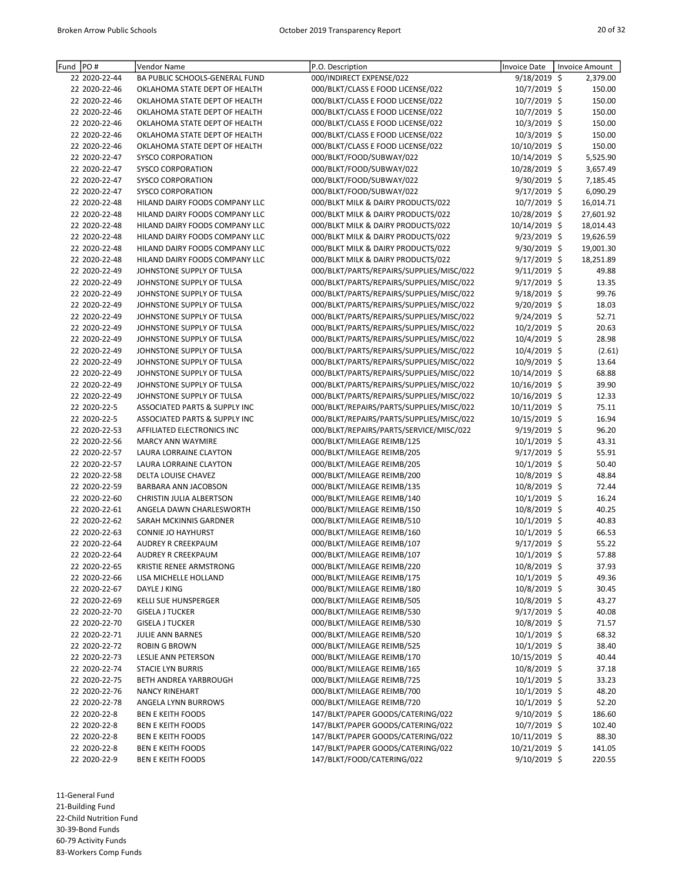| Fund PO#                      | Vendor Name                                                | P.O. Description                                                                     | <b>Invoice Date</b>            | <b>Invoice Amount</b> |
|-------------------------------|------------------------------------------------------------|--------------------------------------------------------------------------------------|--------------------------------|-----------------------|
| 22 2020-22-44                 | BA PUBLIC SCHOOLS-GENERAL FUND                             | 000/INDIRECT EXPENSE/022                                                             | 9/18/2019 \$                   | 2,379.00              |
| 22 2020-22-46                 | OKLAHOMA STATE DEPT OF HEALTH                              | 000/BLKT/CLASS E FOOD LICENSE/022                                                    | 10/7/2019 \$                   | 150.00                |
| 22 2020-22-46                 | OKLAHOMA STATE DEPT OF HEALTH                              | 000/BLKT/CLASS E FOOD LICENSE/022                                                    | 10/7/2019 \$                   | 150.00                |
| 22 2020-22-46                 | OKLAHOMA STATE DEPT OF HEALTH                              | 000/BLKT/CLASS E FOOD LICENSE/022                                                    | 10/7/2019 \$                   | 150.00                |
| 22 2020-22-46                 | OKLAHOMA STATE DEPT OF HEALTH                              | 000/BLKT/CLASS E FOOD LICENSE/022                                                    | 10/3/2019 \$                   | 150.00                |
| 22 2020-22-46                 | OKLAHOMA STATE DEPT OF HEALTH                              | 000/BLKT/CLASS E FOOD LICENSE/022                                                    | 10/3/2019 \$                   | 150.00                |
| 22 2020-22-46                 | OKLAHOMA STATE DEPT OF HEALTH                              | 000/BLKT/CLASS E FOOD LICENSE/022                                                    | 10/10/2019 \$                  | 150.00                |
| 22 2020-22-47                 | <b>SYSCO CORPORATION</b>                                   | 000/BLKT/FOOD/SUBWAY/022                                                             | 10/14/2019 \$                  | 5,525.90              |
| 22 2020-22-47                 | SYSCO CORPORATION                                          | 000/BLKT/FOOD/SUBWAY/022                                                             | 10/28/2019 \$                  | 3,657.49              |
| 22 2020-22-47                 | SYSCO CORPORATION                                          | 000/BLKT/FOOD/SUBWAY/022                                                             | $9/30/2019$ \$                 | 7,185.45              |
| 22 2020-22-47                 | <b>SYSCO CORPORATION</b>                                   | 000/BLKT/FOOD/SUBWAY/022                                                             | 9/17/2019 \$                   | 6,090.29              |
| 22 2020-22-48                 | HILAND DAIRY FOODS COMPANY LLC                             | 000/BLKT MILK & DAIRY PRODUCTS/022                                                   | 10/7/2019 \$                   | 16,014.71             |
| 22 2020-22-48                 | HILAND DAIRY FOODS COMPANY LLC                             | 000/BLKT MILK & DAIRY PRODUCTS/022                                                   | 10/28/2019 \$                  | 27,601.92             |
| 22 2020-22-48                 | HILAND DAIRY FOODS COMPANY LLC                             | 000/BLKT MILK & DAIRY PRODUCTS/022                                                   | 10/14/2019 \$                  | 18,014.43             |
| 22 2020-22-48                 | HILAND DAIRY FOODS COMPANY LLC                             | 000/BLKT MILK & DAIRY PRODUCTS/022                                                   | 9/23/2019 \$                   | 19,626.59             |
| 22 2020-22-48                 | HILAND DAIRY FOODS COMPANY LLC                             | 000/BLKT MILK & DAIRY PRODUCTS/022                                                   | 9/30/2019 \$                   | 19,001.30             |
| 22 2020-22-48                 | HILAND DAIRY FOODS COMPANY LLC                             | 000/BLKT MILK & DAIRY PRODUCTS/022                                                   | 9/17/2019 \$                   | 18,251.89             |
| 22 2020-22-49                 | JOHNSTONE SUPPLY OF TULSA                                  | 000/BLKT/PARTS/REPAIRS/SUPPLIES/MISC/022                                             | 9/11/2019 \$                   | 49.88                 |
| 22 2020-22-49                 | JOHNSTONE SUPPLY OF TULSA                                  | 000/BLKT/PARTS/REPAIRS/SUPPLIES/MISC/022                                             | $9/17/2019$ \$                 | 13.35                 |
| 22 2020-22-49                 | JOHNSTONE SUPPLY OF TULSA                                  | 000/BLKT/PARTS/REPAIRS/SUPPLIES/MISC/022                                             | $9/18/2019$ \$                 | 99.76                 |
| 22 2020-22-49                 | JOHNSTONE SUPPLY OF TULSA                                  | 000/BLKT/PARTS/REPAIRS/SUPPLIES/MISC/022                                             | 9/20/2019 \$                   | 18.03                 |
| 22 2020-22-49                 | JOHNSTONE SUPPLY OF TULSA                                  | 000/BLKT/PARTS/REPAIRS/SUPPLIES/MISC/022                                             | 9/24/2019 \$                   | 52.71                 |
| 22 2020-22-49                 | JOHNSTONE SUPPLY OF TULSA                                  | 000/BLKT/PARTS/REPAIRS/SUPPLIES/MISC/022                                             | 10/2/2019 \$                   | 20.63                 |
| 22 2020-22-49                 | JOHNSTONE SUPPLY OF TULSA                                  | 000/BLKT/PARTS/REPAIRS/SUPPLIES/MISC/022                                             | 10/4/2019 \$                   | 28.98                 |
| 22 2020-22-49                 | JOHNSTONE SUPPLY OF TULSA                                  | 000/BLKT/PARTS/REPAIRS/SUPPLIES/MISC/022                                             | 10/4/2019 \$                   | (2.61)                |
| 22 2020-22-49                 | JOHNSTONE SUPPLY OF TULSA                                  | 000/BLKT/PARTS/REPAIRS/SUPPLIES/MISC/022                                             | 10/9/2019 \$<br>10/14/2019 \$  | 13.64                 |
| 22 2020-22-49                 | JOHNSTONE SUPPLY OF TULSA                                  | 000/BLKT/PARTS/REPAIRS/SUPPLIES/MISC/022                                             |                                | 68.88                 |
| 22 2020-22-49                 | JOHNSTONE SUPPLY OF TULSA                                  | 000/BLKT/PARTS/REPAIRS/SUPPLIES/MISC/022                                             | 10/16/2019 \$                  | 39.90                 |
| 22 2020-22-49<br>22 2020-22-5 | JOHNSTONE SUPPLY OF TULSA<br>ASSOCIATED PARTS & SUPPLY INC | 000/BLKT/PARTS/REPAIRS/SUPPLIES/MISC/022                                             | 10/16/2019 \$<br>10/11/2019 \$ | 12.33<br>75.11        |
| 22 2020-22-5                  | <b>ASSOCIATED PARTS &amp; SUPPLY INC</b>                   | 000/BLKT/REPAIRS/PARTS/SUPPLIES/MISC/022<br>000/BLKT/REPAIRS/PARTS/SUPPLIES/MISC/022 | 10/15/2019 \$                  | 16.94                 |
| 22 2020-22-53                 | AFFILIATED ELECTRONICS INC                                 | 000/BLKT/REPAIRS/PARTS/SERVICE/MISC/022                                              | 9/19/2019 \$                   | 96.20                 |
| 22 2020-22-56                 | <b>MARCY ANN WAYMIRE</b>                                   | 000/BLKT/MILEAGE REIMB/125                                                           | $10/1/2019$ \$                 | 43.31                 |
| 22 2020-22-57                 | LAURA LORRAINE CLAYTON                                     | 000/BLKT/MILEAGE REIMB/205                                                           | 9/17/2019 \$                   | 55.91                 |
| 22 2020-22-57                 | LAURA LORRAINE CLAYTON                                     | 000/BLKT/MILEAGE REIMB/205                                                           | $10/1/2019$ \$                 | 50.40                 |
| 22 2020-22-58                 | DELTA LOUISE CHAVEZ                                        | 000/BLKT/MILEAGE REIMB/200                                                           | 10/8/2019 \$                   | 48.84                 |
| 22 2020-22-59                 | BARBARA ANN JACOBSON                                       | 000/BLKT/MILEAGE REIMB/135                                                           | 10/8/2019 \$                   | 72.44                 |
| 22 2020-22-60                 | CHRISTIN JULIA ALBERTSON                                   | 000/BLKT/MILEAGE REIMB/140                                                           | $10/1/2019$ \$                 | 16.24                 |
| 22 2020-22-61                 | ANGELA DAWN CHARLESWORTH                                   | 000/BLKT/MILEAGE REIMB/150                                                           | 10/8/2019 \$                   | 40.25                 |
| 22 2020-22-62                 | SARAH MCKINNIS GARDNER                                     | 000/BLKT/MILEAGE REIMB/510                                                           | 10/1/2019 \$                   | 40.83                 |
| 22 2020-22-63                 | <b>CONNIE JO HAYHURST</b>                                  | 000/BLKT/MILEAGE REIMB/160                                                           | 10/1/2019 \$                   | 66.53                 |
| 22 2020-22-64                 | <b>AUDREY R CREEKPAUM</b>                                  | 000/BLKT/MILEAGE REIMB/107                                                           | 9/17/2019 \$                   | 55.22                 |
| 22 2020-22-64                 | AUDREY R CREEKPAUM                                         | 000/BLKT/MILEAGE REIMB/107                                                           | 10/1/2019 \$                   | 57.88                 |
| 22 2020-22-65                 | KRISTIE RENEE ARMSTRONG                                    | 000/BLKT/MILEAGE REIMB/220                                                           | 10/8/2019 \$                   | 37.93                 |
| 22 2020-22-66                 | LISA MICHELLE HOLLAND                                      | 000/BLKT/MILEAGE REIMB/175                                                           | $10/1/2019$ \$                 | 49.36                 |
| 22 2020-22-67                 | DAYLE J KING                                               | 000/BLKT/MILEAGE REIMB/180                                                           | 10/8/2019 \$                   | 30.45                 |
| 22 2020-22-69                 | <b>KELLI SUE HUNSPERGER</b>                                | 000/BLKT/MILEAGE REIMB/505                                                           | 10/8/2019 \$                   | 43.27                 |
| 22 2020-22-70                 | <b>GISELA J TUCKER</b>                                     | 000/BLKT/MILEAGE REIMB/530                                                           | 9/17/2019 \$                   | 40.08                 |
| 22 2020-22-70                 | <b>GISELA J TUCKER</b>                                     | 000/BLKT/MILEAGE REIMB/530                                                           | 10/8/2019 \$                   | 71.57                 |
| 22 2020-22-71                 | JULIE ANN BARNES                                           | 000/BLKT/MILEAGE REIMB/520                                                           | $10/1/2019$ \$                 | 68.32                 |
| 22 2020-22-72                 | ROBIN G BROWN                                              | 000/BLKT/MILEAGE REIMB/525                                                           | 10/1/2019 \$                   | 38.40                 |
| 22 2020-22-73                 | LESLIE ANN PETERSON                                        | 000/BLKT/MILEAGE REIMB/170                                                           | 10/15/2019 \$                  | 40.44                 |
| 22 2020-22-74                 | <b>STACIE LYN BURRIS</b>                                   | 000/BLKT/MILEAGE REIMB/165                                                           | 10/8/2019 \$                   | 37.18                 |
| 22 2020-22-75                 | BETH ANDREA YARBROUGH                                      | 000/BLKT/MILEAGE REIMB/725                                                           | $10/1/2019$ \$                 | 33.23                 |
| 22 2020-22-76                 | <b>NANCY RINEHART</b>                                      | 000/BLKT/MILEAGE REIMB/700                                                           | 10/1/2019 \$                   | 48.20                 |
| 22 2020-22-78                 | ANGELA LYNN BURROWS                                        | 000/BLKT/MILEAGE REIMB/720                                                           | $10/1/2019$ \$                 | 52.20                 |
| 22 2020-22-8                  | <b>BEN E KEITH FOODS</b>                                   | 147/BLKT/PAPER GOODS/CATERING/022                                                    | 9/10/2019 \$                   | 186.60                |
| 22 2020-22-8                  | <b>BEN E KEITH FOODS</b>                                   | 147/BLKT/PAPER GOODS/CATERING/022                                                    | 10/7/2019 \$                   | 102.40                |
| 22 2020-22-8                  | <b>BEN E KEITH FOODS</b>                                   | 147/BLKT/PAPER GOODS/CATERING/022                                                    | $10/11/2019$ \$                | 88.30                 |
| 22 2020-22-8                  | <b>BEN E KEITH FOODS</b>                                   | 147/BLKT/PAPER GOODS/CATERING/022                                                    | 10/21/2019 \$                  | 141.05                |
| 22 2020-22-9                  | <b>BEN E KEITH FOODS</b>                                   | 147/BLKT/FOOD/CATERING/022                                                           | 9/10/2019 \$                   | 220.55                |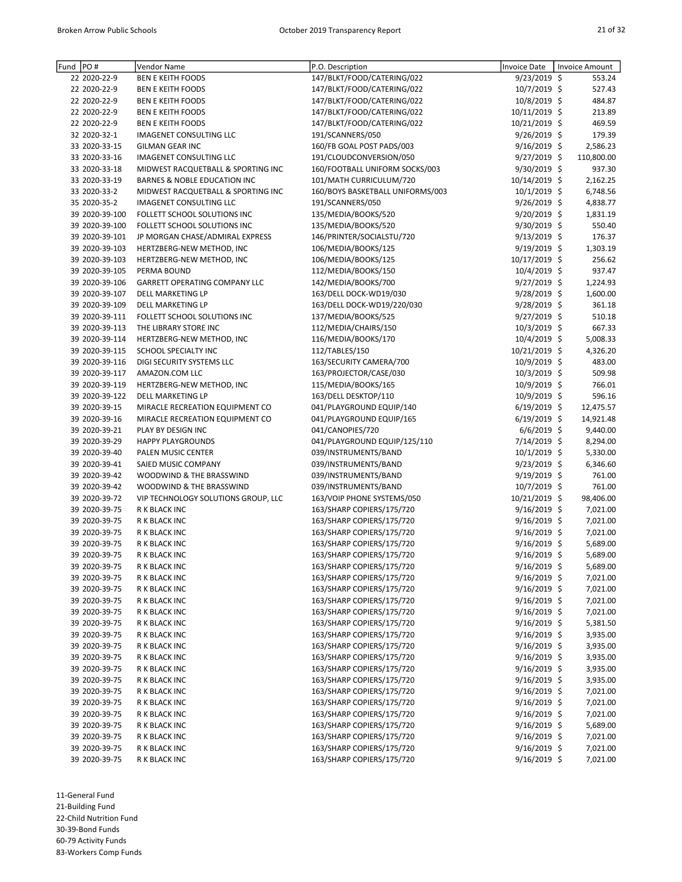| Fund PO# |                | Vendor Name                          | P.O. Description                 | <b>Invoice Date</b> | Invoice Amount |
|----------|----------------|--------------------------------------|----------------------------------|---------------------|----------------|
|          | 22 2020-22-9   | <b>BEN E KEITH FOODS</b>             | 147/BLKT/FOOD/CATERING/022       | 9/23/2019 \$        | 553.24         |
|          | 22 2020-22-9   | <b>BEN E KEITH FOODS</b>             |                                  |                     |                |
|          |                |                                      | 147/BLKT/FOOD/CATERING/022       | 10/7/2019 \$        | 527.43         |
|          | 22 2020-22-9   | <b>BEN E KEITH FOODS</b>             | 147/BLKT/FOOD/CATERING/022       | 10/8/2019 \$        | 484.87         |
|          | 22 2020-22-9   | <b>BEN E KEITH FOODS</b>             | 147/BLKT/FOOD/CATERING/022       | 10/11/2019 \$       | 213.89         |
|          | 22 2020-22-9   | <b>BEN E KEITH FOODS</b>             | 147/BLKT/FOOD/CATERING/022       | 10/21/2019 \$       | 469.59         |
|          | 32 2020-32-1   | IMAGENET CONSULTING LLC              | 191/SCANNERS/050                 | $9/26/2019$ \$      | 179.39         |
|          | 33 2020-33-15  | <b>GILMAN GEAR INC</b>               | 160/FB GOAL POST PADS/003        | 9/16/2019 \$        | 2,586.23       |
|          | 33 2020-33-16  | IMAGENET CONSULTING LLC              | 191/CLOUDCONVERSION/050          | 9/27/2019 \$        | 110,800.00     |
|          | 33 2020-33-18  | MIDWEST RACQUETBALL & SPORTING INC   | 160/FOOTBALL UNIFORM SOCKS/003   | 9/30/2019 \$        | 937.30         |
|          | 33 2020-33-19  | BARNES & NOBLE EDUCATION INC         | 101/MATH CURRICULUM/720          | 10/14/2019 \$       | 2,162.25       |
|          | 33 2020-33-2   | MIDWEST RACQUETBALL & SPORTING INC   | 160/BOYS BASKETBALL UNIFORMS/003 | 10/1/2019 \$        | 6,748.56       |
|          | 35 2020-35-2   | IMAGENET CONSULTING LLC              | 191/SCANNERS/050                 | 9/26/2019 \$        | 4,838.77       |
|          | 39 2020-39-100 | FOLLETT SCHOOL SOLUTIONS INC         | 135/MEDIA/BOOKS/520              | 9/20/2019 \$        | 1,831.19       |
|          | 39 2020-39-100 | FOLLETT SCHOOL SOLUTIONS INC         | 135/MEDIA/BOOKS/520              | 9/30/2019 \$        | 550.40         |
|          | 39 2020-39-101 | JP MORGAN CHASE/ADMIRAL EXPRESS      | 146/PRINTER/SOCIALSTU/720        | $9/13/2019$ \$      | 176.37         |
|          | 39 2020-39-103 | HERTZBERG-NEW METHOD, INC            | 106/MEDIA/BOOKS/125              | 9/19/2019 \$        | 1,303.19       |
|          | 39 2020-39-103 | HERTZBERG-NEW METHOD, INC            | 106/MEDIA/BOOKS/125              | 10/17/2019 \$       | 256.62         |
|          | 39 2020-39-105 | PERMA BOUND                          | 112/MEDIA/BOOKS/150              | 10/4/2019 \$        | 937.47         |
|          | 39 2020-39-106 | <b>GARRETT OPERATING COMPANY LLC</b> | 142/MEDIA/BOOKS/700              | 9/27/2019 \$        | 1,224.93       |
|          | 39 2020-39-107 | DELL MARKETING LP                    | 163/DELL DOCK-WD19/030           | 9/28/2019 \$        | 1,600.00       |
|          | 39 2020-39-109 | DELL MARKETING LP                    | 163/DELL DOCK-WD19/220/030       | 9/28/2019 \$        | 361.18         |
|          | 39 2020-39-111 | FOLLETT SCHOOL SOLUTIONS INC         | 137/MEDIA/BOOKS/525              | 9/27/2019 \$        | 510.18         |
|          | 39 2020-39-113 | THE LIBRARY STORE INC                | 112/MEDIA/CHAIRS/150             | 10/3/2019 \$        | 667.33         |
|          | 39 2020-39-114 | HERTZBERG-NEW METHOD, INC            | 116/MEDIA/BOOKS/170              | $10/4/2019$ \$      | 5,008.33       |
|          | 39 2020-39-115 | SCHOOL SPECIALTY INC                 | 112/TABLES/150                   | 10/21/2019 \$       | 4,326.20       |
|          | 39 2020-39-116 | DIGI SECURITY SYSTEMS LLC            | 163/SECURITY CAMERA/700          | 10/9/2019 \$        | 483.00         |
|          | 39 2020-39-117 | AMAZON.COM LLC                       | 163/PROJECTOR/CASE/030           | 10/3/2019 \$        | 509.98         |
|          | 39 2020-39-119 | HERTZBERG-NEW METHOD, INC            | 115/MEDIA/BOOKS/165              | 10/9/2019 \$        | 766.01         |
|          | 39 2020-39-122 | DELL MARKETING LP                    | 163/DELL DESKTOP/110             | 10/9/2019 \$        | 596.16         |
|          | 39 2020-39-15  | MIRACLE RECREATION EQUIPMENT CO      | 041/PLAYGROUND EQUIP/140         | $6/19/2019$ \$      | 12,475.57      |
|          | 39 2020-39-16  | MIRACLE RECREATION EQUIPMENT CO      | 041/PLAYGROUND EQUIP/165         | $6/19/2019$ \$      | 14,921.48      |
|          | 39 2020-39-21  | PLAY BY DESIGN INC                   | 041/CANOPIES/720                 | $6/6/2019$ \$       | 9,440.00       |
|          | 39 2020-39-29  | <b>HAPPY PLAYGROUNDS</b>             | 041/PLAYGROUND EQUIP/125/110     | 7/14/2019 \$        | 8,294.00       |
|          | 39 2020-39-40  | PALEN MUSIC CENTER                   | 039/INSTRUMENTS/BAND             | $10/1/2019$ \$      | 5,330.00       |
|          | 39 2020-39-41  | SAIED MUSIC COMPANY                  | 039/INSTRUMENTS/BAND             | $9/23/2019$ \$      | 6,346.60       |
|          | 39 2020-39-42  | WOODWIND & THE BRASSWIND             | 039/INSTRUMENTS/BAND             | 9/19/2019 \$        | 761.00         |
|          | 39 2020-39-42  | WOODWIND & THE BRASSWIND             | 039/INSTRUMENTS/BAND             | 10/7/2019 \$        | 761.00         |
|          | 39 2020-39-72  | VIP TECHNOLOGY SOLUTIONS GROUP, LLC  | 163/VOIP PHONE SYSTEMS/050       | 10/21/2019 \$       | 98,406.00      |
|          | 39 2020-39-75  | R K BLACK INC                        | 163/SHARP COPIERS/175/720        | $9/16/2019$ \$      | 7,021.00       |
|          | 39 2020-39-75  | R K BLACK INC                        | 163/SHARP COPIERS/175/720        | 9/16/2019 \$        | 7,021.00       |
|          | 39 2020-39-75  | R K BLACK INC                        | 163/SHARP COPIERS/175/720        | 9/16/2019 \$        | 7,021.00       |
|          | 39 2020-39-75  | R K BLACK INC                        | 163/SHARP COPIERS/175/720        | $9/16/2019$ \$      | 5,689.00       |
|          | 39 2020-39-75  | R K BLACK INC                        | 163/SHARP COPIERS/175/720        | 9/16/2019 \$        | 5,689.00       |
|          | 39 2020-39-75  | R K BLACK INC                        | 163/SHARP COPIERS/175/720        | $9/16/2019$ \$      | 5,689.00       |
|          | 39 2020-39-75  | R K BLACK INC                        | 163/SHARP COPIERS/175/720        | $9/16/2019$ \$      | 7,021.00       |
|          | 39 2020-39-75  | R K BLACK INC                        | 163/SHARP COPIERS/175/720        | $9/16/2019$ \$      | 7,021.00       |
|          | 39 2020-39-75  | R K BLACK INC                        | 163/SHARP COPIERS/175/720        | 9/16/2019 \$        | 7,021.00       |
|          | 39 2020-39-75  | R K BLACK INC                        | 163/SHARP COPIERS/175/720        | 9/16/2019 \$        | 7,021.00       |
|          | 39 2020-39-75  | R K BLACK INC                        | 163/SHARP COPIERS/175/720        | $9/16/2019$ \$      | 5,381.50       |
|          | 39 2020-39-75  | R K BLACK INC                        | 163/SHARP COPIERS/175/720        | $9/16/2019$ \$      | 3,935.00       |
|          | 39 2020-39-75  | R K BLACK INC                        | 163/SHARP COPIERS/175/720        | $9/16/2019$ \$      | 3,935.00       |
|          | 39 2020-39-75  | R K BLACK INC                        | 163/SHARP COPIERS/175/720        | 9/16/2019 \$        | 3,935.00       |
|          | 39 2020-39-75  | R K BLACK INC                        | 163/SHARP COPIERS/175/720        | 9/16/2019 \$        | 3,935.00       |
|          | 39 2020-39-75  | R K BLACK INC                        | 163/SHARP COPIERS/175/720        | $9/16/2019$ \$      | 3,935.00       |
|          | 39 2020-39-75  | R K BLACK INC                        | 163/SHARP COPIERS/175/720        | $9/16/2019$ \$      | 7,021.00       |
|          | 39 2020-39-75  | R K BLACK INC                        | 163/SHARP COPIERS/175/720        | $9/16/2019$ \$      | 7,021.00       |
|          | 39 2020-39-75  | R K BLACK INC                        | 163/SHARP COPIERS/175/720        | 9/16/2019 \$        | 7,021.00       |
|          | 39 2020-39-75  | R K BLACK INC                        | 163/SHARP COPIERS/175/720        | 9/16/2019 \$        | 5,689.00       |
|          | 39 2020-39-75  | R K BLACK INC                        | 163/SHARP COPIERS/175/720        | $9/16/2019$ \$      | 7,021.00       |
|          | 39 2020-39-75  | R K BLACK INC                        | 163/SHARP COPIERS/175/720        | 9/16/2019 \$        | 7,021.00       |
|          | 39 2020-39-75  | R K BLACK INC                        | 163/SHARP COPIERS/175/720        | 9/16/2019 \$        | 7,021.00       |
|          |                |                                      |                                  |                     |                |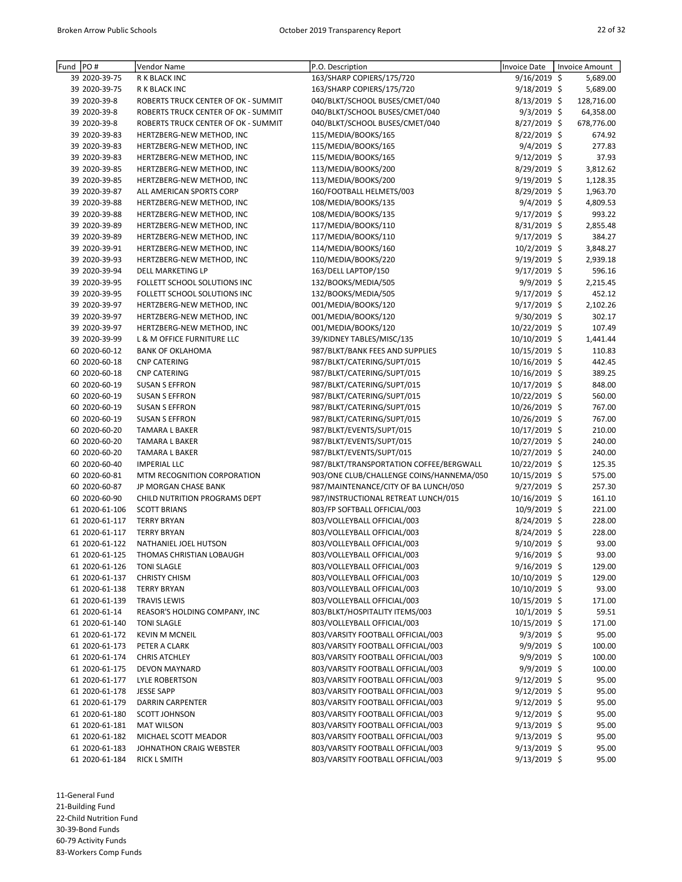| PO#<br>Fund    | Vendor Name                         | P.O. Description                         | <b>Invoice Date</b> | Invoice Amount |
|----------------|-------------------------------------|------------------------------------------|---------------------|----------------|
| 39 2020-39-75  | R K BLACK INC                       | 163/SHARP COPIERS/175/720                | $9/16/2019$ \$      | 5,689.00       |
| 39 2020-39-75  | R K BLACK INC                       | 163/SHARP COPIERS/175/720                | $9/18/2019$ \$      | 5,689.00       |
| 39 2020-39-8   | ROBERTS TRUCK CENTER OF OK - SUMMIT | 040/BLKT/SCHOOL BUSES/CMET/040           | $8/13/2019$ \$      | 128,716.00     |
| 39 2020-39-8   | ROBERTS TRUCK CENTER OF OK - SUMMIT | 040/BLKT/SCHOOL BUSES/CMET/040           | $9/3/2019$ \$       | 64,358.00      |
| 39 2020-39-8   | ROBERTS TRUCK CENTER OF OK - SUMMIT | 040/BLKT/SCHOOL BUSES/CMET/040           | 8/27/2019 \$        | 678,776.00     |
| 39 2020-39-83  | HERTZBERG-NEW METHOD, INC           | 115/MEDIA/BOOKS/165                      | 8/22/2019 \$        | 674.92         |
| 39 2020-39-83  | HERTZBERG-NEW METHOD, INC           | 115/MEDIA/BOOKS/165                      | $9/4/2019$ \$       | 277.83         |
| 39 2020-39-83  | HERTZBERG-NEW METHOD, INC           | 115/MEDIA/BOOKS/165                      | 9/12/2019 \$        | 37.93          |
| 39 2020-39-85  | HERTZBERG-NEW METHOD, INC           | 113/MEDIA/BOOKS/200                      | 8/29/2019 \$        | 3,812.62       |
| 39 2020-39-85  | HERTZBERG-NEW METHOD, INC           | 113/MEDIA/BOOKS/200                      | $9/19/2019$ \$      | 1,128.35       |
| 39 2020-39-87  | ALL AMERICAN SPORTS CORP            | 160/FOOTBALL HELMETS/003                 | 8/29/2019 \$        | 1,963.70       |
| 39 2020-39-88  | HERTZBERG-NEW METHOD, INC           | 108/MEDIA/BOOKS/135                      | 9/4/2019 \$         | 4,809.53       |
| 39 2020-39-88  | HERTZBERG-NEW METHOD, INC           | 108/MEDIA/BOOKS/135                      | 9/17/2019 \$        | 993.22         |
| 39 2020-39-89  | HERTZBERG-NEW METHOD, INC           | 117/MEDIA/BOOKS/110                      | $8/31/2019$ \$      | 2,855.48       |
| 39 2020-39-89  | HERTZBERG-NEW METHOD, INC           | 117/MEDIA/BOOKS/110                      | $9/17/2019$ \$      | 384.27         |
| 39 2020-39-91  | HERTZBERG-NEW METHOD, INC           | 114/MEDIA/BOOKS/160                      | 10/2/2019 \$        | 3,848.27       |
| 39 2020-39-93  | HERTZBERG-NEW METHOD, INC           | 110/MEDIA/BOOKS/220                      | 9/19/2019 \$        | 2,939.18       |
| 39 2020-39-94  | DELL MARKETING LP                   | 163/DELL LAPTOP/150                      | 9/17/2019 \$        | 596.16         |
| 39 2020-39-95  | FOLLETT SCHOOL SOLUTIONS INC        | 132/BOOKS/MEDIA/505                      | $9/9/2019$ \$       | 2,215.45       |
| 39 2020-39-95  | FOLLETT SCHOOL SOLUTIONS INC        | 132/BOOKS/MEDIA/505                      | $9/17/2019$ \$      | 452.12         |
| 39 2020-39-97  | HERTZBERG-NEW METHOD, INC           | 001/MEDIA/BOOKS/120                      | 9/17/2019 \$        | 2,102.26       |
| 39 2020-39-97  | HERTZBERG-NEW METHOD, INC           | 001/MEDIA/BOOKS/120                      | 9/30/2019 \$        | 302.17         |
| 39 2020-39-97  | HERTZBERG-NEW METHOD, INC           | 001/MEDIA/BOOKS/120                      | 10/22/2019 \$       | 107.49         |
| 39 2020-39-99  | L & M OFFICE FURNITURE LLC          | 39/KIDNEY TABLES/MISC/135                | 10/10/2019 \$       | 1,441.44       |
| 60 2020-60-12  | <b>BANK OF OKLAHOMA</b>             | 987/BLKT/BANK FEES AND SUPPLIES          | 10/15/2019 \$       | 110.83         |
| 60 2020-60-18  | <b>CNP CATERING</b>                 | 987/BLKT/CATERING/SUPT/015               | 10/16/2019 \$       | 442.45         |
| 60 2020-60-18  | <b>CNP CATERING</b>                 | 987/BLKT/CATERING/SUPT/015               | 10/16/2019 \$       | 389.25         |
| 60 2020-60-19  | <b>SUSAN S EFFRON</b>               | 987/BLKT/CATERING/SUPT/015               | 10/17/2019 \$       | 848.00         |
| 60 2020-60-19  | <b>SUSAN S EFFRON</b>               | 987/BLKT/CATERING/SUPT/015               | 10/22/2019 \$       | 560.00         |
| 60 2020-60-19  | <b>SUSAN S EFFRON</b>               | 987/BLKT/CATERING/SUPT/015               | 10/26/2019 \$       | 767.00         |
| 60 2020-60-19  | <b>SUSAN S EFFRON</b>               | 987/BLKT/CATERING/SUPT/015               | 10/26/2019 \$       | 767.00         |
| 60 2020-60-20  | TAMARA L BAKER                      | 987/BLKT/EVENTS/SUPT/015                 | 10/17/2019 \$       | 210.00         |
| 60 2020-60-20  | TAMARA L BAKER                      | 987/BLKT/EVENTS/SUPT/015                 | 10/27/2019 \$       | 240.00         |
| 60 2020-60-20  | <b>TAMARA L BAKER</b>               | 987/BLKT/EVENTS/SUPT/015                 | 10/27/2019 \$       | 240.00         |
| 60 2020-60-40  | <b>IMPERIAL LLC</b>                 | 987/BLKT/TRANSPORTATION COFFEE/BERGWALL  | 10/22/2019 \$       | 125.35         |
| 60 2020-60-81  | MTM RECOGNITION CORPORATION         | 903/ONE CLUB/CHALLENGE COINS/HANNEMA/050 | 10/15/2019 \$       | 575.00         |
| 60 2020-60-87  | JP MORGAN CHASE BANK                | 987/MAINTENANCE/CITY OF BA LUNCH/050     | 9/27/2019 \$        | 257.30         |
| 60 2020-60-90  | CHILD NUTRITION PROGRAMS DEPT       | 987/INSTRUCTIONAL RETREAT LUNCH/015      | 10/16/2019 \$       | 161.10         |
| 61 2020-61-106 | <b>SCOTT BRIANS</b>                 | 803/FP SOFTBALL OFFICIAL/003             | 10/9/2019 \$        | 221.00         |
| 61 2020-61-117 | <b>TERRY BRYAN</b>                  | 803/VOLLEYBALL OFFICIAL/003              | 8/24/2019 \$        | 228.00         |
| 61 2020-61-117 | <b>TERRY BRYAN</b>                  | 803/VOLLEYBALL OFFICIAL/003              | 8/24/2019 \$        | 228.00         |
| 61 2020-61-122 | NATHANIEL JOEL HUTSON               | 803/VOLLEYBALL OFFICIAL/003              | 9/10/2019 \$        | 93.00          |
| 61 2020-61-125 | THOMAS CHRISTIAN LOBAUGH            | 803/VOLLEYBALL OFFICIAL/003              | 9/16/2019 \$        | 93.00          |
| 61 2020-61-126 | <b>TONI SLAGLE</b>                  | 803/VOLLEYBALL OFFICIAL/003              | $9/16/2019$ \$      | 129.00         |
| 61 2020-61-137 | <b>CHRISTY CHISM</b>                | 803/VOLLEYBALL OFFICIAL/003              | 10/10/2019 \$       | 129.00         |
| 61 2020-61-138 | <b>TERRY BRYAN</b>                  | 803/VOLLEYBALL OFFICIAL/003              | 10/10/2019 \$       | 93.00          |
| 61 2020-61-139 | <b>TRAVIS LEWIS</b>                 | 803/VOLLEYBALL OFFICIAL/003              | 10/15/2019 \$       | 171.00         |
| 61 2020-61-14  | REASOR'S HOLDING COMPANY, INC       | 803/BLKT/HOSPITALITY ITEMS/003           | 10/1/2019 \$        | 59.51          |
| 61 2020-61-140 | <b>TONI SLAGLE</b>                  | 803/VOLLEYBALL OFFICIAL/003              | 10/15/2019 \$       | 171.00         |
| 61 2020-61-172 | <b>KEVIN M MCNEIL</b>               | 803/VARSITY FOOTBALL OFFICIAL/003        | $9/3/2019$ \$       | 95.00          |
| 61 2020-61-173 | PETER A CLARK                       | 803/VARSITY FOOTBALL OFFICIAL/003        | $9/9/2019$ \$       | 100.00         |
| 61 2020-61-174 | <b>CHRIS ATCHLEY</b>                | 803/VARSITY FOOTBALL OFFICIAL/003        | 9/9/2019 \$         | 100.00         |
| 61 2020-61-175 | <b>DEVON MAYNARD</b>                | 803/VARSITY FOOTBALL OFFICIAL/003        | 9/9/2019 \$         | 100.00         |
| 61 2020-61-177 | <b>LYLE ROBERTSON</b>               | 803/VARSITY FOOTBALL OFFICIAL/003        | $9/12/2019$ \$      | 95.00          |
| 61 2020-61-178 | <b>JESSE SAPP</b>                   | 803/VARSITY FOOTBALL OFFICIAL/003        | $9/12/2019$ \$      | 95.00          |
| 61 2020-61-179 | DARRIN CARPENTER                    | 803/VARSITY FOOTBALL OFFICIAL/003        | $9/12/2019$ \$      | 95.00          |
| 61 2020-61-180 | <b>SCOTT JOHNSON</b>                | 803/VARSITY FOOTBALL OFFICIAL/003        | $9/12/2019$ \$      | 95.00          |
| 61 2020-61-181 | <b>MAT WILSON</b>                   | 803/VARSITY FOOTBALL OFFICIAL/003        | $9/13/2019$ \$      | 95.00          |
| 61 2020-61-182 | MICHAEL SCOTT MEADOR                | 803/VARSITY FOOTBALL OFFICIAL/003        | $9/13/2019$ \$      | 95.00          |
| 61 2020-61-183 | JOHNATHON CRAIG WEBSTER             | 803/VARSITY FOOTBALL OFFICIAL/003        | $9/13/2019$ \$      | 95.00          |
| 61 2020-61-184 | <b>RICK L SMITH</b>                 | 803/VARSITY FOOTBALL OFFICIAL/003        | 9/13/2019 \$        | 95.00          |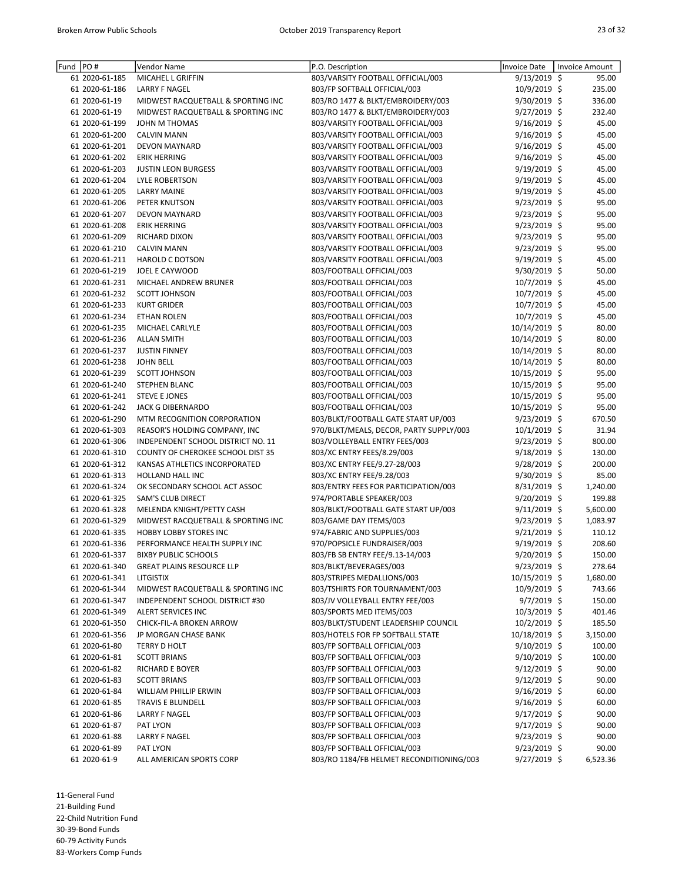| Fund  PO# |                | Vendor Name                              | P.O. Description                         | <b>Invoice Date</b> | Invoice Amount     |
|-----------|----------------|------------------------------------------|------------------------------------------|---------------------|--------------------|
|           | 61 2020-61-185 | MICAHEL L GRIFFIN                        | 803/VARSITY FOOTBALL OFFICIAL/003        | $9/13/2019$ \$      | 95.00              |
|           | 61 2020-61-186 | <b>LARRY F NAGEL</b>                     | 803/FP SOFTBALL OFFICIAL/003             | 10/9/2019 \$        | 235.00             |
|           | 61 2020-61-19  | MIDWEST RACQUETBALL & SPORTING INC       | 803/RO 1477 & BLKT/EMBROIDERY/003        | 9/30/2019 \$        | 336.00             |
|           | 61 2020-61-19  | MIDWEST RACQUETBALL & SPORTING INC       | 803/RO 1477 & BLKT/EMBROIDERY/003        | 9/27/2019 \$        | 232.40             |
|           | 61 2020-61-199 | JOHN M THOMAS                            | 803/VARSITY FOOTBALL OFFICIAL/003        | $9/16/2019$ \$      | 45.00              |
|           | 61 2020-61-200 | <b>CALVIN MANN</b>                       | 803/VARSITY FOOTBALL OFFICIAL/003        | 9/16/2019 \$        | 45.00              |
|           | 61 2020-61-201 | <b>DEVON MAYNARD</b>                     | 803/VARSITY FOOTBALL OFFICIAL/003        | 9/16/2019 \$        | 45.00              |
|           | 61 2020-61-202 | <b>ERIK HERRING</b>                      | 803/VARSITY FOOTBALL OFFICIAL/003        | $9/16/2019$ \$      | 45.00              |
|           | 61 2020-61-203 | <b>JUSTIN LEON BURGESS</b>               | 803/VARSITY FOOTBALL OFFICIAL/003        | 9/19/2019 \$        | 45.00              |
|           | 61 2020-61-204 | <b>LYLE ROBERTSON</b>                    | 803/VARSITY FOOTBALL OFFICIAL/003        | $9/19/2019$ \$      | 45.00              |
|           | 61 2020-61-205 | <b>LARRY MAINE</b>                       | 803/VARSITY FOOTBALL OFFICIAL/003        | 9/19/2019 \$        | 45.00              |
|           | 61 2020-61-206 | PETER KNUTSON                            | 803/VARSITY FOOTBALL OFFICIAL/003        | 9/23/2019 \$        | 95.00              |
|           | 61 2020-61-207 | <b>DEVON MAYNARD</b>                     | 803/VARSITY FOOTBALL OFFICIAL/003        | $9/23/2019$ \$      | 95.00              |
|           | 61 2020-61-208 | <b>ERIK HERRING</b>                      | 803/VARSITY FOOTBALL OFFICIAL/003        | $9/23/2019$ \$      | 95.00              |
|           | 61 2020-61-209 | RICHARD DIXON                            | 803/VARSITY FOOTBALL OFFICIAL/003        | 9/23/2019 \$        | 95.00              |
|           | 61 2020-61-210 |                                          |                                          |                     |                    |
|           |                | <b>CALVIN MANN</b>                       | 803/VARSITY FOOTBALL OFFICIAL/003        | 9/23/2019 \$        | 95.00              |
|           | 61 2020-61-211 | <b>HAROLD C DOTSON</b>                   | 803/VARSITY FOOTBALL OFFICIAL/003        | 9/19/2019 \$        | 45.00              |
|           | 61 2020-61-219 | JOEL E CAYWOOD                           | 803/FOOTBALL OFFICIAL/003                | 9/30/2019 \$        | 50.00              |
|           | 61 2020-61-231 | MICHAEL ANDREW BRUNER                    | 803/FOOTBALL OFFICIAL/003                | $10/7/2019$ \$      | 45.00              |
|           | 61 2020-61-232 | <b>SCOTT JOHNSON</b>                     | 803/FOOTBALL OFFICIAL/003                | $10/7/2019$ \$      | 45.00              |
|           | 61 2020-61-233 | <b>KURT GRIDER</b>                       | 803/FOOTBALL OFFICIAL/003                | 10/7/2019 \$        | 45.00              |
|           | 61 2020-61-234 | <b>ETHAN ROLEN</b>                       | 803/FOOTBALL OFFICIAL/003                | 10/7/2019 \$        | 45.00              |
|           | 61 2020-61-235 | MICHAEL CARLYLE                          | 803/FOOTBALL OFFICIAL/003                | 10/14/2019 \$       | 80.00              |
|           | 61 2020-61-236 | <b>ALLAN SMITH</b>                       | 803/FOOTBALL OFFICIAL/003                | 10/14/2019 \$       | 80.00              |
|           | 61 2020-61-237 | <b>JUSTIN FINNEY</b>                     | 803/FOOTBALL OFFICIAL/003                | 10/14/2019 \$       | 80.00              |
|           | 61 2020-61-238 | <b>JOHN BELL</b>                         | 803/FOOTBALL OFFICIAL/003                | 10/14/2019 \$       | 80.00              |
|           | 61 2020-61-239 | <b>SCOTT JOHNSON</b>                     | 803/FOOTBALL OFFICIAL/003                | 10/15/2019 \$       | 95.00              |
|           | 61 2020-61-240 | STEPHEN BLANC                            | 803/FOOTBALL OFFICIAL/003                | 10/15/2019 \$       | 95.00              |
|           | 61 2020-61-241 | <b>STEVE E JONES</b>                     | 803/FOOTBALL OFFICIAL/003                | 10/15/2019 \$       | 95.00              |
|           | 61 2020-61-242 | JACK G DIBERNARDO                        | 803/FOOTBALL OFFICIAL/003                | 10/15/2019 \$       | 95.00              |
|           | 61 2020-61-290 | MTM RECOGNITION CORPORATION              | 803/BLKT/FOOTBALL GATE START UP/003      | 9/23/2019 \$        | 670.50             |
|           | 61 2020-61-303 | REASOR'S HOLDING COMPANY, INC            | 970/BLKT/MEALS, DECOR, PARTY SUPPLY/003  | 10/1/2019 \$        | 31.94              |
|           | 61 2020-61-306 | INDEPENDENT SCHOOL DISTRICT NO. 11       | 803/VOLLEYBALL ENTRY FEES/003            | 9/23/2019 \$        | 800.00             |
|           | 61 2020-61-310 | <b>COUNTY OF CHEROKEE SCHOOL DIST 35</b> | 803/XC ENTRY FEES/8.29/003               | $9/18/2019$ \$      | 130.00             |
|           | 61 2020-61-312 | KANSAS ATHLETICS INCORPORATED            | 803/XC ENTRY FEE/9.27-28/003             | $9/28/2019$ \$      | 200.00             |
|           | 61 2020-61-313 | HOLLAND HALL INC                         | 803/XC ENTRY FEE/9.28/003                | 9/30/2019 \$        | 85.00              |
|           | 61 2020-61-324 | OK SECONDARY SCHOOL ACT ASSOC            | 803/ENTRY FEES FOR PARTICIPATION/003     | 8/31/2019 \$        | 1,240.00           |
|           | 61 2020-61-325 | SAM'S CLUB DIRECT                        | 974/PORTABLE SPEAKER/003                 | 9/20/2019 \$        | 199.88             |
|           | 61 2020-61-328 | MELENDA KNIGHT/PETTY CASH                | 803/BLKT/FOOTBALL GATE START UP/003      | $9/11/2019$ \$      | 5,600.00           |
|           | 61 2020-61-329 |                                          |                                          |                     |                    |
|           |                | MIDWEST RACQUETBALL & SPORTING INC       | 803/GAME DAY ITEMS/003                   | 9/23/2019 \$        | 1,083.97<br>110.12 |
|           | 61 2020-61-335 | <b>HOBBY LOBBY STORES INC</b>            | 974/FABRIC AND SUPPLIES/003              | $9/21/2019$ \$      |                    |
|           | 61 2020-61-336 | PERFORMANCE HEALTH SUPPLY INC            | 970/POPSICLE FUNDRAISER/003              | 9/19/2019 \$        | 208.60             |
|           | 61 2020-61-337 | <b>BIXBY PUBLIC SCHOOLS</b>              | 803/FB SB ENTRY FEE/9.13-14/003          | 9/20/2019 \$        | 150.00             |
|           | 61 2020-61-340 | <b>GREAT PLAINS RESOURCE LLP</b>         | 803/BLKT/BEVERAGES/003                   | $9/23/2019$ \$      | 278.64             |
|           | 61 2020-61-341 | LITGISTIX                                | 803/STRIPES MEDALLIONS/003               | 10/15/2019 \$       | 1,680.00           |
|           | 61 2020-61-344 | MIDWEST RACQUETBALL & SPORTING INC       | 803/TSHIRTS FOR TOURNAMENT/003           | 10/9/2019 \$        | 743.66             |
|           | 61 2020-61-347 | INDEPENDENT SCHOOL DISTRICT #30          | 803/JV VOLLEYBALL ENTRY FEE/003          | $9/7/2019$ \$       | 150.00             |
|           | 61 2020-61-349 | <b>ALERT SERVICES INC</b>                | 803/SPORTS MED ITEMS/003                 | $10/3/2019$ \$      | 401.46             |
|           | 61 2020-61-350 | CHICK-FIL-A BROKEN ARROW                 | 803/BLKT/STUDENT LEADERSHIP COUNCIL      | $10/2/2019$ \$      | 185.50             |
|           | 61 2020-61-356 | JP MORGAN CHASE BANK                     | 803/HOTELS FOR FP SOFTBALL STATE         | 10/18/2019 \$       | 3,150.00           |
|           | 61 2020-61-80  | TERRY D HOLT                             | 803/FP SOFTBALL OFFICIAL/003             | $9/10/2019$ \$      | 100.00             |
|           | 61 2020-61-81  | <b>SCOTT BRIANS</b>                      | 803/FP SOFTBALL OFFICIAL/003             | 9/10/2019 \$        | 100.00             |
|           | 61 2020-61-82  | RICHARD E BOYER                          | 803/FP SOFTBALL OFFICIAL/003             | $9/12/2019$ \$      | 90.00              |
|           | 61 2020-61-83  | <b>SCOTT BRIANS</b>                      | 803/FP SOFTBALL OFFICIAL/003             | $9/12/2019$ \$      | 90.00              |
|           | 61 2020-61-84  | WILLIAM PHILLIP ERWIN                    | 803/FP SOFTBALL OFFICIAL/003             | $9/16/2019$ \$      | 60.00              |
|           | 61 2020-61-85  | TRAVIS E BLUNDELL                        | 803/FP SOFTBALL OFFICIAL/003             | $9/16/2019$ \$      | 60.00              |
|           | 61 2020-61-86  | <b>LARRY F NAGEL</b>                     | 803/FP SOFTBALL OFFICIAL/003             | $9/17/2019$ \$      | 90.00              |
|           | 61 2020-61-87  | PAT LYON                                 | 803/FP SOFTBALL OFFICIAL/003             | $9/17/2019$ \$      | 90.00              |
|           | 61 2020-61-88  | LARRY F NAGEL                            | 803/FP SOFTBALL OFFICIAL/003             | $9/23/2019$ \$      | 90.00              |
|           | 61 2020-61-89  | PAT LYON                                 | 803/FP SOFTBALL OFFICIAL/003             | $9/23/2019$ \$      | 90.00              |
|           | 61 2020-61-9   | ALL AMERICAN SPORTS CORP                 | 803/RO 1184/FB HELMET RECONDITIONING/003 | 9/27/2019 \$        | 6,523.36           |
|           |                |                                          |                                          |                     |                    |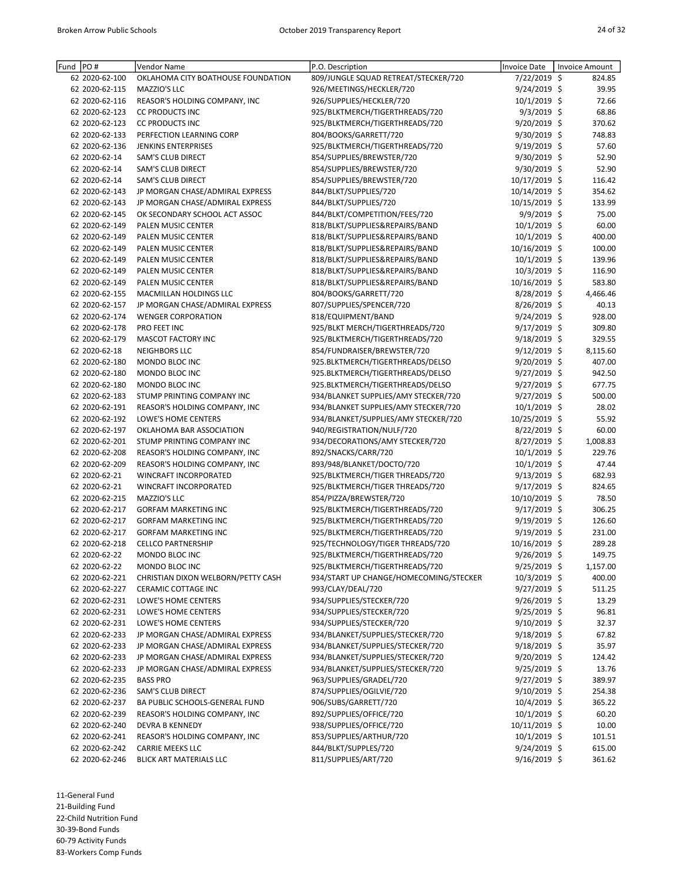| Fund | PO#            | Vendor Name                        | P.O. Description                       | <b>Invoice Date</b> | <b>Invoice Amount</b> |
|------|----------------|------------------------------------|----------------------------------------|---------------------|-----------------------|
|      | 62 2020-62-100 | OKLAHOMA CITY BOATHOUSE FOUNDATION | 809/JUNGLE SQUAD RETREAT/STECKER/720   | 7/22/2019 \$        | 824.85                |
|      | 62 2020-62-115 | MAZZIO'S LLC                       | 926/MEETINGS/HECKLER/720               | 9/24/2019 \$        | 39.95                 |
|      | 62 2020-62-116 | REASOR'S HOLDING COMPANY, INC      | 926/SUPPLIES/HECKLER/720               | 10/1/2019 \$        | 72.66                 |
|      | 62 2020-62-123 | <b>CC PRODUCTS INC</b>             | 925/BLKTMERCH/TIGERTHREADS/720         | $9/3/2019$ \$       | 68.86                 |
|      | 62 2020-62-123 | <b>CC PRODUCTS INC</b>             | 925/BLKTMERCH/TIGERTHREADS/720         | 9/20/2019 \$        | 370.62                |
|      | 62 2020-62-133 | PERFECTION LEARNING CORP           | 804/BOOKS/GARRETT/720                  | 9/30/2019 \$        | 748.83                |
|      | 62 2020-62-136 | <b>JENKINS ENTERPRISES</b>         | 925/BLKTMERCH/TIGERTHREADS/720         | 9/19/2019 \$        | 57.60                 |
|      | 62 2020-62-14  | <b>SAM'S CLUB DIRECT</b>           | 854/SUPPLIES/BREWSTER/720              | 9/30/2019 \$        | 52.90                 |
|      | 62 2020-62-14  | SAM'S CLUB DIRECT                  | 854/SUPPLIES/BREWSTER/720              | 9/30/2019 \$        | 52.90                 |
|      | 62 2020-62-14  | SAM'S CLUB DIRECT                  | 854/SUPPLIES/BREWSTER/720              | 10/17/2019 \$       | 116.42                |
|      | 62 2020-62-143 | JP MORGAN CHASE/ADMIRAL EXPRESS    | 844/BLKT/SUPPLIES/720                  | 10/14/2019 \$       | 354.62                |
|      | 62 2020-62-143 | JP MORGAN CHASE/ADMIRAL EXPRESS    | 844/BLKT/SUPPLIES/720                  | 10/15/2019 \$       | 133.99                |
|      | 62 2020-62-145 | OK SECONDARY SCHOOL ACT ASSOC      | 844/BLKT/COMPETITION/FEES/720          | 9/9/2019 \$         | 75.00                 |
|      | 62 2020-62-149 | PALEN MUSIC CENTER                 | 818/BLKT/SUPPLIES&REPAIRS/BAND         | $10/1/2019$ \$      | 60.00                 |
|      | 62 2020-62-149 | PALEN MUSIC CENTER                 | 818/BLKT/SUPPLIES&REPAIRS/BAND         | 10/1/2019 \$        | 400.00                |
|      | 62 2020-62-149 | PALEN MUSIC CENTER                 | 818/BLKT/SUPPLIES&REPAIRS/BAND         | 10/16/2019 \$       | 100.00                |
|      | 62 2020-62-149 | PALEN MUSIC CENTER                 | 818/BLKT/SUPPLIES&REPAIRS/BAND         | $10/1/2019$ \$      | 139.96                |
|      | 62 2020-62-149 | PALEN MUSIC CENTER                 | 818/BLKT/SUPPLIES&REPAIRS/BAND         | 10/3/2019 \$        | 116.90                |
|      | 62 2020-62-149 | <b>PALEN MUSIC CENTER</b>          | 818/BLKT/SUPPLIES&REPAIRS/BAND         | 10/16/2019 \$       | 583.80                |
|      | 62 2020-62-155 | MACMILLAN HOLDINGS LLC             | 804/BOOKS/GARRETT/720                  | 8/28/2019 \$        | 4,466.46              |
|      |                |                                    |                                        |                     |                       |
|      | 62 2020-62-157 | JP MORGAN CHASE/ADMIRAL EXPRESS    | 807/SUPPLIES/SPENCER/720               | 8/26/2019 \$        | 40.13                 |
|      | 62 2020-62-174 | <b>WENGER CORPORATION</b>          | 818/EQUIPMENT/BAND                     | 9/24/2019 \$        | 928.00                |
|      | 62 2020-62-178 | PRO FEET INC                       | 925/BLKT MERCH/TIGERTHREADS/720        | 9/17/2019 \$        | 309.80                |
|      | 62 2020-62-179 | MASCOT FACTORY INC                 | 925/BLKTMERCH/TIGERTHREADS/720         | 9/18/2019 \$        | 329.55                |
|      | 62 2020-62-18  | <b>NEIGHBORS LLC</b>               | 854/FUNDRAISER/BREWSTER/720            | $9/12/2019$ \$      | 8,115.60              |
|      | 62 2020-62-180 | MONDO BLOC INC                     | 925.BLKTMERCH/TIGERTHREADS/DELSO       | 9/20/2019 \$        | 407.00                |
|      | 62 2020-62-180 | MONDO BLOC INC                     | 925.BLKTMERCH/TIGERTHREADS/DELSO       | 9/27/2019 \$        | 942.50                |
|      | 62 2020-62-180 | MONDO BLOC INC                     | 925.BLKTMERCH/TIGERTHREADS/DELSO       | 9/27/2019 \$        | 677.75                |
|      | 62 2020-62-183 | STUMP PRINTING COMPANY INC         | 934/BLANKET SUPPLIES/AMY STECKER/720   | 9/27/2019 \$        | 500.00                |
|      | 62 2020-62-191 | REASOR'S HOLDING COMPANY, INC      | 934/BLANKET SUPPLIES/AMY STECKER/720   | $10/1/2019$ \$      | 28.02                 |
|      | 62 2020-62-192 | LOWE'S HOME CENTERS                | 934/BLANKET/SUPPLIES/AMY STECKER/720   | 10/25/2019 \$       | 55.92                 |
|      | 62 2020-62-197 | OKLAHOMA BAR ASSOCIATION           | 940/REGISTRATION/NULF/720              | 8/22/2019 \$        | 60.00                 |
|      | 62 2020-62-201 | STUMP PRINTING COMPANY INC         | 934/DECORATIONS/AMY STECKER/720        | 8/27/2019 \$        | 1,008.83              |
|      | 62 2020-62-208 | REASOR'S HOLDING COMPANY, INC      | 892/SNACKS/CARR/720                    | 10/1/2019 \$        | 229.76                |
|      | 62 2020-62-209 | REASOR'S HOLDING COMPANY, INC      | 893/948/BLANKET/DOCTO/720              | $10/1/2019$ \$      | 47.44                 |
|      | 62 2020-62-21  | WINCRAFT INCORPORATED              | 925/BLKTMERCH/TIGER THREADS/720        | 9/13/2019 \$        | 682.93                |
|      | 62 2020-62-21  | WINCRAFT INCORPORATED              | 925/BLKTMERCH/TIGER THREADS/720        | 9/17/2019 \$        | 824.65                |
|      | 62 2020-62-215 | MAZZIO'S LLC                       | 854/PIZZA/BREWSTER/720                 | 10/10/2019 \$       | 78.50                 |
|      | 62 2020-62-217 | <b>GORFAM MARKETING INC</b>        | 925/BLKTMERCH/TIGERTHREADS/720         | $9/17/2019$ \$      | 306.25                |
|      | 62 2020-62-217 | <b>GORFAM MARKETING INC</b>        | 925/BLKTMERCH/TIGERTHREADS/720         | $9/19/2019$ \$      | 126.60                |
|      | 62 2020-62-217 | <b>GORFAM MARKETING INC</b>        | 925/BLKTMERCH/TIGERTHREADS/720         | 9/19/2019 \$        | 231.00                |
|      | 62 2020-62-218 | <b>CELLCO PARTNERSHIP</b>          | 925/TECHNOLOGY/TIGER THREADS/720       | 10/16/2019 \$       | 289.28                |
|      | 62 2020-62-22  | MONDO BLOC INC                     | 925/BLKTMERCH/TIGERTHREADS/720         | 9/26/2019 \$        | 149.75                |
|      | 62 2020-62-22  | MONDO BLOC INC                     | 925/BLKTMERCH/TIGERTHREADS/720         | 9/25/2019 \$        | 1,157.00              |
|      | 62 2020-62-221 | CHRISTIAN DIXON WELBORN/PETTY CASH | 934/START UP CHANGE/HOMECOMING/STECKER | $10/3/2019$ \$      | 400.00                |
|      | 62 2020-62-227 | CERAMIC COTTAGE INC                | 993/CLAY/DEAL/720                      | $9/27/2019$ \$      | 511.25                |
|      | 62 2020-62-231 | LOWE'S HOME CENTERS                | 934/SUPPLIES/STECKER/720               | $9/26/2019$ \$      | 13.29                 |
|      | 62 2020-62-231 | LOWE'S HOME CENTERS                | 934/SUPPLIES/STECKER/720               | $9/25/2019$ \$      | 96.81                 |
|      | 62 2020-62-231 | LOWE'S HOME CENTERS                | 934/SUPPLIES/STECKER/720               | $9/10/2019$ \$      | 32.37                 |
|      | 62 2020-62-233 | JP MORGAN CHASE/ADMIRAL EXPRESS    | 934/BLANKET/SUPPLIES/STECKER/720       | $9/18/2019$ \$      | 67.82                 |
|      | 62 2020-62-233 | JP MORGAN CHASE/ADMIRAL EXPRESS    | 934/BLANKET/SUPPLIES/STECKER/720       | 9/18/2019 \$        | 35.97                 |
|      | 62 2020-62-233 | JP MORGAN CHASE/ADMIRAL EXPRESS    | 934/BLANKET/SUPPLIES/STECKER/720       | 9/20/2019 \$        |                       |
|      | 62 2020-62-233 | JP MORGAN CHASE/ADMIRAL EXPRESS    |                                        |                     | 124.42<br>13.76       |
|      |                |                                    | 934/BLANKET/SUPPLIES/STECKER/720       | 9/25/2019 \$        |                       |
|      | 62 2020-62-235 | <b>BASS PRO</b>                    | 963/SUPPLIES/GRADEL/720                | 9/27/2019 \$        | 389.97                |
|      | 62 2020-62-236 | SAM'S CLUB DIRECT                  | 874/SUPPLIES/OGILVIE/720               | $9/10/2019$ \$      | 254.38                |
|      | 62 2020-62-237 | BA PUBLIC SCHOOLS-GENERAL FUND     | 906/SUBS/GARRETT/720                   | $10/4/2019$ \$      | 365.22                |
|      | 62 2020-62-239 | REASOR'S HOLDING COMPANY, INC      | 892/SUPPLIES/OFFICE/720                | $10/1/2019$ \$      | 60.20                 |
|      | 62 2020-62-240 | DEVRA B KENNEDY                    | 938/SUPPLIES/OFFICE/720                | 10/11/2019 \$       | 10.00                 |
|      | 62 2020-62-241 | REASOR'S HOLDING COMPANY, INC      | 853/SUPPLIES/ARTHUR/720                | $10/1/2019$ \$      | 101.51                |
|      | 62 2020-62-242 | <b>CARRIE MEEKS LLC</b>            | 844/BLKT/SUPPLES/720                   | $9/24/2019$ \$      | 615.00                |
|      | 62 2020-62-246 | BLICK ART MATERIALS LLC            | 811/SUPPLIES/ART/720                   | $9/16/2019$ \$      | 361.62                |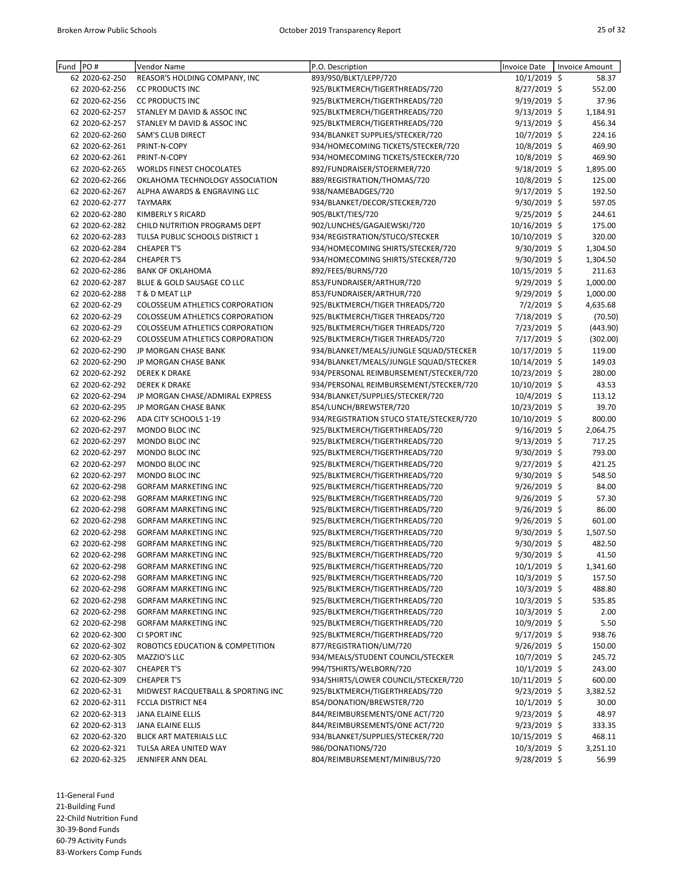| Fund | PO#            | Vendor Name                            | P.O. Description                         | <b>Invoice Date</b> | Invoice Amount |
|------|----------------|----------------------------------------|------------------------------------------|---------------------|----------------|
|      | 62 2020-62-250 | REASOR'S HOLDING COMPANY, INC          | 893/950/BLKT/LEPP/720                    | 10/1/2019 \$        | 58.37          |
|      | 62 2020-62-256 | <b>CC PRODUCTS INC</b>                 | 925/BLKTMERCH/TIGERTHREADS/720           | 8/27/2019 \$        | 552.00         |
|      | 62 2020-62-256 | <b>CC PRODUCTS INC</b>                 | 925/BLKTMERCH/TIGERTHREADS/720           | 9/19/2019 \$        | 37.96          |
|      | 62 2020-62-257 | STANLEY M DAVID & ASSOC INC            | 925/BLKTMERCH/TIGERTHREADS/720           | 9/13/2019 \$        | 1,184.91       |
|      | 62 2020-62-257 | STANLEY M DAVID & ASSOC INC            | 925/BLKTMERCH/TIGERTHREADS/720           | $9/13/2019$ \$      | 456.34         |
|      | 62 2020-62-260 | SAM'S CLUB DIRECT                      | 934/BLANKET SUPPLIES/STECKER/720         | 10/7/2019 \$        | 224.16         |
|      | 62 2020-62-261 | PRINT-N-COPY                           | 934/HOMECOMING TICKETS/STECKER/720       | 10/8/2019 \$        | 469.90         |
|      | 62 2020-62-261 | PRINT-N-COPY                           | 934/HOMECOMING TICKETS/STECKER/720       | 10/8/2019 \$        | 469.90         |
|      | 62 2020-62-265 | <b>WORLDS FINEST CHOCOLATES</b>        | 892/FUNDRAISER/STOERMER/720              | 9/18/2019 \$        | 1,895.00       |
|      | 62 2020-62-266 | OKLAHOMA TECHNOLOGY ASSOCIATION        | 889/REGISTRATION/THOMAS/720              | 10/8/2019 \$        | 125.00         |
|      | 62 2020-62-267 | ALPHA AWARDS & ENGRAVING LLC           | 938/NAMEBADGES/720                       | $9/17/2019$ \$      | 192.50         |
|      | 62 2020-62-277 | <b>TAYMARK</b>                         | 934/BLANKET/DECOR/STECKER/720            | 9/30/2019 \$        | 597.05         |
|      | 62 2020-62-280 | <b>KIMBERLY S RICARD</b>               | 905/BLKT/TIES/720                        | 9/25/2019 \$        | 244.61         |
|      | 62 2020-62-282 | CHILD NUTRITION PROGRAMS DEPT          | 902/LUNCHES/GAGAJEWSKI/720               | 10/16/2019 \$       | 175.00         |
|      | 62 2020-62-283 | TULSA PUBLIC SCHOOLS DISTRICT 1        | 934/REGISTRATION/STUCO/STECKER           | 10/10/2019 \$       | 320.00         |
|      | 62 2020-62-284 | <b>CHEAPER T'S</b>                     | 934/HOMECOMING SHIRTS/STECKER/720        | 9/30/2019 \$        | 1,304.50       |
|      | 62 2020-62-284 | <b>CHEAPER T'S</b>                     | 934/HOMECOMING SHIRTS/STECKER/720        | 9/30/2019 \$        | 1,304.50       |
|      | 62 2020-62-286 | <b>BANK OF OKLAHOMA</b>                | 892/FEES/BURNS/720                       | 10/15/2019 \$       | 211.63         |
|      | 62 2020-62-287 | BLUE & GOLD SAUSAGE CO LLC             | 853/FUNDRAISER/ARTHUR/720                | $9/29/2019$ \$      | 1,000.00       |
|      | 62 2020-62-288 | T & D MEAT LLP                         | 853/FUNDRAISER/ARTHUR/720                | 9/29/2019 \$        | 1,000.00       |
|      | 62 2020-62-29  | COLOSSEUM ATHLETICS CORPORATION        | 925/BLKTMERCH/TIGER THREADS/720          | $7/2/2019$ \$       | 4,635.68       |
|      | 62 2020-62-29  | <b>COLOSSEUM ATHLETICS CORPORATION</b> | 925/BLKTMERCH/TIGER THREADS/720          | 7/18/2019 \$        | (70.50)        |
|      | 62 2020-62-29  | <b>COLOSSEUM ATHLETICS CORPORATION</b> | 925/BLKTMERCH/TIGER THREADS/720          | 7/23/2019 \$        | (443.90)       |
|      | 62 2020-62-29  | COLOSSEUM ATHLETICS CORPORATION        | 925/BLKTMERCH/TIGER THREADS/720          | 7/17/2019 \$        | (302.00)       |
|      | 62 2020-62-290 | JP MORGAN CHASE BANK                   | 934/BLANKET/MEALS/JUNGLE SQUAD/STECKER   | 10/17/2019 \$       | 119.00         |
|      | 62 2020-62-290 | JP MORGAN CHASE BANK                   | 934/BLANKET/MEALS/JUNGLE SQUAD/STECKER   | 10/14/2019 \$       | 149.03         |
|      | 62 2020-62-292 | <b>DEREK K DRAKE</b>                   | 934/PERSONAL REIMBURSEMENT/STECKER/720   | 10/23/2019 \$       | 280.00         |
|      | 62 2020-62-292 | <b>DEREK K DRAKE</b>                   | 934/PERSONAL REIMBURSEMENT/STECKER/720   | 10/10/2019 \$       | 43.53          |
|      | 62 2020-62-294 | JP MORGAN CHASE/ADMIRAL EXPRESS        | 934/BLANKET/SUPPLIES/STECKER/720         | 10/4/2019 \$        | 113.12         |
|      | 62 2020-62-295 | JP MORGAN CHASE BANK                   | 854/LUNCH/BREWSTER/720                   | 10/23/2019 \$       | 39.70          |
|      | 62 2020-62-296 | ADA CITY SCHOOLS 1-19                  | 934/REGISTRATION STUCO STATE/STECKER/720 | 10/10/2019 \$       | 800.00         |
|      | 62 2020-62-297 | MONDO BLOC INC                         | 925/BLKTMERCH/TIGERTHREADS/720           | $9/16/2019$ \$      | 2,064.75       |
|      | 62 2020-62-297 | MONDO BLOC INC                         | 925/BLKTMERCH/TIGERTHREADS/720           | $9/13/2019$ \$      | 717.25         |
|      | 62 2020-62-297 | MONDO BLOC INC                         | 925/BLKTMERCH/TIGERTHREADS/720           | 9/30/2019 \$        | 793.00         |
|      | 62 2020-62-297 | MONDO BLOC INC                         | 925/BLKTMERCH/TIGERTHREADS/720           | 9/27/2019 \$        | 421.25         |
|      | 62 2020-62-297 | MONDO BLOC INC                         | 925/BLKTMERCH/TIGERTHREADS/720           | 9/30/2019 \$        | 548.50         |
|      | 62 2020-62-298 | <b>GORFAM MARKETING INC</b>            | 925/BLKTMERCH/TIGERTHREADS/720           | 9/26/2019 \$        | 84.00          |
|      | 62 2020-62-298 | <b>GORFAM MARKETING INC</b>            | 925/BLKTMERCH/TIGERTHREADS/720           | 9/26/2019 \$        | 57.30          |
|      | 62 2020-62-298 | <b>GORFAM MARKETING INC</b>            | 925/BLKTMERCH/TIGERTHREADS/720           | 9/26/2019 \$        | 86.00          |
|      | 62 2020-62-298 | <b>GORFAM MARKETING INC</b>            | 925/BLKTMERCH/TIGERTHREADS/720           | $9/26/2019$ \$      | 601.00         |
|      | 62 2020-62-298 | <b>GORFAM MARKETING INC</b>            | 925/BLKTMERCH/TIGERTHREADS/720           | 9/30/2019 \$        | 1,507.50       |
|      | 62 2020-62-298 | <b>GORFAM MARKETING INC</b>            | 925/BLKTMERCH/TIGERTHREADS/720           | 9/30/2019 \$        | 482.50         |
|      | 62 2020-62-298 | <b>GORFAM MARKETING INC</b>            | 925/BLKTMERCH/TIGERTHREADS/720           | 9/30/2019 \$        | 41.50          |
|      | 62 2020-62-298 | <b>GORFAM MARKETING INC</b>            | 925/BLKTMERCH/TIGERTHREADS/720           | $10/1/2019$ \$      | 1,341.60       |
|      | 62 2020-62-298 | <b>GORFAM MARKETING INC</b>            | 925/BLKTMERCH/TIGERTHREADS/720           | $10/3/2019$ \$      | 157.50         |
|      | 62 2020-62-298 | <b>GORFAM MARKETING INC</b>            | 925/BLKTMERCH/TIGERTHREADS/720           | $10/3/2019$ \$      | 488.80         |
|      | 62 2020-62-298 | <b>GORFAM MARKETING INC</b>            | 925/BLKTMERCH/TIGERTHREADS/720           | 10/3/2019 \$        | 535.85         |
|      | 62 2020-62-298 | <b>GORFAM MARKETING INC</b>            | 925/BLKTMERCH/TIGERTHREADS/720           | $10/3/2019$ \$      | 2.00           |
|      | 62 2020-62-298 | <b>GORFAM MARKETING INC</b>            | 925/BLKTMERCH/TIGERTHREADS/720           | 10/9/2019 \$        | 5.50           |
|      | 62 2020-62-300 | CI SPORT INC                           | 925/BLKTMERCH/TIGERTHREADS/720           | $9/17/2019$ \$      | 938.76         |
|      | 62 2020-62-302 | ROBOTICS EDUCATION & COMPETITION       | 877/REGISTRATION/LIM/720                 | $9/26/2019$ \$      | 150.00         |
|      | 62 2020-62-305 | MAZZIO'S LLC                           | 934/MEALS/STUDENT COUNCIL/STECKER        | 10/7/2019 \$        | 245.72         |
|      | 62 2020-62-307 | <b>CHEAPER T'S</b>                     | 994/TSHIRTS/WELBORN/720                  | $10/1/2019$ \$      | 243.00         |
|      | 62 2020-62-309 | <b>CHEAPER T'S</b>                     | 934/SHIRTS/LOWER COUNCIL/STECKER/720     | $10/11/2019$ \$     | 600.00         |
|      | 62 2020-62-31  | MIDWEST RACQUETBALL & SPORTING INC     | 925/BLKTMERCH/TIGERTHREADS/720           | $9/23/2019$ \$      | 3,382.52       |
|      | 62 2020-62-311 | FCCLA DISTRICT NE4                     | 854/DONATION/BREWSTER/720                | $10/1/2019$ \$      | 30.00          |
|      | 62 2020-62-313 | JANA ELAINE ELLIS                      | 844/REIMBURSEMENTS/ONE ACT/720           | 9/23/2019 \$        | 48.97          |
|      | 62 2020-62-313 | JANA ELAINE ELLIS                      | 844/REIMBURSEMENTS/ONE ACT/720           | $9/23/2019$ \$      | 333.35         |
|      | 62 2020-62-320 | <b>BLICK ART MATERIALS LLC</b>         | 934/BLANKET/SUPPLIES/STECKER/720         | 10/15/2019 \$       | 468.11         |
|      | 62 2020-62-321 | TULSA AREA UNITED WAY                  | 986/DONATIONS/720                        | $10/3/2019$ \$      | 3,251.10       |
|      | 62 2020-62-325 | JENNIFER ANN DEAL                      | 804/REIMBURSEMENT/MINIBUS/720            | 9/28/2019 \$        | 56.99          |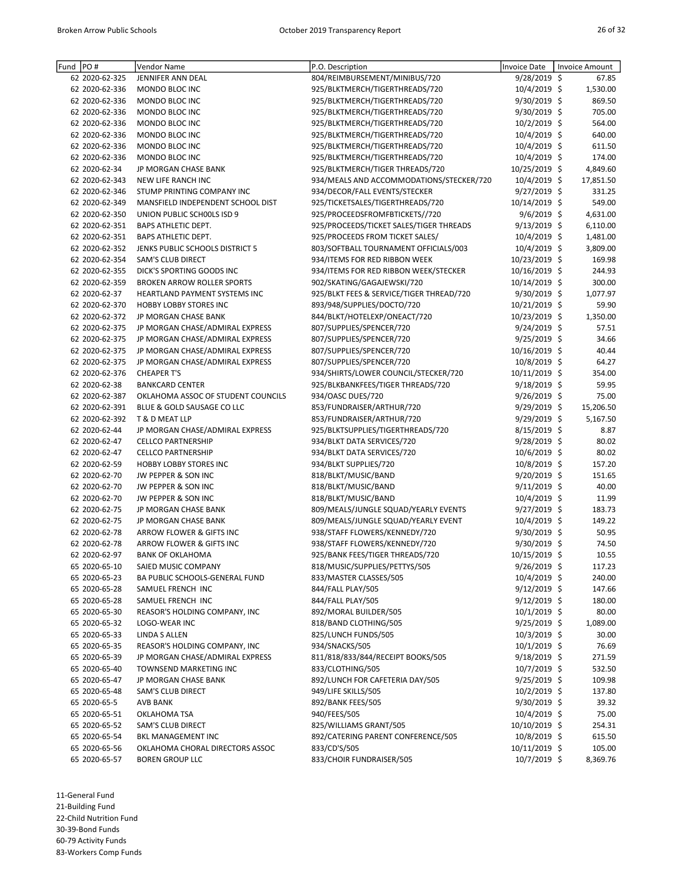| Fund | PO#            | Vendor Name                        | P.O. Description                         | <b>Invoice Date</b> | <b>Invoice Amount</b> |
|------|----------------|------------------------------------|------------------------------------------|---------------------|-----------------------|
|      | 62 2020-62-325 | JENNIFER ANN DEAL                  | 804/REIMBURSEMENT/MINIBUS/720            | 9/28/2019 \$        | 67.85                 |
|      | 62 2020-62-336 | MONDO BLOC INC                     | 925/BLKTMERCH/TIGERTHREADS/720           | 10/4/2019 \$        | 1,530.00              |
|      | 62 2020-62-336 | MONDO BLOC INC                     | 925/BLKTMERCH/TIGERTHREADS/720           | 9/30/2019 \$        | 869.50                |
|      | 62 2020-62-336 | MONDO BLOC INC                     | 925/BLKTMERCH/TIGERTHREADS/720           | 9/30/2019 \$        | 705.00                |
|      | 62 2020-62-336 | MONDO BLOC INC                     | 925/BLKTMERCH/TIGERTHREADS/720           | $10/2/2019$ \$      | 564.00                |
|      | 62 2020-62-336 | MONDO BLOC INC                     | 925/BLKTMERCH/TIGERTHREADS/720           | 10/4/2019 \$        | 640.00                |
|      | 62 2020-62-336 | MONDO BLOC INC                     | 925/BLKTMERCH/TIGERTHREADS/720           | 10/4/2019 \$        | 611.50                |
|      | 62 2020-62-336 | MONDO BLOC INC                     | 925/BLKTMERCH/TIGERTHREADS/720           | 10/4/2019 \$        | 174.00                |
|      | 62 2020-62-34  | JP MORGAN CHASE BANK               | 925/BLKTMERCH/TIGER THREADS/720          | 10/25/2019 \$       | 4,849.60              |
|      | 62 2020-62-343 | NEW LIFE RANCH INC                 | 934/MEALS AND ACCOMMODATIONS/STECKER/720 | $10/4/2019$ \$      | 17,851.50             |
|      | 62 2020-62-346 | STUMP PRINTING COMPANY INC         | 934/DECOR/FALL EVENTS/STECKER            | 9/27/2019 \$        | 331.25                |
|      | 62 2020-62-349 | MANSFIELD INDEPENDENT SCHOOL DIST  | 925/TICKETSALES/TIGERTHREADS/720         | 10/14/2019 \$       | 549.00                |
|      | 62 2020-62-350 | UNION PUBLIC SCHOOLS ISD 9         | 925/PROCEEDSFROMFBTICKETS//720           | $9/6/2019$ \$       | 4,631.00              |
|      | 62 2020-62-351 | <b>BAPS ATHLETIC DEPT.</b>         | 925/PROCEEDS/TICKET SALES/TIGER THREADS  | $9/13/2019$ \$      | 6,110.00              |
|      | 62 2020-62-351 | <b>BAPS ATHLETIC DEPT.</b>         | 925/PROCEEDS FROM TICKET SALES/          | 10/4/2019 \$        | 1,481.00              |
|      | 62 2020-62-352 | JENKS PUBLIC SCHOOLS DISTRICT 5    | 803/SOFTBALL TOURNAMENT OFFICIALS/003    | 10/4/2019 \$        | 3,809.00              |
|      | 62 2020-62-354 | <b>SAM'S CLUB DIRECT</b>           | 934/ITEMS FOR RED RIBBON WEEK            | 10/23/2019 \$       | 169.98                |
|      | 62 2020-62-355 | DICK'S SPORTING GOODS INC          | 934/ITEMS FOR RED RIBBON WEEK/STECKER    | 10/16/2019 \$       | 244.93                |
|      | 62 2020-62-359 | <b>BROKEN ARROW ROLLER SPORTS</b>  | 902/SKATING/GAGAJEWSKI/720               | 10/14/2019 \$       | 300.00                |
|      | 62 2020-62-37  | HEARTLAND PAYMENT SYSTEMS INC      | 925/BLKT FEES & SERVICE/TIGER THREAD/720 | 9/30/2019 \$        | 1,077.97              |
|      | 62 2020-62-370 | <b>HOBBY LOBBY STORES INC</b>      | 893/948/SUPPLIES/DOCTO/720               | 10/21/2019 \$       | 59.90                 |
|      | 62 2020-62-372 | JP MORGAN CHASE BANK               | 844/BLKT/HOTELEXP/ONEACT/720             | 10/23/2019 \$       | 1,350.00              |
|      | 62 2020-62-375 | JP MORGAN CHASE/ADMIRAL EXPRESS    | 807/SUPPLIES/SPENCER/720                 | 9/24/2019 \$        | 57.51                 |
|      | 62 2020-62-375 | JP MORGAN CHASE/ADMIRAL EXPRESS    | 807/SUPPLIES/SPENCER/720                 | 9/25/2019 \$        | 34.66                 |
|      | 62 2020-62-375 | JP MORGAN CHASE/ADMIRAL EXPRESS    | 807/SUPPLIES/SPENCER/720                 | 10/16/2019 \$       | 40.44                 |
|      | 62 2020-62-375 | JP MORGAN CHASE/ADMIRAL EXPRESS    | 807/SUPPLIES/SPENCER/720                 | 10/8/2019 \$        | 64.27                 |
|      | 62 2020-62-376 | <b>CHEAPER T'S</b>                 | 934/SHIRTS/LOWER COUNCIL/STECKER/720     | 10/11/2019 \$       | 354.00                |
|      | 62 2020-62-38  | <b>BANKCARD CENTER</b>             | 925/BLKBANKFEES/TIGER THREADS/720        | $9/18/2019$ \$      | 59.95                 |
|      | 62 2020-62-387 | OKLAHOMA ASSOC OF STUDENT COUNCILS | 934/OASC DUES/720                        | 9/26/2019 \$        | 75.00                 |
|      | 62 2020-62-391 | BLUE & GOLD SAUSAGE CO LLC         | 853/FUNDRAISER/ARTHUR/720                | $9/29/2019$ \$      | 15,206.50             |
|      | 62 2020-62-392 | T & D MEAT LLP                     | 853/FUNDRAISER/ARTHUR/720                | 9/29/2019 \$        | 5,167.50              |
|      | 62 2020-62-44  | JP MORGAN CHASE/ADMIRAL EXPRESS    | 925/BLKTSUPPLIES/TIGERTHREADS/720        | 8/15/2019 \$        | 8.87                  |
|      | 62 2020-62-47  | <b>CELLCO PARTNERSHIP</b>          | 934/BLKT DATA SERVICES/720               | 9/28/2019 \$        | 80.02                 |
|      | 62 2020-62-47  | <b>CELLCO PARTNERSHIP</b>          | 934/BLKT DATA SERVICES/720               | 10/6/2019 \$        | 80.02                 |
|      | 62 2020-62-59  | HOBBY LOBBY STORES INC             | 934/BLKT SUPPLIES/720                    | 10/8/2019 \$        | 157.20                |
|      | 62 2020-62-70  | JW PEPPER & SON INC                | 818/BLKT/MUSIC/BAND                      | 9/20/2019 \$        | 151.65                |
|      | 62 2020-62-70  | JW PEPPER & SON INC                | 818/BLKT/MUSIC/BAND                      | $9/11/2019$ \$      | 40.00                 |
|      | 62 2020-62-70  | JW PEPPER & SON INC                | 818/BLKT/MUSIC/BAND                      | 10/4/2019 \$        | 11.99                 |
|      | 62 2020-62-75  | JP MORGAN CHASE BANK               | 809/MEALS/JUNGLE SQUAD/YEARLY EVENTS     | 9/27/2019 \$        | 183.73                |
|      | 62 2020-62-75  | JP MORGAN CHASE BANK               | 809/MEALS/JUNGLE SQUAD/YEARLY EVENT      | 10/4/2019 \$        | 149.22                |
|      | 62 2020-62-78  | ARROW FLOWER & GIFTS INC           | 938/STAFF FLOWERS/KENNEDY/720            | 9/30/2019 \$        | 50.95                 |
|      | 62 2020-62-78  | ARROW FLOWER & GIFTS INC           | 938/STAFF FLOWERS/KENNEDY/720            | 9/30/2019 \$        | 74.50                 |
|      | 62 2020-62-97  | <b>BANK OF OKLAHOMA</b>            | 925/BANK FEES/TIGER THREADS/720          | 10/15/2019 \$       | 10.55                 |
|      | 65 2020-65-10  | SAIED MUSIC COMPANY                | 818/MUSIC/SUPPLIES/PETTYS/505            | $9/26/2019$ \$      | 117.23                |
|      | 65 2020-65-23  | BA PUBLIC SCHOOLS-GENERAL FUND     | 833/MASTER CLASSES/505                   | 10/4/2019 \$        | 240.00                |
|      | 65 2020-65-28  | SAMUEL FRENCH INC                  | 844/FALL PLAY/505                        | 9/12/2019 \$        | 147.66                |
|      | 65 2020-65-28  | SAMUEL FRENCH INC                  | 844/FALL PLAY/505                        | $9/12/2019$ \$      | 180.00                |
|      | 65 2020-65-30  | REASOR'S HOLDING COMPANY, INC      | 892/MORAL BUILDER/505                    | $10/1/2019$ \$      | 80.00                 |
|      | 65 2020-65-32  | LOGO-WEAR INC                      | 818/BAND CLOTHING/505                    | $9/25/2019$ \$      | 1,089.00              |
|      | 65 2020-65-33  | LINDA S ALLEN                      | 825/LUNCH FUNDS/505                      | $10/3/2019$ \$      | 30.00                 |
|      | 65 2020-65-35  | REASOR'S HOLDING COMPANY, INC      | 934/SNACKS/505                           | $10/1/2019$ \$      | 76.69                 |
|      | 65 2020-65-39  | JP MORGAN CHASE/ADMIRAL EXPRESS    | 811/818/833/844/RECEIPT BOOKS/505        | 9/18/2019 \$        | 271.59                |
|      | 65 2020-65-40  | TOWNSEND MARKETING INC             | 833/CLOTHING/505                         | 10/7/2019 \$        | 532.50                |
|      | 65 2020-65-47  | JP MORGAN CHASE BANK               | 892/LUNCH FOR CAFETERIA DAY/505          | 9/25/2019 \$        | 109.98                |
|      | 65 2020-65-48  | SAM'S CLUB DIRECT                  | 949/LIFE SKILLS/505                      | $10/2/2019$ \$      | 137.80                |
|      | 65 2020-65-5   | AVB BANK                           | 892/BANK FEES/505                        | $9/30/2019$ \$      | 39.32                 |
|      | 65 2020-65-51  | OKLAHOMA TSA                       | 940/FEES/505                             | $10/4/2019$ \$      | 75.00                 |
|      | 65 2020-65-52  | SAM'S CLUB DIRECT                  | 825/WILLIAMS GRANT/505                   | 10/10/2019 \$       | 254.31                |
|      | 65 2020-65-54  | BKL MANAGEMENT INC                 | 892/CATERING PARENT CONFERENCE/505       | 10/8/2019 \$        | 615.50                |
|      | 65 2020-65-56  | OKLAHOMA CHORAL DIRECTORS ASSOC    | 833/CD'S/505                             | 10/11/2019 \$       | 105.00                |
|      | 65 2020-65-57  | <b>BOREN GROUP LLC</b>             | 833/CHOIR FUNDRAISER/505                 | 10/7/2019 \$        | 8,369.76              |

11-General Fund

21-Building Fund

22-Child Nutrition Fund

30-39-Bond Funds

60-79 Activity Funds 83-Workers Comp Funds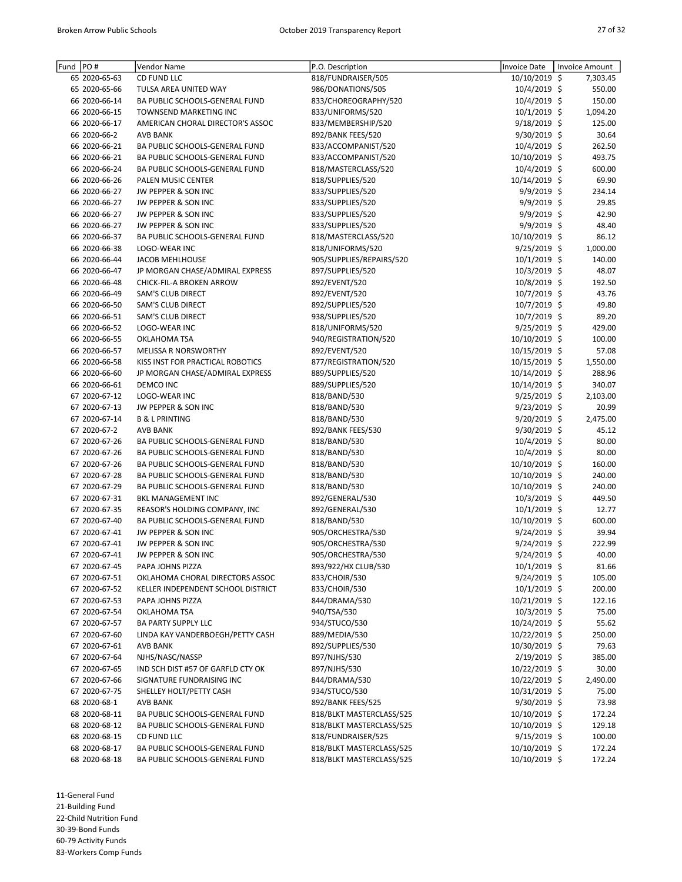| PO#<br>Fund   | Vendor Name                        | P.O. Description         | Invoice Date   | <b>Invoice Amount</b> |
|---------------|------------------------------------|--------------------------|----------------|-----------------------|
| 65 2020-65-63 | CD FUND LLC                        | 818/FUNDRAISER/505       | 10/10/2019 \$  | 7,303.45              |
| 65 2020-65-66 | TULSA AREA UNITED WAY              | 986/DONATIONS/505        | 10/4/2019 \$   | 550.00                |
| 66 2020-66-14 | BA PUBLIC SCHOOLS-GENERAL FUND     | 833/CHOREOGRAPHY/520     | 10/4/2019 \$   | 150.00                |
| 66 2020-66-15 | TOWNSEND MARKETING INC             | 833/UNIFORMS/520         | $10/1/2019$ \$ | 1,094.20              |
| 66 2020-66-17 | AMERICAN CHORAL DIRECTOR'S ASSOC   | 833/MEMBERSHIP/520       | 9/18/2019 \$   | 125.00                |
| 66 2020-66-2  | <b>AVB BANK</b>                    | 892/BANK FEES/520        | 9/30/2019 \$   | 30.64                 |
| 66 2020-66-21 | BA PUBLIC SCHOOLS-GENERAL FUND     | 833/ACCOMPANIST/520      | 10/4/2019 \$   | 262.50                |
| 66 2020-66-21 | BA PUBLIC SCHOOLS-GENERAL FUND     | 833/ACCOMPANIST/520      | 10/10/2019 \$  | 493.75                |
| 66 2020-66-24 | BA PUBLIC SCHOOLS-GENERAL FUND     | 818/MASTERCLASS/520      | 10/4/2019 \$   | 600.00                |
| 66 2020-66-26 | PALEN MUSIC CENTER                 | 818/SUPPLIES/520         | 10/14/2019 \$  | 69.90                 |
| 66 2020-66-27 | JW PEPPER & SON INC                | 833/SUPPLIES/520         | 9/9/2019 \$    | 234.14                |
| 66 2020-66-27 | JW PEPPER & SON INC                | 833/SUPPLIES/520         | $9/9/2019$ \$  | 29.85                 |
| 66 2020-66-27 | JW PEPPER & SON INC                | 833/SUPPLIES/520         | 9/9/2019 \$    | 42.90                 |
| 66 2020-66-27 | JW PEPPER & SON INC                | 833/SUPPLIES/520         | $9/9/2019$ \$  | 48.40                 |
| 66 2020-66-37 | BA PUBLIC SCHOOLS-GENERAL FUND     | 818/MASTERCLASS/520      | 10/10/2019 \$  | 86.12                 |
| 66 2020-66-38 | LOGO-WEAR INC                      | 818/UNIFORMS/520         | $9/25/2019$ \$ | 1,000.00              |
| 66 2020-66-44 | <b>JACOB MEHLHOUSE</b>             | 905/SUPPLIES/REPAIRS/520 | $10/1/2019$ \$ | 140.00                |
| 66 2020-66-47 | JP MORGAN CHASE/ADMIRAL EXPRESS    | 897/SUPPLIES/520         | 10/3/2019 \$   | 48.07                 |
| 66 2020-66-48 | CHICK-FIL-A BROKEN ARROW           | 892/EVENT/520            | 10/8/2019 \$   | 192.50                |
| 66 2020-66-49 | <b>SAM'S CLUB DIRECT</b>           | 892/EVENT/520            | 10/7/2019 \$   | 43.76                 |
| 66 2020-66-50 | SAM'S CLUB DIRECT                  | 892/SUPPLIES/520         | 10/7/2019 \$   | 49.80                 |
| 66 2020-66-51 | SAM'S CLUB DIRECT                  | 938/SUPPLIES/520         | 10/7/2019 \$   | 89.20                 |
| 66 2020-66-52 | LOGO-WEAR INC                      | 818/UNIFORMS/520         | 9/25/2019 \$   | 429.00                |
| 66 2020-66-55 | OKLAHOMA TSA                       | 940/REGISTRATION/520     | 10/10/2019 \$  | 100.00                |
| 66 2020-66-57 | <b>MELISSA R NORSWORTHY</b>        | 892/EVENT/520            | 10/15/2019 \$  | 57.08                 |
| 66 2020-66-58 | KISS INST FOR PRACTICAL ROBOTICS   | 877/REGISTRATION/520     | 10/15/2019 \$  | 1,550.00              |
| 66 2020-66-60 | JP MORGAN CHASE/ADMIRAL EXPRESS    | 889/SUPPLIES/520         |                | 288.96                |
|               | <b>DEMCO INC</b>                   |                          | 10/14/2019 \$  |                       |
| 66 2020-66-61 |                                    | 889/SUPPLIES/520         | 10/14/2019 \$  | 340.07                |
| 67 2020-67-12 | LOGO-WEAR INC                      | 818/BAND/530             | 9/25/2019 \$   | 2,103.00              |
| 67 2020-67-13 | JW PEPPER & SON INC                | 818/BAND/530             | 9/23/2019 \$   | 20.99                 |
| 67 2020-67-14 | <b>B &amp; L PRINTING</b>          | 818/BAND/530             | 9/20/2019 \$   | 2,475.00              |
| 67 2020-67-2  | <b>AVB BANK</b>                    | 892/BANK FEES/530        | $9/30/2019$ \$ | 45.12                 |
| 67 2020-67-26 | BA PUBLIC SCHOOLS-GENERAL FUND     | 818/BAND/530             | 10/4/2019 \$   | 80.00                 |
| 67 2020-67-26 | BA PUBLIC SCHOOLS-GENERAL FUND     | 818/BAND/530             | $10/4/2019$ \$ | 80.00                 |
| 67 2020-67-26 | BA PUBLIC SCHOOLS-GENERAL FUND     | 818/BAND/530             | 10/10/2019 \$  | 160.00                |
| 67 2020-67-28 | BA PUBLIC SCHOOLS-GENERAL FUND     | 818/BAND/530             | 10/10/2019 \$  | 240.00                |
| 67 2020-67-29 | BA PUBLIC SCHOOLS-GENERAL FUND     | 818/BAND/530             | 10/10/2019 \$  | 240.00                |
| 67 2020-67-31 | <b>BKL MANAGEMENT INC</b>          | 892/GENERAL/530          | $10/3/2019$ \$ | 449.50                |
| 67 2020-67-35 | REASOR'S HOLDING COMPANY, INC      | 892/GENERAL/530          | $10/1/2019$ \$ | 12.77                 |
| 67 2020-67-40 | BA PUBLIC SCHOOLS-GENERAL FUND     | 818/BAND/530             | 10/10/2019 \$  | 600.00                |
| 67 2020-67-41 | JW PEPPER & SON INC                | 905/ORCHESTRA/530        | 9/24/2019 \$   | 39.94                 |
| 67 2020-67-41 | JW PEPPER & SON INC                | 905/ORCHESTRA/530        | $9/24/2019$ \$ | 222.99                |
| 67 2020-67-41 | JW PEPPER & SON INC                | 905/ORCHESTRA/530        | 9/24/2019 \$   | 40.00                 |
| 67 2020-67-45 | PAPA JOHNS PIZZA                   | 893/922/HX CLUB/530      | $10/1/2019$ \$ | 81.66                 |
| 67 2020-67-51 | OKLAHOMA CHORAL DIRECTORS ASSOC    | 833/CHOIR/530            | $9/24/2019$ \$ | 105.00                |
| 67 2020-67-52 | KELLER INDEPENDENT SCHOOL DISTRICT | 833/CHOIR/530            | $10/1/2019$ \$ | 200.00                |
| 67 2020-67-53 | PAPA JOHNS PIZZA                   | 844/DRAMA/530            | 10/21/2019 \$  | 122.16                |
| 67 2020-67-54 | OKLAHOMA TSA                       | 940/TSA/530              | $10/3/2019$ \$ | 75.00                 |
| 67 2020-67-57 | BA PARTY SUPPLY LLC                | 934/STUCO/530            | 10/24/2019 \$  | 55.62                 |
| 67 2020-67-60 | LINDA KAY VANDERBOEGH/PETTY CASH   | 889/MEDIA/530            | 10/22/2019 \$  | 250.00                |
| 67 2020-67-61 | <b>AVB BANK</b>                    | 892/SUPPLIES/530         | 10/30/2019 \$  | 79.63                 |
| 67 2020-67-64 | NJHS/NASC/NASSP                    | 897/NJHS/530             | $2/19/2019$ \$ | 385.00                |
| 67 2020-67-65 | IND SCH DIST #57 OF GARFLD CTY OK  | 897/NJHS/530             | 10/22/2019 \$  | 30.00                 |
| 67 2020-67-66 | SIGNATURE FUNDRAISING INC          | 844/DRAMA/530            | 10/22/2019 \$  | 2,490.00              |
| 67 2020-67-75 | SHELLEY HOLT/PETTY CASH            | 934/STUCO/530            | 10/31/2019 \$  | 75.00                 |
| 68 2020-68-1  | <b>AVB BANK</b>                    | 892/BANK FEES/525        | $9/30/2019$ \$ | 73.98                 |
| 68 2020-68-11 | BA PUBLIC SCHOOLS-GENERAL FUND     | 818/BLKT MASTERCLASS/525 | 10/10/2019 \$  | 172.24                |
| 68 2020-68-12 | BA PUBLIC SCHOOLS-GENERAL FUND     | 818/BLKT MASTERCLASS/525 | 10/10/2019 \$  | 129.18                |
| 68 2020-68-15 | CD FUND LLC                        | 818/FUNDRAISER/525       | 9/15/2019 \$   | 100.00                |
| 68 2020-68-17 | BA PUBLIC SCHOOLS-GENERAL FUND     | 818/BLKT MASTERCLASS/525 | 10/10/2019 \$  | 172.24                |
| 68 2020-68-18 | BA PUBLIC SCHOOLS-GENERAL FUND     | 818/BLKT MASTERCLASS/525 | 10/10/2019 \$  | 172.24                |
|               |                                    |                          |                |                       |

11-General Fund 21-Building Fund 22-Child Nutrition Fund 30-39-Bond Funds 60-79 Activity Funds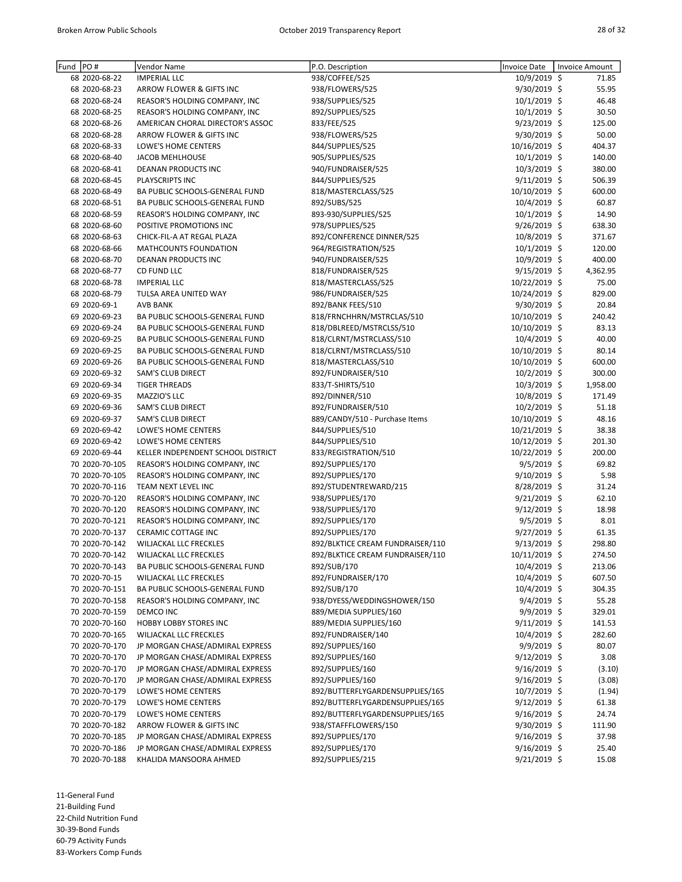| Fund | PO#                              | Vendor Name                        | P.O. Description                 | <b>Invoice Date</b> | Invoice Amount |
|------|----------------------------------|------------------------------------|----------------------------------|---------------------|----------------|
|      | 68 2020-68-22                    | <b>IMPERIAL LLC</b>                | 938/COFFEE/525                   | 10/9/2019 \$        | 71.85          |
|      | 68 2020-68-23                    | ARROW FLOWER & GIFTS INC           | 938/FLOWERS/525                  | 9/30/2019 \$        | 55.95          |
|      | 68 2020-68-24                    | REASOR'S HOLDING COMPANY, INC      | 938/SUPPLIES/525                 | 10/1/2019 \$        | 46.48          |
|      | 68 2020-68-25                    | REASOR'S HOLDING COMPANY, INC      | 892/SUPPLIES/525                 | $10/1/2019$ \$      | 30.50          |
|      | 68 2020-68-26                    | AMERICAN CHORAL DIRECTOR'S ASSOC   | 833/FEE/525                      | $9/23/2019$ \$      | 125.00         |
|      | 68 2020-68-28                    | ARROW FLOWER & GIFTS INC           | 938/FLOWERS/525                  | 9/30/2019 \$        | 50.00          |
|      | 68 2020-68-33                    | LOWE'S HOME CENTERS                | 844/SUPPLIES/525                 | 10/16/2019 \$       | 404.37         |
|      | 68 2020-68-40                    | <b>JACOB MEHLHOUSE</b>             | 905/SUPPLIES/525                 | $10/1/2019$ \$      | 140.00         |
|      | 68 2020-68-41                    | DEANAN PRODUCTS INC                | 940/FUNDRAISER/525               | $10/3/2019$ \$      | 380.00         |
|      | 68 2020-68-45                    | PLAYSCRIPTS INC                    | 844/SUPPLIES/525                 | $9/11/2019$ \$      | 506.39         |
|      | 68 2020-68-49                    | BA PUBLIC SCHOOLS-GENERAL FUND     | 818/MASTERCLASS/525              | 10/10/2019 \$       | 600.00         |
|      |                                  |                                    | 892/SUBS/525                     | 10/4/2019 \$        |                |
|      | 68 2020-68-51<br>68 2020-68-59   | BA PUBLIC SCHOOLS-GENERAL FUND     | 893-930/SUPPLIES/525             | $10/1/2019$ \$      | 60.87<br>14.90 |
|      |                                  | REASOR'S HOLDING COMPANY, INC      |                                  |                     |                |
|      | 68 2020-68-60                    | POSITIVE PROMOTIONS INC            | 978/SUPPLIES/525                 | $9/26/2019$ \$      | 638.30         |
|      | 68 2020-68-63                    | CHICK-FIL-A AT REGAL PLAZA         | 892/CONFERENCE DINNER/525        | 10/8/2019 \$        | 371.67         |
|      | 68 2020-68-66                    | MATHCOUNTS FOUNDATION              | 964/REGISTRATION/525             | 10/1/2019 \$        | 120.00         |
|      | 68 2020-68-70                    | DEANAN PRODUCTS INC                | 940/FUNDRAISER/525               | $10/9/2019$ \$      | 400.00         |
|      | 68 2020-68-77                    | CD FUND LLC                        | 818/FUNDRAISER/525               | $9/15/2019$ \$      | 4,362.95       |
|      | 68 2020-68-78                    | <b>IMPERIAL LLC</b>                | 818/MASTERCLASS/525              | 10/22/2019 \$       | 75.00          |
|      | 68 2020-68-79                    | TULSA AREA UNITED WAY              | 986/FUNDRAISER/525               | 10/24/2019 \$       | 829.00         |
|      | 69 2020-69-1                     | <b>AVB BANK</b>                    | 892/BANK FEES/510                | 9/30/2019 \$        | 20.84          |
|      | 69 2020-69-23                    | BA PUBLIC SCHOOLS-GENERAL FUND     | 818/FRNCHHRN/MSTRCLAS/510        | 10/10/2019 \$       | 240.42         |
|      | 69 2020-69-24                    | BA PUBLIC SCHOOLS-GENERAL FUND     | 818/DBLREED/MSTRCLSS/510         | 10/10/2019 \$       | 83.13          |
|      | 69 2020-69-25                    | BA PUBLIC SCHOOLS-GENERAL FUND     | 818/CLRNT/MSTRCLASS/510          | 10/4/2019 \$        | 40.00          |
|      | 69 2020-69-25                    | BA PUBLIC SCHOOLS-GENERAL FUND     | 818/CLRNT/MSTRCLASS/510          | 10/10/2019 \$       | 80.14          |
|      | 69 2020-69-26                    | BA PUBLIC SCHOOLS-GENERAL FUND     | 818/MASTERCLASS/510              | 10/10/2019 \$       | 600.00         |
|      | 69 2020-69-32                    | SAM'S CLUB DIRECT                  | 892/FUNDRAISER/510               | $10/2/2019$ \$      | 300.00         |
|      | 69 2020-69-34                    | <b>TIGER THREADS</b>               | 833/T-SHIRTS/510                 | $10/3/2019$ \$      | 1,958.00       |
|      | 69 2020-69-35                    | MAZZIO'S LLC                       | 892/DINNER/510                   | 10/8/2019 \$        | 171.49         |
|      | 69 2020-69-36                    | SAM'S CLUB DIRECT                  | 892/FUNDRAISER/510               | $10/2/2019$ \$      | 51.18          |
|      | 69 2020-69-37                    | SAM'S CLUB DIRECT                  | 889/CANDY/510 - Purchase Items   | 10/10/2019 \$       | 48.16          |
|      | 69 2020-69-42                    | LOWE'S HOME CENTERS                | 844/SUPPLIES/510                 | 10/21/2019 \$       | 38.38          |
|      | 69 2020-69-42                    | LOWE'S HOME CENTERS                | 844/SUPPLIES/510                 | 10/12/2019 \$       | 201.30         |
|      | 69 2020-69-44                    | KELLER INDEPENDENT SCHOOL DISTRICT | 833/REGISTRATION/510             | 10/22/2019 \$       | 200.00         |
|      | 70 2020-70-105                   | REASOR'S HOLDING COMPANY, INC      | 892/SUPPLIES/170                 | $9/5/2019$ \$       | 69.82          |
|      | 70 2020-70-105                   | REASOR'S HOLDING COMPANY, INC      | 892/SUPPLIES/170                 | $9/10/2019$ \$      | 5.98           |
|      | 70 2020-70-116                   | TEAM NEXT LEVEL INC                | 892/STUDENTREWARD/215            | 8/28/2019 \$        | 31.24          |
|      | 70 2020-70-120                   | REASOR'S HOLDING COMPANY, INC      | 938/SUPPLIES/170                 | $9/21/2019$ \$      | 62.10          |
|      | 70 2020-70-120                   | REASOR'S HOLDING COMPANY, INC      | 938/SUPPLIES/170                 | $9/12/2019$ \$      | 18.98          |
|      | 70 2020-70-121                   | REASOR'S HOLDING COMPANY, INC      | 892/SUPPLIES/170                 | $9/5/2019$ \$       | 8.01           |
|      | 70 2020-70-137                   | CERAMIC COTTAGE INC                | 892/SUPPLIES/170                 | 9/27/2019 \$        | 61.35          |
|      | 70 2020-70-142                   | WILJACKAL LLC FRECKLES             | 892/BLKTICE CREAM FUNDRAISER/110 | $9/13/2019$ \$      | 298.80         |
|      | 70 2020-70-142                   | <b>WILJACKAL LLC FRECKLES</b>      | 892/BLKTICE CREAM FUNDRAISER/110 | 10/11/2019 \$       | 274.50         |
|      | 70 2020-70-143                   | BA PUBLIC SCHOOLS-GENERAL FUND     | 892/SUB/170                      | 10/4/2019 \$        | 213.06         |
|      | 70 2020-70-15                    | WILJACKAL LLC FRECKLES             | 892/FUNDRAISER/170               | $10/4/2019$ \$      | 607.50         |
|      | 70 2020-70-151                   | BA PUBLIC SCHOOLS-GENERAL FUND     | 892/SUB/170                      | 10/4/2019 \$        | 304.35         |
|      |                                  |                                    |                                  |                     |                |
|      | 70 2020-70-158<br>70 2020-70-159 | REASOR'S HOLDING COMPANY, INC      | 938/DYESS/WEDDINGSHOWER/150      | $9/4/2019$ \$       | 55.28          |
|      |                                  | DEMCO INC                          | 889/MEDIA SUPPLIES/160           | $9/9/2019$ \$       | 329.01         |
|      | 70 2020-70-160                   | HOBBY LOBBY STORES INC             | 889/MEDIA SUPPLIES/160           | $9/11/2019$ \$      | 141.53         |
|      | 70 2020-70-165                   | WILJACKAL LLC FRECKLES             | 892/FUNDRAISER/140               | $10/4/2019$ \$      | 282.60         |
|      | 70 2020-70-170                   | JP MORGAN CHASE/ADMIRAL EXPRESS    | 892/SUPPLIES/160                 | 9/9/2019 \$         | 80.07          |
|      | 70 2020-70-170                   | JP MORGAN CHASE/ADMIRAL EXPRESS    | 892/SUPPLIES/160                 | $9/12/2019$ \$      | 3.08           |
|      | 70 2020-70-170                   | JP MORGAN CHASE/ADMIRAL EXPRESS    | 892/SUPPLIES/160                 | 9/16/2019 \$        | (3.10)         |
|      | 70 2020-70-170                   | JP MORGAN CHASE/ADMIRAL EXPRESS    | 892/SUPPLIES/160                 | $9/16/2019$ \$      | (3.08)         |
|      | 70 2020-70-179                   | LOWE'S HOME CENTERS                | 892/BUTTERFLYGARDENSUPPLIES/165  | $10/7/2019$ \$      | (1.94)         |
|      | 70 2020-70-179                   | LOWE'S HOME CENTERS                | 892/BUTTERFLYGARDENSUPPLIES/165  | $9/12/2019$ \$      | 61.38          |
|      | 70 2020-70-179                   | LOWE'S HOME CENTERS                | 892/BUTTERFLYGARDENSUPPLIES/165  | $9/16/2019$ \$      | 24.74          |
|      | 70 2020-70-182                   | ARROW FLOWER & GIFTS INC           | 938/STAFFFLOWERS/150             | $9/30/2019$ \$      | 111.90         |
|      | 70 2020-70-185                   | JP MORGAN CHASE/ADMIRAL EXPRESS    | 892/SUPPLIES/170                 | $9/16/2019$ \$      | 37.98          |
|      | 70 2020-70-186                   | JP MORGAN CHASE/ADMIRAL EXPRESS    | 892/SUPPLIES/170                 | $9/16/2019$ \$      | 25.40          |
|      | 70 2020-70-188                   | KHALIDA MANSOORA AHMED             | 892/SUPPLIES/215                 | 9/21/2019 \$        | 15.08          |

11-General Fund

21-Building Fund

22-Child Nutrition Fund

30-39-Bond Funds

60-79 Activity Funds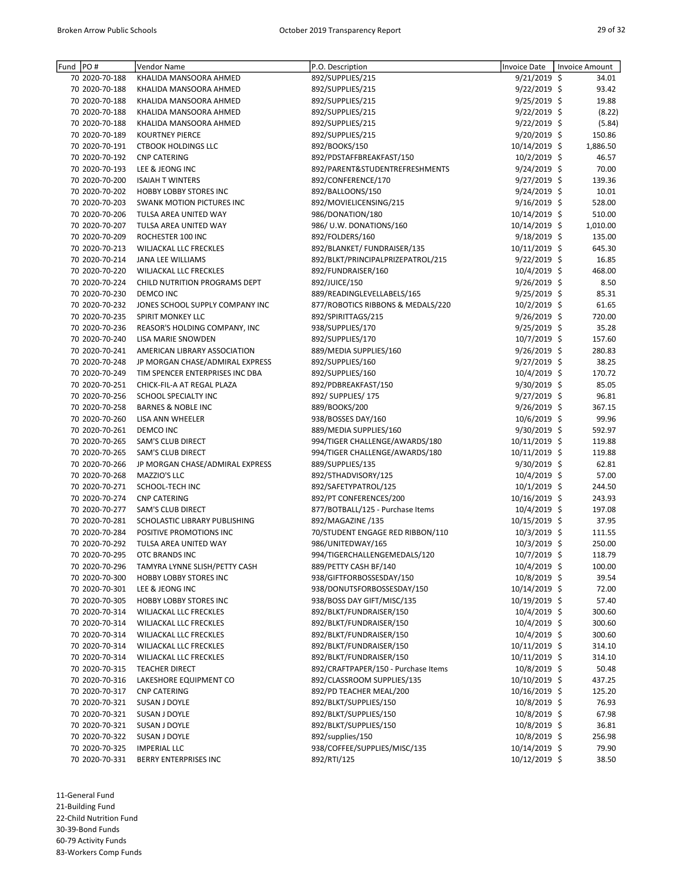| Fund PO# |                | Vendor Name                      | P.O. Description                    | <b>Invoice Date</b> | Invoice Amount |
|----------|----------------|----------------------------------|-------------------------------------|---------------------|----------------|
|          | 70 2020-70-188 | KHALIDA MANSOORA AHMED           | 892/SUPPLIES/215                    | 9/21/2019 \$        | 34.01          |
|          | 70 2020-70-188 | KHALIDA MANSOORA AHMED           | 892/SUPPLIES/215                    | 9/22/2019 \$        | 93.42          |
|          | 70 2020-70-188 | KHALIDA MANSOORA AHMED           | 892/SUPPLIES/215                    | 9/25/2019 \$        | 19.88          |
|          | 70 2020-70-188 | KHALIDA MANSOORA AHMED           | 892/SUPPLIES/215                    | 9/22/2019 \$        | (8.22)         |
|          | 70 2020-70-188 | KHALIDA MANSOORA AHMED           | 892/SUPPLIES/215                    | $9/22/2019$ \$      | (5.84)         |
|          | 70 2020-70-189 | <b>KOURTNEY PIERCE</b>           | 892/SUPPLIES/215                    | 9/20/2019 \$        | 150.86         |
|          | 70 2020-70-191 | <b>CTBOOK HOLDINGS LLC</b>       | 892/BOOKS/150                       | 10/14/2019 \$       | 1,886.50       |
|          | 70 2020-70-192 | <b>CNP CATERING</b>              | 892/PDSTAFFBREAKFAST/150            | $10/2/2019$ \$      | 46.57          |
|          | 70 2020-70-193 | LEE & JEONG INC                  | 892/PARENT&STUDENTREFRESHMENTS      | 9/24/2019 \$        | 70.00          |
|          | 70 2020-70-200 | <b>ISAIAH T WINTERS</b>          | 892/CONFERENCE/170                  | 9/27/2019 \$        | 139.36         |
|          | 70 2020-70-202 | <b>HOBBY LOBBY STORES INC</b>    | 892/BALLOONS/150                    | 9/24/2019 \$        | 10.01          |
|          | 70 2020-70-203 | <b>SWANK MOTION PICTURES INC</b> | 892/MOVIELICENSING/215              | $9/16/2019$ \$      | 528.00         |
|          | 70 2020-70-206 | TULSA AREA UNITED WAY            | 986/DONATION/180                    | 10/14/2019 \$       | 510.00         |
|          | 70 2020-70-207 | TULSA AREA UNITED WAY            | 986/ U.W. DONATIONS/160             | 10/14/2019 \$       | 1,010.00       |
|          | 70 2020-70-209 | ROCHESTER 100 INC                | 892/FOLDERS/160                     | $9/18/2019$ \$      | 135.00         |
|          | 70 2020-70-213 | WILJACKAL LLC FRECKLES           | 892/BLANKET/ FUNDRAISER/135         | 10/11/2019 \$       | 645.30         |
|          | 70 2020-70-214 | JANA LEE WILLIAMS                | 892/BLKT/PRINCIPALPRIZEPATROL/215   | 9/22/2019 \$        | 16.85          |
|          | 70 2020-70-220 | WILJACKAL LLC FRECKLES           | 892/FUNDRAISER/160                  | $10/4/2019$ \$      | 468.00         |
|          | 70 2020-70-224 | CHILD NUTRITION PROGRAMS DEPT    | 892/JUICE/150                       | 9/26/2019 \$        | 8.50           |
|          | 70 2020-70-230 | <b>DEMCO INC</b>                 | 889/READINGLEVELLABELS/165          | 9/25/2019 \$        | 85.31          |
|          | 70 2020-70-232 | JONES SCHOOL SUPPLY COMPANY INC  | 877/ROBOTICS RIBBONS & MEDALS/220   | 10/2/2019 \$        | 61.65          |
|          | 70 2020-70-235 | SPIRIT MONKEY LLC                | 892/SPIRITTAGS/215                  | 9/26/2019 \$        | 720.00         |
|          | 70 2020-70-236 | REASOR'S HOLDING COMPANY, INC    | 938/SUPPLIES/170                    | $9/25/2019$ \$      | 35.28          |
|          | 70 2020-70-240 | <b>LISA MARIE SNOWDEN</b>        | 892/SUPPLIES/170                    | 10/7/2019 \$        | 157.60         |
|          | 70 2020-70-241 | AMERICAN LIBRARY ASSOCIATION     | 889/MEDIA SUPPLIES/160              | $9/26/2019$ \$      | 280.83         |
|          | 70 2020-70-248 | JP MORGAN CHASE/ADMIRAL EXPRESS  | 892/SUPPLIES/160                    | 9/27/2019 \$        | 38.25          |
|          | 70 2020-70-249 | TIM SPENCER ENTERPRISES INC DBA  | 892/SUPPLIES/160                    | 10/4/2019 \$        | 170.72         |
|          | 70 2020-70-251 | CHICK-FIL-A AT REGAL PLAZA       | 892/PDBREAKFAST/150                 | $9/30/2019$ \$      | 85.05          |
|          | 70 2020-70-256 | SCHOOL SPECIALTY INC             | 892/ SUPPLIES/ 175                  | 9/27/2019 \$        | 96.81          |
|          | 70 2020-70-258 | <b>BARNES &amp; NOBLE INC</b>    | 889/BOOKS/200                       | 9/26/2019 \$        | 367.15         |
|          | 70 2020-70-260 | LISA ANN WHEELER                 | 938/BOSSES DAY/160                  | 10/6/2019 \$        | 99.96          |
|          | 70 2020-70-261 | <b>DEMCO INC</b>                 | 889/MEDIA SUPPLIES/160              | 9/30/2019 \$        | 592.97         |
|          | 70 2020-70-265 | SAM'S CLUB DIRECT                | 994/TIGER CHALLENGE/AWARDS/180      | 10/11/2019 \$       | 119.88         |
|          | 70 2020-70-265 | SAM'S CLUB DIRECT                | 994/TIGER CHALLENGE/AWARDS/180      | 10/11/2019 \$       | 119.88         |
|          | 70 2020-70-266 | JP MORGAN CHASE/ADMIRAL EXPRESS  | 889/SUPPLIES/135                    | 9/30/2019 \$        | 62.81          |
|          | 70 2020-70-268 | MAZZIO'S LLC                     | 892/5THADVISORY/125                 | 10/4/2019 \$        | 57.00          |
|          | 70 2020-70-271 | SCHOOL-TECH INC                  | 892/SAFETYPATROL/125                | 10/1/2019 \$        | 244.50         |
|          | 70 2020-70-274 | <b>CNP CATERING</b>              | 892/PT CONFERENCES/200              | 10/16/2019 \$       | 243.93         |
|          | 70 2020-70-277 | SAM'S CLUB DIRECT                | 877/BOTBALL/125 - Purchase Items    | $10/4/2019$ \$      | 197.08         |
|          | 70 2020-70-281 | SCHOLASTIC LIBRARY PUBLISHING    | 892/MAGAZINE /135                   | 10/15/2019 \$       | 37.95          |
|          | 70 2020-70-284 | POSITIVE PROMOTIONS INC          | 70/STUDENT ENGAGE RED RIBBON/110    | 10/3/2019 \$        | 111.55         |
|          | 70 2020-70-292 | TULSA AREA UNITED WAY            | 986/UNITEDWAY/165                   | 10/3/2019 \$        | 250.00         |
|          | 70 2020-70-295 | OTC BRANDS INC                   | 994/TIGERCHALLENGEMEDALS/120        | 10/7/2019 \$        | 118.79         |
|          | 70 2020-70-296 | TAMYRA LYNNE SLISH/PETTY CASH    | 889/PETTY CASH BF/140               | $10/4/2019$ \$      | 100.00         |
|          | 70 2020-70-300 | HOBBY LOBBY STORES INC           | 938/GIFTFORBOSSESDAY/150            | 10/8/2019 \$        | 39.54          |
|          | 70 2020-70-301 | LEE & JEONG INC                  | 938/DONUTSFORBOSSESDAY/150          | 10/14/2019 \$       | 72.00          |
|          | 70 2020-70-305 | HOBBY LOBBY STORES INC           | 938/BOSS DAY GIFT/MISC/135          | 10/19/2019 \$       | 57.40          |
|          | 70 2020-70-314 | WILJACKAL LLC FRECKLES           | 892/BLKT/FUNDRAISER/150             | 10/4/2019 \$        | 300.60         |
|          | 70 2020-70-314 | WILJACKAL LLC FRECKLES           | 892/BLKT/FUNDRAISER/150             | $10/4/2019$ \$      | 300.60         |
|          | 70 2020-70-314 | WILJACKAL LLC FRECKLES           | 892/BLKT/FUNDRAISER/150             | $10/4/2019$ \$      | 300.60         |
|          | 70 2020-70-314 | <b>WILJACKAL LLC FRECKLES</b>    | 892/BLKT/FUNDRAISER/150             | 10/11/2019 \$       | 314.10         |
|          | 70 2020-70-314 | WILJACKAL LLC FRECKLES           | 892/BLKT/FUNDRAISER/150             | 10/11/2019 \$       | 314.10         |
|          | 70 2020-70-315 | <b>TEACHER DIRECT</b>            | 892/CRAFTPAPER/150 - Purchase Items | 10/8/2019 \$        | 50.48          |
|          | 70 2020-70-316 | LAKESHORE EQUIPMENT CO           | 892/CLASSROOM SUPPLIES/135          | 10/10/2019 \$       | 437.25         |
|          | 70 2020-70-317 | <b>CNP CATERING</b>              | 892/PD TEACHER MEAL/200             | 10/16/2019 \$       | 125.20         |
|          | 70 2020-70-321 | SUSAN J DOYLE                    | 892/BLKT/SUPPLIES/150               | 10/8/2019 \$        | 76.93          |
|          | 70 2020-70-321 | SUSAN J DOYLE                    | 892/BLKT/SUPPLIES/150               | $10/8/2019$ \$      | 67.98          |
|          | 70 2020-70-321 | SUSAN J DOYLE                    | 892/BLKT/SUPPLIES/150               | 10/8/2019 \$        | 36.81          |
|          | 70 2020-70-322 | SUSAN J DOYLE                    | 892/supplies/150                    | 10/8/2019 \$        | 256.98         |
|          | 70 2020-70-325 | <b>IMPERIAL LLC</b>              | 938/COFFEE/SUPPLIES/MISC/135        | 10/14/2019 \$       | 79.90          |
|          | 70 2020-70-331 | BERRY ENTERPRISES INC            | 892/RTI/125                         | 10/12/2019 \$       | 38.50          |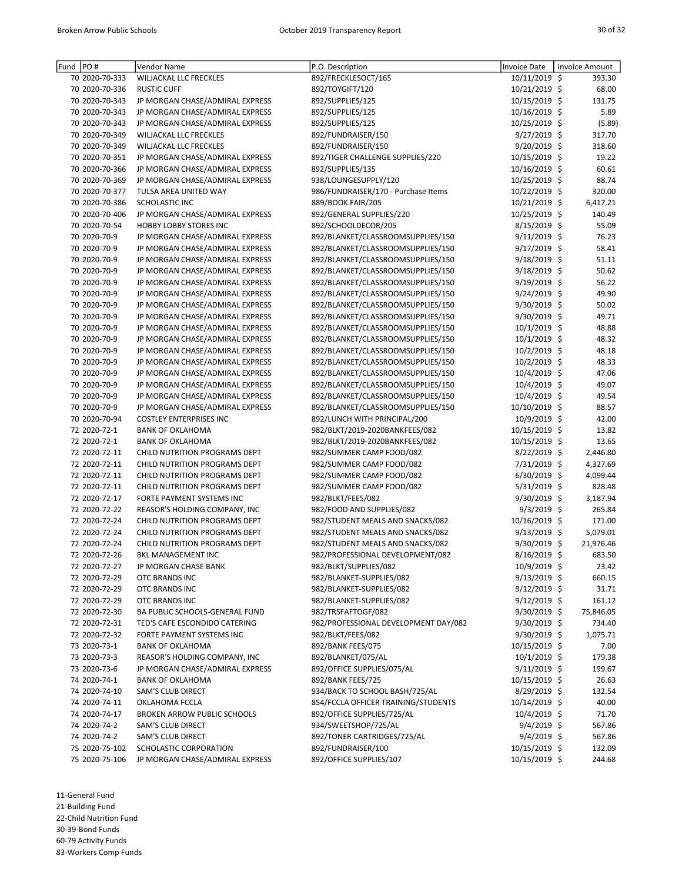| Fund | PO#                            | Vendor Name                                                        | P.O. Description                                                       | Invoice Date                   | <b>Invoice Amount</b> |
|------|--------------------------------|--------------------------------------------------------------------|------------------------------------------------------------------------|--------------------------------|-----------------------|
|      | 70 2020-70-333                 | WILJACKAL LLC FRECKLES                                             | 892/FRECKLESOCT/165                                                    | 10/11/2019 \$                  | 393.30                |
|      | 70 2020-70-336                 | <b>RUSTIC CUFF</b>                                                 | 892/TOYGIFT/120                                                        | 10/21/2019 \$                  | 68.00                 |
|      | 70 2020-70-343                 | JP MORGAN CHASE/ADMIRAL EXPRESS                                    | 892/SUPPLIES/125                                                       | 10/15/2019 \$                  | 131.75                |
|      | 70 2020-70-343                 | JP MORGAN CHASE/ADMIRAL EXPRESS                                    | 892/SUPPLIES/125                                                       | 10/16/2019 \$                  | 5.89                  |
|      | 70 2020-70-343                 | JP MORGAN CHASE/ADMIRAL EXPRESS                                    | 892/SUPPLIES/125                                                       | 10/25/2019 \$                  | (5.89)                |
|      | 70 2020-70-349                 | WILJACKAL LLC FRECKLES                                             | 892/FUNDRAISER/150                                                     | $9/27/2019$ \$                 | 317.70                |
|      | 70 2020-70-349                 | WILJACKAL LLC FRECKLES                                             | 892/FUNDRAISER/150                                                     | 9/20/2019 \$                   | 318.60                |
|      | 70 2020-70-351                 | JP MORGAN CHASE/ADMIRAL EXPRESS                                    | 892/TIGER CHALLENGE SUPPLIES/220                                       | 10/15/2019 \$                  | 19.22                 |
|      | 70 2020-70-366                 | JP MORGAN CHASE/ADMIRAL EXPRESS                                    | 892/SUPPLIES/135                                                       | 10/16/2019 \$                  | 60.61                 |
|      | 70 2020-70-369                 | JP MORGAN CHASE/ADMIRAL EXPRESS                                    | 938/LOUNGESUPPLY/120                                                   | 10/25/2019 \$                  | 88.74                 |
|      | 70 2020-70-377                 | TULSA AREA UNITED WAY                                              | 986/FUNDRAISER/170 - Purchase Items                                    | 10/22/2019 \$                  | 320.00                |
|      | 70 2020-70-386                 | SCHOLASTIC INC                                                     | 889/BOOK FAIR/205                                                      | 10/21/2019 \$                  | 6,417.21              |
|      | 70 2020-70-406                 | JP MORGAN CHASE/ADMIRAL EXPRESS                                    | 892/GENERAL SUPPLIES/220                                               | 10/25/2019 \$                  | 140.49                |
|      | 70 2020-70-54                  | HOBBY LOBBY STORES INC                                             | 892/SCHOOLDECOR/205                                                    | 8/15/2019 \$                   | 55.09                 |
|      | 70 2020-70-9                   | JP MORGAN CHASE/ADMIRAL EXPRESS                                    | 892/BLANKET/CLASSROOMSUPPLIES/150                                      | $9/11/2019$ \$                 | 76.23                 |
|      | 70 2020-70-9                   | JP MORGAN CHASE/ADMIRAL EXPRESS                                    | 892/BLANKET/CLASSROOMSUPPLIES/150                                      | 9/17/2019 \$                   | 58.41                 |
|      | 70 2020-70-9                   | JP MORGAN CHASE/ADMIRAL EXPRESS                                    | 892/BLANKET/CLASSROOMSUPPLIES/150                                      | $9/18/2019$ \$                 | 51.11                 |
|      | 70 2020-70-9                   | JP MORGAN CHASE/ADMIRAL EXPRESS                                    | 892/BLANKET/CLASSROOMSUPPLIES/150                                      | 9/18/2019 \$                   | 50.62                 |
|      | 70 2020-70-9                   | JP MORGAN CHASE/ADMIRAL EXPRESS                                    | 892/BLANKET/CLASSROOMSUPPLIES/150                                      | $9/19/2019$ \$                 | 56.22                 |
|      | 70 2020-70-9                   | JP MORGAN CHASE/ADMIRAL EXPRESS                                    | 892/BLANKET/CLASSROOMSUPPLIES/150                                      | 9/24/2019 \$                   | 49.90                 |
|      | 70 2020-70-9                   | JP MORGAN CHASE/ADMIRAL EXPRESS                                    | 892/BLANKET/CLASSROOMSUPPLIES/150                                      | 9/30/2019 \$                   | 50.02                 |
|      | 70 2020-70-9                   | JP MORGAN CHASE/ADMIRAL EXPRESS                                    | 892/BLANKET/CLASSROOMSUPPLIES/150                                      | 9/30/2019 \$                   | 49.71                 |
|      | 70 2020-70-9                   | JP MORGAN CHASE/ADMIRAL EXPRESS                                    | 892/BLANKET/CLASSROOMSUPPLIES/150                                      | 10/1/2019 \$                   | 48.88                 |
|      | 70 2020-70-9                   | JP MORGAN CHASE/ADMIRAL EXPRESS                                    | 892/BLANKET/CLASSROOMSUPPLIES/150                                      | $10/1/2019$ \$                 | 48.32                 |
|      | 70 2020-70-9<br>70 2020-70-9   | JP MORGAN CHASE/ADMIRAL EXPRESS                                    | 892/BLANKET/CLASSROOMSUPPLIES/150<br>892/BLANKET/CLASSROOMSUPPLIES/150 | $10/2/2019$ \$<br>10/2/2019 \$ | 48.18<br>48.33        |
|      | 70 2020-70-9                   | JP MORGAN CHASE/ADMIRAL EXPRESS<br>JP MORGAN CHASE/ADMIRAL EXPRESS | 892/BLANKET/CLASSROOMSUPPLIES/150                                      | 10/4/2019 \$                   | 47.06                 |
|      | 70 2020-70-9                   | JP MORGAN CHASE/ADMIRAL EXPRESS                                    | 892/BLANKET/CLASSROOMSUPPLIES/150                                      | 10/4/2019 \$                   | 49.07                 |
|      | 70 2020-70-9                   | JP MORGAN CHASE/ADMIRAL EXPRESS                                    | 892/BLANKET/CLASSROOMSUPPLIES/150                                      | 10/4/2019 \$                   | 49.54                 |
|      | 70 2020-70-9                   | JP MORGAN CHASE/ADMIRAL EXPRESS                                    | 892/BLANKET/CLASSROOMSUPPLIES/150                                      | 10/10/2019 \$                  | 88.57                 |
|      | 70 2020-70-94                  | <b>COSTLEY ENTERPRISES INC</b>                                     | 892/LUNCH WITH PRINCIPAL/200                                           | 10/9/2019 \$                   | 42.00                 |
|      | 72 2020-72-1                   | <b>BANK OF OKLAHOMA</b>                                            | 982/BLKT/2019-2020BANKFEES/082                                         | 10/15/2019 \$                  | 13.82                 |
|      | 72 2020-72-1                   | <b>BANK OF OKLAHOMA</b>                                            | 982/BLKT/2019-2020BANKFEES/082                                         | 10/15/2019 \$                  | 13.65                 |
|      | 72 2020-72-11                  | CHILD NUTRITION PROGRAMS DEPT                                      | 982/SUMMER CAMP FOOD/082                                               | 8/22/2019 \$                   | 2,446.80              |
|      | 72 2020-72-11                  | CHILD NUTRITION PROGRAMS DEPT                                      | 982/SUMMER CAMP FOOD/082                                               | 7/31/2019 \$                   | 4,327.69              |
|      | 72 2020-72-11                  | CHILD NUTRITION PROGRAMS DEPT                                      | 982/SUMMER CAMP FOOD/082                                               | 6/30/2019 \$                   | 4,099.44              |
|      | 72 2020-72-11                  | CHILD NUTRITION PROGRAMS DEPT                                      | 982/SUMMER CAMP FOOD/082                                               | 5/31/2019 \$                   | 828.48                |
|      | 72 2020-72-17                  | FORTE PAYMENT SYSTEMS INC                                          | 982/BLKT/FEES/082                                                      | 9/30/2019 \$                   | 3,187.94              |
|      | 72 2020-72-22                  | REASOR'S HOLDING COMPANY, INC                                      | 982/FOOD AND SUPPLIES/082                                              | 9/3/2019 \$                    | 265.84                |
|      | 72 2020-72-24                  | CHILD NUTRITION PROGRAMS DEPT                                      | 982/STUDENT MEALS AND SNACKS/082                                       | 10/16/2019 \$                  | 171.00                |
|      | 72 2020-72-24                  | CHILD NUTRITION PROGRAMS DEPT                                      | 982/STUDENT MEALS AND SNACKS/082                                       | $9/13/2019$ \$                 | 5,079.01              |
|      | 72 2020-72-24                  | CHILD NUTRITION PROGRAMS DEPT                                      | 982/STUDENT MEALS AND SNACKS/082                                       | 9/30/2019 \$                   | 21,976.46             |
|      | 72 2020-72-26                  | <b>BKL MANAGEMENT INC</b>                                          | 982/PROFESSIONAL DEVELOPMENT/082                                       | 8/16/2019 \$                   | 683.50                |
|      | 72 2020-72-27                  | JP MORGAN CHASE BANK                                               | 982/BLKT/SUPPLIES/082                                                  | 10/9/2019 \$                   | 23.42                 |
|      | 72 2020-72-29                  | OTC BRANDS INC                                                     | 982/BLANKET-SUPPLIES/082                                               | $9/13/2019$ \$                 | 660.15                |
|      | 72 2020-72-29                  | OTC BRANDS INC                                                     | 982/BLANKET-SUPPLIES/082                                               | 9/12/2019 \$                   | 31.71                 |
|      | 72 2020-72-29                  | OTC BRANDS INC                                                     | 982/BLANKET-SUPPLIES/082                                               | $9/12/2019$ \$                 | 161.12                |
|      | 72 2020-72-30                  | BA PUBLIC SCHOOLS-GENERAL FUND                                     | 982/TRSFAFTOGF/082                                                     | 9/30/2019 \$                   | 75,846.05             |
|      | 72 2020-72-31                  | TED'S CAFE ESCONDIDO CATERING                                      | 982/PROFESSIONAL DEVELOPMENT DAY/082                                   | 9/30/2019 \$                   | 734.40                |
|      | 72 2020-72-32                  | FORTE PAYMENT SYSTEMS INC                                          | 982/BLKT/FEES/082                                                      | $9/30/2019$ \$                 | 1,075.71              |
|      | 73 2020-73-1                   | <b>BANK OF OKLAHOMA</b>                                            | 892/BANK FEES/075                                                      | 10/15/2019 \$                  | 7.00                  |
|      | 73 2020-73-3                   | REASOR'S HOLDING COMPANY, INC                                      | 892/BLANKET/075/AL                                                     | $10/1/2019$ \$                 | 179.38                |
|      | 73 2020-73-6                   | JP MORGAN CHASE/ADMIRAL EXPRESS                                    | 892/OFFICE SUPPLIES/075/AL                                             | $9/11/2019$ \$                 | 199.67                |
|      | 74 2020-74-1                   | <b>BANK OF OKLAHOMA</b>                                            | 892/BANK FEES/725                                                      | 10/15/2019 \$                  | 26.63                 |
|      | 74 2020-74-10                  | SAM'S CLUB DIRECT                                                  | 934/BACK TO SCHOOL BASH/725/AL                                         | $8/29/2019$ \$                 | 132.54                |
|      | 74 2020-74-11                  | OKLAHOMA FCCLA                                                     | 854/FCCLA OFFICER TRAINING/STUDENTS                                    | 10/14/2019 \$                  | 40.00                 |
|      | 74 2020-74-17                  | <b>BROKEN ARROW PUBLIC SCHOOLS</b>                                 | 892/OFFICE SUPPLIES/725/AL                                             | $10/4/2019$ \$                 | 71.70                 |
|      | 74 2020-74-2                   | SAM'S CLUB DIRECT                                                  | 934/SWEETSHOP/725/AL<br>892/TONER CARTRIDGES/725/AL                    | $9/4/2019$ \$<br>9/4/2019 \$   | 567.86                |
|      | 74 2020-74-2<br>75 2020-75-102 | SAM'S CLUB DIRECT<br>SCHOLASTIC CORPORATION                        | 892/FUNDRAISER/100                                                     | 10/15/2019 \$                  | 567.86<br>132.09      |
|      | 75 2020-75-106                 | JP MORGAN CHASE/ADMIRAL EXPRESS                                    | 892/OFFICE SUPPLIES/107                                                | 10/15/2019 \$                  | 244.68                |
|      |                                |                                                                    |                                                                        |                                |                       |

11-General Fund

21-Building Fund

22-Child Nutrition Fund

30-39-Bond Funds

60-79 Activity Funds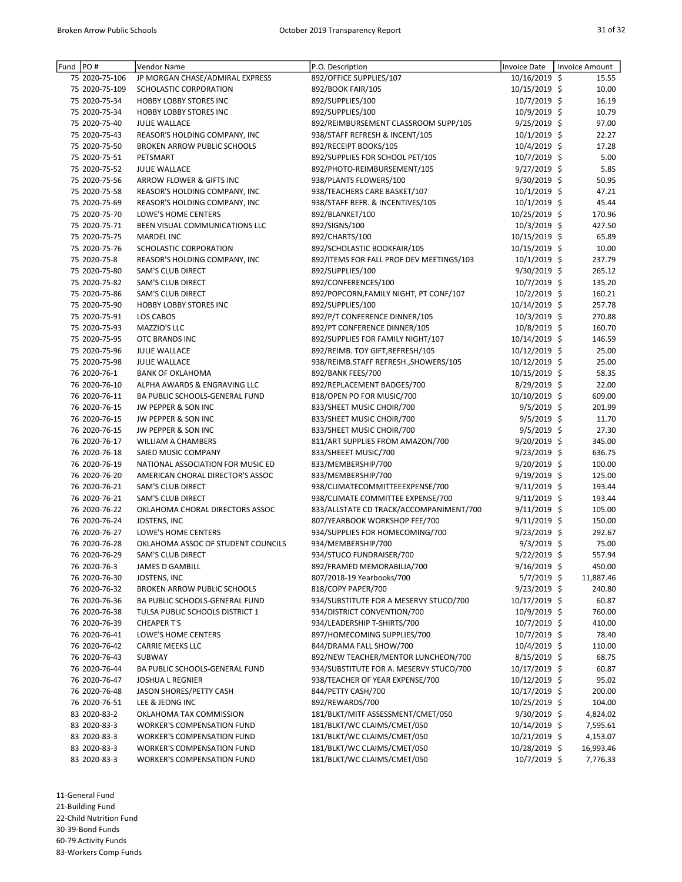| Fund  PO# |                               | Vendor Name                                             | P.O. Description                                                      | Invoice Date                  | Invoice Amount |
|-----------|-------------------------------|---------------------------------------------------------|-----------------------------------------------------------------------|-------------------------------|----------------|
|           | 75 2020-75-106                | JP MORGAN CHASE/ADMIRAL EXPRESS                         | 892/OFFICE SUPPLIES/107                                               | 10/16/2019 \$                 | 15.55          |
|           | 75 2020-75-109                | SCHOLASTIC CORPORATION                                  | 892/BOOK FAIR/105                                                     | 10/15/2019 \$                 | 10.00          |
|           | 75 2020-75-34                 | <b>HOBBY LOBBY STORES INC</b>                           | 892/SUPPLIES/100                                                      | 10/7/2019 \$                  | 16.19          |
|           | 75 2020-75-34                 | <b>HOBBY LOBBY STORES INC</b>                           | 892/SUPPLIES/100                                                      | 10/9/2019 \$                  | 10.79          |
|           | 75 2020-75-40                 | <b>JULIE WALLACE</b>                                    | 892/REIMBURSEMENT CLASSROOM SUPP/105                                  | 9/25/2019 \$                  | 97.00          |
|           | 75 2020-75-43                 | REASOR'S HOLDING COMPANY, INC                           | 938/STAFF REFRESH & INCENT/105                                        | $10/1/2019$ \$                | 22.27          |
|           | 75 2020-75-50                 | BROKEN ARROW PUBLIC SCHOOLS                             | 892/RECEIPT BOOKS/105                                                 | 10/4/2019 \$                  | 17.28          |
|           | 75 2020-75-51                 | PETSMART                                                | 892/SUPPLIES FOR SCHOOL PET/105                                       | 10/7/2019 \$                  | 5.00           |
|           | 75 2020-75-52                 | <b>JULIE WALLACE</b>                                    | 892/PHOTO-REIMBURSEMENT/105                                           | 9/27/2019 \$                  | 5.85           |
|           | 75 2020-75-56                 | ARROW FLOWER & GIFTS INC                                | 938/PLANTS FLOWERS/100                                                | 9/30/2019 \$                  | 50.95          |
|           | 75 2020-75-58                 | REASOR'S HOLDING COMPANY, INC                           | 938/TEACHERS CARE BASKET/107                                          | $10/1/2019$ \$                | 47.21          |
|           | 75 2020-75-69                 | REASOR'S HOLDING COMPANY, INC                           | 938/STAFF REFR. & INCENTIVES/105                                      | 10/1/2019 \$                  | 45.44          |
|           | 75 2020-75-70                 | LOWE'S HOME CENTERS                                     | 892/BLANKET/100                                                       | 10/25/2019 \$                 | 170.96         |
|           | 75 2020-75-71                 | BEEN VISUAL COMMUNICATIONS LLC                          | 892/SIGNS/100                                                         | 10/3/2019 \$                  | 427.50         |
|           | 75 2020-75-75                 | <b>MARDEL INC</b>                                       | 892/CHARTS/100                                                        | 10/15/2019 \$                 | 65.89          |
|           | 75 2020-75-76                 | SCHOLASTIC CORPORATION                                  | 892/SCHOLASTIC BOOKFAIR/105                                           | 10/15/2019 \$                 | 10.00          |
|           | 75 2020-75-8                  | REASOR'S HOLDING COMPANY, INC                           | 892/ITEMS FOR FALL PROF DEV MEETINGS/103                              | $10/1/2019$ \$                | 237.79         |
|           | 75 2020-75-80                 | SAM'S CLUB DIRECT                                       | 892/SUPPLIES/100                                                      | 9/30/2019 \$                  | 265.12         |
|           | 75 2020-75-82                 | SAM'S CLUB DIRECT                                       | 892/CONFERENCES/100                                                   | 10/7/2019 \$                  | 135.20         |
|           | 75 2020-75-86                 | SAM'S CLUB DIRECT                                       | 892/POPCORN, FAMILY NIGHT, PT CONF/107                                | 10/2/2019 \$                  | 160.21         |
|           | 75 2020-75-90                 | <b>HOBBY LOBBY STORES INC</b>                           | 892/SUPPLIES/100                                                      | 10/14/2019 \$                 | 257.78         |
|           | 75 2020-75-91                 | <b>LOS CABOS</b>                                        | 892/P/T CONFERENCE DINNER/105                                         | 10/3/2019 \$                  | 270.88         |
|           | 75 2020-75-93                 | MAZZIO'S LLC                                            | 892/PT CONFERENCE DINNER/105                                          | 10/8/2019 \$                  | 160.70         |
|           | 75 2020-75-95                 | <b>OTC BRANDS INC</b>                                   | 892/SUPPLIES FOR FAMILY NIGHT/107<br>892/REIMB. TOY GIFT, REFRESH/105 | 10/14/2019 \$                 | 146.59         |
|           | 75 2020-75-96                 | <b>JULIE WALLACE</b>                                    |                                                                       | 10/12/2019 \$                 | 25.00          |
|           | 75 2020-75-98<br>76 2020-76-1 | <b>JULIE WALLACE</b>                                    | 938/REIMB.STAFF REFRESH., SHOWERS/105                                 | 10/12/2019 \$                 | 25.00<br>58.35 |
|           | 76 2020-76-10                 | <b>BANK OF OKLAHOMA</b><br>ALPHA AWARDS & ENGRAVING LLC | 892/BANK FEES/700<br>892/REPLACEMENT BADGES/700                       | 10/15/2019 \$<br>8/29/2019 \$ | 22.00          |
|           | 76 2020-76-11                 | BA PUBLIC SCHOOLS-GENERAL FUND                          | 818/OPEN PO FOR MUSIC/700                                             | 10/10/2019 \$                 | 609.00         |
|           | 76 2020-76-15                 | JW PEPPER & SON INC                                     | 833/SHEET MUSIC CHOIR/700                                             | $9/5/2019$ \$                 | 201.99         |
|           | 76 2020-76-15                 | JW PEPPER & SON INC                                     | 833/SHEET MUSIC CHOIR/700                                             | $9/5/2019$ \$                 | 11.70          |
|           | 76 2020-76-15                 | JW PEPPER & SON INC                                     | 833/SHEET MUSIC CHOIR/700                                             | $9/5/2019$ \$                 | 27.30          |
|           | 76 2020-76-17                 | WILLIAM A CHAMBERS                                      | 811/ART SUPPLIES FROM AMAZON/700                                      | $9/20/2019$ \$                | 345.00         |
|           | 76 2020-76-18                 | SAIED MUSIC COMPANY                                     | 833/SHEEET MUSIC/700                                                  | $9/23/2019$ \$                | 636.75         |
|           | 76 2020-76-19                 | NATIONAL ASSOCIATION FOR MUSIC ED                       | 833/MEMBERSHIP/700                                                    | 9/20/2019 \$                  | 100.00         |
|           | 76 2020-76-20                 | AMERICAN CHORAL DIRECTOR'S ASSOC                        | 833/MEMBERSHIP/700                                                    | 9/19/2019 \$                  | 125.00         |
|           | 76 2020-76-21                 | <b>SAM'S CLUB DIRECT</b>                                | 938/CLIMATECOMMITTEEEXPENSE/700                                       | $9/11/2019$ \$                | 193.44         |
|           | 76 2020-76-21                 | SAM'S CLUB DIRECT                                       | 938/CLIMATE COMMITTEE EXPENSE/700                                     | $9/11/2019$ \$                | 193.44         |
|           | 76 2020-76-22                 | OKLAHOMA CHORAL DIRECTORS ASSOC                         | 833/ALLSTATE CD TRACK/ACCOMPANIMENT/700                               | $9/11/2019$ \$                | 105.00         |
|           | 76 2020-76-24                 | JOSTENS, INC                                            | 807/YEARBOOK WORKSHOP FEE/700                                         | $9/11/2019$ \$                | 150.00         |
|           | 76 2020-76-27                 | LOWE'S HOME CENTERS                                     | 934/SUPPLIES FOR HOMECOMING/700                                       | $9/23/2019$ \$                | 292.67         |
|           | 76 2020-76-28                 | OKLAHOMA ASSOC OF STUDENT COUNCILS                      | 934/MEMBERSHIP/700                                                    | $9/3/2019$ \$                 | 75.00          |
|           | 76 2020-76-29                 | <b>SAM'S CLUB DIRECT</b>                                | 934/STUCO FUNDRAISER/700                                              | 9/22/2019 \$                  | 557.94         |
|           | 76 2020-76-3                  | JAMES D GAMBILL                                         | 892/FRAMED MEMORABILIA/700                                            | $9/16/2019$ \$                | 450.00         |
|           | 76 2020-76-30                 | JOSTENS, INC                                            | 807/2018-19 Yearbooks/700                                             | $5/7/2019$ \$                 | 11,887.46      |
|           | 76 2020-76-32                 | <b>BROKEN ARROW PUBLIC SCHOOLS</b>                      | 818/COPY PAPER/700                                                    | 9/23/2019 \$                  | 240.80         |
|           | 76 2020-76-36                 | BA PUBLIC SCHOOLS-GENERAL FUND                          | 934/SUBSTITUTE FOR A MESERVY STUCO/700                                | 10/17/2019 \$                 | 60.87          |
|           | 76 2020-76-38                 | TULSA PUBLIC SCHOOLS DISTRICT 1                         | 934/DISTRICT CONVENTION/700                                           | 10/9/2019 \$                  | 760.00         |
|           | 76 2020-76-39                 | <b>CHEAPER T'S</b>                                      | 934/LEADERSHIP T-SHIRTS/700                                           | 10/7/2019 \$                  | 410.00         |
|           | 76 2020-76-41                 | LOWE'S HOME CENTERS                                     | 897/HOMECOMING SUPPLIES/700                                           | $10/7/2019$ \$                | 78.40          |
|           | 76 2020-76-42                 | CARRIE MEEKS LLC                                        | 844/DRAMA FALL SHOW/700                                               | 10/4/2019 \$                  | 110.00         |
|           | 76 2020-76-43                 | SUBWAY                                                  | 892/NEW TEACHER/MENTOR LUNCHEON/700                                   | 8/15/2019 \$                  | 68.75          |
|           | 76 2020-76-44                 | BA PUBLIC SCHOOLS-GENERAL FUND                          | 934/SUBSTITUTE FOR A. MESERVY STUCO/700                               | 10/17/2019 \$                 | 60.87          |
|           | 76 2020-76-47                 | <b>JOSHUA L REGNIER</b>                                 | 938/TEACHER OF YEAR EXPENSE/700                                       | 10/12/2019 \$                 | 95.02          |
|           | 76 2020-76-48                 | JASON SHORES/PETTY CASH                                 | 844/PETTY CASH/700                                                    | 10/17/2019 \$                 | 200.00         |
|           | 76 2020-76-51                 | LEE & JEONG INC                                         | 892/REWARDS/700                                                       | 10/25/2019 \$                 | 104.00         |
|           | 83 2020-83-2                  | OKLAHOMA TAX COMMISSION                                 | 181/BLKT/MITF ASSESSMENT/CMET/050                                     | $9/30/2019$ \$                | 4,824.02       |
|           | 83 2020-83-3                  | <b>WORKER'S COMPENSATION FUND</b>                       | 181/BLKT/WC CLAIMS/CMET/050                                           | 10/14/2019 \$                 | 7,595.61       |
|           | 83 2020-83-3                  | <b>WORKER'S COMPENSATION FUND</b>                       | 181/BLKT/WC CLAIMS/CMET/050                                           | 10/21/2019 \$                 | 4,153.07       |
|           | 83 2020-83-3                  | <b>WORKER'S COMPENSATION FUND</b>                       | 181/BLKT/WC CLAIMS/CMET/050                                           | 10/28/2019 \$                 | 16,993.46      |
|           | 83 2020-83-3                  | <b>WORKER'S COMPENSATION FUND</b>                       | 181/BLKT/WC CLAIMS/CMET/050                                           | 10/7/2019 \$                  | 7,776.33       |

11-General Fund 21-Building Fund

22-Child Nutrition Fund

30-39-Bond Funds

60-79 Activity Funds